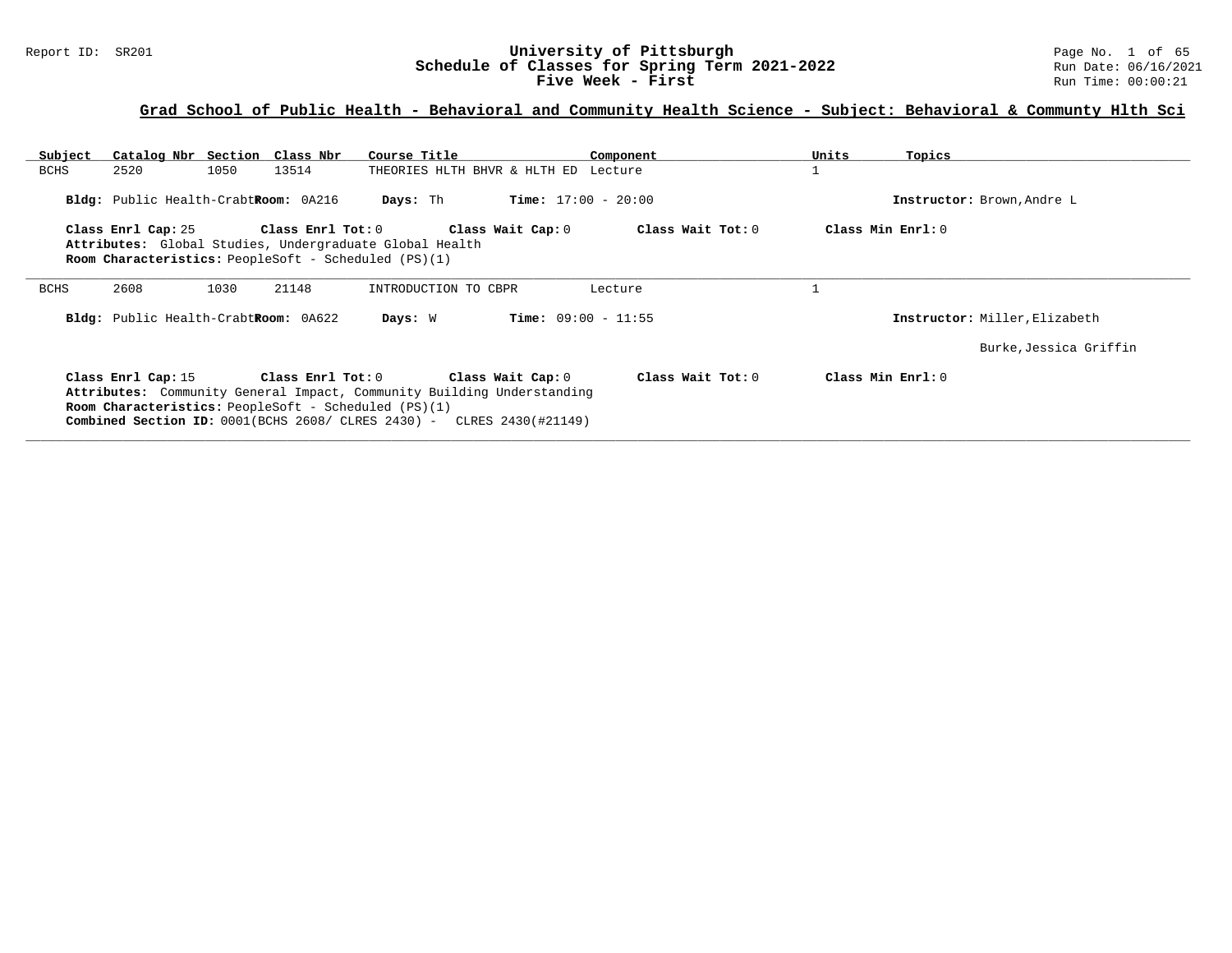#### Report ID: SR201 **University of Pittsburgh University of Pittsburgh** Page No. 1 of 65<br>**Schedule of Classes for Spring Term 2021-2022** Run Date: 06/16/2021 **Schedule of Classes for Spring Term 2021-2022** Run Date: 06/16/2021 **Five Week - First** Run Time: 00:00:21

| Subject                                                                                                        | Catalog Nbr Section Class Nbr        |      |                   | Course Title                                                                                                                                                                                                                                  |                              | Component         | Units | Topics                        |
|----------------------------------------------------------------------------------------------------------------|--------------------------------------|------|-------------------|-----------------------------------------------------------------------------------------------------------------------------------------------------------------------------------------------------------------------------------------------|------------------------------|-------------------|-------|-------------------------------|
| <b>BCHS</b>                                                                                                    | 2520                                 | 1050 | 13514             | THEORIES HLTH BHVR & HLTH ED Lecture                                                                                                                                                                                                          |                              |                   |       |                               |
| <b>Time:</b> $17:00 - 20:00$<br>Bldg: Public Health-CrabtRoom: 0A216<br>Days: Th<br>Instructor: Brown, Andre L |                                      |      |                   |                                                                                                                                                                                                                                               |                              |                   |       |                               |
|                                                                                                                | Class Enrl Cap: 25                   |      | Class Enrl Tot: 0 |                                                                                                                                                                                                                                               | Class Wait Cap: 0            | Class Wait Tot: 0 |       | Class Min $Err1:0$            |
|                                                                                                                |                                      |      |                   | Attributes: Global Studies, Undergraduate Global Health                                                                                                                                                                                       |                              |                   |       |                               |
|                                                                                                                |                                      |      |                   | <b>Room Characteristics:</b> PeopleSoft - Scheduled (PS)(1)                                                                                                                                                                                   |                              |                   |       |                               |
| <b>BCHS</b>                                                                                                    | 2608                                 | 1030 | 21148             | INTRODUCTION TO CBPR                                                                                                                                                                                                                          |                              | Lecture           |       |                               |
|                                                                                                                | Bldg: Public Health-CrabtRoom: 0A622 |      |                   | Days: W                                                                                                                                                                                                                                       | <b>Time:</b> $09:00 - 11:55$ |                   |       | Instructor: Miller, Elizabeth |
|                                                                                                                |                                      |      |                   |                                                                                                                                                                                                                                               |                              |                   |       | Burke, Jessica Griffin        |
|                                                                                                                | Class Enrl Cap: 15                   |      | Class Enrl Tot: 0 | Class Wait Cap: 0<br>Attributes: Community General Impact, Community Building Understanding<br><b>Room Characteristics:</b> PeopleSoft - Scheduled (PS)(1)<br><b>Combined Section ID:</b> $0001(BCHS 2608 / CLRES 2430) - CLRES 2430(H21149)$ |                              | Class Wait Tot: 0 |       | Class Min $Err1:0$            |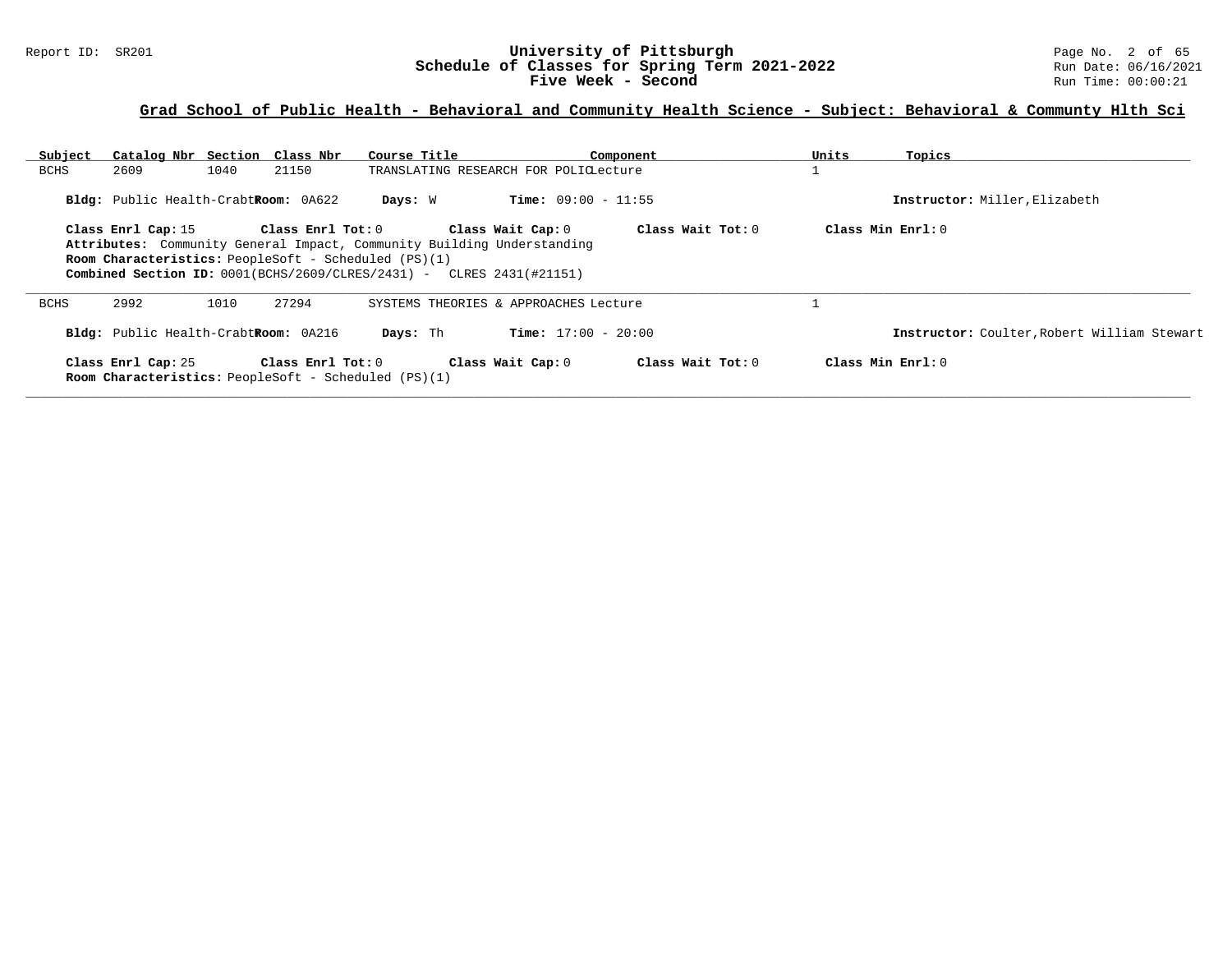#### Report ID: SR201 **University of Pittsburgh** Page No. 2 of 65 **Schedule of Classes for Spring Term 2021-2022** Run Date: 06/16/2021 **Five Week - Second Run Time: 00:00:21**

| Subject<br><b>BCHS</b>                                                                                                                                                                                                                                                                                                                  | Catalog Nbr Section Class Nbr<br>2609                                             | 1040 | 21150                   | Course Title | TRANSLATING RESEARCH FOR POLICLecture | Component           | Units | Topics                                      |
|-----------------------------------------------------------------------------------------------------------------------------------------------------------------------------------------------------------------------------------------------------------------------------------------------------------------------------------------|-----------------------------------------------------------------------------------|------|-------------------------|--------------|---------------------------------------|---------------------|-------|---------------------------------------------|
|                                                                                                                                                                                                                                                                                                                                         |                                                                                   |      |                         |              |                                       |                     |       |                                             |
|                                                                                                                                                                                                                                                                                                                                         | Bldg: Public Health-CrabtRoom: 0A622                                              |      |                         | Days: W      | <b>Time:</b> $09:00 - 11:55$          |                     |       | Instructor: Miller, Elizabeth               |
| $Class Min Ernst: 0$<br>Class Enrl Tot: $0$<br>Class Wait Tot: 0<br>Class Enrl Cap: 15<br>Class Wait Cap: 0<br>Attributes: Community General Impact, Community Building Understanding<br><b>Room Characteristics:</b> PeopleSoft - Scheduled (PS)(1)<br><b>Combined Section ID:</b> $0001(BCHS/2609/CLRES/2431)$ - CLRES $2431(#21151)$ |                                                                                   |      |                         |              |                                       |                     |       |                                             |
| <b>BCHS</b>                                                                                                                                                                                                                                                                                                                             | 2992                                                                              | 1010 | 27294                   |              | SYSTEMS THEORIES & APPROACHES Lecture |                     |       |                                             |
|                                                                                                                                                                                                                                                                                                                                         | Bldg: Public Health-CrabtRoom: 0A216                                              |      |                         | Days: Th     | <b>Time:</b> $17:00 - 20:00$          |                     |       | Instructor: Coulter, Robert William Stewart |
|                                                                                                                                                                                                                                                                                                                                         | Class Enrl Cap: 25<br><b>Room Characteristics:</b> PeopleSoft - Scheduled (PS)(1) |      | $Class$ $Enr1$ $Tot: 0$ |              | Class Wait Cap: 0                     | Class Wait $Tot: 0$ |       | $Class Min Ernst: 0$                        |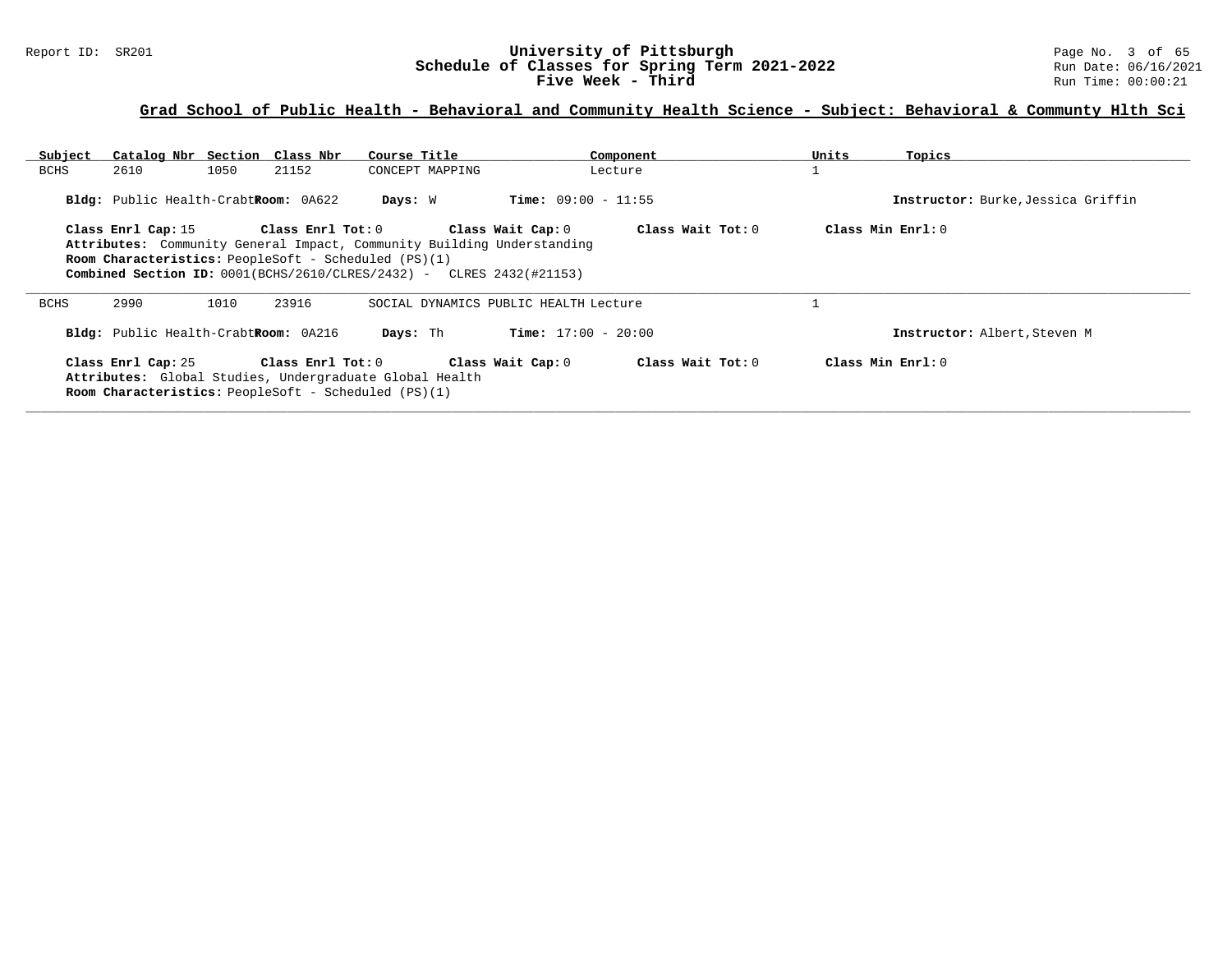#### Report ID: SR201 **University of Pittsburgh University of Pittsburgh** Page No. 3 of 65<br>**Schedule of Classes for Spring Term 2021-2022** Run Date: 06/16/2021 **Schedule of Classes for Spring Term 2021-2022** Run Date: 06/16/2021 **Five Week - Third Run Time: 00:00:21**

| Subject     | Catalog Nbr Section Class Nbr                                                                                                                                                                                                                                                                                                       |      |                     | Course Title                                            |                              | Component         | Units              | Topics                             |
|-------------|-------------------------------------------------------------------------------------------------------------------------------------------------------------------------------------------------------------------------------------------------------------------------------------------------------------------------------------|------|---------------------|---------------------------------------------------------|------------------------------|-------------------|--------------------|------------------------------------|
| BCHS        | 2610                                                                                                                                                                                                                                                                                                                                | 1050 | 21152               | CONCEPT MAPPING                                         |                              | Lecture           |                    |                                    |
|             | Bldg: Public Health-CrabtRoom: 0A622                                                                                                                                                                                                                                                                                                |      |                     | Days: W                                                 | <b>Time:</b> $09:00 - 11:55$ |                   |                    | Instructor: Burke, Jessica Griffin |
|             | Class Min Enrl: 0<br>Class Enrl Tot:0<br>Class Wait Cap: 0<br>Class Wait Tot: $0$<br>Class Enrl Cap: 15<br>Attributes: Community General Impact, Community Building Understanding<br><b>Room Characteristics:</b> PeopleSoft - Scheduled (PS)(1)<br><b>Combined Section ID:</b> $0001(BCHS/2610/CLRES/2432)$ - CLRES $2432(#21153)$ |      |                     |                                                         |                              |                   |                    |                                    |
| <b>BCHS</b> | 2990                                                                                                                                                                                                                                                                                                                                | 1010 | 23916               | SOCIAL DYNAMICS PUBLIC HEALTH Lecture                   |                              |                   |                    |                                    |
|             | Bldg: Public Health-CrabtRoom: 0A216                                                                                                                                                                                                                                                                                                |      |                     | Days: Th                                                | <b>Time:</b> $17:00 - 20:00$ |                   |                    | Instructor: Albert, Steven M       |
|             | Class Enrl Cap: 25<br><b>Room Characteristics:</b> PeopleSoft - Scheduled (PS)(1)                                                                                                                                                                                                                                                   |      | Class Enrl Tot: $0$ | Attributes: Global Studies, Undergraduate Global Health | Class Wait Cap: 0            | Class Wait Tot: 0 | Class Min $Err1:0$ |                                    |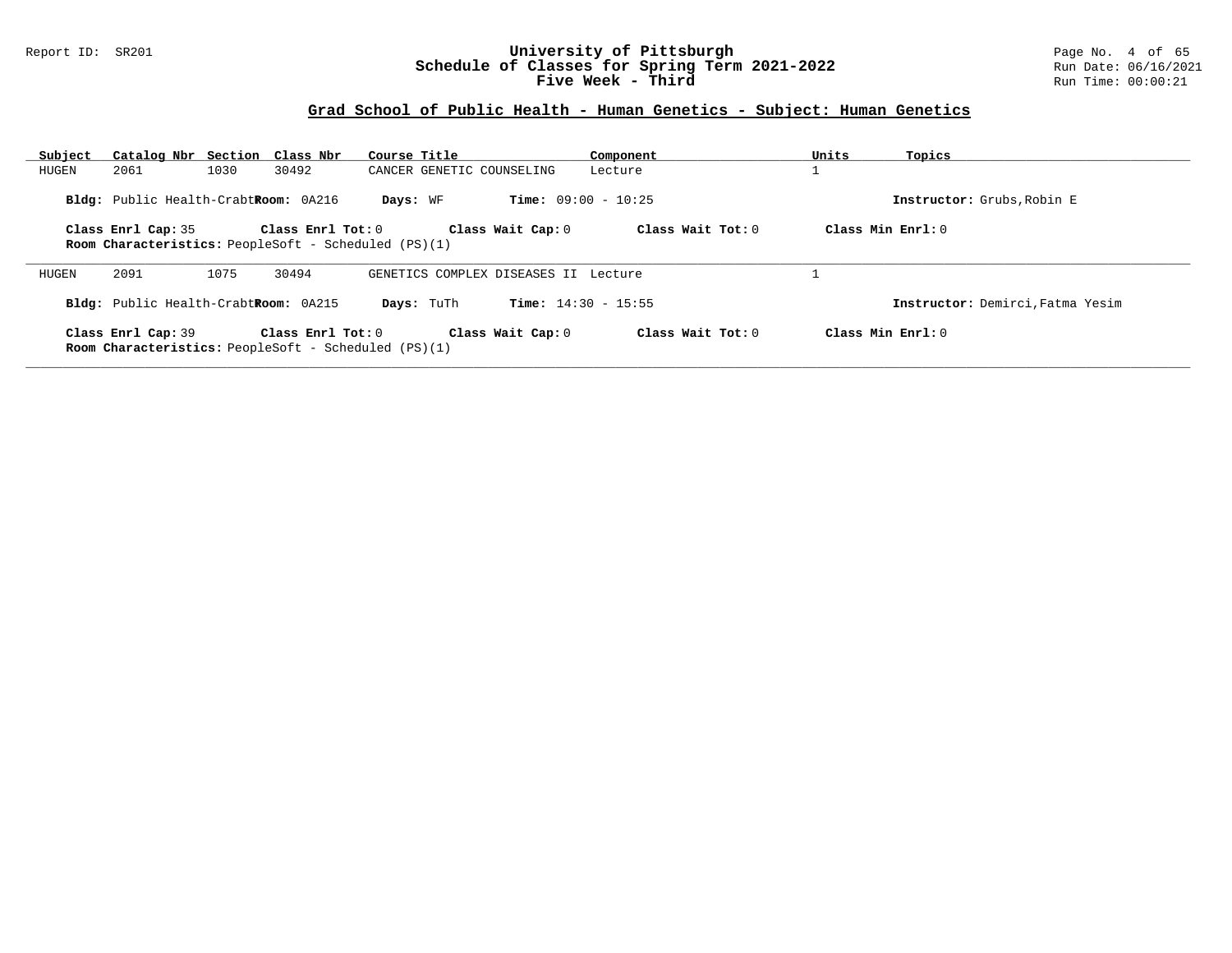#### Report ID: SR201 **University of Pittsburgh** Page No. 4 of 65 **Schedule of Classes for Spring Term 2021-2022** Run Date: 06/16/2021 **Five Week - Third Run Time: 00:00:21**

| Subject | Catalog Nbr Section Class Nbr        |      |                                                             | Course Title                         |                              | Component         | Units               | Topics                           |
|---------|--------------------------------------|------|-------------------------------------------------------------|--------------------------------------|------------------------------|-------------------|---------------------|----------------------------------|
| HUGEN   | 2061                                 | 1030 | 30492                                                       | CANCER GENETIC COUNSELING            |                              | Lecture           |                     |                                  |
|         | Bldg: Public Health-CrabtRoom: 0A216 |      |                                                             | Days: WF                             | <b>Time:</b> $09:00 - 10:25$ |                   |                     | Instructor: Grubs, Robin E       |
|         | Class Enrl Cap: 35                   |      | Class Enrl Tot: 0                                           |                                      | Class Wait Cap: 0            | Class Wait Tot: 0 | Class Min Enrl: 0   |                                  |
|         |                                      |      | Room Characteristics: PeopleSoft - Scheduled (PS)(1)        |                                      |                              |                   |                     |                                  |
| HUGEN   | 2091                                 | 1075 | 30494                                                       | GENETICS COMPLEX DISEASES II Lecture |                              |                   |                     |                                  |
|         | Bldg: Public Health-CrabtRoom: 0A215 |      |                                                             | Days: TuTh                           | <b>Time:</b> $14:30 - 15:55$ |                   |                     | Instructor: Demirci, Fatma Yesim |
|         | Class Enrl Cap: 39                   |      | Class Enrl Tot: 0                                           |                                      | Class Wait Cap: 0            | Class Wait Tot: 0 | Class Min $Enrl: 0$ |                                  |
|         |                                      |      | <b>Room Characteristics:</b> PeopleSoft - Scheduled (PS)(1) |                                      |                              |                   |                     |                                  |
|         |                                      |      |                                                             |                                      |                              |                   |                     |                                  |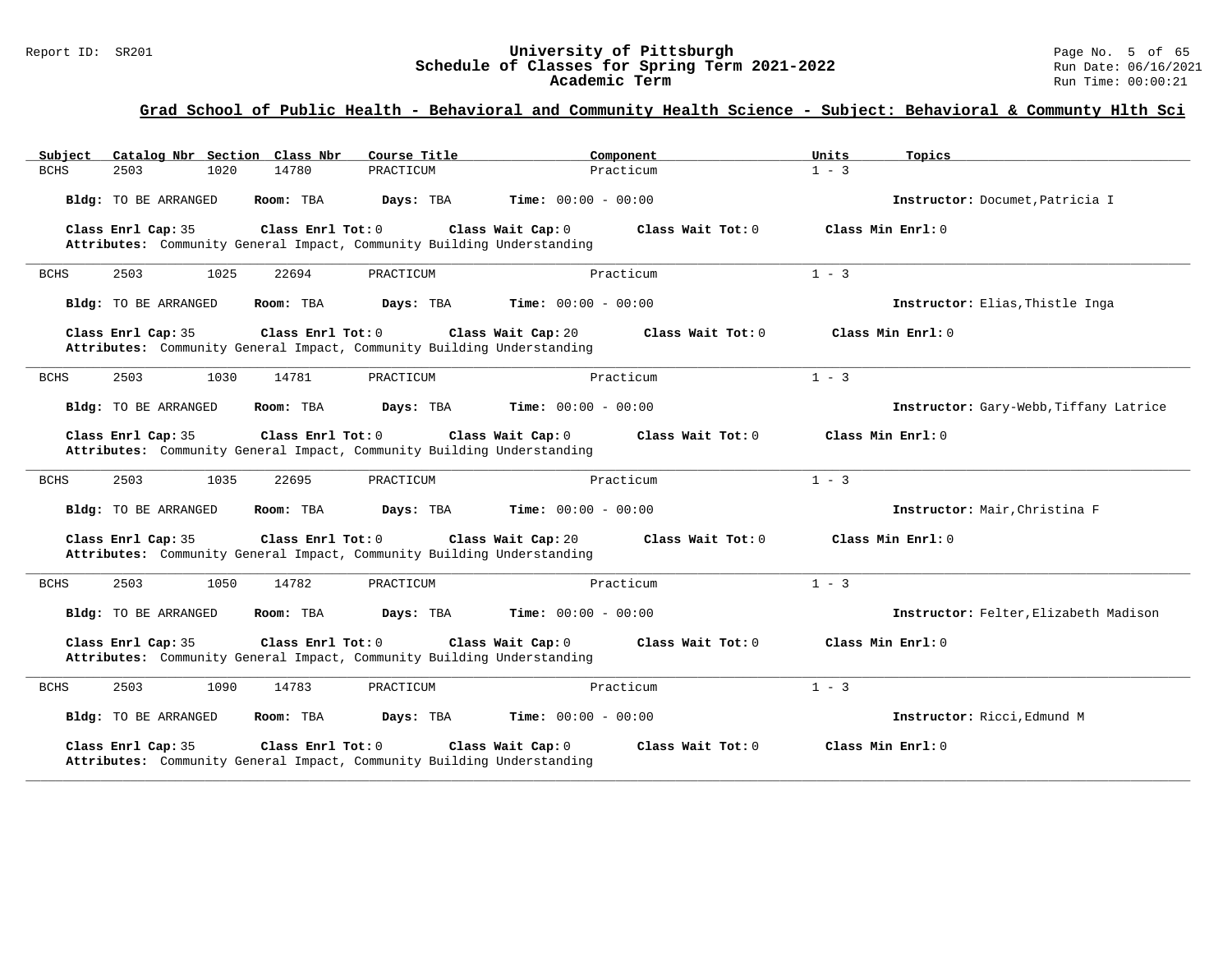#### Report ID: SR201 **University of Pittsburgh** Page No. 5 of 65 **Schedule of Classes for Spring Term 2021-2022** Run Date: 06/16/2021 **Academic Term** Run Time: 00:00:21

| Catalog Nbr Section Class Nbr<br>Subject | Course Title                                                                                                        | Component                    | Units<br>Topics                        |
|------------------------------------------|---------------------------------------------------------------------------------------------------------------------|------------------------------|----------------------------------------|
| <b>BCHS</b><br>2503<br>1020              | 14780<br>PRACTICUM                                                                                                  | Practicum                    | $1 - 3$                                |
| Bldg: TO BE ARRANGED                     | Time: $00:00 - 00:00$<br>Room: TBA<br>Days: TBA                                                                     |                              | Instructor: Documet, Patricia I        |
| Class Enrl Cap: 35                       | Class Enrl Tot: $0$<br>Class Wait Cap: 0<br>Attributes: Community General Impact, Community Building Understanding  | Class Wait $Tot: 0$          | Class Min Enrl: 0                      |
| 1025<br>2503<br><b>BCHS</b>              | 22694<br>PRACTICUM                                                                                                  | Practicum                    | $1 - 3$                                |
| Bldg: TO BE ARRANGED                     | Room: TBA<br>Days: TBA                                                                                              | <b>Time:</b> $00:00 - 00:00$ | Instructor: Elias, Thistle Inga        |
| Class Enrl Cap: 35                       | Class Enrl Tot: 0<br>Class Wait Cap: 20<br>Attributes: Community General Impact, Community Building Understanding   | Class Wait Tot: 0            | Class Min Enrl: 0                      |
| 2503<br>1030<br><b>BCHS</b>              | 14781<br>PRACTICUM                                                                                                  | Practicum                    | $1 - 3$                                |
| Bldg: TO BE ARRANGED                     | Room: TBA<br>Days: TBA                                                                                              | <b>Time:</b> $00:00 - 00:00$ | Instructor: Gary-Webb, Tiffany Latrice |
| Class Enrl Cap: 35                       | Class Enrl Tot: 0<br>Class Wait Cap: 0<br>Attributes: Community General Impact, Community Building Understanding    | Class Wait Tot: 0            | Class Min Enrl: 0                      |
| 2503<br><b>BCHS</b><br>1035              | 22695<br>PRACTICUM                                                                                                  | Practicum                    | $1 - 3$                                |
| Bldg: TO BE ARRANGED                     | Room: TBA<br>Days: TBA                                                                                              | <b>Time:</b> $00:00 - 00:00$ | Instructor: Mair, Christina F          |
| Class Enrl Cap: 35                       | Class Enrl Tot: $0$<br>Class Wait Cap: 20<br>Attributes: Community General Impact, Community Building Understanding | Class Wait Tot: 0            | Class Min Enrl: 0                      |
| 2503<br>1050<br><b>BCHS</b>              | 14782<br>PRACTICUM                                                                                                  | Practicum                    | $1 - 3$                                |
| Bldg: TO BE ARRANGED                     | Room: TBA<br>Days: TBA                                                                                              | <b>Time:</b> $00:00 - 00:00$ | Instructor: Felter, Elizabeth Madison  |
| Class Enrl Cap: 35                       | Class Enrl Tot: $0$<br>Class Wait Cap: 0<br>Attributes: Community General Impact, Community Building Understanding  | Class Wait Tot: 0            | Class Min Enrl: 0                      |
| 2503<br>1090<br><b>BCHS</b>              | 14783<br>PRACTICUM                                                                                                  | Practicum                    | $1 - 3$                                |
| Bldg: TO BE ARRANGED                     | Room: TBA<br>Days: TBA                                                                                              | <b>Time:</b> $00:00 - 00:00$ | Instructor: Ricci, Edmund M            |
| Class Enrl Cap: 35                       | Class Enrl Tot: 0<br>Class Wait Cap: 0<br>Attributes: Community General Impact, Community Building Understanding    | Class Wait Tot: 0            | Class Min Enrl: 0                      |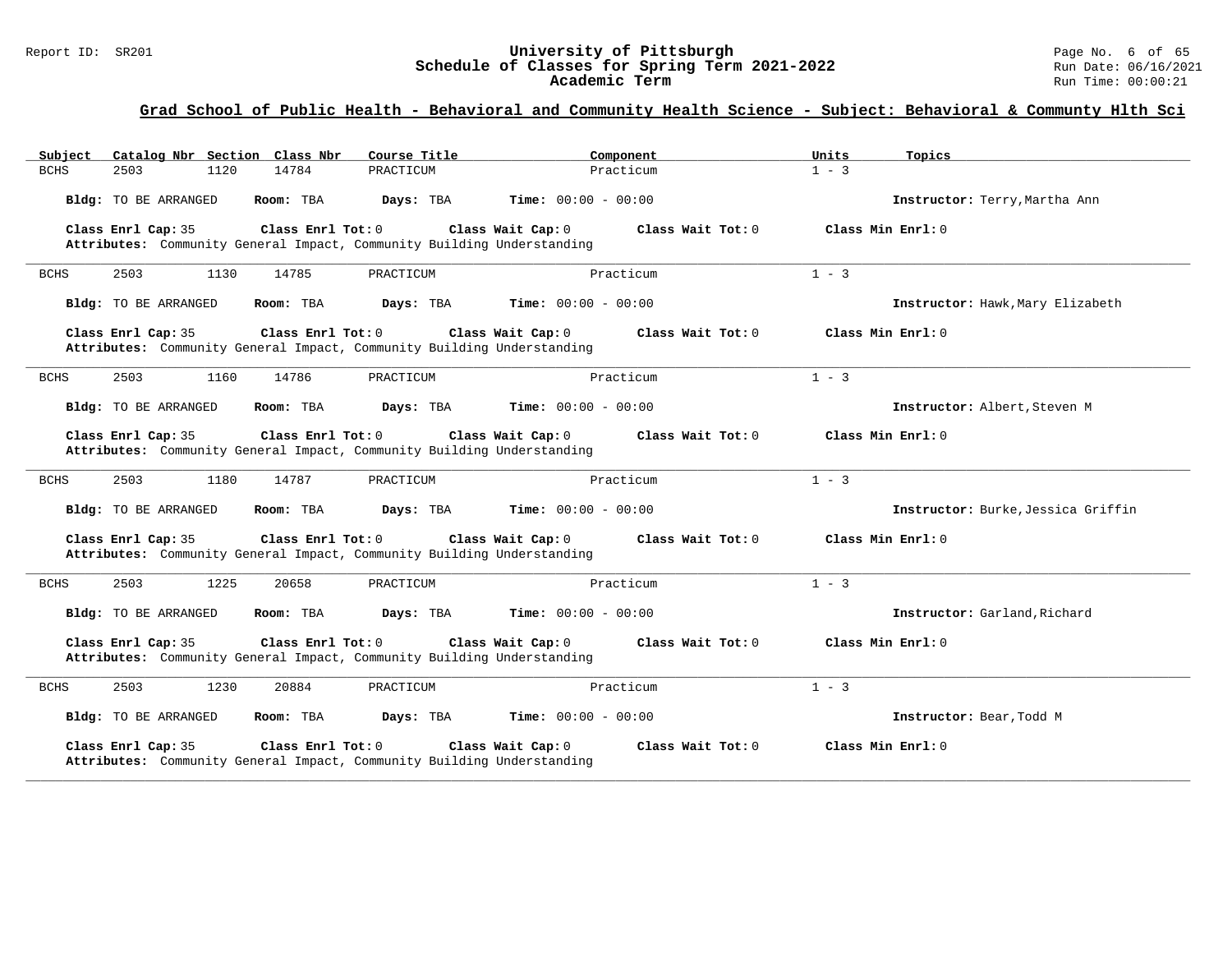#### Report ID: SR201 **University of Pittsburgh** Page No. 6 of 65 **Schedule of Classes for Spring Term 2021-2022** Run Date: 06/16/2021 **Academic Term** Run Time: 00:00:21

| Catalog Nbr Section Class Nbr<br>Subject | Course Title                                                                                                       | Component                    | Units<br>Topics                    |
|------------------------------------------|--------------------------------------------------------------------------------------------------------------------|------------------------------|------------------------------------|
| <b>BCHS</b><br>2503<br>1120              | 14784<br>PRACTICUM                                                                                                 | Practicum                    | $1 - 3$                            |
| Bldg: TO BE ARRANGED                     | Room: TBA<br>Days: TBA                                                                                             | <b>Time:</b> $00:00 - 00:00$ | Instructor: Terry, Martha Ann      |
| Class Enrl Cap: 35                       | Class Enrl Tot: 0<br>Class Wait Cap: 0<br>Attributes: Community General Impact, Community Building Understanding   | Class Wait Tot: 0            | Class Min Enrl: 0                  |
| 2503<br><b>BCHS</b><br>1130              | 14785<br>PRACTICUM                                                                                                 | Practicum                    | $1 - 3$                            |
| Bldg: TO BE ARRANGED                     | Room: TBA<br>Days: TBA                                                                                             | <b>Time:</b> $00:00 - 00:00$ | Instructor: Hawk, Mary Elizabeth   |
| Class Enrl Cap: 35                       | Class Enrl Tot: 0<br>Class Wait Cap: 0<br>Attributes: Community General Impact, Community Building Understanding   | Class Wait $Tot: 0$          | Class Min Enrl: 0                  |
| 2503<br><b>BCHS</b><br>1160              | 14786<br>PRACTICUM                                                                                                 | Practicum                    | $1 - 3$                            |
| Bldg: TO BE ARRANGED                     | Room: TBA<br>Days: TBA                                                                                             | <b>Time:</b> $00:00 - 00:00$ | Instructor: Albert, Steven M       |
| Class Enrl Cap: 35                       | Class Enrl Tot: $0$<br>Class Wait Cap: 0<br>Attributes: Community General Impact, Community Building Understanding | Class Wait $Tot: 0$          | Class Min Enrl: 0                  |
| 2503<br>1180<br><b>BCHS</b>              | 14787<br>PRACTICUM                                                                                                 | Practicum                    | $1 - 3$                            |
| Bldg: TO BE ARRANGED                     | Room: TBA<br>Days: TBA                                                                                             | <b>Time:</b> $00:00 - 00:00$ | Instructor: Burke, Jessica Griffin |
| Class Enrl Cap: 35                       | Class Wait Cap: 0<br>Class Enrl Tot: 0<br>Attributes: Community General Impact, Community Building Understanding   | Class Wait Tot: 0            | Class Min Enrl: 0                  |
| 2503<br>1225<br><b>BCHS</b>              | 20658<br>PRACTICUM                                                                                                 | Practicum                    | $1 - 3$                            |
| Bldg: TO BE ARRANGED                     | Room: TBA<br>Days: TBA                                                                                             | <b>Time:</b> $00:00 - 00:00$ | Instructor: Garland, Richard       |
| Class Enrl Cap: 35                       | Class Enrl Tot: 0<br>Class Wait Cap: 0<br>Attributes: Community General Impact, Community Building Understanding   | Class Wait $Tot: 0$          | Class Min Enrl: 0                  |
| 2503<br>1230<br><b>BCHS</b>              | 20884<br>PRACTICUM                                                                                                 | Practicum                    | $1 - 3$                            |
| Bldg: TO BE ARRANGED                     | Room: TBA<br>Days: TBA                                                                                             | <b>Time:</b> $00:00 - 00:00$ | Instructor: Bear, Todd M           |
| Class Enrl Cap: 35                       | Class Enrl Tot: 0<br>Class Wait Cap: 0<br>Attributes: Community General Impact, Community Building Understanding   | Class Wait Tot: 0            | Class Min Enrl: 0                  |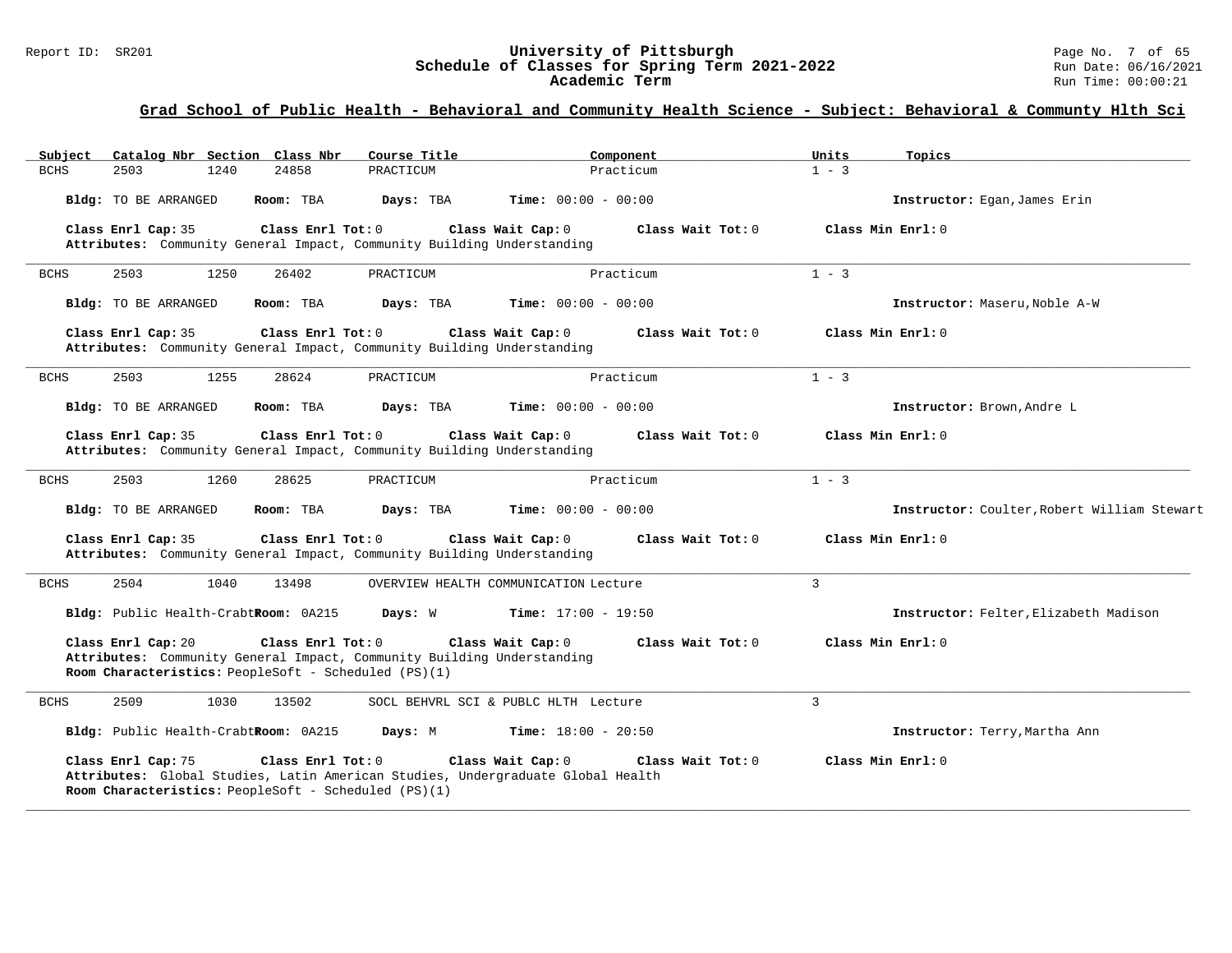#### Report ID: SR201 **University of Pittsburgh** Page No. 7 of 65 **Schedule of Classes for Spring Term 2021-2022** Run Date: 06/16/2021 **Academic Term** Run Time: 00:00:21

| Catalog Nbr Section Class Nbr<br>Subject                                   | Course Title                                                                                                              | Component                    | Units<br>Topics                             |
|----------------------------------------------------------------------------|---------------------------------------------------------------------------------------------------------------------------|------------------------------|---------------------------------------------|
| <b>BCHS</b><br>2503<br>1240                                                | 24858<br>PRACTICUM                                                                                                        | Practicum                    | $1 - 3$                                     |
| Bldg: TO BE ARRANGED                                                       | Room: TBA<br>Days: TBA                                                                                                    | <b>Time:</b> $00:00 - 00:00$ | Instructor: Eqan, James Erin                |
| Class Enrl Cap: 35                                                         | Class Enrl Tot: 0<br>Class Wait Cap: 0<br>Attributes: Community General Impact, Community Building Understanding          | Class Wait $Tot: 0$          | Class Min Enrl: 0                           |
| <b>BCHS</b><br>2503<br>1250                                                | 26402<br>PRACTICUM                                                                                                        | Practicum                    | $1 - 3$                                     |
| Bldg: TO BE ARRANGED                                                       | Room: TBA<br>Days: TBA                                                                                                    | <b>Time:</b> $00:00 - 00:00$ | Instructor: Maseru, Noble A-W               |
| Class Enrl Cap: 35                                                         | Class Enrl Tot: 0<br>Class Wait Cap: 0<br>Attributes: Community General Impact, Community Building Understanding          | Class Wait Tot: 0            | Class Min Enrl: 0                           |
| <b>BCHS</b><br>2503<br>1255                                                | 28624<br>PRACTICUM                                                                                                        | Practicum                    | $1 - 3$                                     |
| Bldg: TO BE ARRANGED                                                       | Room: TBA<br>Days: TBA                                                                                                    | <b>Time:</b> $00:00 - 00:00$ | Instructor: Brown, Andre L                  |
| Class Enrl Cap: 35                                                         | Class Enrl Tot: 0<br>Class Wait Cap: 0<br>Attributes: Community General Impact, Community Building Understanding          | Class Wait Tot: 0            | Class Min Enrl: 0                           |
| 2503<br>1260<br><b>BCHS</b>                                                | 28625<br>PRACTICUM                                                                                                        | Practicum                    | $1 - 3$                                     |
| Bldg: TO BE ARRANGED                                                       | Room: TBA<br>Days: TBA                                                                                                    | <b>Time:</b> $00:00 - 00:00$ | Instructor: Coulter, Robert William Stewart |
| Class Enrl Cap: 35                                                         | Class Enrl Tot: $0$<br>Class Wait Cap: 0<br>Attributes: Community General Impact, Community Building Understanding        | Class Wait Tot: 0            | Class Min Enrl: 0                           |
| <b>BCHS</b><br>2504<br>1040                                                | 13498<br>OVERVIEW HEALTH COMMUNICATION Lecture                                                                            |                              | 3                                           |
| Bldg: Public Health-CrabtRoom: 0A215                                       | Days: W                                                                                                                   | <b>Time:</b> $17:00 - 19:50$ | Instructor: Felter, Elizabeth Madison       |
| Class Enrl Cap: 20<br>Room Characteristics: PeopleSoft - Scheduled (PS)(1) | Class Enrl Tot: $0$<br>Class Wait Cap: 0<br>Attributes: Community General Impact, Community Building Understanding        | Class Wait $Tot: 0$          | Class Min Enrl: 0                           |
| 2509<br>1030<br><b>BCHS</b>                                                | 13502<br>SOCL BEHVRL SCI & PUBLC HLTH Lecture                                                                             |                              | $\overline{3}$                              |
| Bldg: Public Health-CrabtRoom: 0A215                                       | Days: M                                                                                                                   | <b>Time:</b> $18:00 - 20:50$ | Instructor: Terry, Martha Ann               |
| Class Enrl Cap: 75<br>Room Characteristics: PeopleSoft - Scheduled (PS)(1) | Class Enrl Tot: 0<br>Class Wait Cap: 0<br>Attributes: Global Studies, Latin American Studies, Undergraduate Global Health | Class Wait Tot: 0            | Class Min Enrl: 0                           |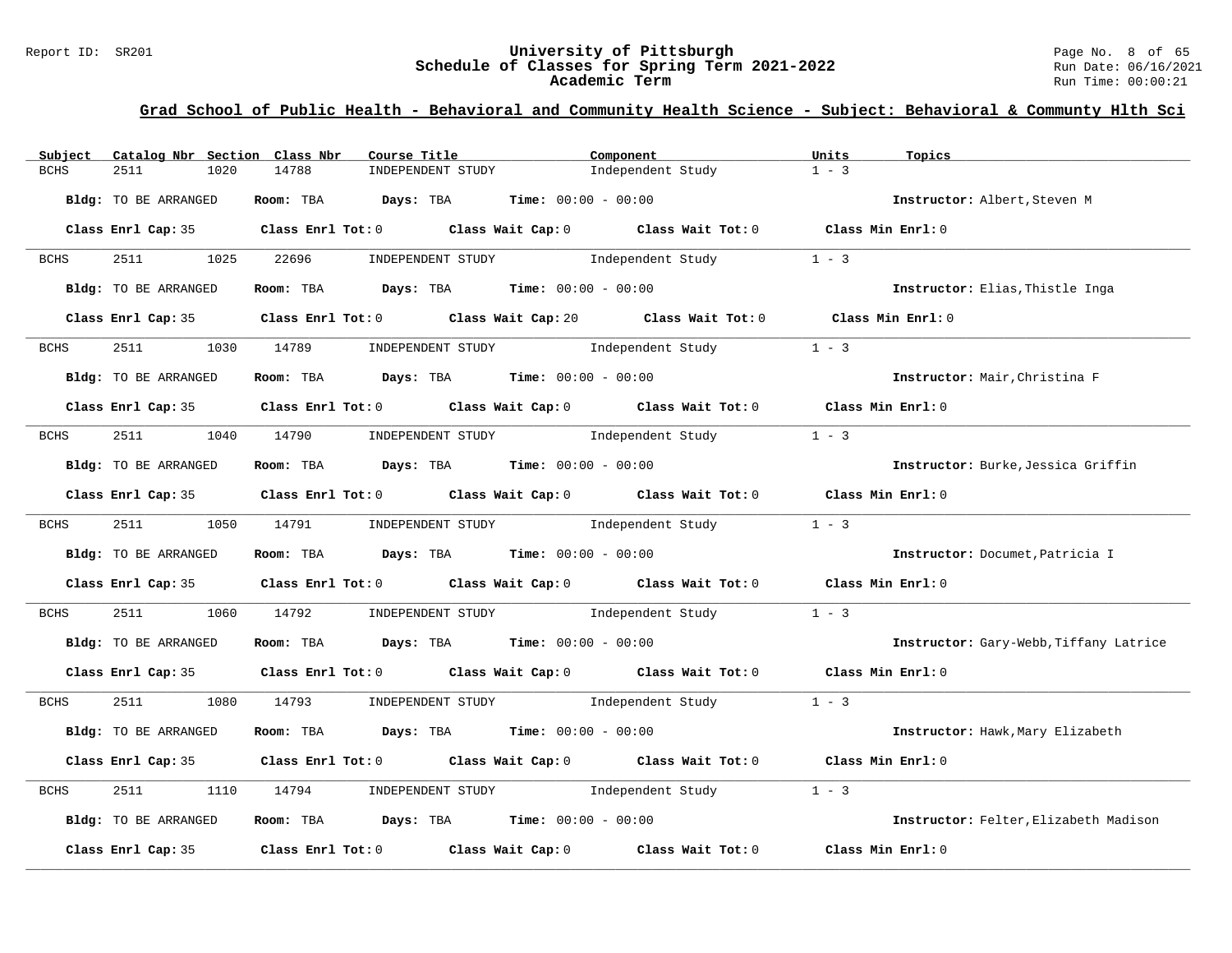#### Report ID: SR201 **University of Pittsburgh** Page No. 8 of 65 **Schedule of Classes for Spring Term 2021-2022** Run Date: 06/16/2021 **Academic Term** Run Time: 00:00:21

| Subject     | Catalog Nbr Section Class Nbr | Course Title                                                                                        | Component         | Units<br>Topics                        |
|-------------|-------------------------------|-----------------------------------------------------------------------------------------------------|-------------------|----------------------------------------|
| <b>BCHS</b> | 2511<br>1020                  | 14788<br>INDEPENDENT STUDY                                                                          | Independent Study | $1 - 3$                                |
|             | Bldg: TO BE ARRANGED          | Room: TBA Days: TBA<br><b>Time:</b> $00:00 - 00:00$                                                 |                   | Instructor: Albert, Steven M           |
|             |                               | Class Enrl Cap: 35 Class Enrl Tot: 0 Class Wait Cap: 0 Class Wait Tot: 0 Class Min Enrl: 0          |                   |                                        |
| <b>BCHS</b> | 2511 2512<br>1025             | 22696<br>INDEPENDENT STUDY                                                                          | Independent Study | $1 - 3$                                |
|             | Bldg: TO BE ARRANGED          | Room: TBA $Days:$ TBA $Time: 00:00 - 00:00$                                                         |                   | Instructor: Elias, Thistle Inga        |
|             |                               | Class Enrl Cap: 35 Class Enrl Tot: 0 Class Wait Cap: 20 Class Wait Tot: 0 Class Min Enrl: 0         |                   |                                        |
| <b>BCHS</b> | 2511                          | INDEPENDENT STUDY 1ndependent Study<br>1030 14789                                                   |                   | $1 - 3$                                |
|             | Bldg: TO BE ARRANGED          | Room: TBA $Days: TBA$ Time: $00:00 - 00:00$                                                         |                   | Instructor: Mair, Christina F          |
|             |                               | Class Enrl Cap: 35 $\qquad$ Class Enrl Tot: 0 $\qquad$ Class Wait Cap: 0 $\qquad$ Class Wait Tot: 0 |                   | Class Min Enrl: 0                      |
| BCHS        | 2511 1040 14790               | INDEPENDENT STUDY 1ndependent Study                                                                 |                   | $1 - 3$                                |
|             | Bldg: TO BE ARRANGED          | Room: TBA $Days: TBA$ Time: $00:00 - 00:00$                                                         |                   | Instructor: Burke, Jessica Griffin     |
|             |                               | Class Enrl Cap: 35 Class Enrl Tot: 0 Class Wait Cap: 0 Class Wait Tot: 0 Class Min Enrl: 0          |                   |                                        |
| BCHS        | 2511 25                       | 1050 14791<br>INDEPENDENT STUDY 1ndependent Study                                                   |                   | $1 - 3$                                |
|             | Bldg: TO BE ARRANGED          | Room: TBA $Days:$ TBA $Time: 00:00 - 00:00$                                                         |                   | Instructor: Documet, Patricia I        |
|             |                               | Class Enrl Cap: 35 Class Enrl Tot: 0 Class Wait Cap: 0 Class Wait Tot: 0 Class Min Enrl: 0          |                   |                                        |
| BCHS        | 2511<br>1060                  | 14792<br>INDEPENDENT STUDY 1ndependent Study                                                        |                   | $1 - 3$                                |
|             | Bldg: TO BE ARRANGED          | Room: TBA $\rule{1em}{0.15mm}$ Days: TBA Time: $00:00 - 00:00$                                      |                   | Instructor: Gary-Webb, Tiffany Latrice |
|             |                               | Class Enrl Cap: 35 Class Enrl Tot: 0 Class Wait Cap: 0 Class Wait Tot: 0 Class Min Enrl: 0          |                   |                                        |
| BCHS        | 2511 251<br>1080              | 14793         INDEPENDENT STUDY               Independent Study                                     | $1 - 3$           |                                        |
|             | Bldg: TO BE ARRANGED          | Room: TBA $Days: TBA$ Time: $00:00 - 00:00$                                                         |                   | Instructor: Hawk, Mary Elizabeth       |
|             |                               | Class Enrl Cap: 35 Class Enrl Tot: 0 Class Wait Cap: 0 Class Wait Tot: 0 Class Min Enrl: 0          |                   |                                        |
| BCHS        | 2511<br>1110                  | INDEPENDENT STUDY 1ndependent Study<br>14794                                                        |                   | $1 - 3$                                |
|             | Bldg: TO BE ARRANGED          | Room: TBA $Days:$ TBA $Time: 00:00 - 00:00$                                                         |                   | Instructor: Felter, Elizabeth Madison  |
|             | Class Enrl Cap: 35            | $\texttt{Class}$ $\texttt{Enrl}\ \texttt{Tot:0}$ $\texttt{Class } \texttt{Wait } \texttt{Cap:0}$    | Class Wait Tot: 0 | Class Min Enrl: 0                      |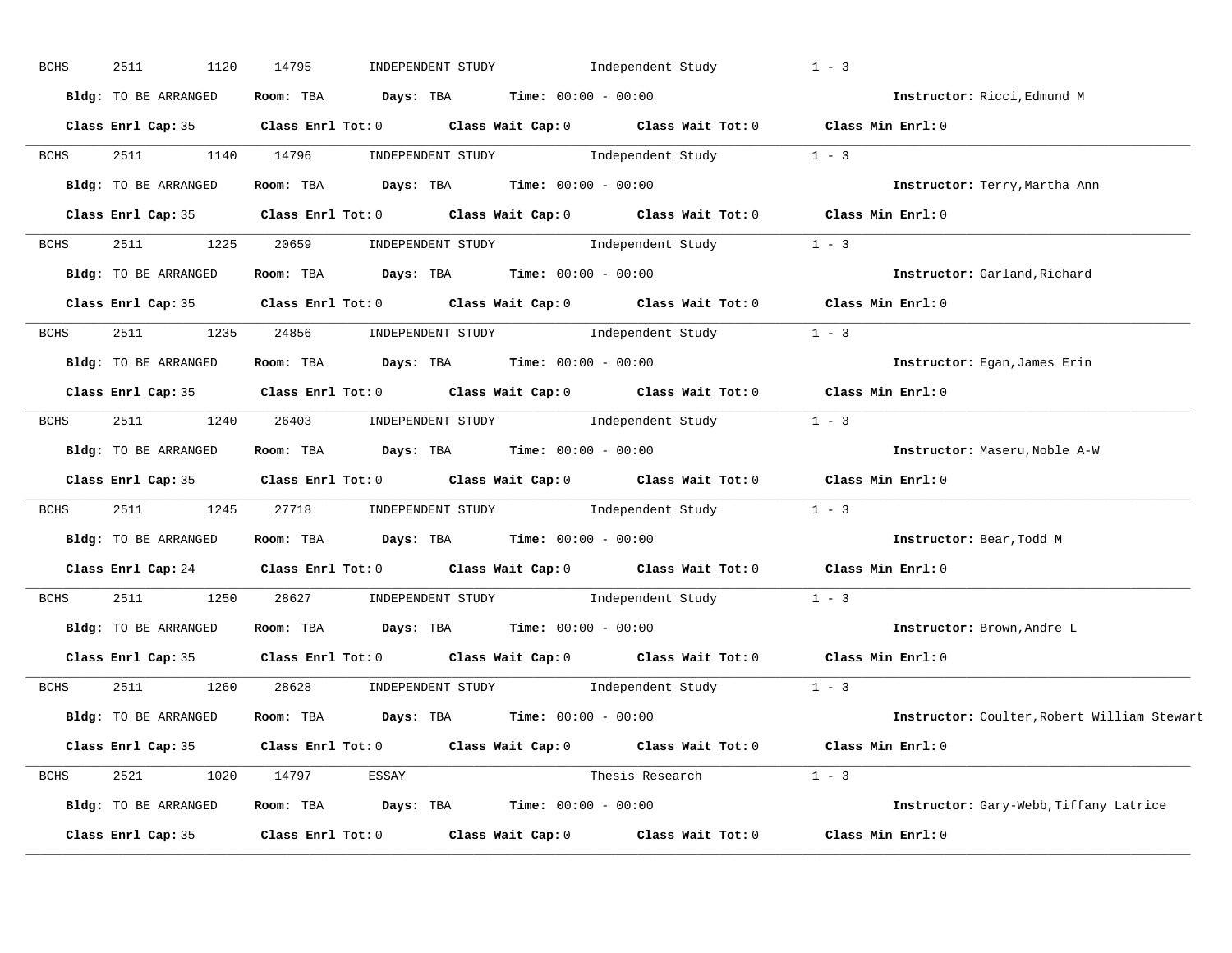| <b>BCHS</b> | 2511<br>1120         | 14795<br>INDEPENDENT STUDY                                                                                                   | Independent Study       | $1 - 3$                                     |
|-------------|----------------------|------------------------------------------------------------------------------------------------------------------------------|-------------------------|---------------------------------------------|
|             | Bldg: TO BE ARRANGED | Room: TBA $Days:$ TBA $Time: 00:00 - 00:00$                                                                                  |                         | Instructor: Ricci, Edmund M                 |
|             |                      | Class Enrl Cap: 35 Class Enrl Tot: 0 Class Wait Cap: 0 Class Wait Tot: 0 Class Min Enrl: 0                                   |                         |                                             |
| <b>BCHS</b> | 2511 1140 14796      | $\begin{minipage}[c]{0.9\linewidth} \textbf{INDEX} & \textbf{STUDY} \\ \textbf{Independent Study} & 1 - 3 \\ \end{minipage}$ |                         |                                             |
|             | Bldg: TO BE ARRANGED | Room: TBA $Days: TBA$ Time: $00:00 - 00:00$                                                                                  |                         | Instructor: Terry, Martha Ann               |
|             |                      | Class Enrl Cap: 35 Class Enrl Tot: 0 Class Wait Cap: 0 Class Wait Tot: 0 Class Min Enrl: 0                                   |                         |                                             |
| <b>BCHS</b> |                      | 2511 1225 20659 INDEPENDENT STUDY Independent Study 1 - 3                                                                    |                         |                                             |
|             |                      | Bldg: TO BE ARRANGED Room: TBA Days: TBA Time: 00:00 - 00:00                                                                 |                         | Instructor: Garland, Richard                |
|             |                      | Class Enrl Cap: 35 Class Enrl Tot: 0 Class Wait Cap: 0 Class Wait Tot: 0 Class Min Enrl: 0                                   |                         |                                             |
| <b>BCHS</b> |                      | 2511 1235 24856 INDEPENDENT STUDY Independent Study 1 - 3                                                                    |                         |                                             |
|             | Bldg: TO BE ARRANGED | Room: TBA $\rule{1em}{0.15mm}$ Days: TBA $\rule{1.15mm}]{0.15mm}$ Time: $00:00 - 00:00$                                      |                         | Instructor: Egan, James Erin                |
|             |                      | Class Enrl Cap: 35 Class Enrl Tot: 0 Class Wait Cap: 0 Class Wait Tot: 0 Class Min Enrl: 0                                   |                         |                                             |
| <b>BCHS</b> |                      | 2511 1240 26403 INDEPENDENT STUDY Independent Study 1 - 3                                                                    |                         |                                             |
|             |                      | Bldg: TO BE ARRANGED Room: TBA Days: TBA Time: 00:00 - 00:00                                                                 |                         | Instructor: Maseru, Noble A-W               |
|             |                      | Class Enrl Cap: 35 Class Enrl Tot: 0 Class Wait Cap: 0 Class Wait Tot: 0 Class Min Enrl: 0                                   |                         |                                             |
| BCHS        |                      | 2511 1245 27718 INDEPENDENT STUDY Independent Study 1 - 3                                                                    |                         |                                             |
|             |                      | Bldg: TO BE ARRANGED Room: TBA Days: TBA Time: 00:00 - 00:00                                                                 |                         | Instructor: Bear, Todd M                    |
|             |                      | Class Enrl Cap: 24 Class Enrl Tot: 0 Class Wait Cap: 0 Class Wait Tot: 0                                                     |                         | Class Min Enrl: 0                           |
| <b>BCHS</b> | 2511<br>1250         | 28627 INDEPENDENT STUDY Independent Study                                                                                    |                         | $1 - 3$                                     |
|             |                      | Bldg: TO BE ARRANGED Room: TBA Days: TBA Time: 00:00 - 00:00                                                                 |                         | Instructor: Brown, Andre L                  |
|             |                      | Class Enrl Cap: 35 Class Enrl Tot: 0 Class Wait Cap: 0 Class Wait Tot: 0 Class Min Enrl: 0                                   |                         |                                             |
| <b>BCHS</b> |                      | 2511 1260 28628 INDEPENDENT STUDY Independent Study 1 - 3                                                                    |                         |                                             |
|             |                      | Bldg: TO BE ARRANGED Room: TBA Days: TBA Time: 00:00 - 00:00                                                                 |                         | Instructor: Coulter, Robert William Stewart |
|             |                      | Class Enrl Cap: 35 Class Enrl Tot: 0 Class Wait Cap: 0 Class Wait Tot: 0 Class Min Enrl: 0                                   |                         |                                             |
|             |                      | BCHS 2521 1020 14797 ESSAY                                                                                                   | Thesis Research $1 - 3$ |                                             |
|             |                      | Bldg: TO BE ARRANGED Room: TBA Days: TBA Time: 00:00 - 00:00                                                                 |                         | Instructor: Gary-Webb, Tiffany Latrice      |
|             |                      | Class Enrl Cap: 35 $\qquad$ Class Enrl Tot: 0 $\qquad$ Class Wait Cap: 0 $\qquad$ Class Wait Tot: 0                          |                         | Class Min Enrl: 0                           |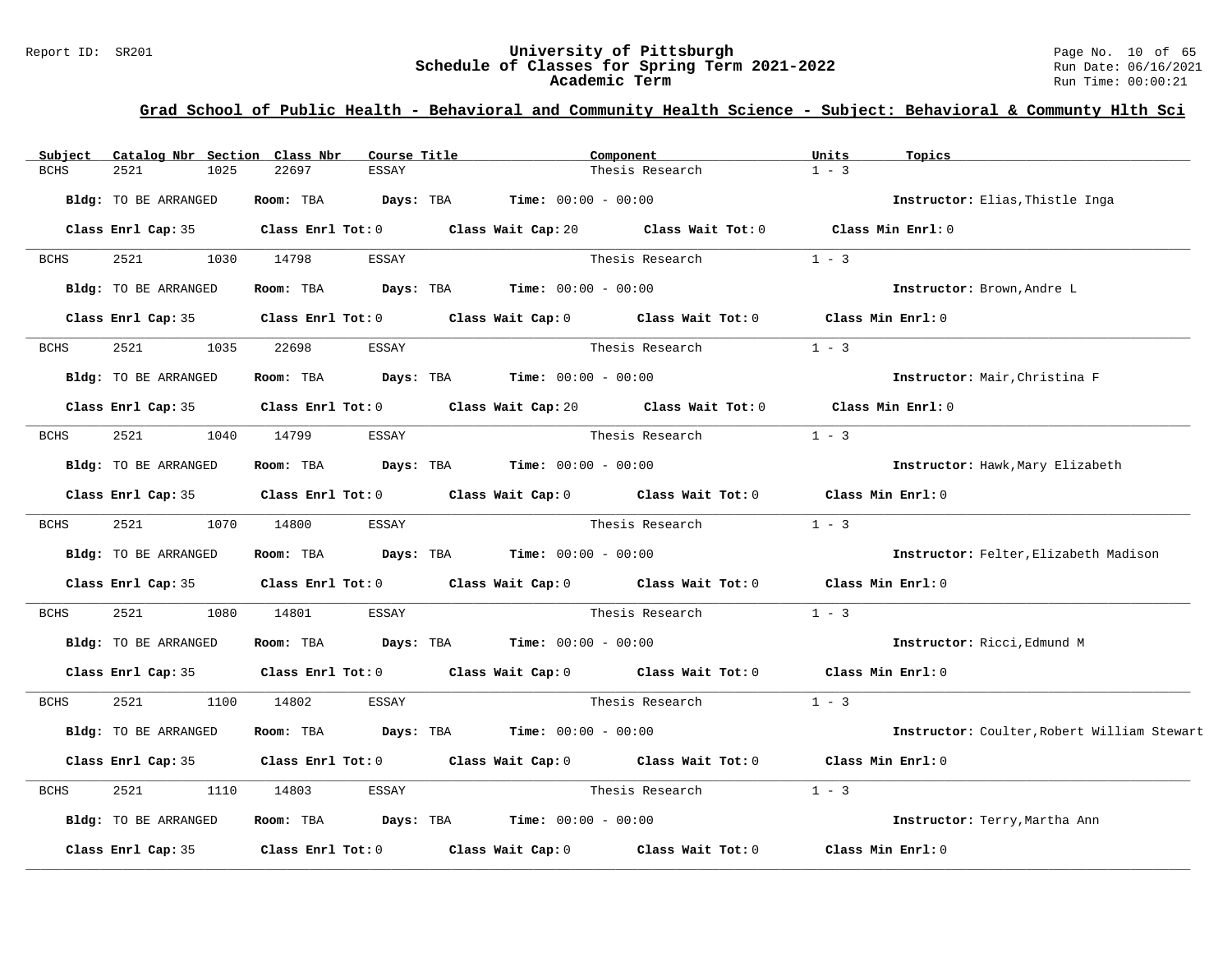#### Report ID: SR201 **University of Pittsburgh** Page No. 10 of 65 **Schedule of Classes for Spring Term 2021-2022** Run Date: 06/16/2021 **Academic Term** Run Time: 00:00:21

| Subject     | Catalog Nbr Section Class Nbr | Course Title          |                                                                                                     | Component                                                                                   | Units<br>Topics                             |
|-------------|-------------------------------|-----------------------|-----------------------------------------------------------------------------------------------------|---------------------------------------------------------------------------------------------|---------------------------------------------|
| <b>BCHS</b> | 2521<br>1025                  | 22697<br><b>ESSAY</b> |                                                                                                     | Thesis Research                                                                             | $1 - 3$                                     |
|             | Bldg: TO BE ARRANGED          | Room: TBA             | <b>Days:</b> TBA <b>Time:</b> $00:00 - 00:00$                                                       |                                                                                             | Instructor: Elias, Thistle Inga             |
|             |                               |                       |                                                                                                     | Class Enrl Cap: 35 Class Enrl Tot: 0 Class Wait Cap: 20 Class Wait Tot: 0 Class Min Enrl: 0 |                                             |
| BCHS        | 2521                          | 1030 14798<br>ESSAY   |                                                                                                     | Thesis Research                                                                             | $1 - 3$                                     |
|             | Bldg: TO BE ARRANGED          | Room: TBA             | $\texttt{Days:}$ TBA $\texttt{Time:}$ 00:00 - 00:00                                                 |                                                                                             | Instructor: Brown, Andre L                  |
|             |                               |                       | Class Enrl Cap: 35 Class Enrl Tot: 0 Class Wait Cap: 0 Class Wait Tot: 0                            |                                                                                             | Class Min Enrl: 0                           |
| <b>BCHS</b> | 2521<br>1035                  | 22698<br>ESSAY        |                                                                                                     | Thesis Research                                                                             | $1 - 3$                                     |
|             | Bldg: TO BE ARRANGED          | Room: TBA             | <b>Days:</b> TBA <b>Time:</b> $00:00 - 00:00$                                                       |                                                                                             | Instructor: Mair, Christina F               |
|             |                               |                       |                                                                                                     | Class Enrl Cap: 35 Class Enrl Tot: 0 Class Wait Cap: 20 Class Wait Tot: 0 Class Min Enrl: 0 |                                             |
| BCHS        | 2521<br>1040                  | 14799<br>ESSAY        |                                                                                                     | Thesis Research                                                                             | $1 - 3$                                     |
|             | Bldg: TO BE ARRANGED          |                       | Room: TBA $Days: TBA$ Time: $00:00 - 00:00$                                                         |                                                                                             | Instructor: Hawk, Mary Elizabeth            |
|             |                               |                       | Class Enrl Cap: 35 Class Enrl Tot: 0 Class Wait Cap: 0 Class Wait Tot: 0                            |                                                                                             | Class Min Enrl: 0                           |
| BCHS        | 2521 252                      | 1070 14800<br>ESSAY   |                                                                                                     | Thesis Research                                                                             | $1 - 3$                                     |
|             | Bldg: TO BE ARRANGED          | Room: TBA             | $Days: TBA$ Time: $00:00 - 00:00$                                                                   |                                                                                             | Instructor: Felter, Elizabeth Madison       |
|             |                               |                       | Class Enrl Cap: 35 $\qquad$ Class Enrl Tot: 0 $\qquad$ Class Wait Cap: 0 $\qquad$ Class Wait Tot: 0 |                                                                                             | Class Min Enrl: 0                           |
| <b>BCHS</b> | 2521<br>1080                  | 14801<br>ESSAY        |                                                                                                     | Thesis Research                                                                             | $1 - 3$                                     |
|             | Bldg: TO BE ARRANGED          | Room: TBA             | <b>Days:</b> TBA <b>Time:</b> $00:00 - 00:00$                                                       |                                                                                             | Instructor: Ricci, Edmund M                 |
|             |                               |                       | Class Enrl Cap: 35 $\qquad$ Class Enrl Tot: 0 $\qquad$ Class Wait Cap: 0 $\qquad$ Class Wait Tot: 0 |                                                                                             | Class Min Enrl: 0                           |
| BCHS        | 2521<br>1100                  | 14802<br>ESSAY        |                                                                                                     | Thesis Research                                                                             | $1 - 3$                                     |
|             | Bldg: TO BE ARRANGED          | Room: TBA             | <b>Days:</b> TBA <b>Time:</b> $00:00 - 00:00$                                                       |                                                                                             | Instructor: Coulter, Robert William Stewart |
|             |                               |                       | Class Enrl Cap: 35 Class Enrl Tot: 0 Class Wait Cap: 0 Class Wait Tot: 0                            |                                                                                             | Class Min Enrl: 0                           |
| <b>BCHS</b> | 2521<br>1110                  | 14803<br>ESSAY        |                                                                                                     | Thesis Research                                                                             | $1 - 3$                                     |
|             | Bldg: TO BE ARRANGED          | Room: TBA             | $Days: TBA$ $Time: 00:00 - 00:00$                                                                   |                                                                                             | Instructor: Terry, Martha Ann               |
|             | Class Enrl Cap: 35            | Class Enrl Tot: $0$   | Class Wait Cap: 0                                                                                   | Class Wait Tot: 0                                                                           | Class Min Enrl: 0                           |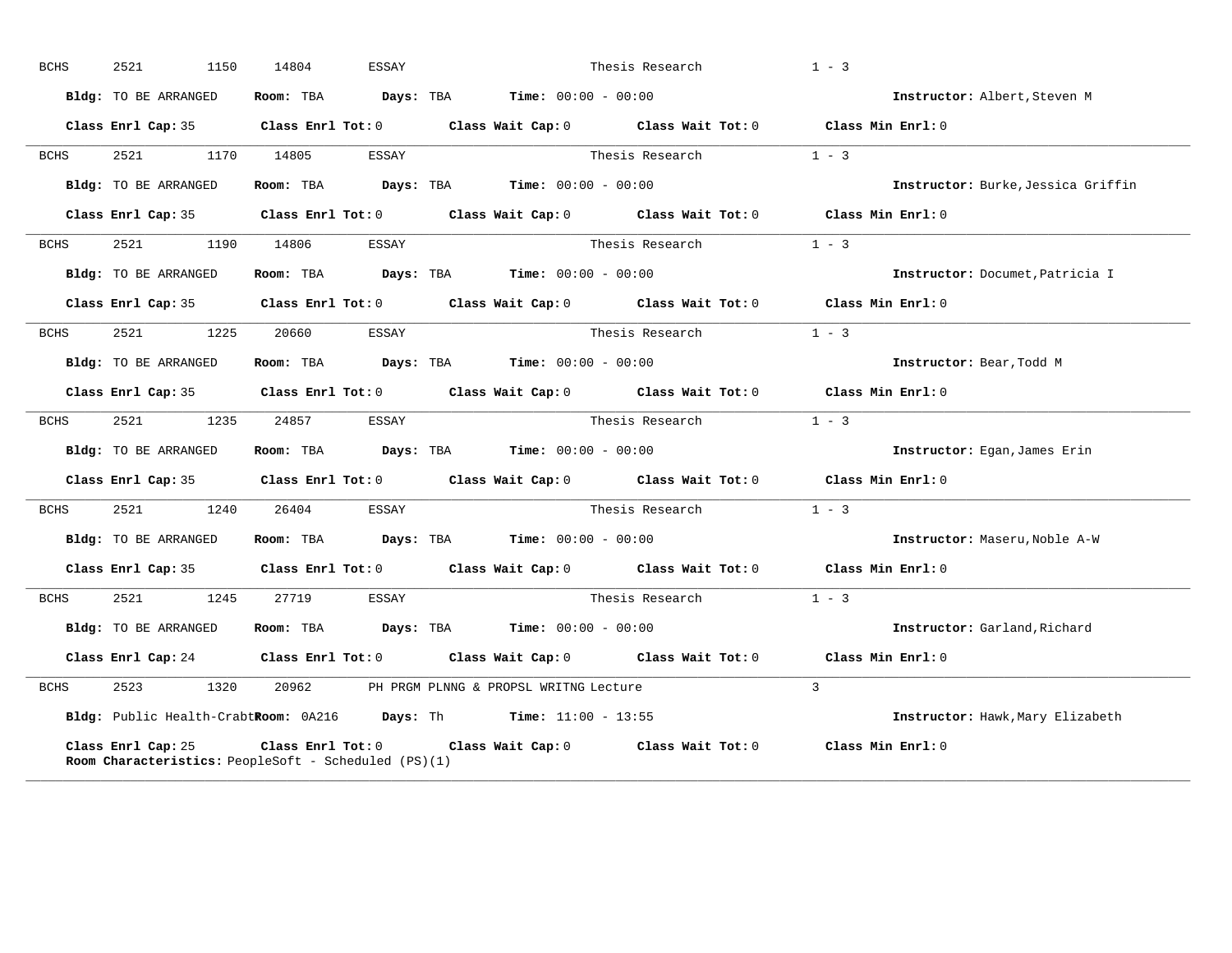| <b>BCHS</b> | 2521<br>1150         | 14804<br>ESSAY                                              |                                                                                            | Thesis Research         | $1 - 3$                            |
|-------------|----------------------|-------------------------------------------------------------|--------------------------------------------------------------------------------------------|-------------------------|------------------------------------|
|             | Bldg: TO BE ARRANGED | Room: TBA                                                   | <b>Days:</b> TBA <b>Time:</b> $00:00 - 00:00$                                              |                         | Instructor: Albert, Steven M       |
|             |                      |                                                             | Class Enrl Cap: 35 Class Enrl Tot: 0 Class Wait Cap: 0 Class Wait Tot: 0 Class Min Enrl: 0 |                         |                                    |
| BCHS        | 2521 2520            | 1170 14805<br>ESSAY                                         |                                                                                            | Thesis Research         | $1 - 3$                            |
|             | Bldg: TO BE ARRANGED |                                                             | Room: TBA $Days:$ TBA $Time: 00:00 - 00:00$                                                |                         | Instructor: Burke, Jessica Griffin |
|             |                      |                                                             | Class Enrl Cap: 35 Class Enrl Tot: 0 Class Wait Cap: 0 Class Wait Tot: 0 Class Min Enrl: 0 |                         |                                    |
| BCHS        | 2521 252             | 1190 14806<br>ESSAY                                         |                                                                                            | Thesis Research         | $1 - 3$                            |
|             | Bldg: TO BE ARRANGED |                                                             | Room: TBA $Days: TBA$ Time: $00:00 - 00:00$                                                |                         | Instructor: Documet, Patricia I    |
|             |                      |                                                             | Class Enrl Cap: 35 Class Enrl Tot: 0 Class Wait Cap: 0 Class Wait Tot: 0                   |                         | Class Min $Enr1:0$                 |
| BCHS        | 2521 252             | 1225 20660<br>ESSAY                                         |                                                                                            | Thesis Research         | $1 - 3$                            |
|             | Bldg: TO BE ARRANGED |                                                             | Room: TBA Days: TBA Time: $00:00 - 00:00$                                                  |                         | Instructor: Bear, Todd M           |
|             |                      |                                                             | Class Enrl Cap: 35 Class Enrl Tot: 0 Class Wait Cap: 0 Class Wait Tot: 0 Class Min Enrl: 0 |                         |                                    |
| BCHS        | 2521 1235 24857      | ESSAY                                                       |                                                                                            | Thesis Research $1 - 3$ |                                    |
|             | Bldg: TO BE ARRANGED |                                                             | Room: TBA $Days:$ TBA $Time: 00:00 - 00:00$                                                |                         | Instructor: Egan, James Erin       |
|             |                      |                                                             | Class Enrl Cap: 35 Class Enrl Tot: 0 Class Wait Cap: 0 Class Wait Tot: 0                   |                         | Class Min Enrl: 0                  |
| BCHS        | 2521<br>1240         | 26404<br>ESSAY                                              |                                                                                            | Thesis Research         | $1 - 3$                            |
|             | Bldg: TO BE ARRANGED |                                                             | Room: TBA $Days: TBA$ Time: $00:00 - 00:00$                                                |                         | Instructor: Maseru, Noble A-W      |
|             |                      |                                                             | Class Enrl Cap: 35 Class Enrl Tot: 0 Class Wait Cap: 0 Class Wait Tot: 0 Class Min Enrl: 0 |                         |                                    |
| BCHS        | 2521 1245            | 27719 ESSAY                                                 |                                                                                            | Thesis Research         | $1 - 3$                            |
|             | Bldg: TO BE ARRANGED |                                                             | Room: TBA $Days:$ TBA $Time: 00:00 - 00:00$                                                |                         | Instructor: Garland, Richard       |
|             |                      |                                                             | Class Enrl Cap: 24 Class Enrl Tot: 0 Class Wait Cap: 0 Class Wait Tot: 0 Class Min Enrl: 0 |                         |                                    |
| BCHS        | 2523<br>1320         | 20962                                                       | PH PRGM PLNNG & PROPSL WRITNG Lecture                                                      |                         | $\mathcal{L}$                      |
|             |                      |                                                             | Bldg: Public Health-CrabtRoom: 0A216 Days: Th Time: 11:00 - 13:55                          |                         | Instructor: Hawk, Mary Elizabeth   |
|             | Class Enrl Cap: 25   | <b>Room Characteristics:</b> PeopleSoft - Scheduled (PS)(1) | Class Enrl Tot: $0$ Class Wait Cap: $0$ Class Wait Tot: $0$ Class Min Enrl: $0$            |                         |                                    |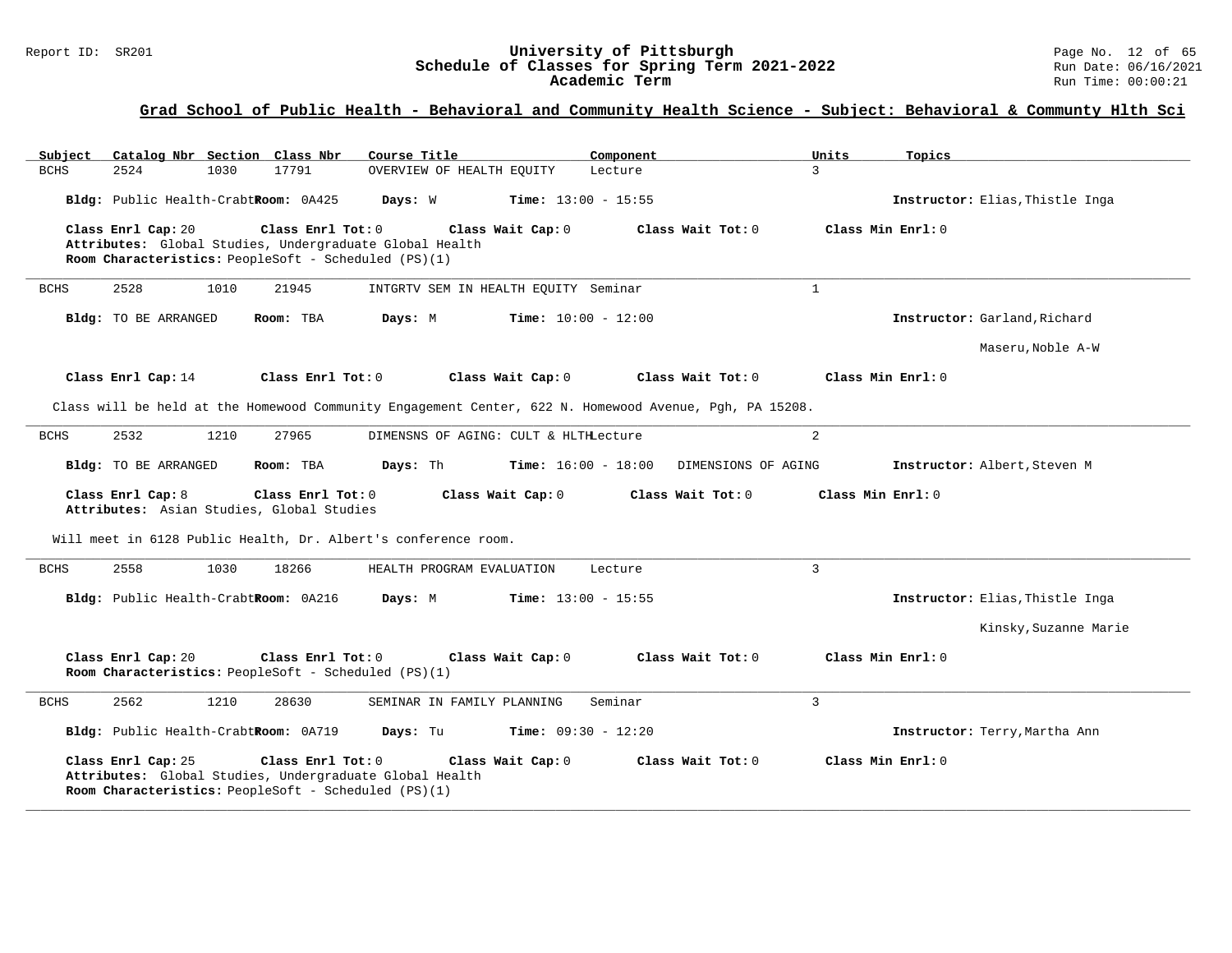#### Report ID: SR201 **University of Pittsburgh** Page No. 12 of 65 **Schedule of Classes for Spring Term 2021-2022** Run Date: 06/16/2021 **Academic Term** Run Time: 00:00:21

| Catalog Nbr Section Class Nbr<br>Subject                                                                                                                   | Course Title                          | Component                                           | Units             | Topics                          |
|------------------------------------------------------------------------------------------------------------------------------------------------------------|---------------------------------------|-----------------------------------------------------|-------------------|---------------------------------|
| <b>BCHS</b><br>2524<br>1030<br>17791                                                                                                                       | OVERVIEW OF HEALTH EQUITY             | Lecture                                             | $\mathcal{L}$     |                                 |
| Bldg: Public Health-CrabtRoom: 0A425                                                                                                                       | Days: W                               | Time: $13:00 - 15:55$                               |                   | Instructor: Elias, Thistle Inga |
| Class Enrl Cap: 20<br>Class Enrl Tot: 0<br>Attributes: Global Studies, Undergraduate Global Health<br>Room Characteristics: PeopleSoft - Scheduled (PS)(1) | Class Wait Cap: 0                     | Class Wait Tot: 0                                   |                   | Class Min Enrl: 0               |
| 2528<br>1010<br>21945<br><b>BCHS</b>                                                                                                                       | INTGRTV SEM IN HEALTH EQUITY Seminar  |                                                     | $\mathbf{1}$      |                                 |
| Bldg: TO BE ARRANGED<br>Room: TBA                                                                                                                          | Days: M                               | <b>Time:</b> $10:00 - 12:00$                        |                   | Instructor: Garland, Richard    |
|                                                                                                                                                            |                                       |                                                     |                   | Maseru, Noble A-W               |
| Class Enrl Cap: 14<br>Class Enrl Tot: 0                                                                                                                    | Class Wait Cap: 0                     | Class Wait Tot: 0                                   |                   | Class Min Enrl: 0               |
| Class will be held at the Homewood Community Engagement Center, 622 N. Homewood Avenue, Pgh, PA 15208.                                                     |                                       |                                                     |                   |                                 |
| 2532<br>1210<br>27965<br>BCHS                                                                                                                              | DIMENSNS OF AGING: CULT & HLTHLecture |                                                     | 2                 |                                 |
| Bldg: TO BE ARRANGED<br>Room: TBA                                                                                                                          | Days: Th                              | <b>Time:</b> $16:00 - 18:00$<br>DIMENSIONS OF AGING |                   | Instructor: Albert, Steven M    |
| Class Enrl Cap: 8<br>Class Enrl Tot: 0<br>Attributes: Asian Studies, Global Studies                                                                        | Class Wait Cap: 0                     | Class Wait Tot: 0                                   | Class Min Enrl: 0 |                                 |
| Will meet in 6128 Public Health, Dr. Albert's conference room.                                                                                             |                                       |                                                     |                   |                                 |
| 2558<br><b>BCHS</b><br>1030<br>18266                                                                                                                       | HEALTH PROGRAM EVALUATION             | Lecture                                             | $\overline{3}$    |                                 |
| Bldg: Public Health-CrabtRoom: 0A216                                                                                                                       | Days: M                               | <b>Time:</b> $13:00 - 15:55$                        |                   | Instructor: Elias, Thistle Inga |
|                                                                                                                                                            |                                       |                                                     |                   | Kinsky, Suzanne Marie           |
| Class Enrl Cap: 20<br>Class Enrl Tot: 0<br>Room Characteristics: PeopleSoft - Scheduled (PS)(1)                                                            | Class Wait Cap: 0                     | Class Wait Tot: 0                                   |                   | Class Min Enrl: 0               |
| 2562<br>1210<br>28630<br><b>BCHS</b>                                                                                                                       | SEMINAR IN FAMILY PLANNING            | Seminar                                             | $\overline{3}$    |                                 |
| Bldg: Public Health-CrabtRoom: 0A719                                                                                                                       | Days: Tu                              | <b>Time:</b> $09:30 - 12:20$                        |                   | Instructor: Terry, Martha Ann   |
| Class Enrl Cap: 25<br>Class Enrl Tot: 0<br>Attributes: Global Studies, Undergraduate Global Health<br>Room Characteristics: PeopleSoft - Scheduled (PS)(1) | Class Wait Cap: 0                     | Class Wait Tot: 0                                   |                   | Class Min $Enrl: 0$             |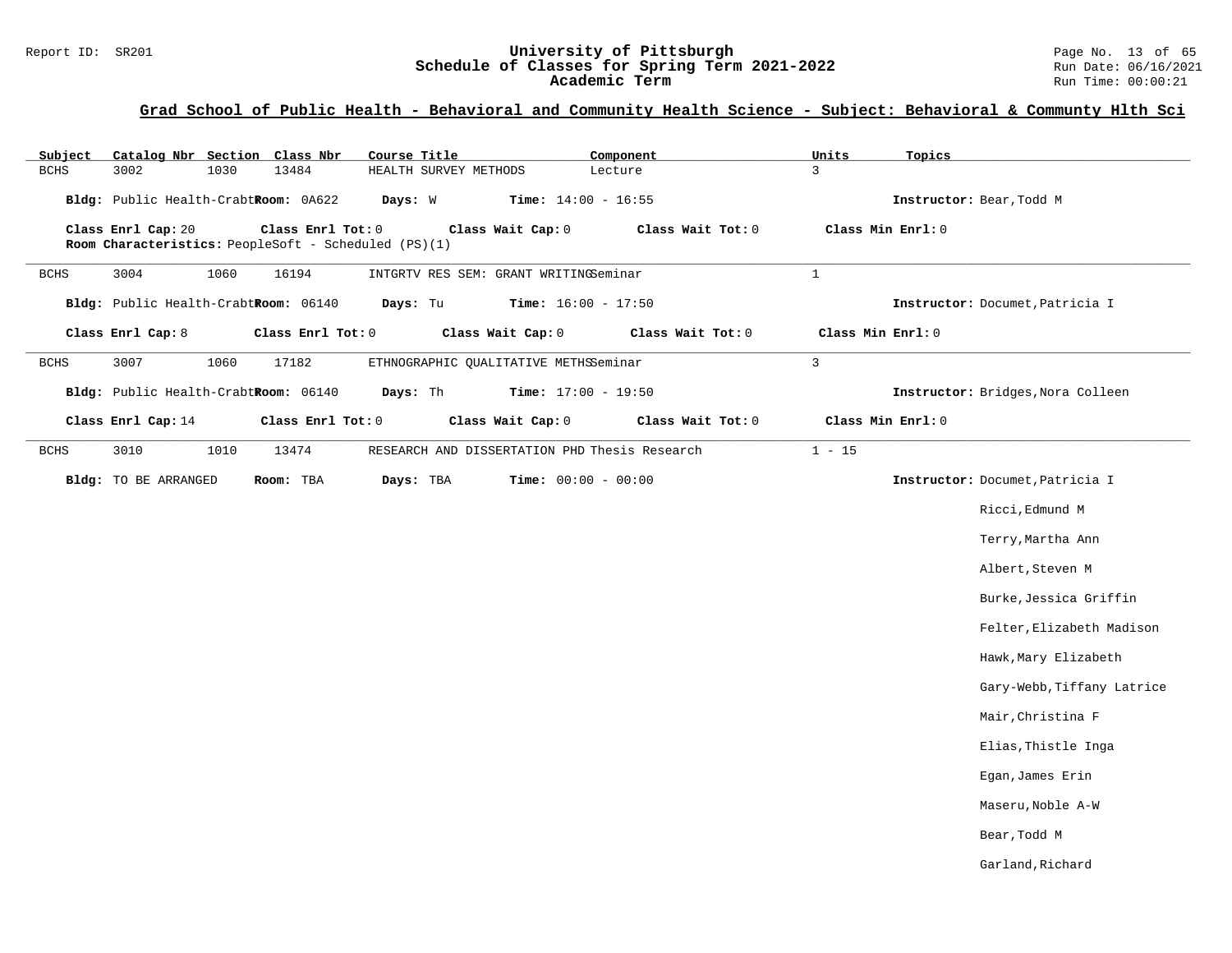#### Report ID: SR201 **University of Pittsburgh University of Pittsburgh** Page No. 13 of 65<br>**Schedule of Classes for Spring Term 2021-2022** Run Date: 06/16/2021 **Schedule of Classes for Spring Term 2021-2022** Run Date: 06/16/2021 **Academic Term** Run Time: 00:00:21

| Subject     | Catalog Nbr Section Class Nbr        |                                                                           | Course Title                                  |                              | Component         | Units          | Topics                            |
|-------------|--------------------------------------|---------------------------------------------------------------------------|-----------------------------------------------|------------------------------|-------------------|----------------|-----------------------------------|
| <b>BCHS</b> | 3002<br>1030                         | 13484                                                                     | HEALTH SURVEY METHODS                         |                              | Lecture           | 3              |                                   |
|             | Bldg: Public Health-CrabtRoom: 0A622 |                                                                           | Days: W                                       | Time: $14:00 - 16:55$        |                   |                | Instructor: Bear, Todd M          |
|             | Class Enrl Cap: 20                   | Class Enrl Tot: 0<br>Room Characteristics: PeopleSoft - Scheduled (PS)(1) |                                               | Class Wait Cap: 0            | Class Wait Tot: 0 |                | Class Min Enrl: 0                 |
| <b>BCHS</b> | 3004<br>1060                         | 16194                                                                     | INTGRTV RES SEM: GRANT WRITINGSeminar         |                              |                   | $\mathbf{1}$   |                                   |
|             | Bldg: Public Health-CrabtRoom: 06140 |                                                                           | Days: Tu                                      | <b>Time:</b> $16:00 - 17:50$ |                   |                | Instructor: Documet, Patricia I   |
|             | Class Enrl Cap: 8                    | Class Enrl Tot: 0                                                         |                                               | Class Wait Cap: 0            | Class Wait Tot: 0 |                | Class Min Enrl: 0                 |
| BCHS        | 3007<br>1060                         | 17182                                                                     | ETHNOGRAPHIC QUALITATIVE METHSSeminar         |                              |                   | $\overline{3}$ |                                   |
|             | Bldg: Public Health-CrabtRoom: 06140 |                                                                           | Days: Th                                      | <b>Time:</b> $17:00 - 19:50$ |                   |                | Instructor: Bridges, Nora Colleen |
|             | Class Enrl Cap: 14                   | Class Enrl Tot: 0                                                         |                                               | Class Wait Cap: 0            | Class Wait Tot: 0 |                | Class Min Enrl: 0                 |
| <b>BCHS</b> | 3010<br>1010                         | 13474                                                                     | RESEARCH AND DISSERTATION PHD Thesis Research |                              |                   | $1 - 15$       |                                   |
|             | Bldg: TO BE ARRANGED                 | Room: TBA                                                                 | Days: TBA                                     | Time: $00:00 - 00:00$        |                   |                | Instructor: Documet, Patricia I   |
|             |                                      |                                                                           |                                               |                              |                   |                | Ricci, Edmund M                   |
|             |                                      |                                                                           |                                               |                              |                   |                | Terry, Martha Ann                 |
|             |                                      |                                                                           |                                               |                              |                   |                | Albert, Steven M                  |
|             |                                      |                                                                           |                                               |                              |                   |                | Burke, Jessica Griffin            |
|             |                                      |                                                                           |                                               |                              |                   |                | Felter, Elizabeth Madison         |
|             |                                      |                                                                           |                                               |                              |                   |                | Hawk, Mary Elizabeth              |
|             |                                      |                                                                           |                                               |                              |                   |                | Gary-Webb, Tiffany Latrice        |
|             |                                      |                                                                           |                                               |                              |                   |                | Mair, Christina F                 |
|             |                                      |                                                                           |                                               |                              |                   |                | Elias, Thistle Inga               |
|             |                                      |                                                                           |                                               |                              |                   |                | Egan, James Erin                  |
|             |                                      |                                                                           |                                               |                              |                   |                | Maseru, Noble A-W                 |
|             |                                      |                                                                           |                                               |                              |                   |                | Bear, Todd M                      |
|             |                                      |                                                                           |                                               |                              |                   |                | Garland, Richard                  |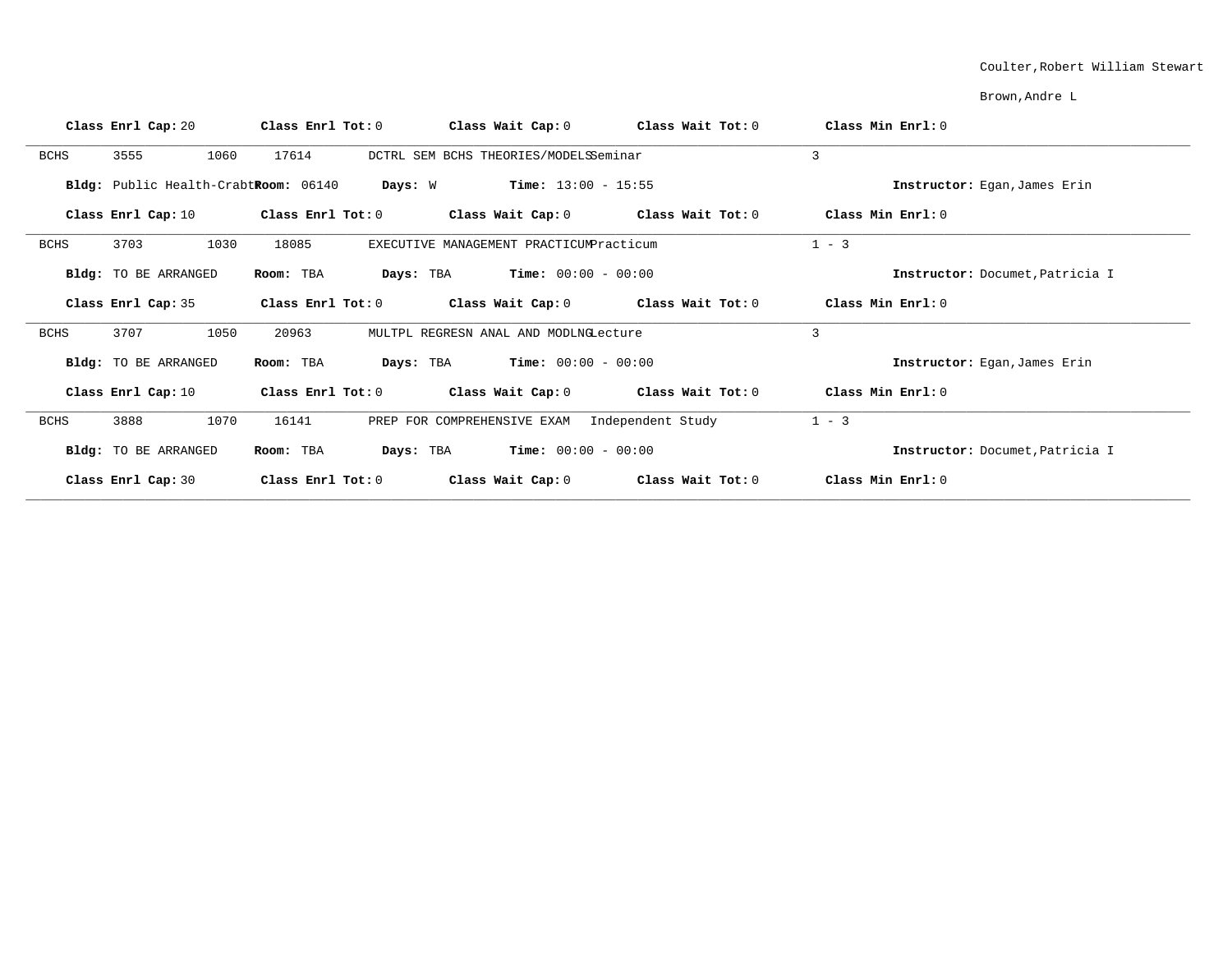#### Coulter,Robert William Stewart

Brown,Andre L

| Class Enrl Cap: 20                   | Class Enrl Tot: 0 | Class Wait Cap: 0                             | Class Wait Tot: 0 | Class Min Enrl: 0               |
|--------------------------------------|-------------------|-----------------------------------------------|-------------------|---------------------------------|
| 3555<br><b>BCHS</b>                  | 17614<br>1060     | DCTRL SEM BCHS THEORIES/MODELSSeminar         |                   | 3                               |
| Bldg: Public Health-CrabtRoom: 06140 | Days: W           | <b>Time:</b> $13:00 - 15:55$                  |                   | Instructor: Eqan, James Erin    |
| Class Enrl Cap: 10                   | Class Enrl Tot: 0 | Class Wait Cap: $0$ Class Wait Tot: $0$       |                   | Class Min Enrl: 0               |
| 3703<br>BCHS                         | 1030<br>18085     | EXECUTIVE MANAGEMENT PRACTICUMPracticum       |                   | $1 - 3$                         |
| Bldg: TO BE ARRANGED                 | Room: TBA         | $Time: 00:00 - 00:00$<br>Days: TBA            |                   | Instructor: Documet, Patricia I |
| Class Enrl Cap: 35                   | Class Enrl Tot: 0 | Class Wait Cap: $0$ Class Wait Tot: $0$       |                   | Class Min $Err1:0$              |
| 3707<br><b>BCHS</b>                  | 1050<br>20963     | MULTPL REGRESN ANAL AND MODLNGLecture         |                   | 3                               |
| <b>Bldg:</b> TO BE ARRANGED          | Room: TBA         | <b>Days:</b> TBA <b>Time:</b> $00:00 - 00:00$ |                   | Instructor: Egan, James Erin    |
| Class Enrl Cap: 10                   | Class Enrl Tot: 0 | Class Wait Cap: $0$ Class Wait Tot: $0$       |                   | Class Min $Err1:0$              |
| <b>BCHS</b><br>3888                  | 1070<br>16141     | PREP FOR COMPREHENSIVE EXAM Independent Study |                   | $1 - 3$                         |
| Bldg: TO BE ARRANGED                 | Room: TBA         | <b>Days:</b> TBA <b>Time:</b> $00:00 - 00:00$ |                   | Instructor: Documet, Patricia I |
| Class Enrl Cap: 30                   | Class Enrl Tot: 0 | Class Wait Cap: 0                             | Class Wait Tot: 0 | Class Min Enrl: 0               |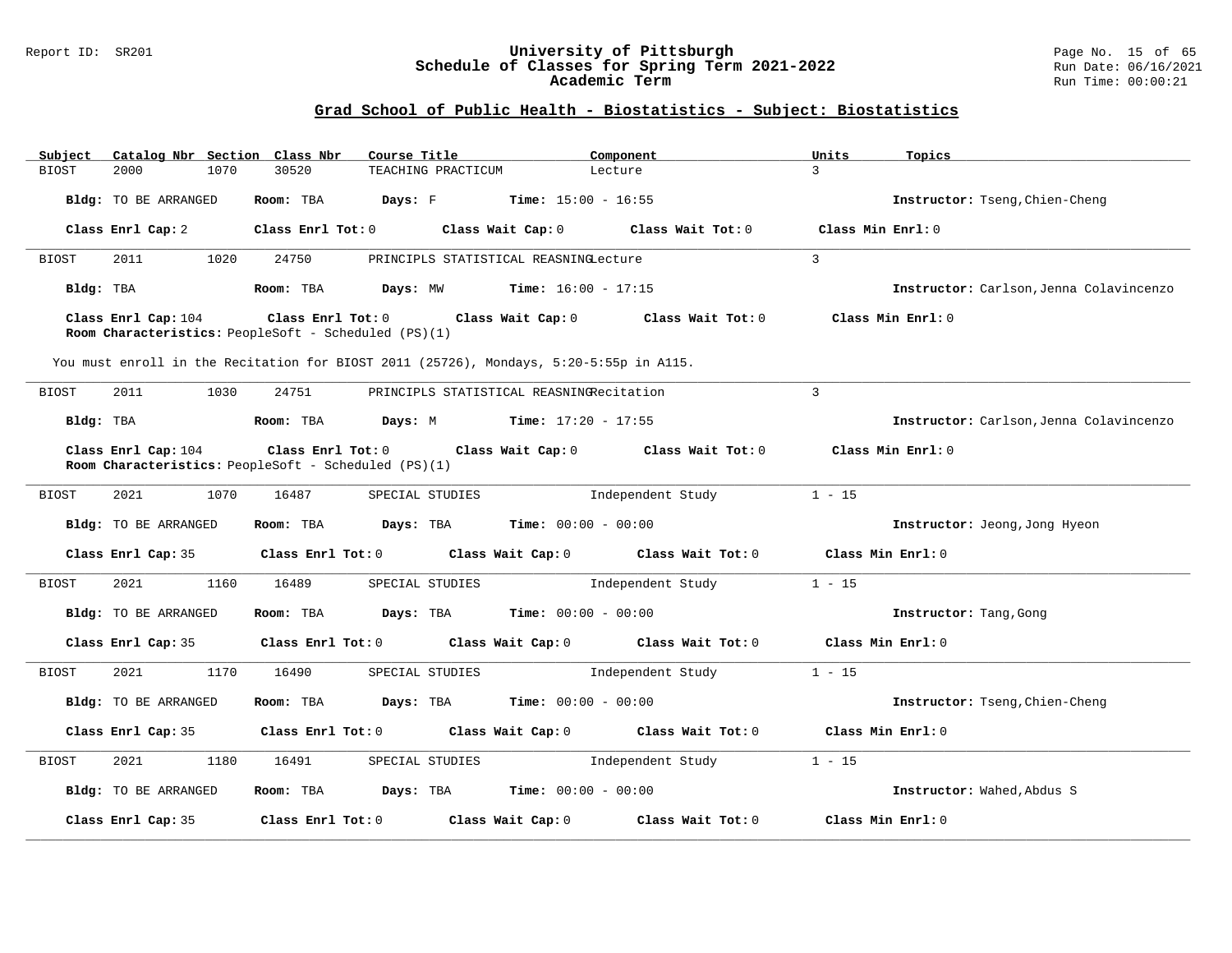#### Report ID: SR201 **University of Pittsburgh** Page No. 15 of 65 **Schedule of Classes for Spring Term 2021-2022** Run Date: 06/16/2021 **Academic Term** Run Time: 00:00:21

| Subject      | Catalog Nbr Section Class Nbr |                                                                                 | Course Title                                                                           | Component         | Units             | Topics                                  |
|--------------|-------------------------------|---------------------------------------------------------------------------------|----------------------------------------------------------------------------------------|-------------------|-------------------|-----------------------------------------|
| <b>BIOST</b> | 2000<br>1070                  | 30520                                                                           | TEACHING PRACTICUM                                                                     | Lecture           | $\mathbf{R}$      |                                         |
|              | Bldg: TO BE ARRANGED          | Room: TBA                                                                       | <b>Days:</b> F <b>Time:</b> $15:00 - 16:55$                                            |                   |                   | Instructor: Tseng, Chien-Cheng          |
|              | Class Enrl Cap: 2             | Class Enrl Tot: 0                                                               | Class Wait Cap: 0                                                                      | Class Wait Tot: 0 | Class Min Enrl: 0 |                                         |
| BIOST        | 2011<br>1020                  | 24750                                                                           | PRINCIPLS STATISTICAL REASNINGLecture                                                  |                   | $\mathbf{3}$      |                                         |
| Bldg: TBA    |                               | Room: TBA                                                                       | <b>Days:</b> MW <b>Time:</b> $16:00 - 17:15$                                           |                   |                   | Instructor: Carlson, Jenna Colavincenzo |
|              | Class Enrl Cap: 104           | Room Characteristics: PeopleSoft - Scheduled (PS)(1)                            | Class Enrl Tot: 0 Class Wait Cap: 0                                                    | Class Wait Tot: 0 | Class Min Enrl: 0 |                                         |
|              |                               |                                                                                 | You must enroll in the Recitation for BIOST 2011 (25726), Mondays, 5:20-5:55p in A115. |                   |                   |                                         |
| <b>BIOST</b> | 2011<br>1030                  | 24751                                                                           | PRINCIPLS STATISTICAL REASNINGRecitation                                               |                   | 3                 |                                         |
| Bldg: TBA    |                               | Room: TBA                                                                       | <b>Days:</b> M <b>Time:</b> $17:20 - 17:55$                                            |                   |                   | Instructor: Carlson, Jenna Colavincenzo |
|              | Class Enrl Cap: 104           | $Class$ $Enr1$ $Tot: 0$<br>Room Characteristics: PeopleSoft - Scheduled (PS)(1) | Class Wait Cap: 0                                                                      | Class Wait Tot: 0 | Class Min Enrl: 0 |                                         |
| BIOST        | 2021<br>1070                  | 16487                                                                           | SPECIAL STUDIES                                                                        | Independent Study | $1 - 15$          |                                         |
|              | Bldg: TO BE ARRANGED          | Room: TBA                                                                       | $\texttt{Davis:}$ TBA $\texttt{Time:}$ 00:00 - 00:00                                   |                   |                   | Instructor: Jeong, Jong Hyeon           |
|              | Class Enrl Cap: 35            |                                                                                 | Class Enrl Tot: 0 Class Wait Cap: 0                                                    | Class Wait Tot: 0 | Class Min Enrl: 0 |                                         |
| BIOST        | 2021<br>1160                  | 16489                                                                           | SPECIAL STUDIES                                                                        | Independent Study | $1 - 15$          |                                         |
|              | Bldg: TO BE ARRANGED          | Room: TBA                                                                       | <b>Days:</b> TBA <b>Time:</b> $00:00 - 00:00$                                          |                   |                   | Instructor: Tang, Gong                  |
|              | Class Enrl Cap: 35            | Class Enrl Tot: 0                                                               | Class Wait Cap: $0$ Class Wait Tot: $0$                                                |                   | Class Min Enrl: 0 |                                         |
| <b>BIOST</b> | 2021<br>1170                  | 16490                                                                           | SPECIAL STUDIES                                                                        | Independent Study | $1 - 15$          |                                         |
|              | Bldg: TO BE ARRANGED          | Room: TBA                                                                       | <b>Days:</b> TBA <b>Time:</b> $00:00 - 00:00$                                          |                   |                   | Instructor: Tseng, Chien-Cheng          |
|              | Class Enrl Cap: 35            |                                                                                 | Class Enrl Tot: 0 Class Wait Cap: 0 Class Wait Tot: 0                                  |                   | Class Min Enrl: 0 |                                         |
| BIOST        | 2021<br>1180                  | 16491                                                                           | SPECIAL STUDIES                                                                        | Independent Study | $1 - 15$          |                                         |
|              | Bldg: TO BE ARRANGED          | Room: TBA                                                                       | <b>Days:</b> TBA <b>Time:</b> $00:00 - 00:00$                                          |                   |                   | Instructor: Wahed, Abdus S              |
|              | Class Enrl Cap: 35            | Class Enrl Tot: 0                                                               | Class Wait Cap: 0                                                                      | Class Wait Tot: 0 | Class Min Enrl: 0 |                                         |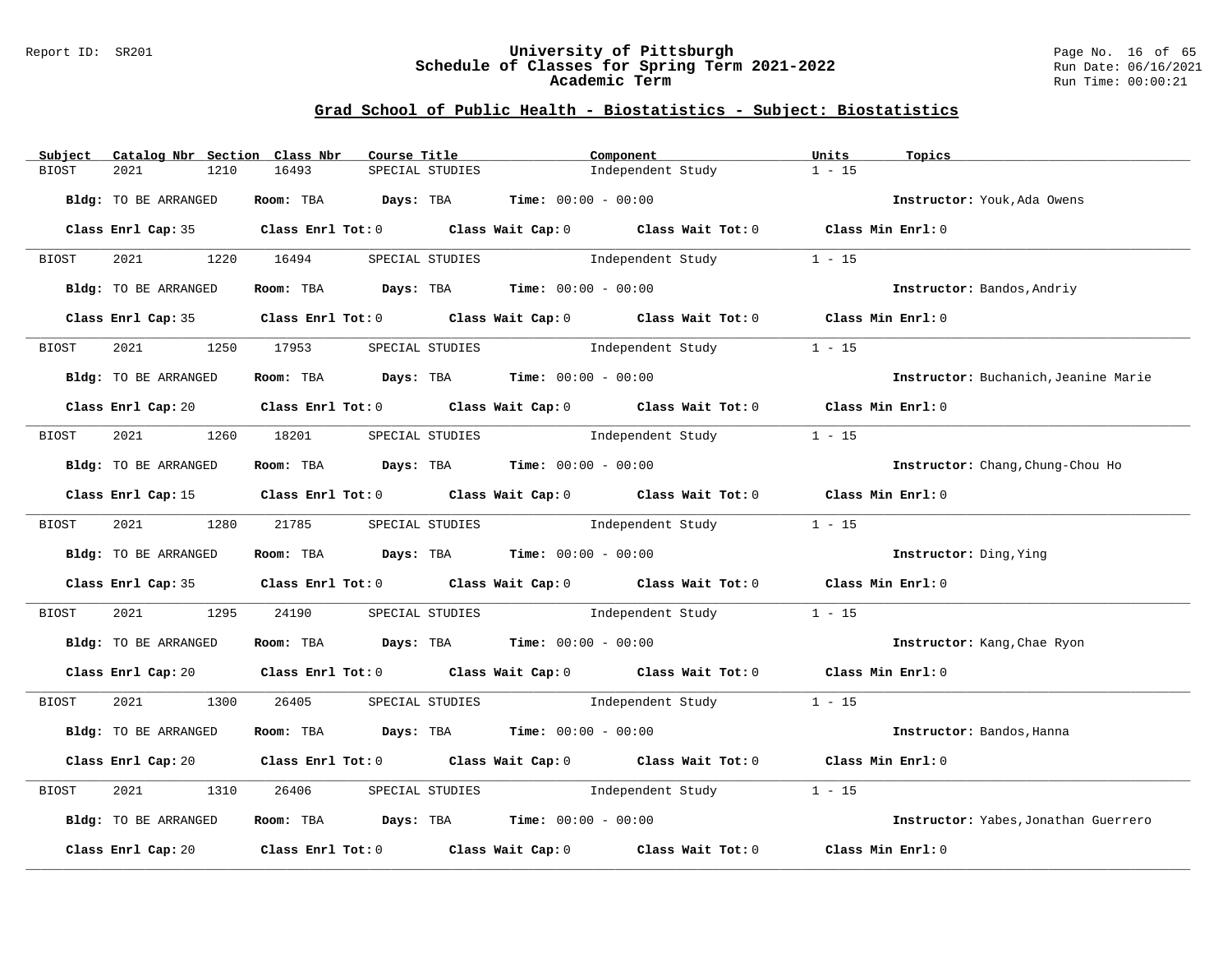#### Report ID: SR201 **University of Pittsburgh** Page No. 16 of 65 **Schedule of Classes for Spring Term 2021-2022** Run Date: 06/16/2021 **Academic Term** Run Time: 00:00:21

| Subject      | Catalog Nbr Section Class Nbr | Course Title                                                                                           |                 | Component                         |                                        | Units             | Topics                               |
|--------------|-------------------------------|--------------------------------------------------------------------------------------------------------|-----------------|-----------------------------------|----------------------------------------|-------------------|--------------------------------------|
| <b>BIOST</b> | 2021<br>1210                  | 16493                                                                                                  | SPECIAL STUDIES |                                   | Independent Study                      | $1 - 15$          |                                      |
|              |                               |                                                                                                        |                 |                                   |                                        |                   |                                      |
|              | Bldg: TO BE ARRANGED          | Room: TBA $Days:$ TBA $Time: 00:00 - 00:00$                                                            |                 |                                   |                                        |                   | Instructor: Youk, Ada Owens          |
|              |                               | Class Enrl Cap: 35 Class Enrl Tot: 0 Class Wait Cap: 0 Class Wait Tot: 0 Class Min Enrl: 0             |                 |                                   |                                        |                   |                                      |
| BIOST        | 2021 2022                     | 1220 16494                                                                                             |                 |                                   | SPECIAL STUDIES 1 - 15                 |                   |                                      |
|              | Bldg: TO BE ARRANGED          | Room: TBA $Days:$ TBA $Time: 00:00 - 00:00$                                                            |                 |                                   |                                        |                   | Instructor: Bandos, Andriy           |
|              |                               | Class Enrl Cap: 35 Class Enrl Tot: 0 Class Wait Cap: 0 Class Wait Tot: 0 Class Min Enrl: 0             |                 |                                   |                                        |                   |                                      |
| BIOST        | 2021<br>1250                  | 17953                                                                                                  |                 |                                   | SPECIAL STUDIES 1ndependent Study      | $1 - 15$          |                                      |
|              | Bldg: TO BE ARRANGED          | Room: TBA $Days:$ TBA $Time: 00:00 - 00:00$                                                            |                 |                                   |                                        |                   | Instructor: Buchanich, Jeanine Marie |
|              |                               | Class Enrl Cap: 20 Class Enrl Tot: 0 Class Wait Cap: 0 Class Wait Tot: 0 Class Min Enrl: 0             |                 |                                   |                                        |                   |                                      |
| BIOST        |                               | 2021 1260 18201 SPECIAL STUDIES                                                                        |                 |                                   | Independent Study                      | $1 - 15$          |                                      |
|              | Bldg: TO BE ARRANGED          | Room: TBA $Days:$ TBA $Time: 00:00 - 00:00$                                                            |                 |                                   |                                        |                   | Instructor: Chang, Chung-Chou Ho     |
|              |                               | Class Enrl Cap: 15 Class Enrl Tot: 0 Class Wait Cap: 0 Class Wait Tot: 0 Class Min Enrl: 0             |                 |                                   |                                        |                   |                                      |
| BIOST        | 2021 1280 21785               |                                                                                                        | SPECIAL STUDIES |                                   | Independent Study                      | $1 - 15$          |                                      |
|              | Bldg: TO BE ARRANGED          | Room: TBA $\rule{1em}{0.15mm}$ Days: TBA Time: $00:00 - 00:00$                                         |                 |                                   |                                        |                   | Instructor: Ding, Ying               |
|              |                               | Class Enrl Cap: 35 Class Enrl Tot: 0 Class Wait Cap: 0 Class Wait Tot: 0 Class Min Enrl: 0             |                 |                                   |                                        |                   |                                      |
| BIOST        | 2021 2022                     | 1295 24190                                                                                             |                 |                                   | SPECIAL STUDIES <b>SPECIAL</b> STUDIES | $1 - 15$          |                                      |
|              | Bldg: TO BE ARRANGED          | Room: TBA Days: TBA Time: $00:00 - 00:00$                                                              |                 |                                   |                                        |                   | Instructor: Kang, Chae Ryon          |
|              |                               | Class Enrl Cap: 20 		 Class Enrl Tot: 0 		 Class Wait Cap: 0 		 Class Wait Tot: 0 		 Class Min Enrl: 0 |                 |                                   |                                        |                   |                                      |
| BIOST        | 2021 2022<br>1300             | 26405                                                                                                  |                 |                                   | SPECIAL STUDIES 1 - 15                 |                   |                                      |
|              | Bldg: TO BE ARRANGED          | Room: TBA $Days: TBA$ Time: $00:00 - 00:00$                                                            |                 |                                   |                                        |                   | Instructor: Bandos, Hanna            |
|              |                               | Class Enrl Cap: 20 		 Class Enrl Tot: 0 		 Class Wait Cap: 0 		 Class Wait Tot: 0 		 Class Min Enrl: 0 |                 |                                   |                                        |                   |                                      |
| BIOST        | 2021<br>1310                  | 26406                                                                                                  |                 | SPECIAL STUDIES 1ndependent Study |                                        | $1 - 15$          |                                      |
|              | Bldg: TO BE ARRANGED          | Room: TBA $Days:$ TBA $Time: 00:00 - 00:00$                                                            |                 |                                   |                                        |                   | Instructor: Yabes, Jonathan Guerrero |
|              |                               | Class Enrl Cap: 20 $\qquad$ Class Enrl Tot: 0 $\qquad$ Class Wait Cap: 0 $\qquad$ Class Wait Tot: 0    |                 |                                   |                                        | Class Min Enrl: 0 |                                      |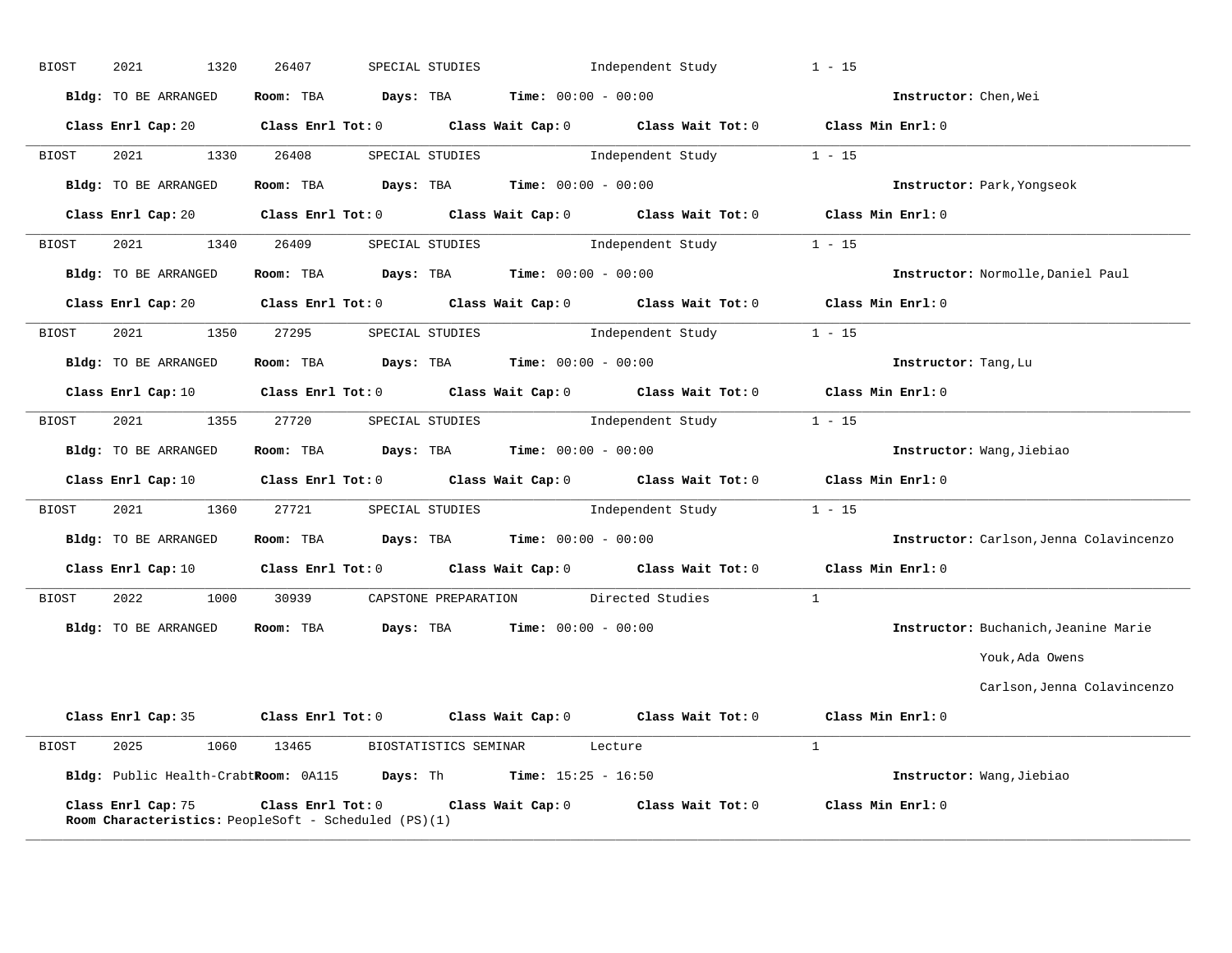| <b>BIOST</b> | 2021<br>1320         | 26407                                                       | SPECIAL STUDIES                                                                                                                | Independent Study        | $1 - 15$                                |
|--------------|----------------------|-------------------------------------------------------------|--------------------------------------------------------------------------------------------------------------------------------|--------------------------|-----------------------------------------|
|              | Bldg: TO BE ARRANGED |                                                             | Room: TBA $Days:$ TBA $Time: 00:00 - 00:00$                                                                                    |                          | Instructor: Chen, Wei                   |
|              |                      |                                                             | Class Enrl Cap: 20 Class Enrl Tot: 0 Class Wait Cap: 0 Class Wait Tot: 0 Class Min Enrl: 0                                     |                          |                                         |
| BIOST        | 2021 2020            | 1330 26408                                                  | SPECIAL STUDIES                                                                                                                | Independent Study 1 - 15 |                                         |
|              | Bldg: TO BE ARRANGED |                                                             | Room: TBA $Days:$ TBA $Time: 00:00 - 00:00$                                                                                    |                          | <b>Instructor:</b> Park, Yongseok       |
|              |                      |                                                             | Class Enrl Cap: 20 Class Enrl Tot: 0 Class Wait Cap: 0 Class Wait Tot: 0 Class Min Enrl: 0                                     |                          |                                         |
| BIOST        | 2021 1340 26409      |                                                             | SPECIAL STUDIES 1ndependent Study 1 - 15                                                                                       |                          |                                         |
|              | Bldg: TO BE ARRANGED |                                                             | Room: TBA $Days: TBA$ Time: $00:00 - 00:00$                                                                                    |                          | Instructor: Normolle, Daniel Paul       |
|              |                      |                                                             | Class Enrl Cap: 20 Class Enrl Tot: 0 Class Wait Cap: 0 Class Wait Tot: 0 Class Min Enrl: 0                                     |                          |                                         |
| BIOST        |                      |                                                             | 2021 1350 27295 SPECIAL STUDIES Independent Study 1 - 15                                                                       |                          |                                         |
|              | Bldg: TO BE ARRANGED |                                                             | Room: TBA $Days:$ TBA $Time: 00:00 - 00:00$                                                                                    |                          | Instructor: Tang, Lu                    |
|              | Class Enrl Cap: 10   |                                                             | Class Enrl Tot: 0 Class Wait Cap: 0 Class Wait Tot: 0                                                                          |                          | Class Min Enrl: 0                       |
| BIOST        | 2021<br>1355         | 27720                                                       | SPECIAL STUDIES <b>Independent Study</b>                                                                                       |                          | $1 - 15$                                |
|              | Bldg: TO BE ARRANGED |                                                             | Room: TBA $Days:$ TBA $Time: 00:00 - 00:00$                                                                                    |                          | Instructor: Wang, Jiebiao               |
|              |                      |                                                             | Class Enrl Cap: 10 $\qquad$ Class Enrl Tot: 0 $\qquad$ Class Wait Cap: 0 $\qquad$ Class Wait Tot: 0                            |                          | Class Min Enrl: 0                       |
| BIOST        | 2021                 | 1360 27721 SPECIAL STUDIES                                  |                                                                                                                                | Independent Study 1 - 15 |                                         |
|              | Bldg: TO BE ARRANGED |                                                             | Room: TBA $Days:$ TBA $Time: 00:00 - 00:00$                                                                                    |                          | Instructor: Carlson, Jenna Colavincenzo |
|              |                      |                                                             | Class Enrl Cap: 10 $\qquad$ Class Enrl Tot: 0 $\qquad$ Class Wait Cap: 0 $\qquad$ Class Wait Tot: 0 $\qquad$ Class Min Enrl: 0 |                          |                                         |
| BIOST        |                      |                                                             | 2022 1000 30939 CAPSTONE PREPARATION Directed Studies                                                                          |                          |                                         |
|              |                      |                                                             | Bldg: TO BE ARRANGED Room: TBA Days: TBA Time: 00:00 - 00:00                                                                   |                          | Instructor: Buchanich, Jeanine Marie    |
|              |                      |                                                             |                                                                                                                                |                          | Youk, Ada Owens                         |
|              |                      |                                                             |                                                                                                                                |                          | Carlson, Jenna Colavincenzo             |
|              |                      |                                                             | Class Enrl Cap: 35 Class Enrl Tot: 0 Class Wait Cap: 0 Class Wait Tot: 0 Class Min Enrl: 0                                     |                          |                                         |
| BIOST        |                      |                                                             | 2025 1060 13465 BIOSTATISTICS SEMINAR Lecture                                                                                  |                          | $\mathbf{1}$                            |
|              |                      |                                                             | Bldg: Public Health-CrabtRoom: 0A115 Days: Th Time: 15:25 - 16:50                                                              |                          | Instructor: Wang, Jiebiao               |
|              | Class Enrl Cap: 75   | <b>Room Characteristics:</b> PeopleSoft - Scheduled (PS)(1) | Class Enrl Tot: $0$ Class Wait Cap: $0$ Class Wait Tot: $0$ Class Min Enrl: $0$                                                |                          |                                         |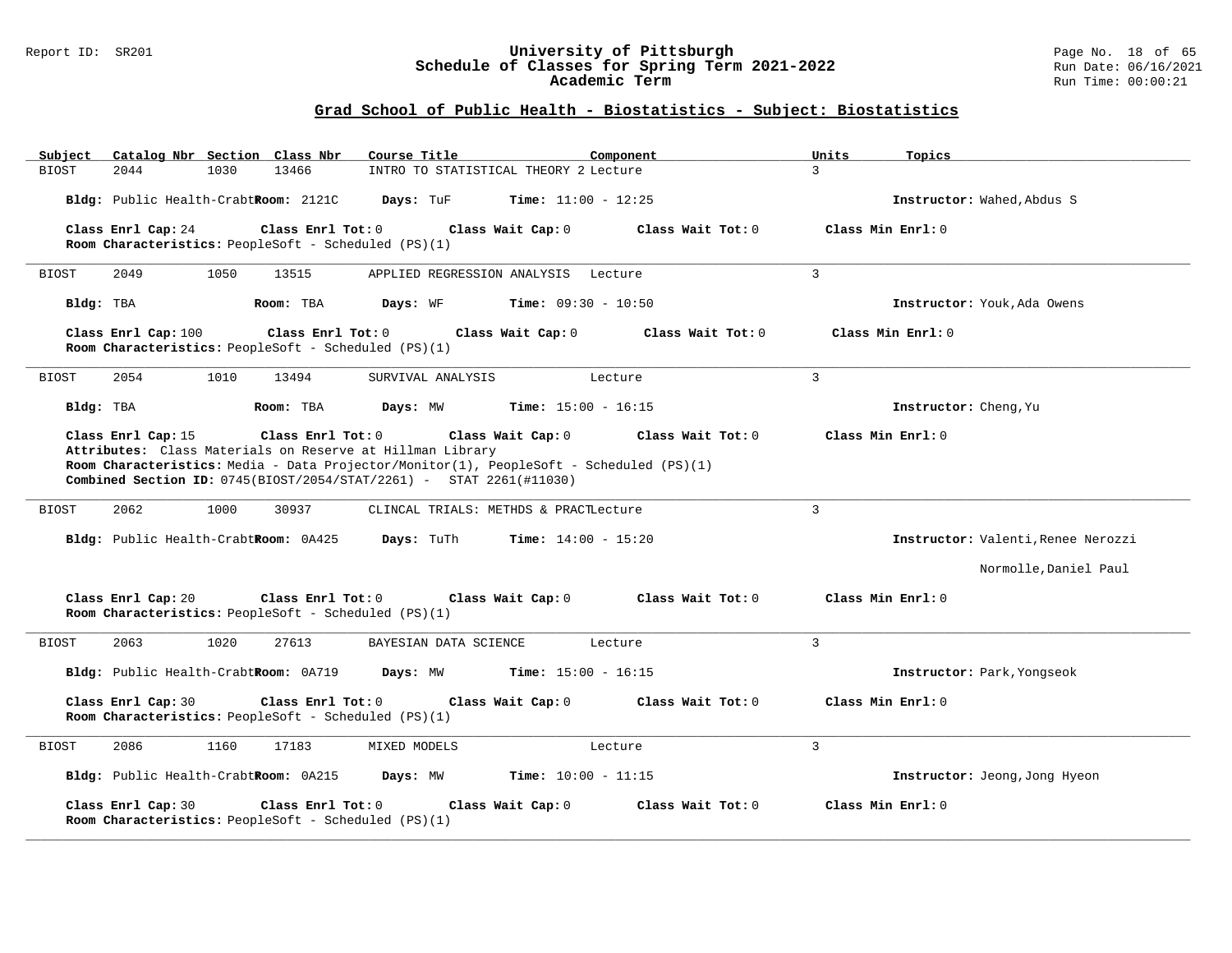#### Report ID: SR201 **University of Pittsburgh** Page No. 18 of 65 **Schedule of Classes for Spring Term 2021-2022** Run Date: 06/16/2021 **Academic Term** Run Time: 00:00:21

| Catalog Nbr Section Class Nbr<br>Subject                                                                                                                                                                                                                               | Course Title                          | Component                    | Topics<br>Units   |                                    |
|------------------------------------------------------------------------------------------------------------------------------------------------------------------------------------------------------------------------------------------------------------------------|---------------------------------------|------------------------------|-------------------|------------------------------------|
| <b>BIOST</b><br>2044<br>1030<br>13466                                                                                                                                                                                                                                  | INTRO TO STATISTICAL THEORY 2 Lecture |                              | $\mathbf{R}$      |                                    |
| Bldg: Public Health-CrabtRoom: 2121C                                                                                                                                                                                                                                   | Days: TuF                             | <b>Time:</b> $11:00 - 12:25$ |                   | Instructor: Wahed, Abdus S         |
| Class Enrl Cap: 24<br>Class Enrl Tot: 0                                                                                                                                                                                                                                | Class Wait Cap: 0                     | Class Wait Tot: 0            | Class Min Enrl: 0 |                                    |
| Room Characteristics: PeopleSoft - Scheduled (PS)(1)                                                                                                                                                                                                                   |                                       |                              |                   |                                    |
| 2049<br>1050<br>13515<br>BIOST                                                                                                                                                                                                                                         | APPLIED REGRESSION ANALYSIS Lecture   |                              | 3                 |                                    |
| Bldg: TBA<br>Room: TBA                                                                                                                                                                                                                                                 | Days: WF                              | <b>Time:</b> $09:30 - 10:50$ |                   | Instructor: Youk, Ada Owens        |
| Class Enrl Cap: 100<br>Class Enrl Tot: 0<br>Room Characteristics: PeopleSoft - Scheduled (PS)(1)                                                                                                                                                                       | Class Wait Cap: 0                     | Class Wait Tot: 0            | Class Min Enrl: 0 |                                    |
| 2054<br>1010<br>13494<br>BIOST                                                                                                                                                                                                                                         | SURVIVAL ANALYSIS                     | Lecture                      | $\overline{3}$    |                                    |
| Bldg: TBA<br>Room: TBA                                                                                                                                                                                                                                                 | Days: MW                              | <b>Time:</b> $15:00 - 16:15$ |                   | Instructor: Cheng, Yu              |
| Class Enrl Cap: 15<br>Class Enrl Tot: 0<br>Attributes: Class Materials on Reserve at Hillman Library<br>Room Characteristics: Media - Data Projector/Monitor(1), PeopleSoft - Scheduled (PS)(1)<br>Combined Section ID: 0745(BIOST/2054/STAT/2261) - STAT 2261(#11030) | Class Wait Cap: 0                     | Class Wait Tot: 0            | Class Min Enrl: 0 |                                    |
| 2062<br>1000<br>30937<br><b>BIOST</b>                                                                                                                                                                                                                                  | CLINCAL TRIALS: METHDS & PRACTLecture |                              | $\mathbf{3}$      |                                    |
| Bldg: Public Health-CrabtRoom: 0A425                                                                                                                                                                                                                                   | Days: TuTh                            | <b>Time:</b> $14:00 - 15:20$ |                   | Instructor: Valenti, Renee Nerozzi |
|                                                                                                                                                                                                                                                                        |                                       |                              |                   | Normolle, Daniel Paul              |
| Class Enrl Cap: 20<br>Class Enrl Tot: 0<br>Room Characteristics: PeopleSoft - Scheduled (PS)(1)                                                                                                                                                                        | Class Wait Cap: 0                     | Class Wait Tot: 0            | Class Min Enrl: 0 |                                    |
| <b>BIOST</b><br>2063<br>1020<br>27613                                                                                                                                                                                                                                  | BAYESIAN DATA SCIENCE                 | Lecture                      | $\overline{3}$    |                                    |
| Bldg: Public Health-CrabtRoom: 0A719                                                                                                                                                                                                                                   | Days: MW                              | <b>Time:</b> $15:00 - 16:15$ |                   | Instructor: Park, Yongseok         |
| Class Enrl Cap: 30<br>Class Enrl Tot: 0<br>Room Characteristics: PeopleSoft - Scheduled (PS)(1)                                                                                                                                                                        | Class Wait Cap: 0                     | Class Wait Tot: 0            | Class Min Enrl: 0 |                                    |
| 2086<br>1160<br><b>BIOST</b><br>17183                                                                                                                                                                                                                                  | MIXED MODELS                          | Lecture                      | $\overline{3}$    |                                    |
| Bldg: Public Health-CrabtRoom: 0A215                                                                                                                                                                                                                                   | Days: MW                              | Time: $10:00 - 11:15$        |                   | Instructor: Jeong, Jong Hyeon      |
| Class Enrl Cap: 30<br>Class Enrl Tot: 0<br>Room Characteristics: PeopleSoft - Scheduled (PS)(1)                                                                                                                                                                        | Class Wait Cap: 0                     | Class Wait Tot: 0            | Class Min Enrl: 0 |                                    |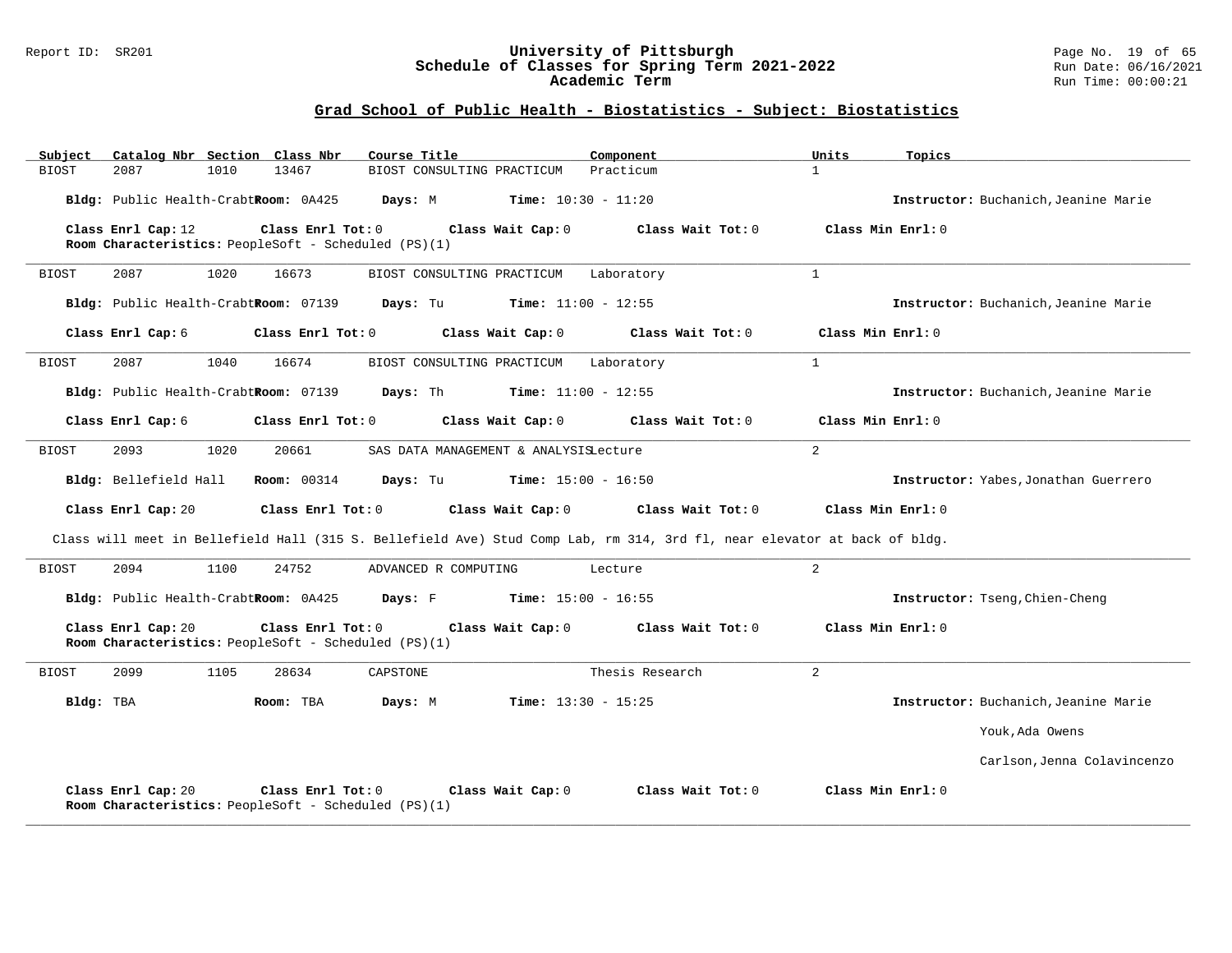#### Report ID: SR201 **University of Pittsburgh** Page No. 19 of 65 **Schedule of Classes for Spring Term 2021-2022** Run Date: 06/16/2021 **Academic Term** Run Time: 00:00:21

| Subject<br>Catalog Nbr Section Class Nbr | Course Title                                                                                                             | Component         | Topics<br>Units   |                                      |
|------------------------------------------|--------------------------------------------------------------------------------------------------------------------------|-------------------|-------------------|--------------------------------------|
| <b>BIOST</b><br>2087<br>1010             | 13467<br>BIOST CONSULTING PRACTICUM                                                                                      | Practicum         | $\mathbf{1}$      |                                      |
| Bldg: Public Health-CrabtRoom: 0A425     | Days: M<br>$Time: 10:30 - 11:20$                                                                                         |                   |                   | Instructor: Buchanich, Jeanine Marie |
| Class Enrl Cap: 12                       | Class Enrl Tot: 0<br>Class Wait Cap: 0<br>Room Characteristics: PeopleSoft - Scheduled (PS)(1)                           | Class Wait Tot: 0 | Class Min Enrl: 0 |                                      |
| 1020<br>2087<br>BIOST                    | 16673<br>BIOST CONSULTING PRACTICUM                                                                                      | Laboratory        | $\mathbf{1}$      |                                      |
| Bldg: Public Health-CrabtRoom: 07139     | Days: Tu<br><b>Time:</b> $11:00 - 12:55$                                                                                 |                   |                   | Instructor: Buchanich, Jeanine Marie |
| Class Enrl Cap: 6                        | Class Wait Cap: 0<br>Class Enrl Tot: 0                                                                                   | Class Wait Tot: 0 | Class Min Enrl: 0 |                                      |
| <b>BIOST</b><br>2087<br>1040             | 16674<br>BIOST CONSULTING PRACTICUM Laboratory                                                                           |                   | $\mathbf{1}$      |                                      |
| Bldg: Public Health-CrabtRoom: 07139     | Days: Th<br>$Time: 11:00 - 12:55$                                                                                        |                   |                   | Instructor: Buchanich, Jeanine Marie |
| Class Enrl Cap: 6                        | Class Enrl Tot: 0<br>Class Wait Cap: 0                                                                                   | Class Wait Tot: 0 | Class Min Enrl: 0 |                                      |
| BIOST<br>2093<br>1020                    | 20661<br>SAS DATA MANAGEMENT & ANALYSISLecture                                                                           |                   | $\overline{a}$    |                                      |
| Bldg: Bellefield Hall                    | Days: Tu<br>$Time: 15:00 - 16:50$<br><b>Room:</b> 00314                                                                  |                   |                   | Instructor: Yabes, Jonathan Guerrero |
| Class Enrl Cap: 20                       | Class Wait Cap: 0<br>Class Enrl Tot: 0                                                                                   | Class Wait Tot: 0 | Class Min Enrl: 0 |                                      |
|                                          | Class will meet in Bellefield Hall (315 S. Bellefield Ave) Stud Comp Lab, rm 314, 3rd fl, near elevator at back of bldg. |                   |                   |                                      |
| BIOST<br>2094<br>1100                    | 24752<br>ADVANCED R COMPUTING                                                                                            | Lecture           | 2                 |                                      |
| Bldg: Public Health-CrabtRoom: 0A425     | Days: F<br><b>Time:</b> $15:00 - 16:55$                                                                                  |                   |                   | Instructor: Tseng, Chien-Cheng       |
| Class Enrl Cap: 20                       | Class Enrl Tot: 0<br>Class Wait Cap: 0<br>Room Characteristics: PeopleSoft - Scheduled (PS)(1)                           | Class Wait Tot: 0 | Class Min Enrl: 0 |                                      |
| BIOST<br>2099<br>1105                    | 28634<br>CAPSTONE                                                                                                        | Thesis Research   | 2                 |                                      |
| Bldg: TBA                                | Room: TBA<br>Days: M<br><b>Time:</b> $13:30 - 15:25$                                                                     |                   |                   | Instructor: Buchanich, Jeanine Marie |
|                                          |                                                                                                                          |                   |                   | Youk, Ada Owens                      |
|                                          |                                                                                                                          |                   |                   | Carlson, Jenna Colavincenzo          |
| Class Enrl Cap: 20                       | Class Enrl Tot: 0<br>Class Wait Cap: 0<br>Room Characteristics: PeopleSoft - Scheduled (PS)(1)                           | Class Wait Tot: 0 | Class Min Enrl: 0 |                                      |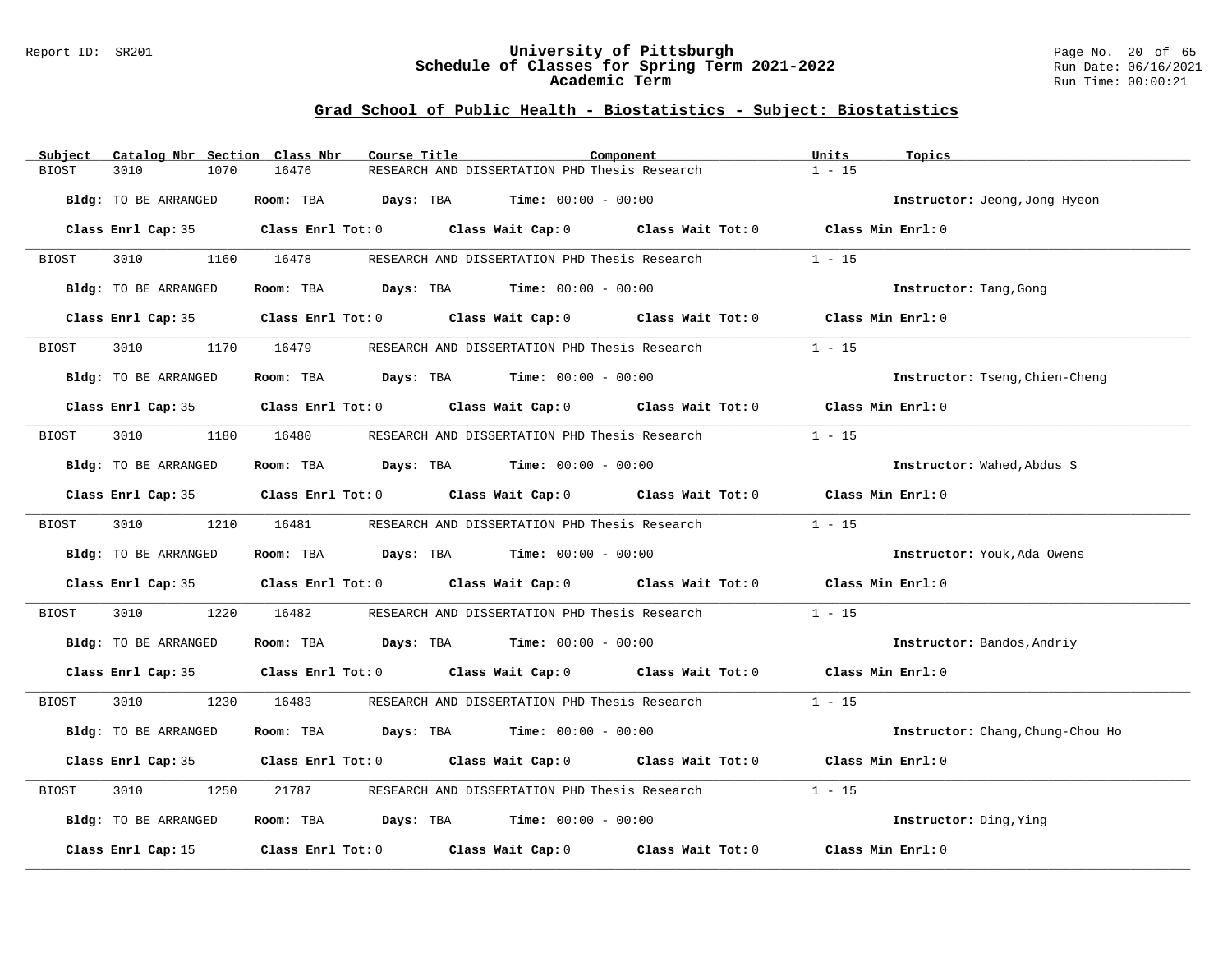#### Report ID: SR201 **University of Pittsburgh** Page No. 20 of 65 **Schedule of Classes for Spring Term 2021-2022** Run Date: 06/16/2021 **Academic Term** Run Time: 00:00:21

| Subject | Catalog Nbr Section Class Nbr | Course Title | Component                                                                                  | Units<br>Topics                  |
|---------|-------------------------------|--------------|--------------------------------------------------------------------------------------------|----------------------------------|
| BIOST   | 3010<br>1070                  | 16476        | RESEARCH AND DISSERTATION PHD Thesis Research                                              | $1 - 15$                         |
|         | Bldg: TO BE ARRANGED          |              | Room: TBA $Days:$ TBA $Time: 00:00 - 00:00$                                                | Instructor: Jeong, Jong Hyeon    |
|         |                               |              | Class Enrl Cap: 35 Class Enrl Tot: 0 Class Wait Cap: 0 Class Wait Tot: 0 Class Min Enrl: 0 |                                  |
| BIOST   | 3010                          | 1160 16478   | RESEARCH AND DISSERTATION PHD Thesis Research                                              | $1 - 15$                         |
|         | Bldg: TO BE ARRANGED          |              | Room: TBA $Days:$ TBA $Time: 00:00 - 00:00$                                                | Instructor: Tang, Gong           |
|         |                               |              | Class Enrl Cap: 35 Class Enrl Tot: 0 Class Wait Cap: 0 Class Wait Tot: 0 Class Min Enrl: 0 |                                  |
| BIOST   | 3010                          |              | 1170 16479 RESEARCH AND DISSERTATION PHD Thesis Research                                   | $1 - 15$                         |
|         | Bldg: TO BE ARRANGED          |              | Room: TBA $Days:$ TBA $Time: 00:00 - 00:00$                                                | Instructor: Tseng, Chien-Cheng   |
|         |                               |              | Class Enrl Cap: 35 Class Enrl Tot: 0 Class Wait Cap: 0 Class Wait Tot: 0 Class Min Enrl: 0 |                                  |
| BIOST   | 3010 2012                     |              | 1180 16480 RESEARCH AND DISSERTATION PHD Thesis Research                                   | $1 - 15$                         |
|         | Bldg: TO BE ARRANGED          |              | Room: TBA $Days:$ TBA Time: $00:00 - 00:00$                                                | Instructor: Wahed, Abdus S       |
|         |                               |              | Class Enrl Cap: 35 Class Enrl Tot: 0 Class Wait Cap: 0 Class Wait Tot: 0 Class Min Enrl: 0 |                                  |
| BIOST   | 3010                          | 1210 16481   | RESEARCH AND DISSERTATION PHD Thesis Research                                              | $1 - 15$                         |
|         | Bldg: TO BE ARRANGED          |              | Room: TBA $Days:$ TBA $Time: 00:00 - 00:00$                                                | Instructor: Youk, Ada Owens      |
|         |                               |              | Class Enrl Cap: 35 Class Enrl Tot: 0 Class Wait Cap: 0 Class Wait Tot: 0 Class Min Enrl: 0 |                                  |
| BIOST   | 3010<br>1220                  | 16482        | RESEARCH AND DISSERTATION PHD Thesis Research                                              | $1 - 15$                         |
|         | Bldg: TO BE ARRANGED          |              | Room: TBA $Days: TBA$ Time: $00:00 - 00:00$                                                | Instructor: Bandos, Andriy       |
|         |                               |              | Class Enrl Cap: 35 Class Enrl Tot: 0 Class Wait Cap: 0 Class Wait Tot: 0 Class Min Enrl: 0 |                                  |
| BIOST   | 3010 000                      | 1230 16483   | RESEARCH AND DISSERTATION PHD Thesis Research 1 - 15                                       |                                  |
|         | Bldg: TO BE ARRANGED          |              | Room: TBA $Days:$ TBA $Time: 00:00 - 00:00$                                                | Instructor: Chang, Chung-Chou Ho |
|         |                               |              | Class Enrl Cap: 35 Class Enrl Tot: 0 Class Wait Cap: 0 Class Wait Tot: 0 Class Min Enrl: 0 |                                  |
| BIOST   | 3010<br>1250                  | 21787        | RESEARCH AND DISSERTATION PHD Thesis Research                                              | $1 - 15$                         |
|         | Bldg: TO BE ARRANGED          |              | Room: TBA $Days:$ TBA $Time: 00:00 - 00:00$                                                | Instructor: Ding, Ying           |
|         | Class Enrl Cap: 15            |              | Class Enrl Tot: $0$ Class Wait Cap: $0$ Class Wait Tot: $0$                                | Class Min Enrl: 0                |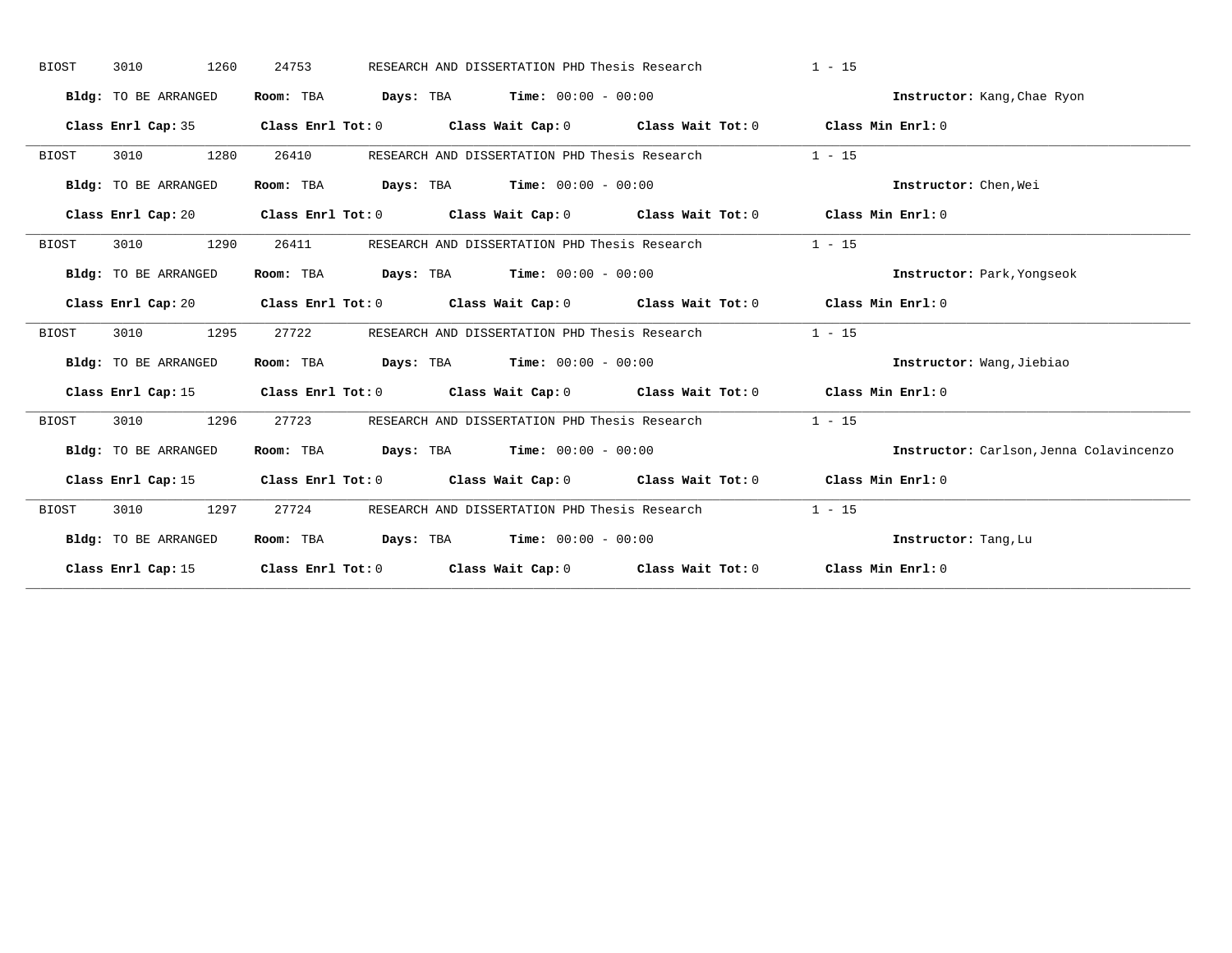| <b>BIOST</b> | 3010                 | 1260<br>24753 |                                             | RESEARCH AND DISSERTATION PHD Thesis Research |                                                                                            | $1 - 15$ |                                         |
|--------------|----------------------|---------------|---------------------------------------------|-----------------------------------------------|--------------------------------------------------------------------------------------------|----------|-----------------------------------------|
|              | Bldg: TO BE ARRANGED |               | Room: TBA $Days:$ TBA $Time: 00:00 - 00:00$ |                                               |                                                                                            |          | Instructor: Kang, Chae Ryon             |
|              |                      |               |                                             |                                               | Class Enrl Cap: 35 Class Enrl Tot: 0 Class Wait Cap: 0 Class Wait Tot: 0 Class Min Enrl: 0 |          |                                         |
| BIOST        | 3010                 | 1280<br>26410 |                                             |                                               | RESEARCH AND DISSERTATION PHD Thesis Research                                              | $1 - 15$ |                                         |
|              | Bldg: TO BE ARRANGED |               | Room: TBA $Days:$ TBA $Time: 00:00 - 00:00$ |                                               |                                                                                            |          | Instructor: Chen, Wei                   |
|              |                      |               |                                             |                                               | Class Enrl Cap: 20 Class Enrl Tot: 0 Class Wait Cap: 0 Class Wait Tot: 0 Class Min Enrl: 0 |          |                                         |
| <b>BIOST</b> | 3010                 | 1290          | 26411                                       |                                               | RESEARCH AND DISSERTATION PHD Thesis Research                                              | $1 - 15$ |                                         |
|              | Bldg: TO BE ARRANGED |               | Room: TBA $Days:$ TBA $Time: 00:00 - 00:00$ |                                               |                                                                                            |          | Instructor: Park, Yongseok              |
|              |                      |               |                                             |                                               | Class Enrl Cap: 20 Class Enrl Tot: 0 Class Wait Cap: 0 Class Wait Tot: 0 Class Min Enrl: 0 |          |                                         |
| <b>BIOST</b> | 3010                 | 1295<br>27722 |                                             |                                               | RESEARCH AND DISSERTATION PHD Thesis Research                                              | $1 - 15$ |                                         |
|              | Bldg: TO BE ARRANGED |               | Room: TBA $Days:$ TBA $Time: 00:00 - 00:00$ |                                               |                                                                                            |          | Instructor: Wang, Jiebiao               |
|              |                      |               |                                             |                                               | Class Enrl Cap: 15 Class Enrl Tot: 0 Class Wait Cap: 0 Class Wait Tot: 0 Class Min Enrl: 0 |          |                                         |
| BIOST        | 3010                 | 1296<br>27723 |                                             |                                               | RESEARCH AND DISSERTATION PHD Thesis Research                                              | $1 - 15$ |                                         |
|              | Bldg: TO BE ARRANGED |               | Room: TBA $Days:$ TBA $Time: 00:00 - 00:00$ |                                               |                                                                                            |          | Instructor: Carlson, Jenna Colavincenzo |
|              |                      |               |                                             |                                               | Class Enrl Cap: 15 Class Enrl Tot: 0 Class Wait Cap: 0 Class Wait Tot: 0 Class Min Enrl: 0 |          |                                         |
| BIOST        | 3010                 | 1297          | 27724                                       |                                               | RESEARCH AND DISSERTATION PHD Thesis Research                                              | $1 - 15$ |                                         |
|              | Bldg: TO BE ARRANGED |               | Room: TBA $Days:$ TBA $Time: 00:00 - 00:00$ |                                               |                                                                                            |          | Instructor: Tang, Lu                    |
|              |                      |               |                                             |                                               | Class Enrl Cap: 15 Class Enrl Tot: 0 Class Wait Cap: 0 Class Wait Tot: 0 Class Min Enrl: 0 |          |                                         |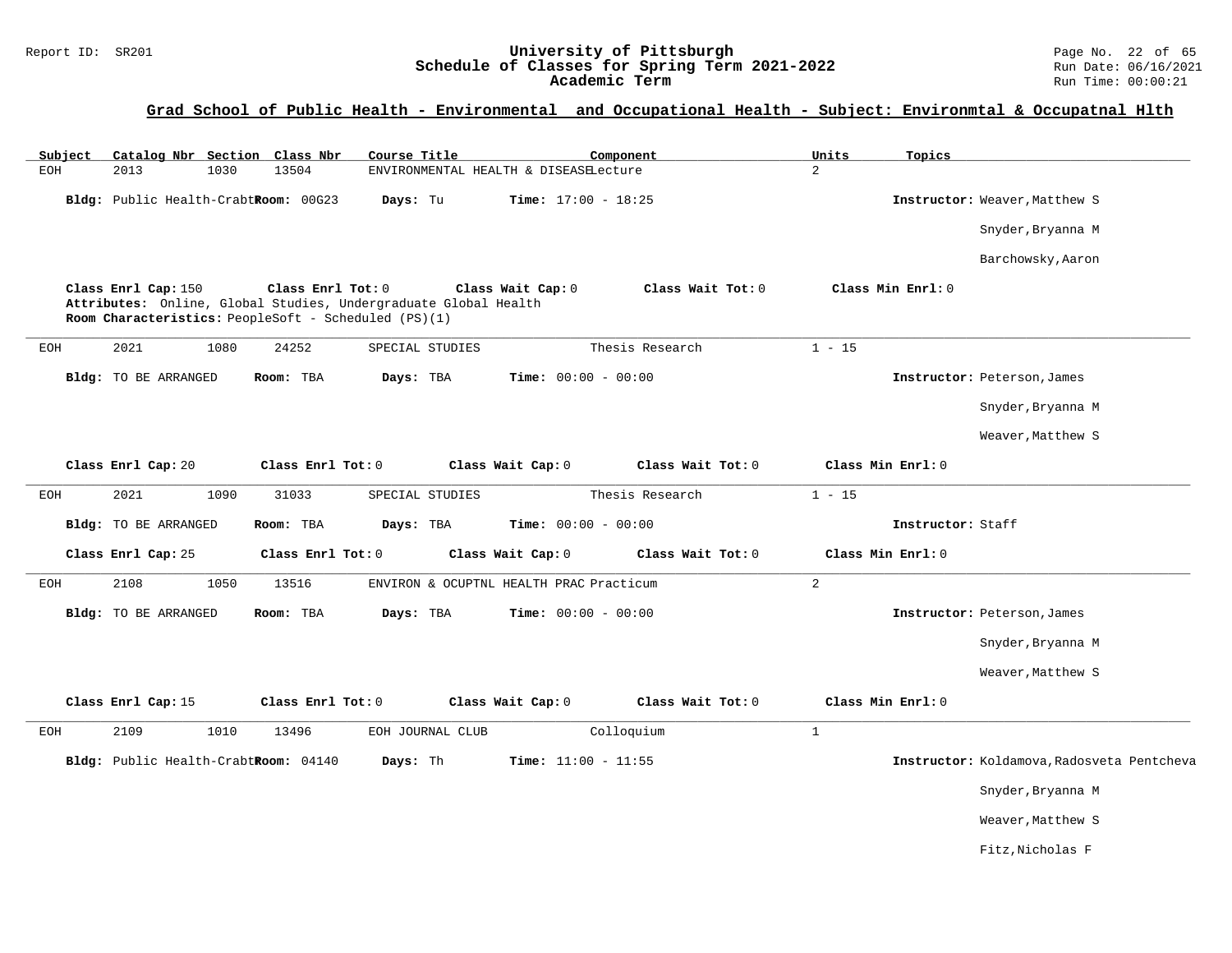#### Report ID: SR201 **1988 Mage 10: SChedule of Classes for Spring Term 2021-2022** Page No. 22 of 65<br>**Schedule of Classes for Spring Term 2021-2022** Run Date: 06/16/2021 **Schedule of Classes for Spring Term 2021-2022** Run Date: 06/16/2021 **Academic Term** Run Time: 00:00:21

### **Grad School of Public Health - Environmental and Occupational Health - Subject: Environmtal & Occupatnal Hlth**

| Subject |                      |      | Catalog Nbr Section Class Nbr                                             | Course Title                                                    |                              | Component         | Units          | Topics            |                                            |
|---------|----------------------|------|---------------------------------------------------------------------------|-----------------------------------------------------------------|------------------------------|-------------------|----------------|-------------------|--------------------------------------------|
| EOH     | 2013                 | 1030 | 13504                                                                     | ENVIRONMENTAL HEALTH & DISEASELecture                           |                              |                   | $\overline{a}$ |                   |                                            |
|         |                      |      | Bldg: Public Health-CrabtRoom: 00G23                                      | Days: Tu                                                        | Time: $17:00 - 18:25$        |                   |                |                   | Instructor: Weaver, Matthew S              |
|         |                      |      |                                                                           |                                                                 |                              |                   |                |                   | Snyder, Bryanna M                          |
|         |                      |      |                                                                           |                                                                 |                              |                   |                |                   | Barchowsky, Aaron                          |
|         | Class Enrl Cap: 150  |      | Class Enrl Tot: 0<br>Room Characteristics: PeopleSoft - Scheduled (PS)(1) | Attributes: Online, Global Studies, Undergraduate Global Health | Class Wait Cap: 0            | Class Wait Tot: 0 |                | Class Min Enrl: 0 |                                            |
| EOH     | 2021                 | 1080 | 24252                                                                     | SPECIAL STUDIES                                                 |                              | Thesis Research   | $1 - 15$       |                   |                                            |
|         | Bldg: TO BE ARRANGED |      | Room: TBA                                                                 | Days: TBA                                                       | <b>Time:</b> $00:00 - 00:00$ |                   |                |                   | Instructor: Peterson, James                |
|         |                      |      |                                                                           |                                                                 |                              |                   |                |                   | Snyder, Bryanna M                          |
|         |                      |      |                                                                           |                                                                 |                              |                   |                |                   | Weaver, Matthew S                          |
|         | Class Enrl Cap: 20   |      | Class Enrl Tot: 0                                                         |                                                                 | Class Wait Cap: 0            | Class Wait Tot: 0 |                | Class Min Enrl: 0 |                                            |
| EOH     | 2021                 | 1090 | 31033                                                                     | SPECIAL STUDIES                                                 |                              | Thesis Research   | $1 - 15$       |                   |                                            |
|         | Bldg: TO BE ARRANGED |      | Room: TBA                                                                 | Days: TBA                                                       | <b>Time:</b> $00:00 - 00:00$ |                   |                | Instructor: Staff |                                            |
|         | Class Enrl Cap: 25   |      | Class Enrl Tot: 0                                                         |                                                                 | Class Wait Cap: 0            | Class Wait Tot: 0 |                | Class Min Enrl: 0 |                                            |
| EOH     | 2108                 | 1050 | 13516                                                                     | ENVIRON & OCUPTNL HEALTH PRAC Practicum                         |                              |                   | $\overline{2}$ |                   |                                            |
|         | Bldg: TO BE ARRANGED |      | Room: TBA                                                                 | Days: TBA                                                       | <b>Time:</b> $00:00 - 00:00$ |                   |                |                   | Instructor: Peterson, James                |
|         |                      |      |                                                                           |                                                                 |                              |                   |                |                   | Snyder, Bryanna M                          |
|         |                      |      |                                                                           |                                                                 |                              |                   |                |                   | Weaver, Matthew S                          |
|         | Class Enrl Cap: 15   |      | Class Enrl Tot: 0                                                         |                                                                 | Class Wait Cap: 0            | Class Wait Tot: 0 |                | Class Min Enrl: 0 |                                            |
| EOH     | 2109                 | 1010 | 13496                                                                     | EOH JOURNAL CLUB                                                |                              | Colloquium        | $\mathbf{1}$   |                   |                                            |
|         |                      |      | Bldg: Public Health-CrabtRoom: 04140                                      | Days: Th                                                        | Time: $11:00 - 11:55$        |                   |                |                   | Instructor: Koldamova, Radosveta Pentcheva |
|         |                      |      |                                                                           |                                                                 |                              |                   |                |                   | Snyder, Bryanna M                          |
|         |                      |      |                                                                           |                                                                 |                              |                   |                |                   | Weaver, Matthew S                          |
|         |                      |      |                                                                           |                                                                 |                              |                   |                |                   | Fitz, Nicholas F                           |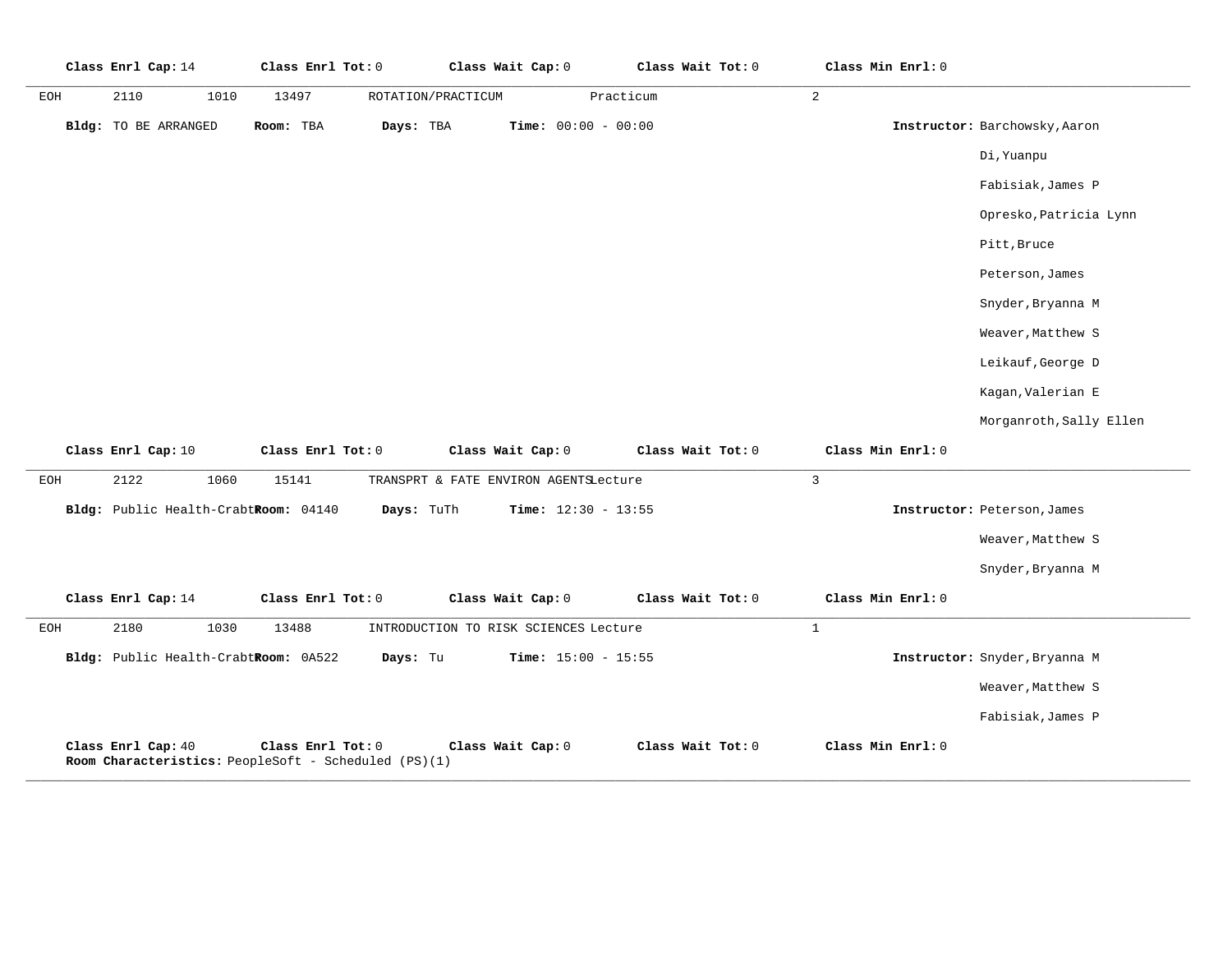|     | Class Enrl Cap: 14   |      |           | Class Enrl Tot: 0   |           |                    | Class Wait Cap: 0 |                              | Class Wait Tot: 0 | Class Min Enrl: 0 |                               |
|-----|----------------------|------|-----------|---------------------|-----------|--------------------|-------------------|------------------------------|-------------------|-------------------|-------------------------------|
| EOH | 2110                 | 1010 | 13497     |                     |           | ROTATION/PRACTICUM |                   | Practicum                    |                   | 2                 |                               |
|     | Bldg: TO BE ARRANGED |      | Room: TBA |                     | Days: TBA |                    |                   | <b>Time:</b> $00:00 - 00:00$ |                   |                   | Instructor: Barchowsky, Aaron |
|     |                      |      |           |                     |           |                    |                   |                              |                   |                   | Di, Yuanpu                    |
|     |                      |      |           |                     |           |                    |                   |                              |                   |                   | Fabisiak, James P             |
|     |                      |      |           |                     |           |                    |                   |                              |                   |                   | Opresko, Patricia Lynn        |
|     |                      |      |           |                     |           |                    |                   |                              |                   |                   | Pitt, Bruce                   |
|     |                      |      |           |                     |           |                    |                   |                              |                   |                   | Peterson, James               |
|     |                      |      |           |                     |           |                    |                   |                              |                   |                   | Snyder, Bryanna M             |
|     |                      |      |           |                     |           |                    |                   |                              |                   |                   | Weaver, Matthew S             |
|     |                      |      |           |                     |           |                    |                   |                              |                   |                   | Leikauf, George D             |
|     |                      |      |           |                     |           |                    |                   |                              |                   |                   | Kagan, Valerian E             |
|     |                      |      |           |                     |           |                    |                   |                              |                   |                   | Morganroth, Sally Ellen       |
|     | Class Enrl Cap: 10   |      |           | Class Enrl Tot: $0$ |           |                    | Class Wait Cap: 0 |                              | Class Wait Tot: 0 | Class Min Enrl: 0 |                               |

|            | Class Enri Cap: 10                                          | CLASS ENTI TOU: U |            | $\texttt{Class } \texttt{wait } \texttt{cap} \texttt{:} \ \cup$ | Class wait TOE: U | Class min Enri; 0 |                               |
|------------|-------------------------------------------------------------|-------------------|------------|-----------------------------------------------------------------|-------------------|-------------------|-------------------------------|
| EOH        | 2122<br>1060                                                | 15141             |            | TRANSPRT & FATE ENVIRON AGENTSLecture                           |                   | 3                 |                               |
|            | Bldg: Public Health-CrabtRoom: 04140                        |                   | Days: TuTh | <b>Time:</b> $12:30 - 13:55$                                    |                   |                   | Instructor: Peterson, James   |
|            |                                                             |                   |            |                                                                 |                   |                   | Weaver, Matthew S             |
|            |                                                             |                   |            |                                                                 |                   |                   | Snyder, Bryanna M             |
|            | Class Enrl Cap: 14                                          | Class Enrl Tot: 0 |            | Class Wait Cap: 0                                               | Class Wait Tot: 0 | Class Min Enrl: 0 |                               |
| <b>EOH</b> | 2180<br>1030                                                | 13488             |            | INTRODUCTION TO RISK SCIENCES Lecture                           |                   |                   |                               |
|            | Bldg: Public Health-CrabtRoom: 0A522                        |                   | Days: Tu   | <b>Time:</b> $15:00 - 15:55$                                    |                   |                   | Instructor: Snyder, Bryanna M |
|            |                                                             |                   |            |                                                                 |                   |                   | Weaver, Matthew S             |
|            |                                                             |                   |            |                                                                 |                   |                   | Fabisiak, James P             |
|            | Class Enrl Cap: 40                                          | Class Enrl Tot: 0 |            | Class Wait Cap: 0                                               | Class Wait Tot: 0 | Class Min Enrl: 0 |                               |
|            | <b>Room Characteristics:</b> PeopleSoft - Scheduled (PS)(1) |                   |            |                                                                 |                   |                   |                               |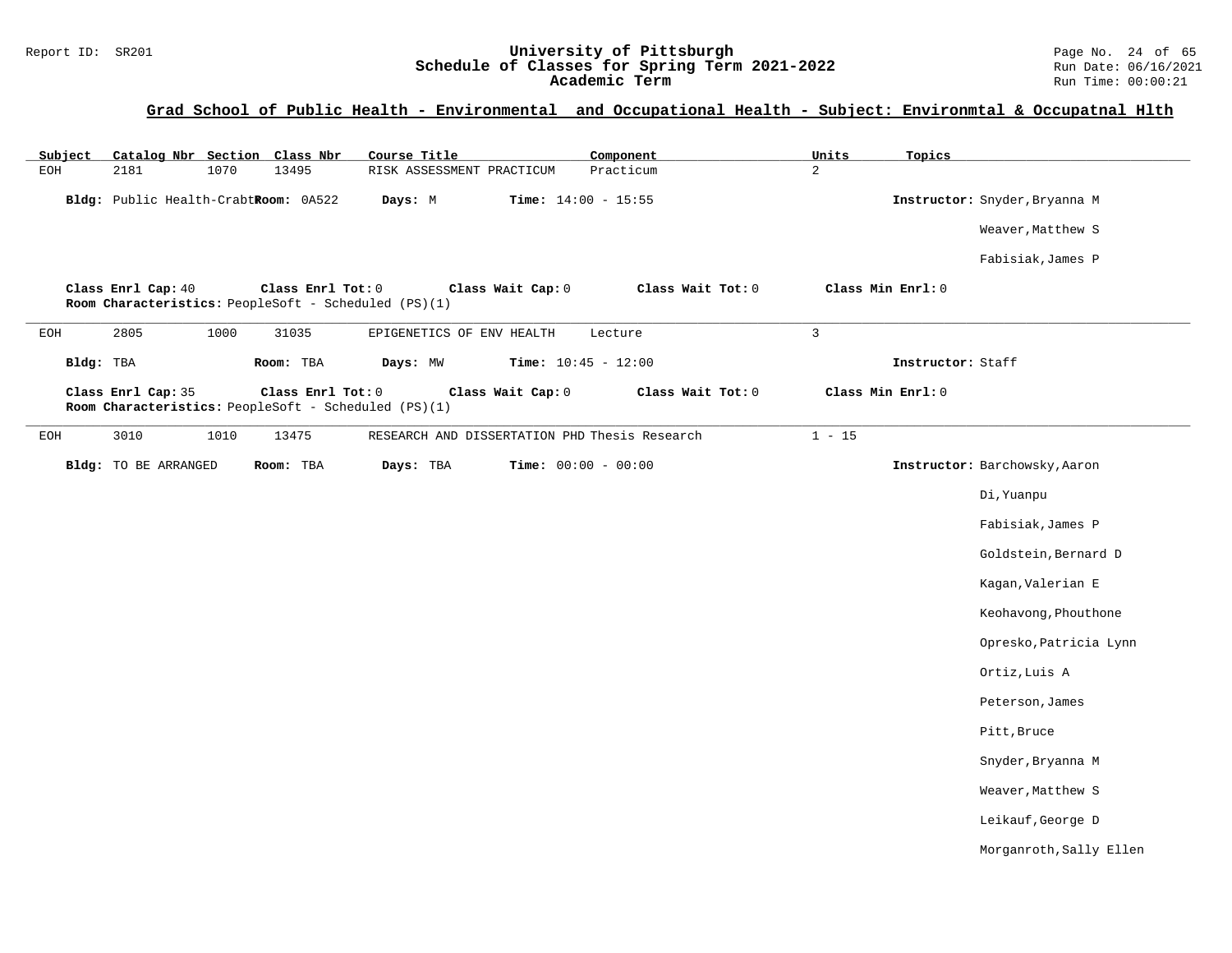#### Report ID: SR201 **1988 Mage 10: SChedule of Classes for Spring Term 2021-2022** Page No. 24 of 65<br>**Schedule of Classes for Spring Term 2021-2022** Run Date: 06/16/2021 **Schedule of Classes for Spring Term 2021-2022** Run Date: 06/16/2021 **Academic Term** Run Time: 00:00:21

### **Grad School of Public Health - Environmental and Occupational Health - Subject: Environmtal & Occupatnal Hlth**

| Subject | Catalog Nbr Section Class Nbr        |      |                                                                           | Course Title              |                              | Component                                     | Units          | Topics            |                               |
|---------|--------------------------------------|------|---------------------------------------------------------------------------|---------------------------|------------------------------|-----------------------------------------------|----------------|-------------------|-------------------------------|
| EOH     | 2181                                 | 1070 | 13495                                                                     | RISK ASSESSMENT PRACTICUM |                              | Practicum                                     | 2              |                   |                               |
|         | Bldg: Public Health-CrabtRoom: 0A522 |      |                                                                           | Days: M                   | <b>Time:</b> $14:00 - 15:55$ |                                               |                |                   | Instructor: Snyder, Bryanna M |
|         |                                      |      |                                                                           |                           |                              |                                               |                |                   | Weaver, Matthew S             |
|         |                                      |      |                                                                           |                           |                              |                                               |                |                   | Fabisiak, James P             |
|         | Class Enrl Cap: 40                   |      | Class Enrl Tot: 0<br>Room Characteristics: PeopleSoft - Scheduled (PS)(1) |                           | Class Wait Cap: 0            | Class Wait Tot: 0                             |                | Class Min Enrl: 0 |                               |
| EOH     | 2805                                 | 1000 | 31035                                                                     | EPIGENETICS OF ENV HEALTH |                              | Lecture                                       | $\overline{3}$ |                   |                               |
|         | Bldg: TBA                            |      | Room: TBA                                                                 | Days: MW                  | Time: $10:45 - 12:00$        |                                               |                | Instructor: Staff |                               |
|         | Class Enrl Cap: 35                   |      | Class Enrl Tot: 0<br>Room Characteristics: PeopleSoft - Scheduled (PS)(1) |                           | Class Wait Cap: 0            | Class Wait Tot: 0                             |                | Class Min Enrl: 0 |                               |
| EOH     | 3010                                 | 1010 | 13475                                                                     |                           |                              | RESEARCH AND DISSERTATION PHD Thesis Research | $1 - 15$       |                   |                               |
|         | Bldg: TO BE ARRANGED                 |      | Room: TBA                                                                 | Days: TBA                 | <b>Time:</b> $00:00 - 00:00$ |                                               |                |                   | Instructor: Barchowsky, Aaron |
|         |                                      |      |                                                                           |                           |                              |                                               |                |                   | Di, Yuanpu                    |
|         |                                      |      |                                                                           |                           |                              |                                               |                |                   | Fabisiak, James P             |
|         |                                      |      |                                                                           |                           |                              |                                               |                |                   | Goldstein, Bernard D          |
|         |                                      |      |                                                                           |                           |                              |                                               |                |                   | Kagan, Valerian E             |
|         |                                      |      |                                                                           |                           |                              |                                               |                |                   | Keohavong, Phouthone          |
|         |                                      |      |                                                                           |                           |                              |                                               |                |                   | Opresko, Patricia Lynn        |
|         |                                      |      |                                                                           |                           |                              |                                               |                |                   | Ortiz, Luis A                 |
|         |                                      |      |                                                                           |                           |                              |                                               |                |                   | Peterson, James               |
|         |                                      |      |                                                                           |                           |                              |                                               |                |                   | Pitt, Bruce                   |
|         |                                      |      |                                                                           |                           |                              |                                               |                |                   | Snyder, Bryanna M             |
|         |                                      |      |                                                                           |                           |                              |                                               |                |                   | Weaver, Matthew S             |
|         |                                      |      |                                                                           |                           |                              |                                               |                |                   | Leikauf, George D             |
|         |                                      |      |                                                                           |                           |                              |                                               |                |                   | Morganroth, Sally Ellen       |
|         |                                      |      |                                                                           |                           |                              |                                               |                |                   |                               |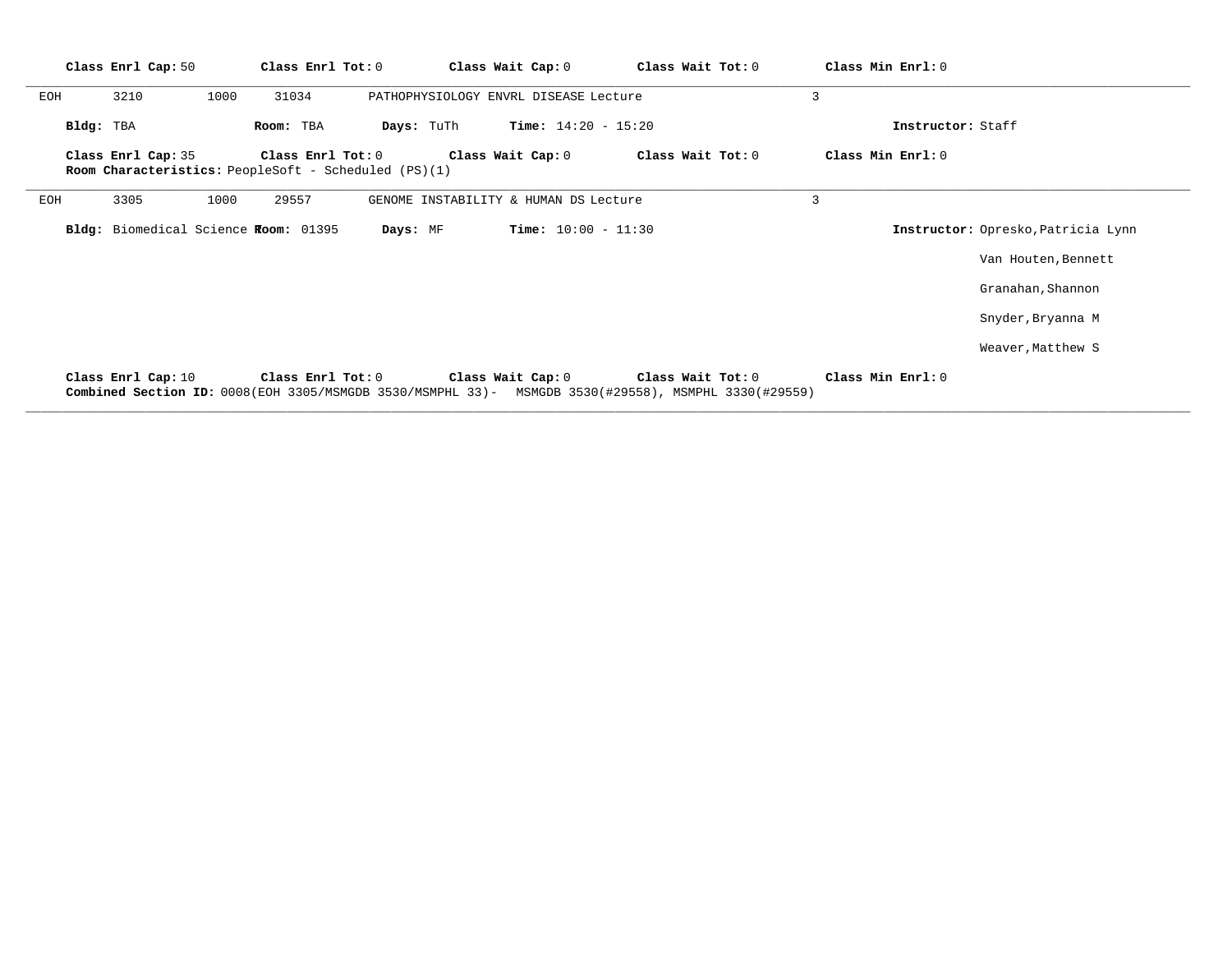|     |           | Class Enrl Cap: 50 |      | Class Enrl Tot: 0                                                         |          |                   | Class Wait Cap: 0                     | Class Wait Tot: 0                                                                                                        | Class Min Enrl: 0 |                   |                                    |
|-----|-----------|--------------------|------|---------------------------------------------------------------------------|----------|-------------------|---------------------------------------|--------------------------------------------------------------------------------------------------------------------------|-------------------|-------------------|------------------------------------|
| EOH |           | 3210               | 1000 | 31034                                                                     |          |                   | PATHOPHYSIOLOGY ENVRL DISEASE Lecture |                                                                                                                          | 3                 |                   |                                    |
|     | Bldg: TBA |                    |      | Room: TBA                                                                 |          | <b>Days:</b> TuTh | <b>Time:</b> $14:20 - 15:20$          |                                                                                                                          |                   | Instructor: Staff |                                    |
|     |           | Class Enrl Cap: 35 |      | Class Enrl Tot: 0<br>Room Characteristics: PeopleSoft - Scheduled (PS)(1) |          |                   | Class Wait Cap: 0                     | Class Wait Tot: 0                                                                                                        | Class Min Enrl: 0 |                   |                                    |
| EOH |           | 3305               | 1000 | 29557                                                                     |          |                   | GENOME INSTABILITY & HUMAN DS Lecture |                                                                                                                          | 3                 |                   |                                    |
|     |           |                    |      | Bldg: Biomedical Science Room: 01395                                      | Days: MF |                   | <b>Time:</b> $10:00 - 11:30$          |                                                                                                                          |                   |                   | Instructor: Opresko, Patricia Lynn |
|     |           |                    |      |                                                                           |          |                   |                                       |                                                                                                                          |                   |                   | Van Houten, Bennett                |
|     |           |                    |      |                                                                           |          |                   |                                       |                                                                                                                          |                   |                   | Granahan, Shannon                  |
|     |           |                    |      |                                                                           |          |                   |                                       |                                                                                                                          |                   |                   | Snyder, Bryanna M                  |
|     |           |                    |      |                                                                           |          |                   |                                       |                                                                                                                          |                   |                   | Weaver, Matthew S                  |
|     |           | Class Enrl Cap: 10 |      | Class Enrl Tot: $0$                                                       |          |                   | Class Wait Cap: 0                     | Class Wait Tot: 0<br>Combined Section ID: 0008(EOH 3305/MSMGDB 3530/MSMPHL 33)- MSMGDB 3530(#29558), MSMPHL 3330(#29559) | Class Min Enrl: 0 |                   |                                    |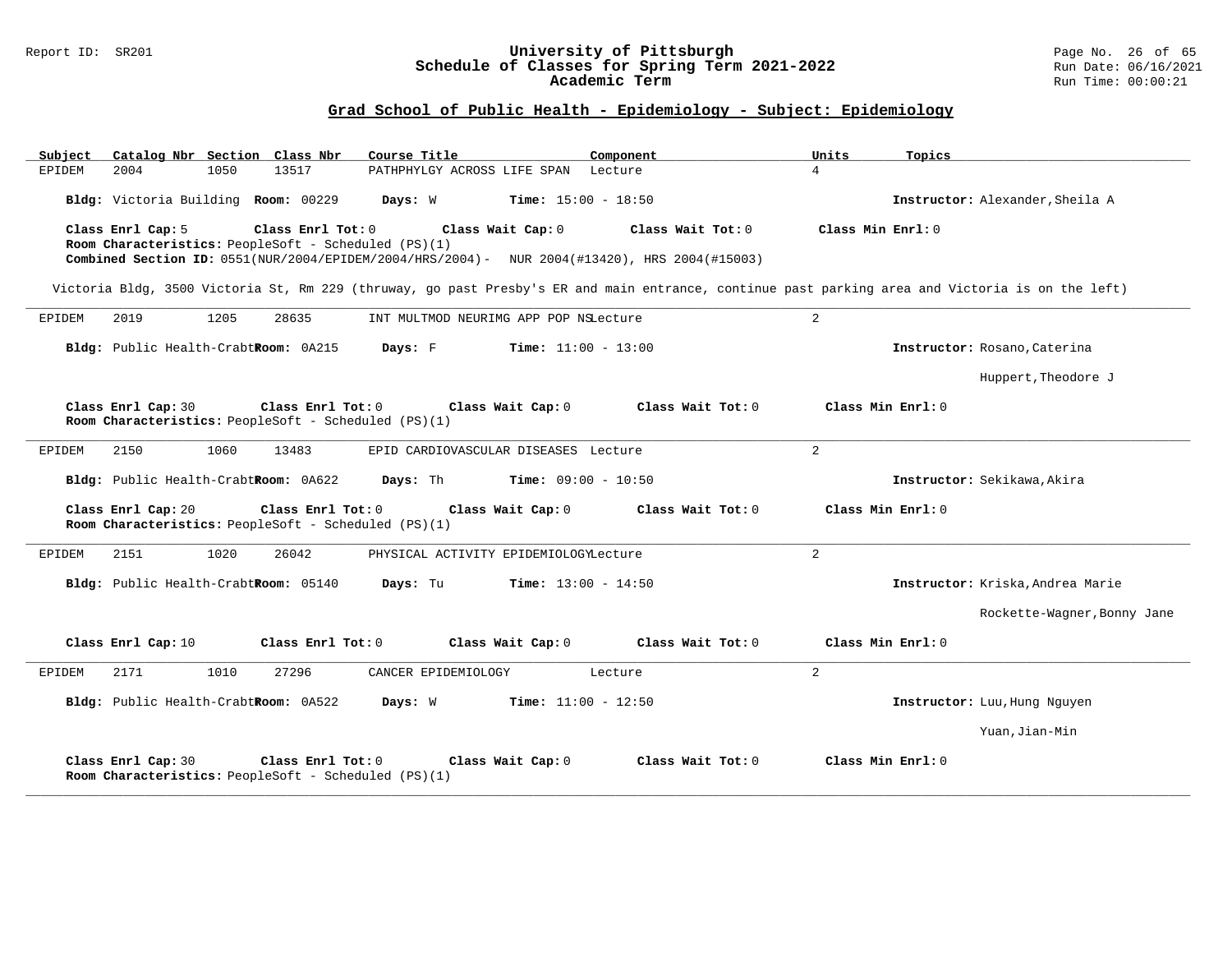#### Report ID: SR201 **University of Pittsburgh** Page No. 26 of 65 **Schedule of Classes for Spring Term 2021-2022** Run Date: 06/16/2021 **Academic Term** Run Time: 00:00:21

| Catalog Nbr Section Class Nbr<br>Subject                                                                                                             | Course Title                             | Component         | Units<br>Topics                                                                                                                                  |
|------------------------------------------------------------------------------------------------------------------------------------------------------|------------------------------------------|-------------------|--------------------------------------------------------------------------------------------------------------------------------------------------|
| 13517<br>2004<br>1050<br>EPIDEM                                                                                                                      | PATHPHYLGY ACROSS LIFE SPAN Lecture      |                   | $\overline{4}$                                                                                                                                   |
| Bldg: Victoria Building Room: 00229                                                                                                                  | Days: W<br><b>Time:</b> $15:00 - 18:50$  |                   | Instructor: Alexander, Sheila A                                                                                                                  |
| Class Enrl Cap: 5<br>Class Enrl Tot: 0                                                                                                               | Class Wait Cap: 0                        | Class Wait Tot: 0 | Class Min Enrl: 0                                                                                                                                |
| Room Characteristics: PeopleSoft - Scheduled (PS)(1)<br>Combined Section ID: 0551(NUR/2004/EPIDEM/2004/HRS/2004)- NUR 2004(#13420), HRS 2004(#15003) |                                          |                   |                                                                                                                                                  |
|                                                                                                                                                      |                                          |                   |                                                                                                                                                  |
|                                                                                                                                                      |                                          |                   | Victoria Bldg, 3500 Victoria St, Rm 229 (thruway, go past Presby's ER and main entrance, continue past parking area and Victoria is on the left) |
| EPIDEM<br>2019<br>1205<br>28635                                                                                                                      | INT MULTMOD NEURIMG APP POP NSLecture    |                   | 2                                                                                                                                                |
| Bldg: Public Health-CrabtRoom: 0A215                                                                                                                 | Days: F<br><b>Time:</b> $11:00 - 13:00$  |                   | Instructor: Rosano, Caterina                                                                                                                     |
|                                                                                                                                                      |                                          |                   | Huppert, Theodore J                                                                                                                              |
| Class Enrl Cap: 30<br>Class Enrl Tot: 0<br>Room Characteristics: PeopleSoft - Scheduled (PS)(1)                                                      | Class Wait Cap: 0                        | Class Wait Tot: 0 | Class Min Enrl: 0                                                                                                                                |
| 2150<br>1060<br>13483<br>EPIDEM                                                                                                                      | EPID CARDIOVASCULAR DISEASES Lecture     |                   | $\overline{a}$                                                                                                                                   |
| Bldg: Public Health-CrabtRoom: 0A622                                                                                                                 | Days: Th<br><b>Time:</b> $09:00 - 10:50$ |                   | Instructor: Sekikawa, Akira                                                                                                                      |
| Class Enrl Cap: 20<br>Class Enrl Tot: 0<br>Room Characteristics: PeopleSoft - Scheduled (PS)(1)                                                      | Class Wait Cap: 0                        | Class Wait Tot: 0 | Class Min Enrl: 0                                                                                                                                |
| 2151<br>1020<br>26042<br>EPIDEM                                                                                                                      | PHYSICAL ACTIVITY EPIDEMIOLOGYLecture    |                   | $\overline{a}$                                                                                                                                   |
| Bldg: Public Health-CrabtRoom: 05140                                                                                                                 | Days: Tu<br><b>Time:</b> $13:00 - 14:50$ |                   | Instructor: Kriska, Andrea Marie                                                                                                                 |
|                                                                                                                                                      |                                          |                   | Rockette-Wagner, Bonny Jane                                                                                                                      |
| Class Enrl Cap: 10<br>Class Enrl Tot: 0                                                                                                              | Class Wait Cap: 0                        | Class Wait Tot: 0 | Class Min Enrl: 0                                                                                                                                |
| 2171<br>1010<br>EPIDEM<br>27296                                                                                                                      | CANCER EPIDEMIOLOGY                      | Lecture           | $\overline{a}$                                                                                                                                   |
| Bldg: Public Health-CrabtRoom: 0A522                                                                                                                 | Days: W<br>$Time: 11:00 - 12:50$         |                   | Instructor: Luu, Hung Nguyen                                                                                                                     |
|                                                                                                                                                      |                                          |                   | Yuan, Jian-Min                                                                                                                                   |
| Class Enrl Cap: 30<br>Class Enrl Tot: 0<br>Room Characteristics: PeopleSoft - Scheduled (PS)(1)                                                      | Class Wait Cap: 0                        | Class Wait Tot: 0 | Class Min Enrl: 0                                                                                                                                |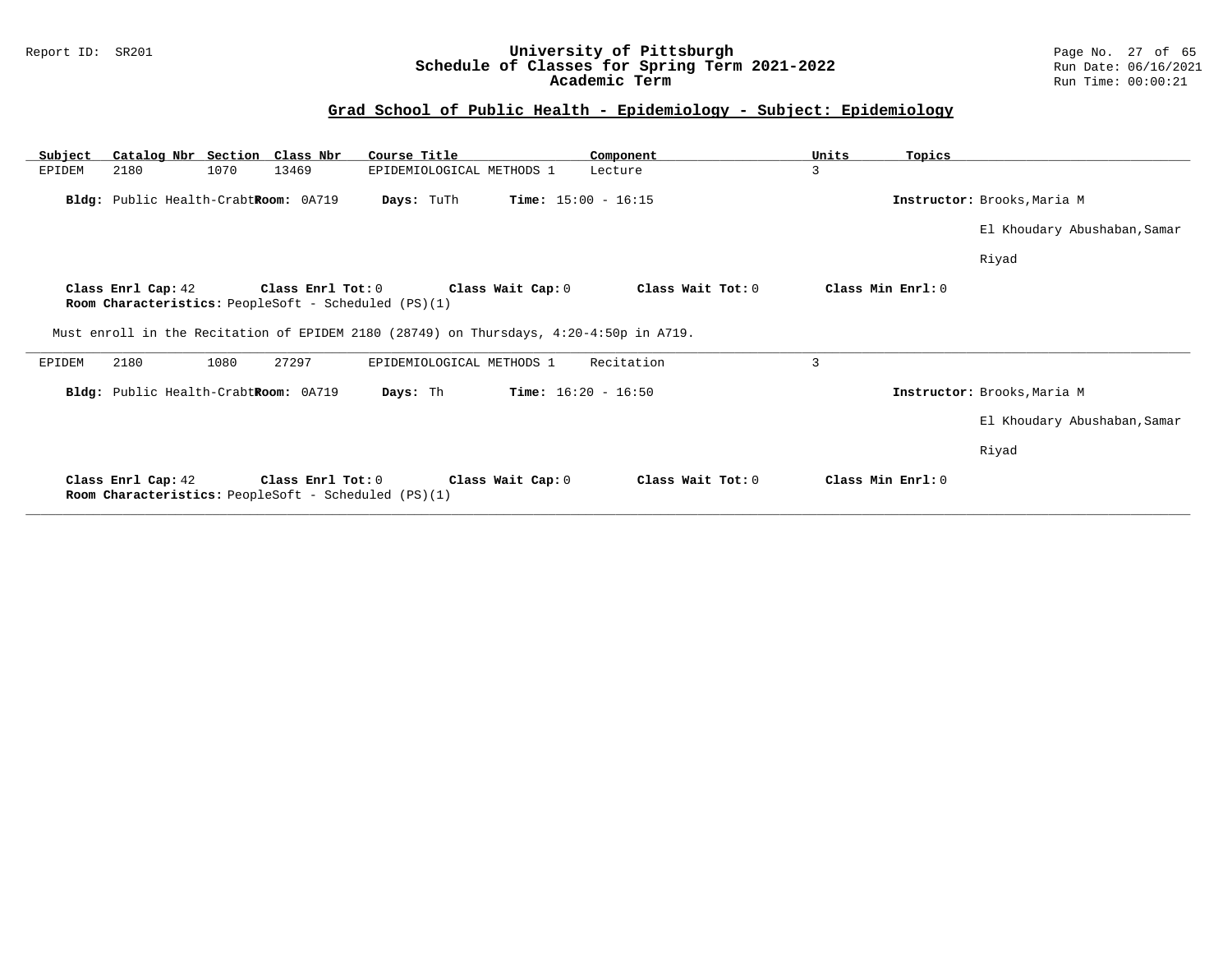#### Report ID: SR201 **University of Pittsburgh** Page No. 27 of 65 **Schedule of Classes for Spring Term 2021-2022** Run Date: 06/16/2021 **Academic Term** Run Time: 00:00:21

| Subject | Catalog Nbr Section Class Nbr        |      |                     | Course Title                                                                           | Component                    | Units | Topics            |                              |
|---------|--------------------------------------|------|---------------------|----------------------------------------------------------------------------------------|------------------------------|-------|-------------------|------------------------------|
| EPIDEM  | 2180                                 | 1070 | 13469               | EPIDEMIOLOGICAL METHODS 1                                                              | Lecture                      | 3     |                   |                              |
|         | Bldg: Public Health-CrabtRoom: 0A719 |      |                     | Days: TuTh                                                                             | <b>Time:</b> $15:00 - 16:15$ |       |                   | Instructor: Brooks, Maria M  |
|         |                                      |      |                     |                                                                                        |                              |       |                   | El Khoudary Abushaban, Samar |
|         |                                      |      |                     |                                                                                        |                              |       |                   | Riyad                        |
|         | Class Enrl Cap: 42                   |      | Class Enrl Tot: $0$ | Class Wait Cap: 0<br>Room Characteristics: PeopleSoft - Scheduled (PS)(1)              | Class Wait Tot: 0            |       | Class Min Enrl: 0 |                              |
|         |                                      |      |                     | Must enroll in the Recitation of EPIDEM 2180 (28749) on Thursdays, 4:20-4:50p in A719. |                              |       |                   |                              |
| EPIDEM  | 2180                                 | 1080 | 27297               | EPIDEMIOLOGICAL METHODS 1                                                              | Recitation                   | 3     |                   |                              |
|         | Bldg: Public Health-CrabtRoom: 0A719 |      |                     | Days: Th                                                                               | <b>Time:</b> $16:20 - 16:50$ |       |                   | Instructor: Brooks, Maria M  |
|         |                                      |      |                     |                                                                                        |                              |       |                   | El Khoudary Abushaban, Samar |
|         |                                      |      |                     |                                                                                        |                              |       |                   | Riyad                        |
|         | Class Enrl Cap: 42                   |      | Class Enrl Tot: 0   | Class Wait Cap: 0<br><b>Room Characteristics:</b> PeopleSoft - Scheduled (PS)(1)       | Class Wait Tot: 0            |       | Class Min Enrl: 0 |                              |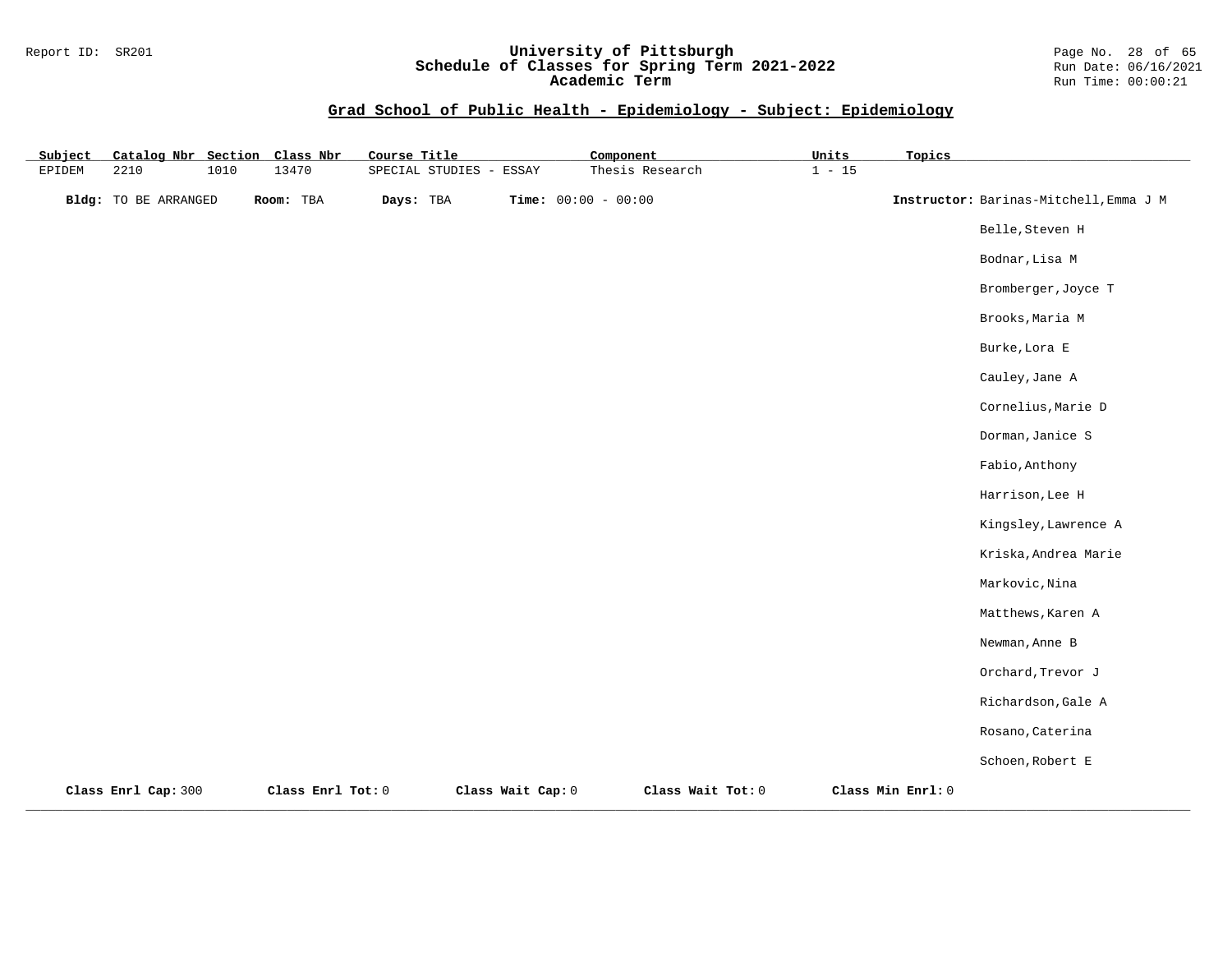#### Report ID: SR201 **University of Pittsburgh** Page No. 28 of 65 **Schedule of Classes for Spring Term 2021-2022** Run Date: 06/16/2021 **Academic Term** Run Time: 00:00:21

| Subject | Catalog Nbr Section Class Nbr |      |                   | Course Title |                         |                   | Component             |                   | Units    | Topics            |                                        |
|---------|-------------------------------|------|-------------------|--------------|-------------------------|-------------------|-----------------------|-------------------|----------|-------------------|----------------------------------------|
| EPIDEM  | 2210                          | 1010 | 13470             |              | SPECIAL STUDIES - ESSAY |                   |                       | Thesis Research   | $1 - 15$ |                   |                                        |
|         | Bldg: TO BE ARRANGED          |      | Room: TBA         | Days: TBA    |                         |                   | Time: $00:00 - 00:00$ |                   |          |                   | Instructor: Barinas-Mitchell, Emma J M |
|         |                               |      |                   |              |                         |                   |                       |                   |          |                   | Belle, Steven H                        |
|         |                               |      |                   |              |                         |                   |                       |                   |          |                   | Bodnar, Lisa M                         |
|         |                               |      |                   |              |                         |                   |                       |                   |          |                   | Bromberger, Joyce T                    |
|         |                               |      |                   |              |                         |                   |                       |                   |          |                   | Brooks, Maria M                        |
|         |                               |      |                   |              |                         |                   |                       |                   |          |                   | Burke, Lora E                          |
|         |                               |      |                   |              |                         |                   |                       |                   |          |                   | Cauley, Jane A                         |
|         |                               |      |                   |              |                         |                   |                       |                   |          |                   | Cornelius, Marie D                     |
|         |                               |      |                   |              |                         |                   |                       |                   |          |                   | Dorman, Janice S                       |
|         |                               |      |                   |              |                         |                   |                       |                   |          |                   | Fabio, Anthony                         |
|         |                               |      |                   |              |                         |                   |                       |                   |          |                   | Harrison, Lee H                        |
|         |                               |      |                   |              |                         |                   |                       |                   |          |                   | Kingsley, Lawrence A                   |
|         |                               |      |                   |              |                         |                   |                       |                   |          |                   | Kriska, Andrea Marie                   |
|         |                               |      |                   |              |                         |                   |                       |                   |          |                   | Markovic, Nina                         |
|         |                               |      |                   |              |                         |                   |                       |                   |          |                   | Matthews, Karen A                      |
|         |                               |      |                   |              |                         |                   |                       |                   |          |                   | Newman, Anne B                         |
|         |                               |      |                   |              |                         |                   |                       |                   |          |                   | Orchard, Trevor J                      |
|         |                               |      |                   |              |                         |                   |                       |                   |          |                   | Richardson, Gale A                     |
|         |                               |      |                   |              |                         |                   |                       |                   |          |                   | Rosano, Caterina                       |
|         |                               |      |                   |              |                         |                   |                       |                   |          |                   | Schoen, Robert E                       |
|         | Class Enrl Cap: 300           |      | Class Enrl Tot: 0 |              |                         | Class Wait Cap: 0 |                       | Class Wait Tot: 0 |          | Class Min Enrl: 0 |                                        |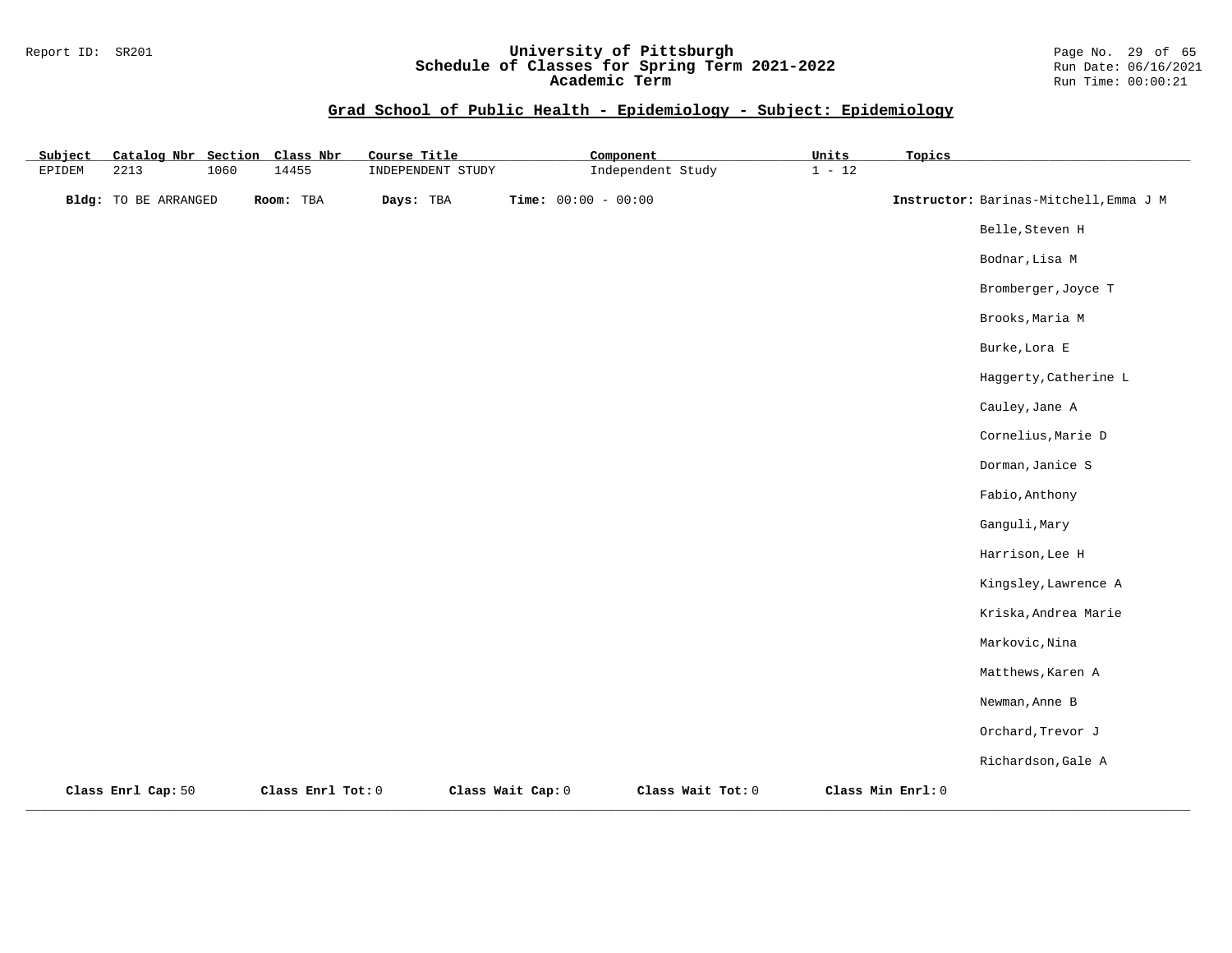#### Report ID: SR201 **University of Pittsburgh** Page No. 29 of 65 **Schedule of Classes for Spring Term 2021-2022** Run Date: 06/16/2021 **Academic Term** Run Time: 00:00:21

| Subject |                      |      | Catalog Nbr Section Class Nbr | Course Title      |                       | Component         | Units    | Topics            |                                        |
|---------|----------------------|------|-------------------------------|-------------------|-----------------------|-------------------|----------|-------------------|----------------------------------------|
| EPIDEM  | 2213                 | 1060 | 14455                         | INDEPENDENT STUDY |                       | Independent Study | $1 - 12$ |                   |                                        |
|         | Bldg: TO BE ARRANGED |      | Room: TBA                     | Days: TBA         | Time: $00:00 - 00:00$ |                   |          |                   | Instructor: Barinas-Mitchell, Emma J M |
|         |                      |      |                               |                   |                       |                   |          |                   | Belle, Steven H                        |
|         |                      |      |                               |                   |                       |                   |          |                   | Bodnar, Lisa M                         |
|         |                      |      |                               |                   |                       |                   |          |                   | Bromberger, Joyce T                    |
|         |                      |      |                               |                   |                       |                   |          |                   | Brooks, Maria M                        |
|         |                      |      |                               |                   |                       |                   |          |                   | Burke, Lora E                          |
|         |                      |      |                               |                   |                       |                   |          |                   | Haggerty, Catherine L                  |
|         |                      |      |                               |                   |                       |                   |          |                   | Cauley, Jane A                         |
|         |                      |      |                               |                   |                       |                   |          |                   | Cornelius, Marie D                     |
|         |                      |      |                               |                   |                       |                   |          |                   | Dorman, Janice S                       |
|         |                      |      |                               |                   |                       |                   |          |                   | Fabio, Anthony                         |
|         |                      |      |                               |                   |                       |                   |          |                   | Ganguli, Mary                          |
|         |                      |      |                               |                   |                       |                   |          |                   | Harrison, Lee H                        |
|         |                      |      |                               |                   |                       |                   |          |                   | Kingsley, Lawrence A                   |
|         |                      |      |                               |                   |                       |                   |          |                   | Kriska, Andrea Marie                   |
|         |                      |      |                               |                   |                       |                   |          |                   | Markovic, Nina                         |
|         |                      |      |                               |                   |                       |                   |          |                   | Matthews, Karen A                      |
|         |                      |      |                               |                   |                       |                   |          |                   | Newman, Anne B                         |
|         |                      |      |                               |                   |                       |                   |          |                   | Orchard, Trevor J                      |
|         |                      |      |                               |                   |                       |                   |          |                   | Richardson, Gale A                     |
|         | Class Enrl Cap: 50   |      | Class Enrl Tot: 0             |                   | Class Wait Cap: 0     | Class Wait Tot: 0 |          | Class Min Enrl: 0 |                                        |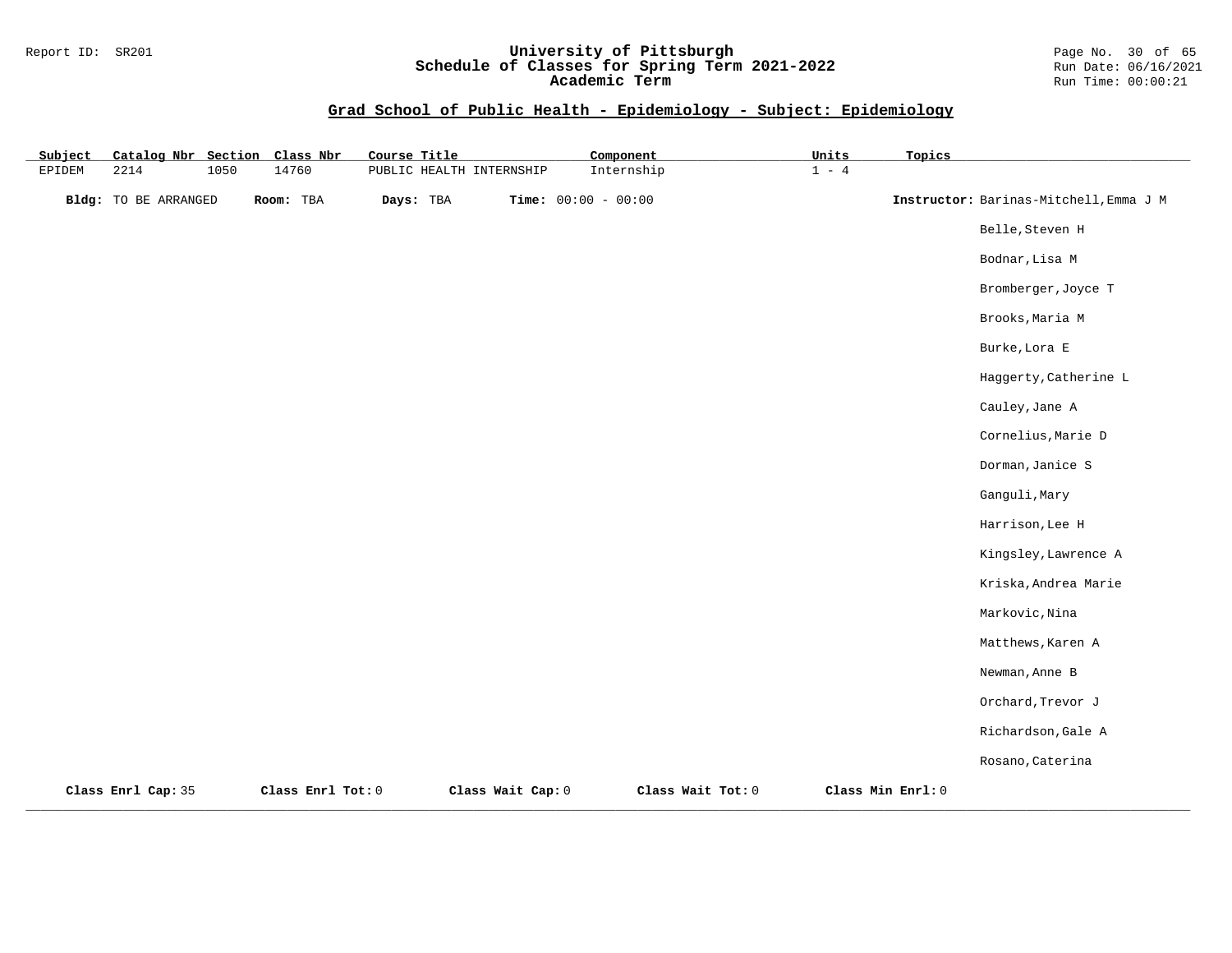#### Report ID: SR201 **University of Pittsburgh** Page No. 30 of 65 **Schedule of Classes for Spring Term 2021-2022** Run Date: 06/16/2021 **Academic Term** Run Time: 00:00:21

| Subject | Catalog Nbr Section Class Nbr |      |                   | Course Title |                          | Component             |                   | Units   | Topics            |                                        |
|---------|-------------------------------|------|-------------------|--------------|--------------------------|-----------------------|-------------------|---------|-------------------|----------------------------------------|
| EPIDEM  | 2214                          | 1050 | 14760             |              | PUBLIC HEALTH INTERNSHIP |                       | Internship        | $1 - 4$ |                   |                                        |
|         | <b>Bldg:</b> TO BE ARRANGED   |      | Room: TBA         | Days: TBA    |                          | Time: $00:00 - 00:00$ |                   |         |                   | Instructor: Barinas-Mitchell, Emma J M |
|         |                               |      |                   |              |                          |                       |                   |         |                   | Belle, Steven H                        |
|         |                               |      |                   |              |                          |                       |                   |         |                   | Bodnar, Lisa M                         |
|         |                               |      |                   |              |                          |                       |                   |         |                   | Bromberger, Joyce T                    |
|         |                               |      |                   |              |                          |                       |                   |         |                   | Brooks, Maria M                        |
|         |                               |      |                   |              |                          |                       |                   |         |                   | Burke, Lora E                          |
|         |                               |      |                   |              |                          |                       |                   |         |                   | Haggerty, Catherine L                  |
|         |                               |      |                   |              |                          |                       |                   |         |                   | Cauley, Jane A                         |
|         |                               |      |                   |              |                          |                       |                   |         |                   | Cornelius, Marie D                     |
|         |                               |      |                   |              |                          |                       |                   |         |                   | Dorman, Janice S                       |
|         |                               |      |                   |              |                          |                       |                   |         |                   | Ganguli, Mary                          |
|         |                               |      |                   |              |                          |                       |                   |         |                   | Harrison, Lee H                        |
|         |                               |      |                   |              |                          |                       |                   |         |                   | Kingsley, Lawrence A                   |
|         |                               |      |                   |              |                          |                       |                   |         |                   | Kriska, Andrea Marie                   |
|         |                               |      |                   |              |                          |                       |                   |         |                   | Markovic, Nina                         |
|         |                               |      |                   |              |                          |                       |                   |         |                   | Matthews, Karen A                      |
|         |                               |      |                   |              |                          |                       |                   |         |                   | Newman, Anne B                         |
|         |                               |      |                   |              |                          |                       |                   |         |                   | Orchard, Trevor J                      |
|         |                               |      |                   |              |                          |                       |                   |         |                   | Richardson, Gale A                     |
|         |                               |      |                   |              |                          |                       |                   |         |                   | Rosano, Caterina                       |
|         | Class Enrl Cap: 35            |      | Class Enrl Tot: 0 |              | Class Wait Cap: 0        |                       | Class Wait Tot: 0 |         | Class Min Enrl: 0 |                                        |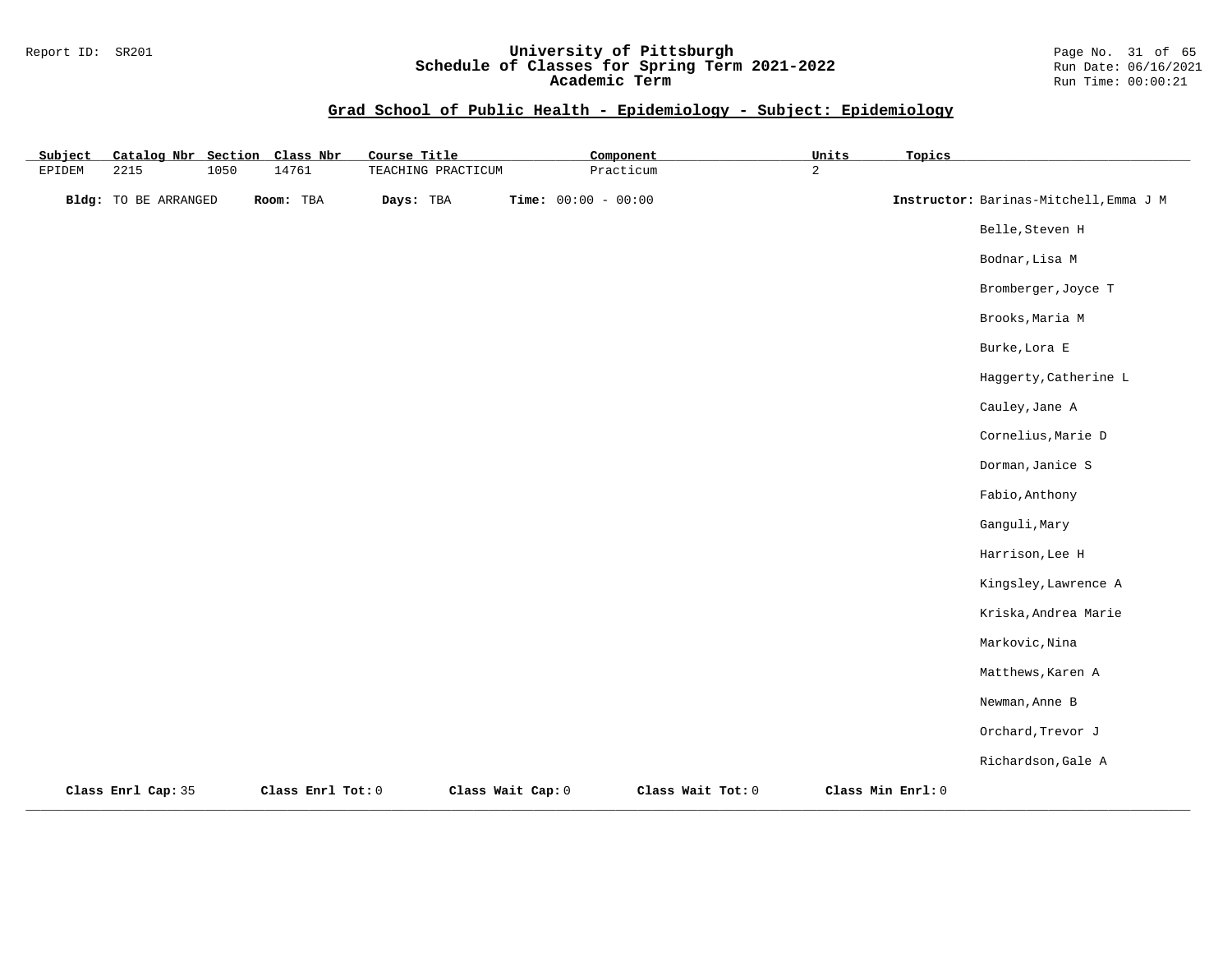#### Report ID: SR201 **University of Pittsburgh** Page No. 31 of 65 **Schedule of Classes for Spring Term 2021-2022** Run Date: 06/16/2021 **Academic Term** Run Time: 00:00:21

| Subject | Catalog Nbr Section         |      | Class Nbr         | Course Title       |                   | Component             |                   | Units          | Topics            |                                        |
|---------|-----------------------------|------|-------------------|--------------------|-------------------|-----------------------|-------------------|----------------|-------------------|----------------------------------------|
| EPIDEM  | 2215                        | 1050 | 14761             | TEACHING PRACTICUM |                   | Practicum             |                   | $\overline{a}$ |                   |                                        |
|         | <b>Bldg:</b> TO BE ARRANGED |      | Room: TBA         | Days: TBA          |                   | Time: $00:00 - 00:00$ |                   |                |                   | Instructor: Barinas-Mitchell, Emma J M |
|         |                             |      |                   |                    |                   |                       |                   |                |                   | Belle, Steven H                        |
|         |                             |      |                   |                    |                   |                       |                   |                |                   | Bodnar, Lisa M                         |
|         |                             |      |                   |                    |                   |                       |                   |                |                   | Bromberger, Joyce T                    |
|         |                             |      |                   |                    |                   |                       |                   |                |                   | Brooks, Maria M                        |
|         |                             |      |                   |                    |                   |                       |                   |                |                   | Burke, Lora E                          |
|         |                             |      |                   |                    |                   |                       |                   |                |                   | Haggerty, Catherine L                  |
|         |                             |      |                   |                    |                   |                       |                   |                |                   | Cauley, Jane A                         |
|         |                             |      |                   |                    |                   |                       |                   |                |                   | Cornelius, Marie D                     |
|         |                             |      |                   |                    |                   |                       |                   |                |                   | Dorman, Janice S                       |
|         |                             |      |                   |                    |                   |                       |                   |                |                   | Fabio, Anthony                         |
|         |                             |      |                   |                    |                   |                       |                   |                |                   | Ganguli, Mary                          |
|         |                             |      |                   |                    |                   |                       |                   |                |                   | Harrison, Lee H                        |
|         |                             |      |                   |                    |                   |                       |                   |                |                   | Kingsley, Lawrence A                   |
|         |                             |      |                   |                    |                   |                       |                   |                |                   | Kriska, Andrea Marie                   |
|         |                             |      |                   |                    |                   |                       |                   |                |                   | Markovic, Nina                         |
|         |                             |      |                   |                    |                   |                       |                   |                |                   | Matthews, Karen A                      |
|         |                             |      |                   |                    |                   |                       |                   |                |                   | Newman, Anne B                         |
|         |                             |      |                   |                    |                   |                       |                   |                |                   | Orchard, Trevor J                      |
|         |                             |      |                   |                    |                   |                       |                   |                |                   | Richardson, Gale A                     |
|         | Class Enrl Cap: 35          |      | Class Enrl Tot: 0 |                    | Class Wait Cap: 0 |                       | Class Wait Tot: 0 |                | Class Min Enrl: 0 |                                        |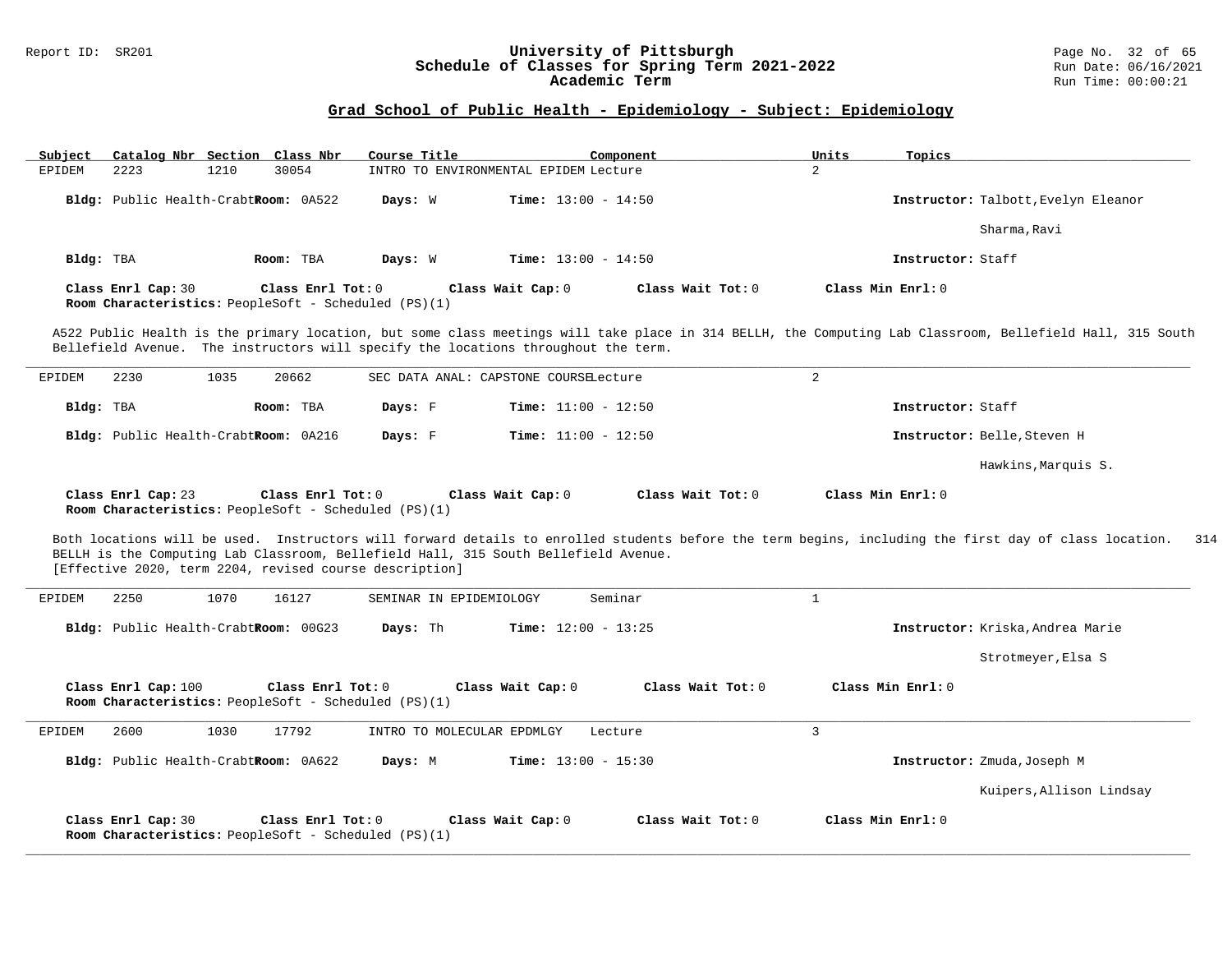# Report ID: SR201 **University of Pittsburgh University of Pittsburgh** Page No. 32 of 65<br>**Schedule of Classes for Spring Term 2021-2022** Run Date: 06/16/2021 Schedule of Classes for Spring Term 2021-2022<br>Academic Term

#### **Grad School of Public Health - Epidemiology - Subject: Epidemiology**

| Subject   | Catalog Nbr Section Class Nbr        |      |                   | Course Title                                                |                                                                                    | Component         | Units | Topics                                                                                                                                                    |
|-----------|--------------------------------------|------|-------------------|-------------------------------------------------------------|------------------------------------------------------------------------------------|-------------------|-------|-----------------------------------------------------------------------------------------------------------------------------------------------------------|
| EPIDEM    | 2223                                 | 1210 | 30054             |                                                             | INTRO TO ENVIRONMENTAL EPIDEM Lecture                                              |                   | 2     |                                                                                                                                                           |
|           | Bldg: Public Health-CrabtRoom: 0A522 |      |                   | Days: W                                                     | <b>Time:</b> $13:00 - 14:50$                                                       |                   |       | Instructor: Talbott, Evelyn Eleanor                                                                                                                       |
|           |                                      |      |                   |                                                             |                                                                                    |                   |       | Sharma, Ravi                                                                                                                                              |
| Bldg: TBA |                                      |      | Room: TBA         | Days: W                                                     | <b>Time:</b> $13:00 - 14:50$                                                       |                   |       | Instructor: Staff                                                                                                                                         |
|           | Class Enrl Cap: 30                   |      | Class Enrl Tot: 0 | <b>Room Characteristics:</b> PeopleSoft - Scheduled (PS)(1) | Class Wait Cap: 0                                                                  | Class Wait Tot: 0 |       | Class Min Enrl: 0                                                                                                                                         |
|           |                                      |      |                   |                                                             | Bellefield Avenue. The instructors will specify the locations throughout the term. |                   |       | A522 Public Health is the primary location, but some class meetings will take place in 314 BELLH, the Computing Lab Classroom, Bellefield Hall, 315 South |

| EPIDEM    | 2230                                 | 1035 | 20662     | SEC DATA ANAL: CAPSTONE COURSELecture |                              |                             |
|-----------|--------------------------------------|------|-----------|---------------------------------------|------------------------------|-----------------------------|
| Bldg: TBA |                                      |      | Room: TBA | Days: F                               | <b>Time:</b> $11:00 - 12:50$ | Instructor: Staff           |
|           | Bldg: Public Health-CrabtRoom: 0A216 |      |           | Days: F                               | <b>Time:</b> $11:00 - 12:50$ | Instructor: Belle, Steven H |
|           |                                      |      |           |                                       |                              | Hawkins, Marquis S.         |

**Class Enrl Cap:** 23 **Class Enrl Tot:** 0 **Class Wait Cap:** 0 **Class Wait Tot:** 0 **Class Min Enrl:** 0 **Room Characteristics:** PeopleSoft - Scheduled (PS)(1)

Both locations will be used. Instructors will forward details to enrolled students before the term begins, including the first day of class location. 314 BELLH is the Computing Lab Classroom, Bellefield Hall, 315 South Bellefield Avenue. [Effective 2020, term 2204, revised course description]

| 2250<br>EPIDEM      | 16127<br>1070                                                             | SEMINAR IN EPIDEMIOLOGY                  | Seminar           |                                  |
|---------------------|---------------------------------------------------------------------------|------------------------------------------|-------------------|----------------------------------|
|                     | Bldg: Public Health-CrabtRoom: 00G23                                      | <b>Time:</b> $12:00 - 13:25$<br>Days: Th |                   | Instructor: Kriska, Andrea Marie |
|                     |                                                                           |                                          |                   | Strotmeyer, Elsa S               |
| Class Enrl Cap: 100 | Class Enrl Tot: 0<br>Room Characteristics: PeopleSoft - Scheduled (PS)(1) | Class Wait Cap: 0                        | Class Wait Tot: 0 | Class Min Enrl: 0                |
| 2600<br>EPIDEM      | 17792<br>1030                                                             | INTRO TO MOLECULAR EPDMLGY               | Lecture           | 3                                |
|                     | Bldg: Public Health-CrabtRoom: 0A622                                      | <b>Time:</b> $13:00 - 15:30$<br>Days: M  |                   | Instructor: Zmuda, Joseph M      |
|                     |                                                                           |                                          |                   |                                  |
|                     |                                                                           |                                          |                   | Kuipers, Allison Lindsay         |

**\_\_\_\_\_\_\_\_\_\_\_\_\_\_\_\_\_\_\_\_\_\_\_\_\_\_\_\_\_\_\_\_\_\_\_\_\_\_\_\_\_\_\_\_\_\_\_\_\_\_\_\_\_\_\_\_\_\_\_\_\_\_\_\_\_\_\_\_\_\_\_\_\_\_\_\_\_\_\_\_\_\_\_\_\_\_\_\_\_\_\_\_\_\_\_\_\_\_\_\_\_\_\_\_\_\_\_\_\_\_\_\_\_\_\_\_\_\_\_\_\_\_\_\_\_\_\_\_\_\_\_\_\_\_\_\_\_\_\_\_\_\_\_\_\_\_\_\_\_\_\_\_\_\_\_\_**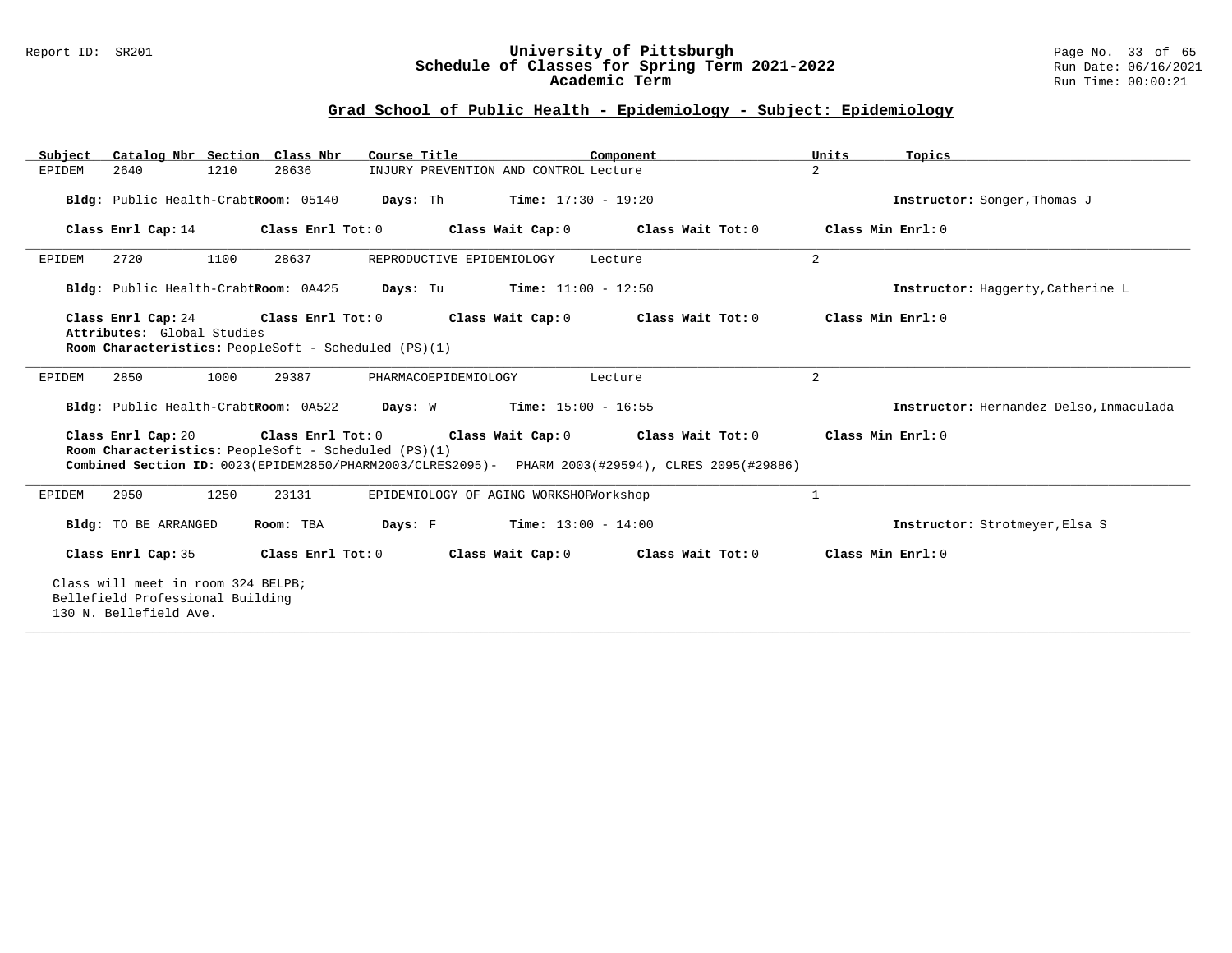#### Report ID: SR201 **University of Pittsburgh** Page No. 33 of 65 **Schedule of Classes for Spring Term 2021-2022** Run Date: 06/16/2021 **Academic Term** Run Time: 00:00:21

| Catalog Nbr Section Class Nbr<br>Subject | Course Title                                                                 | Component                                                                                                                                                                     | Units<br>Topics                         |  |  |  |  |  |  |
|------------------------------------------|------------------------------------------------------------------------------|-------------------------------------------------------------------------------------------------------------------------------------------------------------------------------|-----------------------------------------|--|--|--|--|--|--|
| 2640<br>1210<br>EPIDEM                   | 28636                                                                        | INJURY PREVENTION AND CONTROL Lecture                                                                                                                                         | $\overline{2}$                          |  |  |  |  |  |  |
|                                          | Bldg: Public Health-CrabtRoom: 05140 Days: Th Time: 17:30 - 19:20            |                                                                                                                                                                               | Instructor: Songer, Thomas J            |  |  |  |  |  |  |
|                                          |                                                                              | Class Enrl Cap: 14 Class Enrl Tot: 0 Class Wait Cap: 0 Class Wait Tot: 0 Class Min Enrl: 0                                                                                    |                                         |  |  |  |  |  |  |
| 1100<br>2720<br>EPIDEM                   | 28637<br>REPRODUCTIVE EPIDEMIOLOGY                                           | Lecture                                                                                                                                                                       | 2                                       |  |  |  |  |  |  |
|                                          | <b>Bldg:</b> Public Health-CrabtRoom: $0A425$ Days: Tu Time: $11:00 - 12:50$ |                                                                                                                                                                               | Instructor: Haggerty, Catherine L       |  |  |  |  |  |  |
| Attributes: Global Studies               |                                                                              | Class Enrl Cap: 24 Class Enrl Tot: 0 Class Wait Cap: 0 Class Wait Tot: 0                                                                                                      | Class Min Enrl: 0                       |  |  |  |  |  |  |
|                                          | Room Characteristics: PeopleSoft - Scheduled (PS)(1)                         |                                                                                                                                                                               |                                         |  |  |  |  |  |  |
| 1000<br>2850<br>EPIDEM                   | 29387<br>PHARMACOEPIDEMIOLOGY                                                | Lecture                                                                                                                                                                       | $\overline{2}$                          |  |  |  |  |  |  |
|                                          | Bldg: Public Health-CrabtRoom: 0A522 Days: W Time: 15:00 - 16:55             |                                                                                                                                                                               | Instructor: Hernandez Delso, Inmaculada |  |  |  |  |  |  |
|                                          | Room Characteristics: PeopleSoft - Scheduled (PS)(1)                         | Class Enrl Cap: 20 Class Enrl Tot: 0 Class Wait Cap: 0 Class Wait Tot: 0<br>Combined Section ID: 0023(EPIDEM2850/PHARM2003/CLRES2095)- PHARM 2003(#29594), CLRES 2095(#29886) | Class Min Enrl: 0                       |  |  |  |  |  |  |
| 1250<br>EPIDEM<br>2950                   | 23131                                                                        | EPIDEMIOLOGY OF AGING WORKSHOPWorkshop                                                                                                                                        | 1                                       |  |  |  |  |  |  |
| Bldg: TO BE ARRANGED                     | Room: TBA                                                                    | <b>Days:</b> $F$ <b>Time:</b> $13:00 - 14:00$                                                                                                                                 | Instructor: Strotmeyer, Elsa S          |  |  |  |  |  |  |
| Class Enrl Cap: 35                       |                                                                              | Class Enrl Tot: $0$ Class Wait Cap: $0$ Class Wait Tot: $0$ Class Min Enrl: $0$                                                                                               |                                         |  |  |  |  |  |  |
| 130 N. Bellefield Ave.                   | Class will meet in room 324 BELPB;<br>Bellefield Professional Building       |                                                                                                                                                                               |                                         |  |  |  |  |  |  |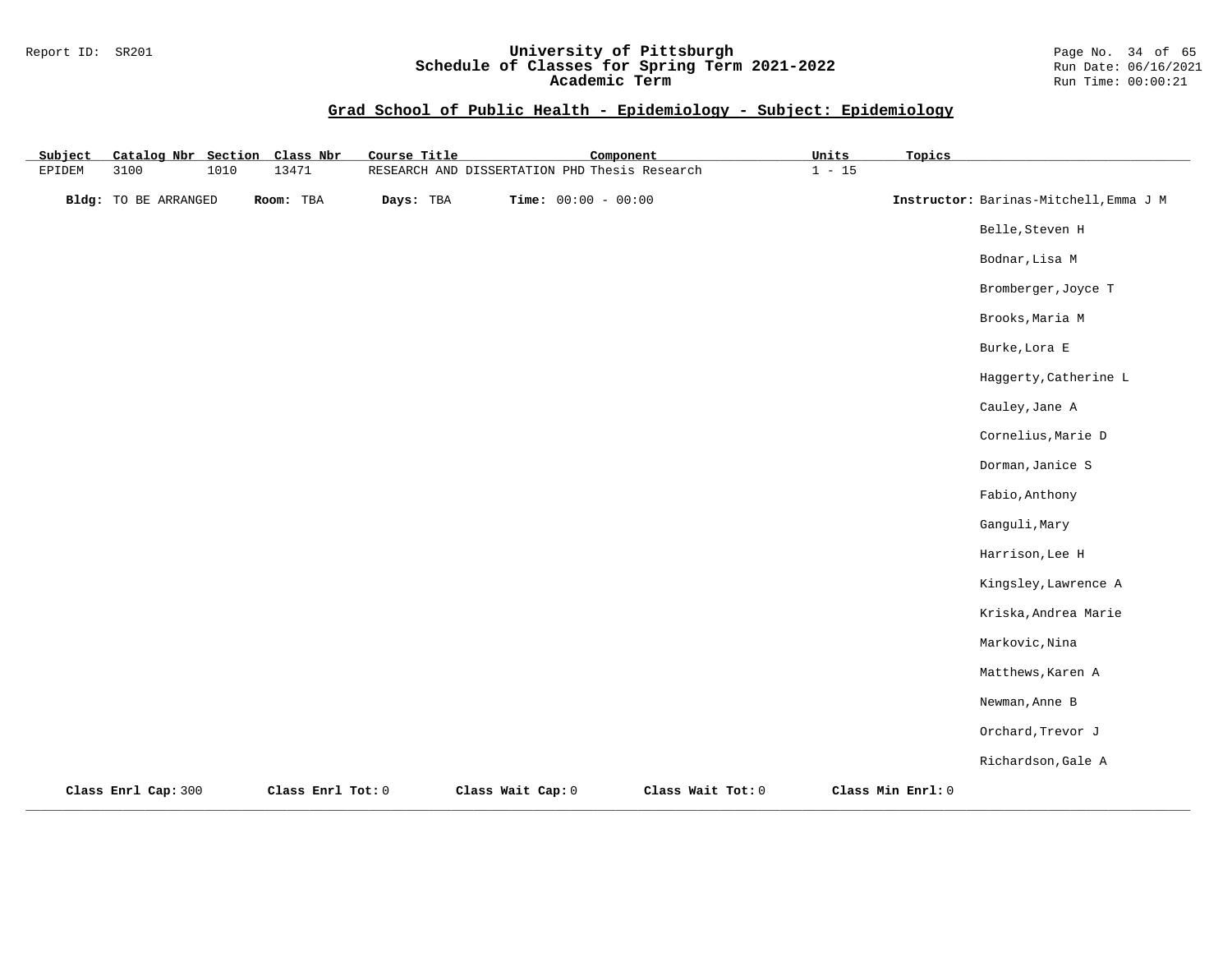#### Report ID: SR201 **University of Pittsburgh** Page No. 34 of 65 **Schedule of Classes for Spring Term 2021-2022** Run Date: 06/16/2021 **Academic Term** Run Time: 00:00:21

| Subject | Catalog Nbr Section Class Nbr |      |                   | Course Title | Component                                     |                   | Units    | Topics            |                                        |
|---------|-------------------------------|------|-------------------|--------------|-----------------------------------------------|-------------------|----------|-------------------|----------------------------------------|
| EPIDEM  | 3100                          | 1010 | 13471             |              | RESEARCH AND DISSERTATION PHD Thesis Research |                   | $1 - 15$ |                   |                                        |
|         | <b>Bldg:</b> TO BE ARRANGED   |      | Room: TBA         | Days: TBA    | Time: $00:00 - 00:00$                         |                   |          |                   | Instructor: Barinas-Mitchell, Emma J M |
|         |                               |      |                   |              |                                               |                   |          |                   | Belle, Steven H                        |
|         |                               |      |                   |              |                                               |                   |          |                   | Bodnar, Lisa M                         |
|         |                               |      |                   |              |                                               |                   |          |                   | Bromberger, Joyce T                    |
|         |                               |      |                   |              |                                               |                   |          |                   | Brooks, Maria M                        |
|         |                               |      |                   |              |                                               |                   |          |                   | Burke, Lora E                          |
|         |                               |      |                   |              |                                               |                   |          |                   | Haggerty, Catherine L                  |
|         |                               |      |                   |              |                                               |                   |          |                   | Cauley, Jane A                         |
|         |                               |      |                   |              |                                               |                   |          |                   | Cornelius, Marie D                     |
|         |                               |      |                   |              |                                               |                   |          |                   | Dorman, Janice S                       |
|         |                               |      |                   |              |                                               |                   |          |                   | Fabio, Anthony                         |
|         |                               |      |                   |              |                                               |                   |          |                   | Ganguli, Mary                          |
|         |                               |      |                   |              |                                               |                   |          |                   | Harrison, Lee H                        |
|         |                               |      |                   |              |                                               |                   |          |                   | Kingsley, Lawrence A                   |
|         |                               |      |                   |              |                                               |                   |          |                   | Kriska, Andrea Marie                   |
|         |                               |      |                   |              |                                               |                   |          |                   | Markovic, Nina                         |
|         |                               |      |                   |              |                                               |                   |          |                   | Matthews, Karen A                      |
|         |                               |      |                   |              |                                               |                   |          |                   | Newman, Anne B                         |
|         |                               |      |                   |              |                                               |                   |          |                   | Orchard, Trevor J                      |
|         |                               |      |                   |              |                                               |                   |          |                   | Richardson, Gale A                     |
|         | Class Enrl Cap: 300           |      | Class Enrl Tot: 0 |              | Class Wait Cap: 0                             | Class Wait Tot: 0 |          | Class Min Enrl: 0 |                                        |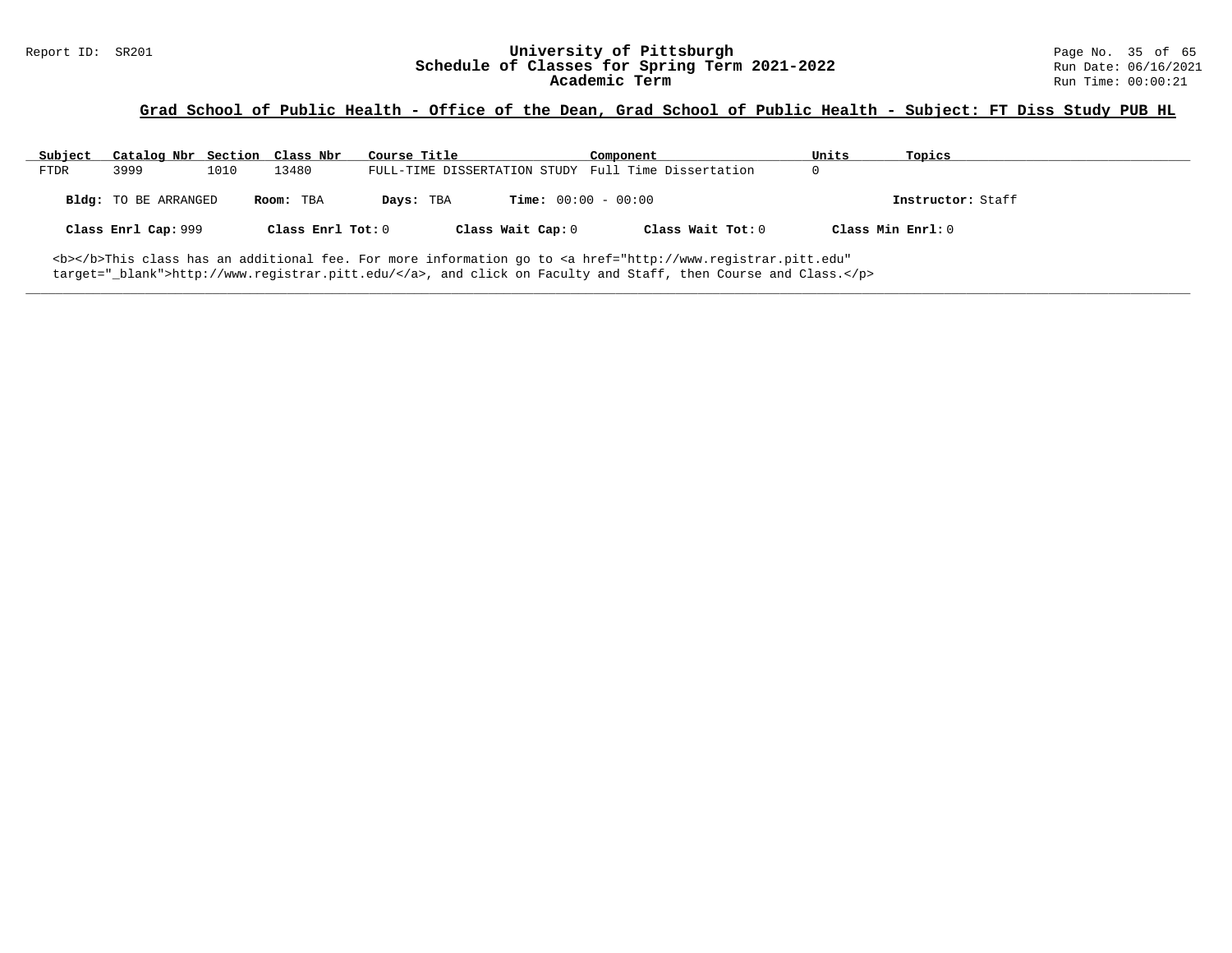# Report ID: SR201 **University of Pittsburgh University of Pittsburgh** Page No. 35 of 65<br>**Schedule of Classes for Spring Term 2021-2022** Run Date: 06/16/2021 Schedule of Classes for Spring Term 2021-2022<br>Academic Term

### **Grad School of Public Health - Office of the Dean, Grad School of Public Health - Subject: FT Diss Study PUB HL**

| Subject     | Catalog Nbr Section Class Nbr |      |                   | Course Title |                              | Component                                                                                                                                      | Units             | Topics            |
|-------------|-------------------------------|------|-------------------|--------------|------------------------------|------------------------------------------------------------------------------------------------------------------------------------------------|-------------------|-------------------|
| <b>FTDR</b> | 3999                          | 1010 | 13480             |              |                              | FULL-TIME DISSERTATION STUDY Full Time Dissertation                                                                                            |                   |                   |
|             | Bldg: TO BE ARRANGED          |      | Room: TBA         | Days: TBA    | <b>Time:</b> $00:00 - 00:00$ |                                                                                                                                                |                   | Instructor: Staff |
|             | Class Enrl Cap: 999           |      | Class Enrl Tot: 0 |              | Class Wait Cap: 0            | Class Wait Tot: 0                                                                                                                              | Class Min Enrl: 0 |                   |
|             |                               |      |                   |              |                              | <b></b> This class has an additional fee. For more information go to <a <="" href="http://www.registrar.pitt.edu" td=""><td></td><td></td></a> |                   |                   |

**\_\_\_\_\_\_\_\_\_\_\_\_\_\_\_\_\_\_\_\_\_\_\_\_\_\_\_\_\_\_\_\_\_\_\_\_\_\_\_\_\_\_\_\_\_\_\_\_\_\_\_\_\_\_\_\_\_\_\_\_\_\_\_\_\_\_\_\_\_\_\_\_\_\_\_\_\_\_\_\_\_\_\_\_\_\_\_\_\_\_\_\_\_\_\_\_\_\_\_\_\_\_\_\_\_\_\_\_\_\_\_\_\_\_\_\_\_\_\_\_\_\_\_\_\_\_\_\_\_\_\_\_\_\_\_\_\_\_\_\_\_\_\_\_\_\_\_\_\_\_\_\_\_\_\_\_**

target="\_blank">http://www.registrar.pitt.edu/</a>, and click on Faculty and Staff, then Course and Class.</p>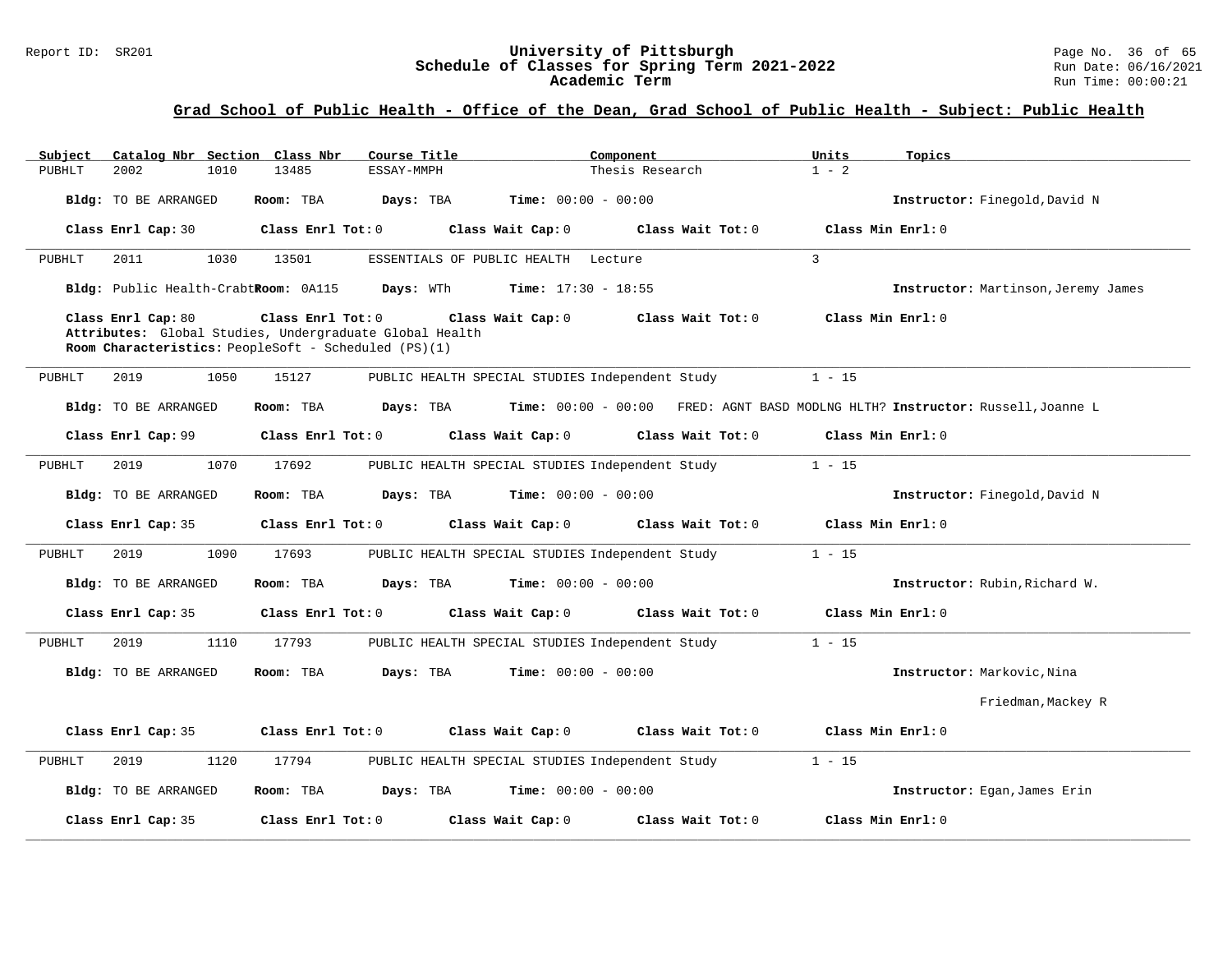#### Report ID: SR201 **University of Pittsburgh** Page No. 36 of 65 **Schedule of Classes for Spring Term 2021-2022** Run Date: 06/16/2021 **Academic Term** Run Time: 00:00:21

# **Grad School of Public Health - Office of the Dean, Grad School of Public Health - Subject: Public Health**

| Subject |                                      |      | Catalog Nbr Section Class Nbr                                                                                                        | Course Title |                                                 | Component       |                   | Units          | Topics                                                                         |
|---------|--------------------------------------|------|--------------------------------------------------------------------------------------------------------------------------------------|--------------|-------------------------------------------------|-----------------|-------------------|----------------|--------------------------------------------------------------------------------|
| PUBHLT  | 2002                                 | 1010 | 13485                                                                                                                                | ESSAY-MMPH   |                                                 | Thesis Research |                   | $1 - 2$        |                                                                                |
|         | Bldg: TO BE ARRANGED                 |      | Room: TBA                                                                                                                            | Days: TBA    | <b>Time:</b> $00:00 - 00:00$                    |                 |                   |                | Instructor: Finegold, David N                                                  |
|         | Class Enrl Cap: 30                   |      | Class Enrl Tot: 0                                                                                                                    |              | Class Wait Cap: 0                               |                 | Class Wait Tot: 0 |                | Class Min Enrl: 0                                                              |
| PUBHLT  | 2011                                 | 1030 | 13501                                                                                                                                |              | ESSENTIALS OF PUBLIC HEALTH Lecture             |                 |                   | $\overline{3}$ |                                                                                |
|         | Bldg: Public Health-CrabtRoom: 0A115 |      |                                                                                                                                      | Days: WTh    | <b>Time:</b> $17:30 - 18:55$                    |                 |                   |                | Instructor: Martinson, Jeremy James                                            |
|         | Class Enrl Cap: 80                   |      | Class Enrl Tot: 0<br>Attributes: Global Studies, Undergraduate Global Health<br>Room Characteristics: PeopleSoft - Scheduled (PS)(1) |              | Class Wait Cap: 0                               |                 | Class Wait Tot: 0 |                | Class Min Enrl: 0                                                              |
| PUBHLT  | 2019                                 | 1050 | 15127                                                                                                                                |              | PUBLIC HEALTH SPECIAL STUDIES Independent Study |                 |                   | $1 - 15$       |                                                                                |
|         | Bldg: TO BE ARRANGED                 |      | Room: TBA                                                                                                                            | Days: TBA    |                                                 |                 |                   |                | Time: 00:00 - 00:00 FRED: AGNT BASD MODLNG HLTH? Instructor: Russell, Joanne L |
|         | Class Enrl Cap: 99                   |      | Class Enrl Tot: 0                                                                                                                    |              | Class Wait Cap: 0                               |                 | Class Wait Tot: 0 |                | Class Min Enrl: 0                                                              |
| PUBHLT  | 2019                                 | 1070 | 17692                                                                                                                                |              | PUBLIC HEALTH SPECIAL STUDIES Independent Study |                 |                   | $1 - 15$       |                                                                                |
|         | <b>Bldg:</b> TO BE ARRANGED          |      | Room: TBA                                                                                                                            | Days: TBA    | <b>Time:</b> $00:00 - 00:00$                    |                 |                   |                | Instructor: Finegold, David N                                                  |
|         | Class Enrl Cap: 35                   |      | Class Enrl Tot: 0                                                                                                                    |              | Class Wait Cap: 0                               |                 | Class Wait Tot: 0 |                | Class Min Enrl: 0                                                              |
| PUBHLT  | 2019                                 | 1090 | 17693                                                                                                                                |              | PUBLIC HEALTH SPECIAL STUDIES Independent Study |                 |                   | $1 - 15$       |                                                                                |
|         | Bldg: TO BE ARRANGED                 |      | Room: TBA                                                                                                                            | Days: TBA    | <b>Time:</b> $00:00 - 00:00$                    |                 |                   |                | Instructor: Rubin, Richard W.                                                  |
|         | Class Enrl Cap: 35                   |      | Class Enrl Tot: 0                                                                                                                    |              | Class Wait Cap: 0                               |                 | Class Wait Tot: 0 |                | Class Min Enrl: 0                                                              |
| PUBHLT  | 2019                                 | 1110 | 17793                                                                                                                                |              | PUBLIC HEALTH SPECIAL STUDIES Independent Study |                 |                   | $1 - 15$       |                                                                                |
|         | Bldg: TO BE ARRANGED                 |      | Room: TBA                                                                                                                            | Days: TBA    | <b>Time:</b> $00:00 - 00:00$                    |                 |                   |                | Instructor: Markovic, Nina                                                     |
|         |                                      |      |                                                                                                                                      |              |                                                 |                 |                   |                | Friedman, Mackey R                                                             |
|         | Class Enrl Cap: 35                   |      | Class Enrl Tot: 0                                                                                                                    |              | Class Wait Cap: 0                               |                 | Class Wait Tot: 0 |                | Class Min Enrl: 0                                                              |
| PUBHLT  | 2019                                 | 1120 | 17794                                                                                                                                |              | PUBLIC HEALTH SPECIAL STUDIES Independent Study |                 |                   | $1 - 15$       |                                                                                |
|         | Bldg: TO BE ARRANGED                 |      | Room: TBA                                                                                                                            | Days: TBA    | <b>Time:</b> $00:00 - 00:00$                    |                 |                   |                | Instructor: Egan, James Erin                                                   |
|         | Class Enrl Cap: 35                   |      | Class Enrl Tot: 0                                                                                                                    |              | Class Wait Cap: 0                               |                 | Class Wait Tot: 0 |                | Class Min Enrl: 0                                                              |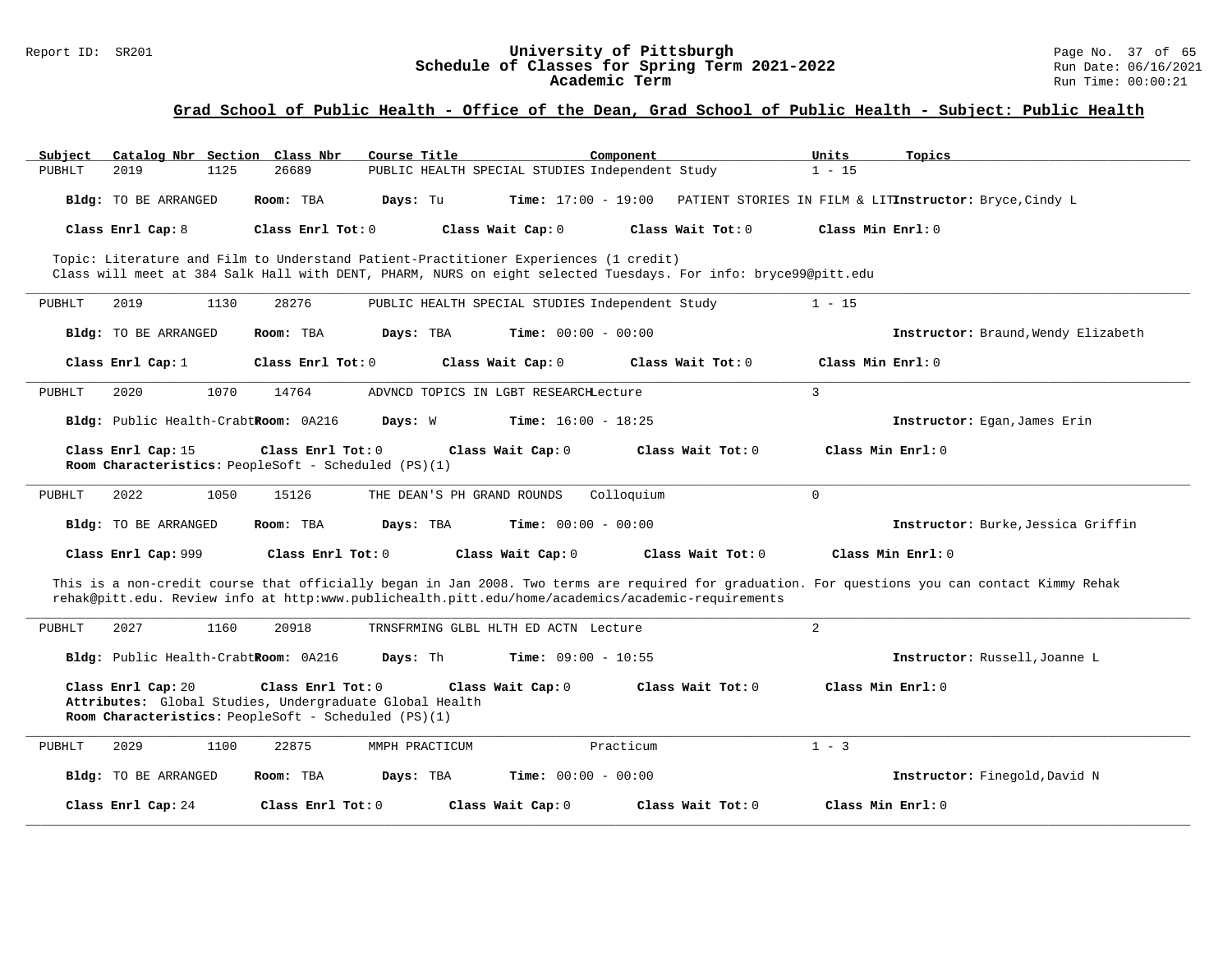#### Report ID: SR201 **University of Pittsburgh** Page No. 37 of 65 **Schedule of Classes for Spring Term 2021-2022** Run Date: 06/16/2021 **Academic Term** Run Time: 00:00:21

# **Grad School of Public Health - Office of the Dean, Grad School of Public Health - Subject: Public Health**

| Catalog Nbr Section Class Nbr<br>Subject | Course Title                                                                                                                                                                                                                                          | Component           | Units<br>Topics                                         |
|------------------------------------------|-------------------------------------------------------------------------------------------------------------------------------------------------------------------------------------------------------------------------------------------------------|---------------------|---------------------------------------------------------|
| 2019<br>PUBHLT<br>1125                   | 26689<br>PUBLIC HEALTH SPECIAL STUDIES Independent Study                                                                                                                                                                                              |                     | $1 - 15$                                                |
| <b>Bldg:</b> TO BE ARRANGED              | <b>Time:</b> $17:00 - 19:00$<br>Room: TBA<br>Days: Tu                                                                                                                                                                                                 |                     | PATIENT STORIES IN FILM & LITInstructor: Bryce, Cindy L |
| Class Enrl Cap: 8                        | Class Wait Cap: 0<br>Class Enrl Tot: 0                                                                                                                                                                                                                | Class Wait Tot: 0   | Class Min Enrl: 0                                       |
|                                          | Topic: Literature and Film to Understand Patient-Practitioner Experiences (1 credit)<br>Class will meet at 384 Salk Hall with DENT, PHARM, NURS on eight selected Tuesdays. For info: bryce99@pitt.edu                                                |                     |                                                         |
| PUBHLT<br>2019<br>1130                   | 28276<br>PUBLIC HEALTH SPECIAL STUDIES Independent Study                                                                                                                                                                                              |                     | $1 - 15$                                                |
| <b>Bldg:</b> TO BE ARRANGED              | Room: TBA<br>Days: TBA<br><b>Time:</b> $00:00 - 00:00$                                                                                                                                                                                                |                     | Instructor: Braund, Wendy Elizabeth                     |
| Class Enrl Cap: 1                        | Class Enrl Tot: 0<br>Class Wait Cap: 0                                                                                                                                                                                                                | Class Wait Tot: 0   | Class Min Enrl: 0                                       |
| 2020<br>1070<br>PUBHLT                   | 14764<br>ADVNCD TOPICS IN LGBT RESEARCHLecture                                                                                                                                                                                                        |                     | 3                                                       |
| Bldg: Public Health-CrabtRoom: 0A216     | Days: W<br><b>Time:</b> $16:00 - 18:25$                                                                                                                                                                                                               |                     | Instructor: Egan, James Erin                            |
| Class Enrl Cap: 15                       | Class Enrl Tot: 0<br>Class Wait Cap: 0<br>Room Characteristics: PeopleSoft - Scheduled (PS)(1)                                                                                                                                                        | Class Wait Tot: 0   | Class Min $Enrl: 0$                                     |
| PUBHLT<br>2022<br>1050                   | 15126<br>THE DEAN'S PH GRAND ROUNDS                                                                                                                                                                                                                   | Colloquium          | $\mathbf 0$                                             |
| <b>Bldg:</b> TO BE ARRANGED              | Days: TBA<br><b>Time:</b> $00:00 - 00:00$<br>Room: TBA                                                                                                                                                                                                |                     | Instructor: Burke, Jessica Griffin                      |
| Class Enrl Cap: 999                      | Class Enrl Tot: 0<br>Class Wait Cap: 0                                                                                                                                                                                                                | Class Wait Tot: 0   | Class Min Enrl: 0                                       |
|                                          | This is a non-credit course that officially began in Jan 2008. Two terms are required for graduation. For questions you can contact Kimmy Rehak<br>rehak@pitt.edu. Review info at http:www.publichealth.pitt.edu/home/academics/academic-requirements |                     |                                                         |
| 2027<br>1160<br>PUBHLT                   | 20918<br>TRNSFRMING GLBL HLTH ED ACTN Lecture                                                                                                                                                                                                         |                     | $\overline{2}$                                          |
| Bldg: Public Health-CrabtRoom: 0A216     | Days: Th<br><b>Time:</b> $09:00 - 10:55$                                                                                                                                                                                                              |                     | Instructor: Russell, Joanne L                           |
| Class Enrl Cap: 20                       | Class Enrl Tot: 0<br>Class Wait Cap: 0<br>Attributes: Global Studies, Undergraduate Global Health<br>Room Characteristics: PeopleSoft - Scheduled (PS)(1)                                                                                             | Class Wait Tot: 0   | Class Min Enrl: 0                                       |
| PUBHLT<br>2029<br>1100                   | 22875<br>MMPH PRACTICUM                                                                                                                                                                                                                               | Practicum           | $1 - 3$                                                 |
| Bldg: TO BE ARRANGED                     | <b>Time:</b> $00:00 - 00:00$<br>Room: TBA<br>Days: TBA                                                                                                                                                                                                |                     | Instructor: Finegold, David N                           |
| Class Enrl Cap: 24                       | $Class$ $Enr1$ $Tot: 0$<br>Class Wait Cap: 0                                                                                                                                                                                                          | Class Wait $Tot: 0$ | Class Min Enrl: 0                                       |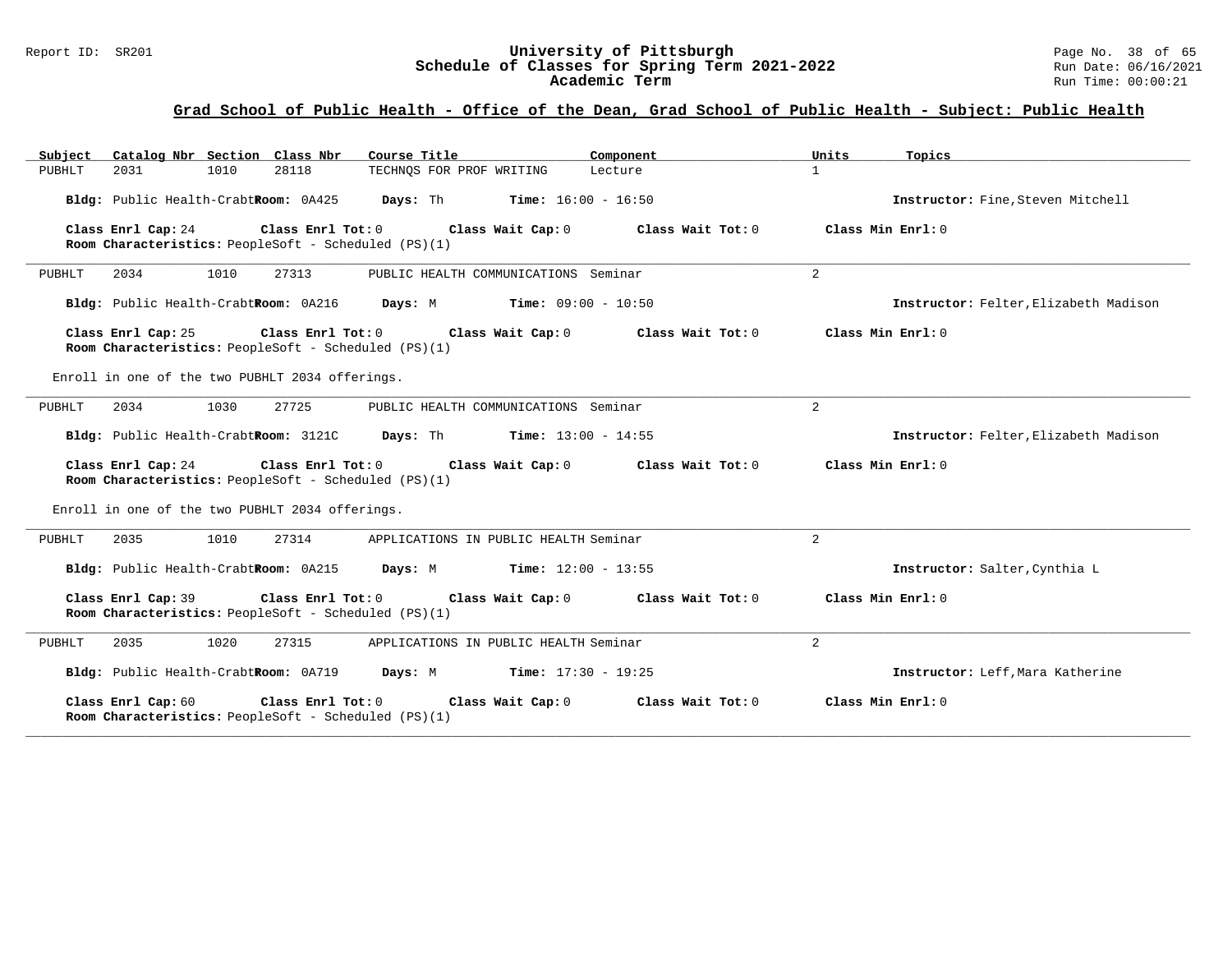#### Report ID: SR201 **University of Pittsburgh** Page No. 38 of 65 **Schedule of Classes for Spring Term 2021-2022** Run Date: 06/16/2021 **Academic Term** Run Time: 00:00:21

# **Grad School of Public Health - Office of the Dean, Grad School of Public Health - Subject: Public Health**

| Catalog Nbr Section Class Nbr<br>Subject                                                              | Course Title                                 | Component         | Units               | Topics                                |
|-------------------------------------------------------------------------------------------------------|----------------------------------------------|-------------------|---------------------|---------------------------------------|
| 2031<br>1010<br>28118<br>PUBHLT                                                                       | TECHNOS FOR PROF WRITING                     | Lecture           | $\mathbf{1}$        |                                       |
| Bldg: Public Health-CrabtRoom: 0A425                                                                  | Davs: Th<br><b>Time:</b> $16:00 - 16:50$     |                   |                     | Instructor: Fine, Steven Mitchell     |
| Class Enrl Cap: 24<br>$Class$ $Enrl$ $Tot: 0$<br>Room Characteristics: PeopleSoft - Scheduled (PS)(1) | Class Wait Cap: 0                            | Class Wait Tot: 0 | Class Min Enrl: 0   |                                       |
| 2034<br>1010<br>27313<br>PUBHLT                                                                       | PUBLIC HEALTH COMMUNICATIONS Seminar         |                   | $\overline{a}$      |                                       |
| Bldg: Public Health-CrabtRoom: 0A216                                                                  | Days: M<br>$Time: 09:00 - 10:50$             |                   |                     | Instructor: Felter, Elizabeth Madison |
| Class Enrl Cap: 25<br>Class Enrl Tot: $0$<br>Room Characteristics: PeopleSoft - Scheduled (PS)(1)     | Class Wait Cap: 0                            | Class Wait Tot: 0 | Class Min $Err1:0$  |                                       |
| Enroll in one of the two PUBHLT 2034 offerings.                                                       |                                              |                   |                     |                                       |
| 2034<br>1030<br>27725<br>PUBHLT                                                                       | PUBLIC HEALTH COMMUNICATIONS Seminar         |                   | 2                   |                                       |
| Bldg: Public Health-CrabtRoom: 3121C                                                                  | <b>Days:</b> Th <b>Time:</b> $13:00 - 14:55$ |                   |                     | Instructor: Felter, Elizabeth Madison |
| Class Enrl Tot: 0<br>Class Enrl Cap: 24<br>Room Characteristics: PeopleSoft - Scheduled (PS)(1)       | Class Wait Cap: 0                            | Class Wait Tot: 0 | Class Min Enrl: 0   |                                       |
| Enroll in one of the two PUBHLT 2034 offerings.                                                       |                                              |                   |                     |                                       |
| 2035<br>1010<br>27314<br>PUBHLT                                                                       | APPLICATIONS IN PUBLIC HEALTH Seminar        |                   | $\overline{2}$      |                                       |
| Bldg: Public Health-CrabtRoom: 0A215                                                                  | <b>Time:</b> $12:00 - 13:55$<br>Days: M      |                   |                     | Instructor: Salter, Cynthia L         |
| Class Enrl Cap: 39<br>Class Enrl Tot: 0<br>Room Characteristics: PeopleSoft - Scheduled (PS)(1)       | Class Wait Cap: 0                            | Class Wait Tot: 0 | Class Min $Enrl: 0$ |                                       |
| 2035<br>1020<br>27315<br>PUBHLT                                                                       | APPLICATIONS IN PUBLIC HEALTH Seminar        |                   | $\overline{2}$      |                                       |
| Bldg: Public Health-CrabtRoom: 0A719                                                                  | $Time: 17:30 - 19:25$<br>Days: M             |                   |                     | Instructor: Leff, Mara Katherine      |
| Class Enrl Cap: 60<br>Class Enrl Tot: 0<br>Room Characteristics: PeopleSoft - Scheduled (PS)(1)       | Class Wait Cap: 0                            | Class Wait Tot: 0 | Class Min $Enrl: 0$ |                                       |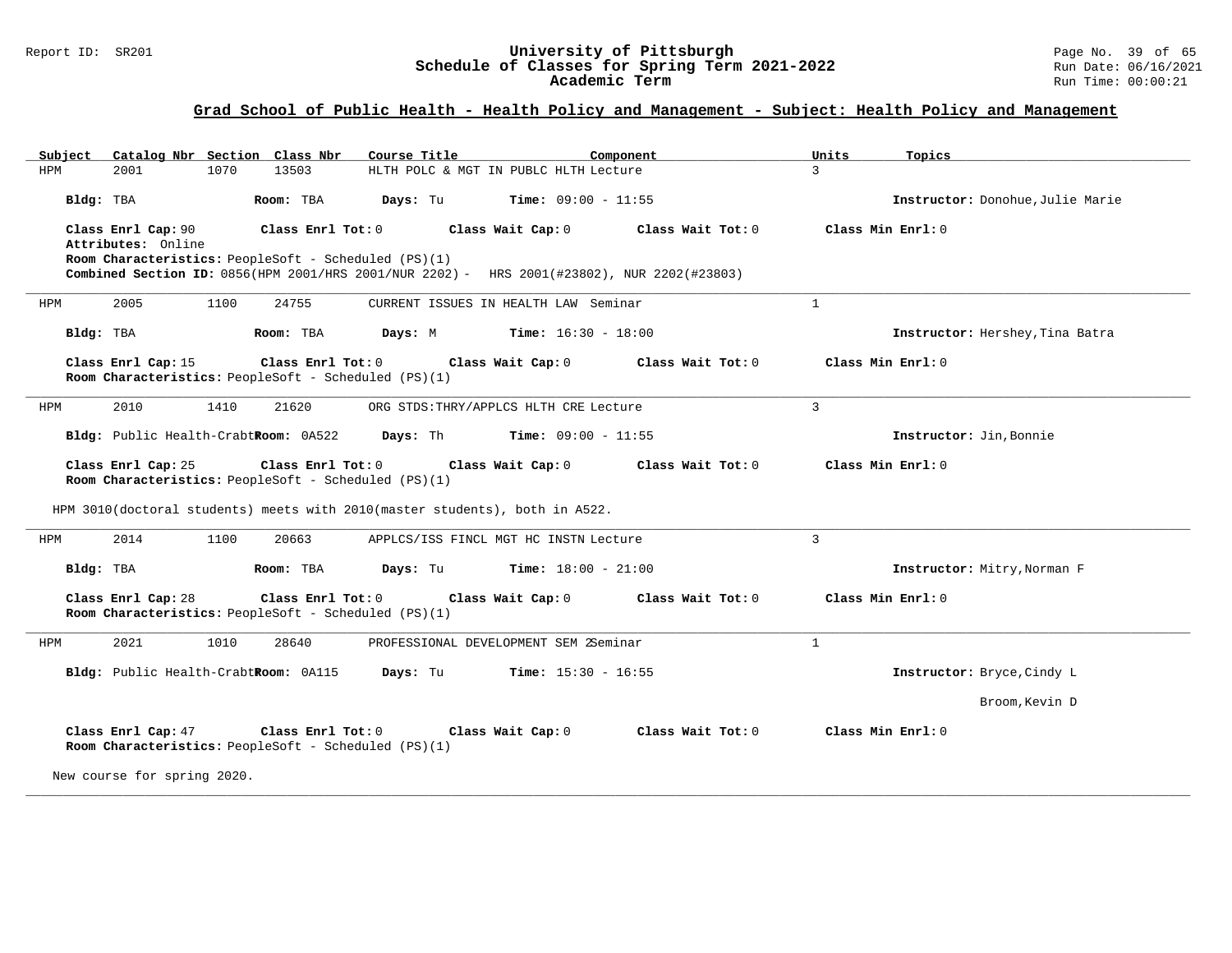#### Report ID: SR201 **University of Pittsburgh** Page No. 39 of 65 **Schedule of Classes for Spring Term 2021-2022** Run Date: 06/16/2021 **Academic Term** Run Time: 00:00:21

| Catalog Nbr Section Class Nbr<br>Subject                                                                                                                                                                            | Course Title                             | Component         | Units<br>Topics                  |
|---------------------------------------------------------------------------------------------------------------------------------------------------------------------------------------------------------------------|------------------------------------------|-------------------|----------------------------------|
| 2001<br>1070<br>13503<br>HPM                                                                                                                                                                                        | HLTH POLC & MGT IN PUBLC HLTH Lecture    |                   | $\mathcal{L}$                    |
| Bldg: TBA<br>Room: TBA                                                                                                                                                                                              | Days: Tu<br><b>Time:</b> $09:00 - 11:55$ |                   | Instructor: Donohue, Julie Marie |
| Class Enrl Cap: 90<br>Class Enrl Tot: 0<br>Attributes: Online<br>Room Characteristics: PeopleSoft - Scheduled (PS)(1)<br>Combined Section ID: 0856(HPM 2001/HRS 2001/NUR 2202) - HRS 2001(#23802), NUR 2202(#23803) | Class Wait Cap: 0                        | Class Wait Tot: 0 | Class Min Enrl: 0                |
| 24755<br>2005<br>1100<br>HPM                                                                                                                                                                                        | CURRENT ISSUES IN HEALTH LAW Seminar     |                   | $\mathbf{1}$                     |
| Bldg: TBA<br>Room: TBA                                                                                                                                                                                              | Days: M<br><b>Time:</b> $16:30 - 18:00$  |                   | Instructor: Hershey, Tina Batra  |
| Class Enrl Tot: 0<br>Class Enrl Cap: 15<br>Room Characteristics: PeopleSoft - Scheduled (PS)(1)                                                                                                                     | Class Wait Cap: 0                        | Class Wait Tot: 0 | Class Min Enrl: 0                |
| 2010<br>1410<br>21620<br>HPM                                                                                                                                                                                        | ORG STDS: THRY/APPLCS HLTH CRE Lecture   |                   | $\overline{3}$                   |
| Bldg: Public Health-CrabtRoom: 0A522                                                                                                                                                                                | Days: Th<br><b>Time:</b> $09:00 - 11:55$ |                   | Instructor: Jin, Bonnie          |
| Class Enrl Cap: 25<br>Class Enrl Tot: 0<br>Room Characteristics: PeopleSoft - Scheduled (PS)(1)<br>HPM 3010(doctoral students) meets with 2010(master students), both in A522.                                      | Class Wait Cap: 0                        | Class Wait Tot: 0 | Class Min Enrl: 0                |
| 2014<br>1100<br>20663<br>HPM                                                                                                                                                                                        | APPLCS/ISS FINCL MGT HC INSTN Lecture    |                   | $\mathcal{L}$                    |
| Bldg: TBA<br>Room: TBA                                                                                                                                                                                              | <b>Time:</b> $18:00 - 21:00$<br>Days: Tu |                   | Instructor: Mitry, Norman F      |
| Class Enrl Cap: 28<br>Class Enrl Tot: 0<br>Room Characteristics: PeopleSoft - Scheduled (PS)(1)                                                                                                                     | Class Wait Cap: 0                        | Class Wait Tot: 0 | Class Min Enrl: 0                |
| 2021<br>1010<br>28640<br>HPM                                                                                                                                                                                        | PROFESSIONAL DEVELOPMENT SEM 2Seminar    |                   | $\mathbf{1}$                     |
| Bldg: Public Health-CrabtRoom: 0A115                                                                                                                                                                                | Time: $15:30 - 16:55$<br>Days: Tu        |                   | Instructor: Bryce, Cindy L       |
|                                                                                                                                                                                                                     |                                          |                   | Broom, Kevin D                   |
| Class Enrl Cap: 47<br>Class Enrl Tot: 0<br>Room Characteristics: PeopleSoft - Scheduled (PS)(1)                                                                                                                     | Class Wait Cap: 0                        | Class Wait Tot: 0 | Class Min Enrl: 0                |
| New course for spring 2020.                                                                                                                                                                                         |                                          |                   |                                  |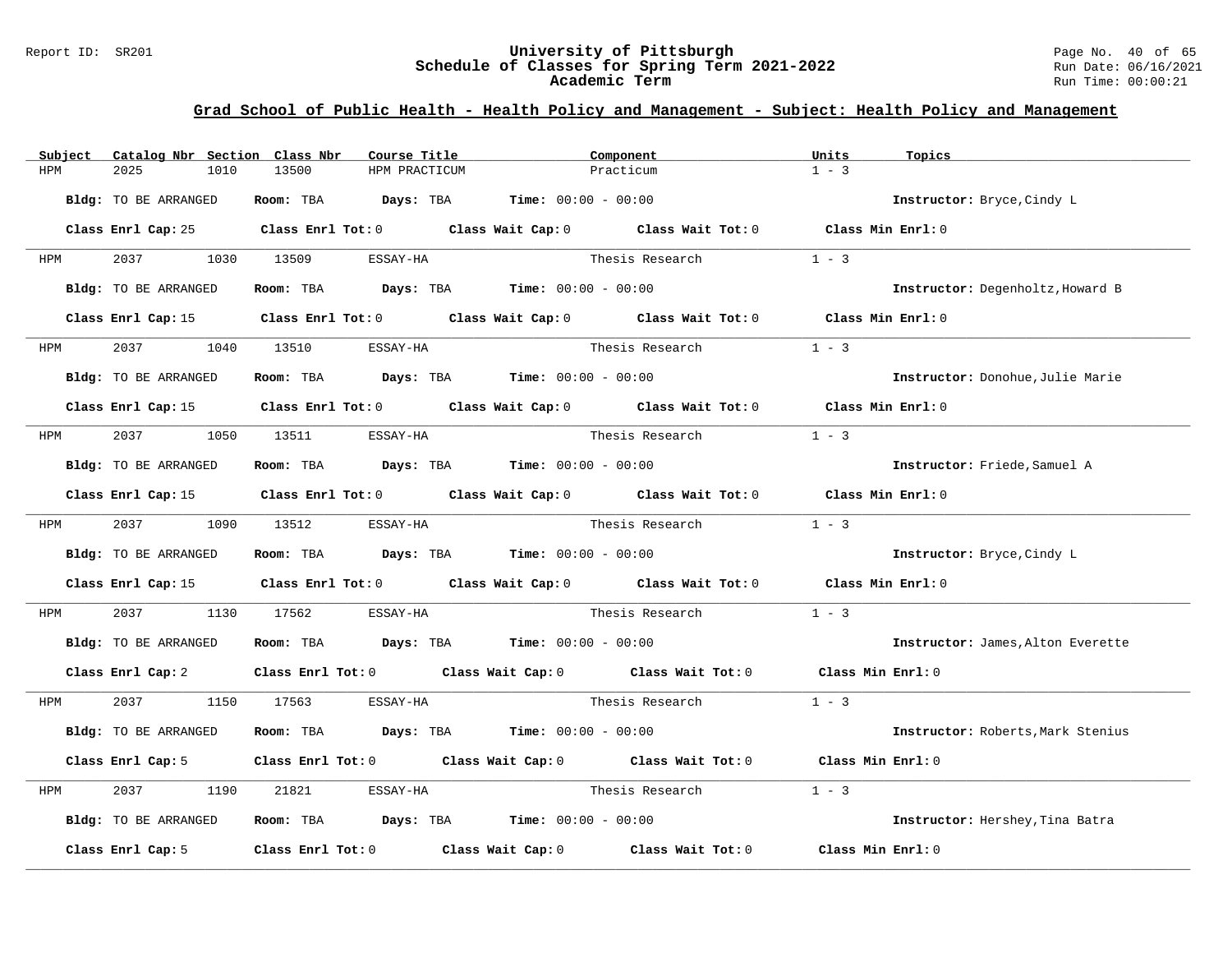#### Report ID: SR201 **University of Pittsburgh** Page No. 40 of 65 **Schedule of Classes for Spring Term 2021-2022** Run Date: 06/16/2021 **Academic Term** Run Time: 00:00:21

| Subject | Catalog Nbr Section Class Nbr | Course Title                                                                                        | Component                                     |                 | Units             | Topics                            |
|---------|-------------------------------|-----------------------------------------------------------------------------------------------------|-----------------------------------------------|-----------------|-------------------|-----------------------------------|
| HPM     | 2025<br>1010                  | 13500<br>HPM PRACTICUM                                                                              | Practicum                                     |                 | $1 - 3$           |                                   |
|         | Bldg: TO BE ARRANGED          | Room: TBA $Days: TBA$ Time: $00:00 - 00:00$                                                         |                                               |                 |                   | Instructor: Bryce, Cindy L        |
|         |                               | Class Enrl Cap: 25 Class Enrl Tot: 0 Class Wait Cap: 0 Class Wait Tot: 0 Class Min Enrl: 0          |                                               |                 |                   |                                   |
| HPM     | 2037                          | 1030 13509<br>ESSAY-HA                                                                              |                                               | Thesis Research | $1 - 3$           |                                   |
|         | Bldg: TO BE ARRANGED          | Room: TBA $Days:$ TBA $Time: 00:00 - 00:00$                                                         |                                               |                 |                   | Instructor: Degenholtz, Howard B  |
|         |                               | Class Enrl Cap: 15 Class Enrl Tot: 0 Class Wait Cap: 0 Class Wait Tot: 0 Class Min Enrl: 0          |                                               |                 |                   |                                   |
| HPM     | 2037                          | 1040 13510<br>ESSAY-HA                                                                              |                                               | Thesis Research | $1 - 3$           |                                   |
|         | Bldg: TO BE ARRANGED          | Room: TBA $Days:$ TBA $Time: 00:00 - 00:00$                                                         |                                               |                 |                   | Instructor: Donohue, Julie Marie  |
|         |                               | Class Enrl Cap: 15 Class Enrl Tot: 0 Class Wait Cap: 0 Class Wait Tot: 0 Class Min Enrl: 0          |                                               |                 |                   |                                   |
| HPM     | 2037                          | 1050 13511<br>ESSAY-HA                                                                              |                                               | Thesis Research | $1 - 3$           |                                   |
|         | Bldg: TO BE ARRANGED          | Room: TBA $Days: TBA$ Time: $00:00 - 00:00$                                                         |                                               |                 |                   | Instructor: Friede, Samuel A      |
|         |                               | Class Enrl Cap: 15 (class Enrl Tot: 0 (class Wait Cap: 0 (class Wait Tot: 0 (class Min Enrl: 0)     |                                               |                 |                   |                                   |
| HPM     | 2037                          | 1090 13512<br>ESSAY-HA                                                                              |                                               | Thesis Research | $1 - 3$           |                                   |
|         | Bldg: TO BE ARRANGED          | Room: TBA $\rule{1em}{0.15mm}$ Days: TBA $\rule{1.5mm}{0.15mm}$ Time: $00:00 - 00:00$               |                                               |                 |                   | Instructor: Bryce, Cindy L        |
|         |                               | Class Enrl Cap: 15 $\qquad$ Class Enrl Tot: 0 $\qquad$ Class Wait Cap: 0 $\qquad$ Class Wait Tot: 0 |                                               |                 | Class Min Enrl: 0 |                                   |
| HPM     | 2037<br>1130                  | 17562<br>ESSAY-HA                                                                                   |                                               | Thesis Research | $1 - 3$           |                                   |
|         | Bldg: TO BE ARRANGED          | Room: TBA $Days:$ TBA $Time: 00:00 - 00:00$                                                         |                                               |                 |                   | Instructor: James, Alton Everette |
|         | Class Enrl Cap: 2             | Class Enrl Tot: 0 Class Wait Cap: 0 Class Wait Tot: 0 Class Min Enrl: 0                             |                                               |                 |                   |                                   |
| HPM     | 2037                          | 1150 17563<br>ESSAY-HA                                                                              |                                               | Thesis Research | $1 - 3$           |                                   |
|         | Bldg: TO BE ARRANGED          | Room: TBA                                                                                           | <b>Days:</b> TBA <b>Time:</b> $00:00 - 00:00$ |                 |                   | Instructor: Roberts, Mark Stenius |
|         | Class Enrl Cap: 5             | Class Enrl Tot: 0 Class Wait Cap: 0 Class Wait Tot: 0                                               |                                               |                 | Class Min Enrl: 0 |                                   |
| HPM     | 2037<br>1190                  | 21821<br>ESSAY-HA                                                                                   |                                               | Thesis Research | $1 - 3$           |                                   |
|         | Bldg: TO BE ARRANGED          | Room: TBA $Days: TBA$ Time: $00:00 - 00:00$                                                         |                                               |                 |                   | Instructor: Hershey, Tina Batra   |
|         | Class Enrl Cap: 5             | Class Enrl Tot: 0 Class Wait Cap: 0 Class Wait Tot: 0                                               |                                               |                 | Class Min Enrl: 0 |                                   |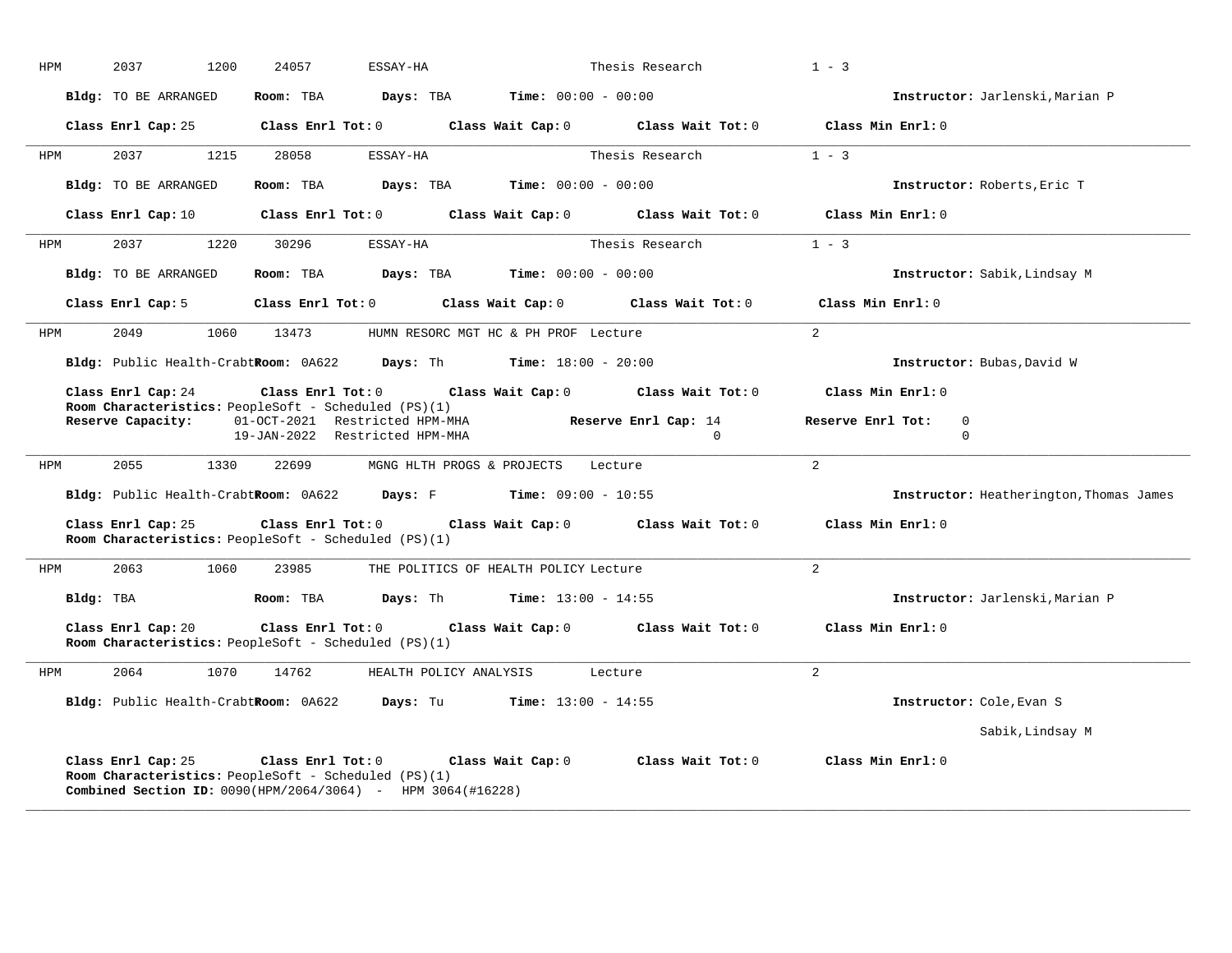| HPM | 2037<br>1200                         | 24057<br>ESSAY-HA                                                                                                                                     | Thesis Research                                             | $1 - 3$                                           |
|-----|--------------------------------------|-------------------------------------------------------------------------------------------------------------------------------------------------------|-------------------------------------------------------------|---------------------------------------------------|
|     | Bldg: TO BE ARRANGED                 | Room: TBA                                                                                                                                             | <b>Days:</b> TBA <b>Time:</b> $00:00 - 00:00$               | Instructor: Jarlenski, Marian P                   |
|     | Class Enrl Cap: 25                   | $Class$ $Enr1$ $Tot: 0$                                                                                                                               | Class Wait Cap: 0<br>Class Wait Tot: 0                      | Class Min Enrl: 0                                 |
| HPM | 2037<br>1215                         | 28058<br>ESSAY-HA                                                                                                                                     | Thesis Research                                             | $1 - 3$                                           |
|     | Bldg: TO BE ARRANGED                 | Room: TBA                                                                                                                                             | <b>Days:</b> TBA <b>Time:</b> $00:00 - 00:00$               | Instructor: Roberts, Eric T                       |
|     | Class Enrl Cap: 10                   |                                                                                                                                                       | Class Enrl Tot: $0$ Class Wait Cap: $0$ Class Wait Tot: $0$ | Class Min Enrl: 0                                 |
| HPM | 2037<br>1220                         | 30296<br>ESSAY-HA                                                                                                                                     | Thesis Research                                             | $1 - 3$                                           |
|     | Bldg: TO BE ARRANGED                 | Room: TBA                                                                                                                                             | <b>Days:</b> TBA <b>Time:</b> $00:00 - 00:00$               | Instructor: Sabik, Lindsay M                      |
|     | Class Enrl Cap: 5                    | $Class$ $Enr1$ $Tot: 0$                                                                                                                               | Class Wait Cap: 0<br>Class Wait Tot: 0                      | Class Min Enrl: 0                                 |
| HPM | 2049                                 | 1060 13473                                                                                                                                            | HUMN RESORC MGT HC & PH PROF Lecture                        | $\overline{2}$                                    |
|     | Bldg: Public Health-CrabtRoom: 0A622 |                                                                                                                                                       | <b>Days:</b> Th <b>Time:</b> $18:00 - 20:00$                | Instructor: Bubas, David W                        |
|     | Class Enrl Cap: 24                   | $Class$ $Enrl$ $Tot: 0$<br>Room Characteristics: PeopleSoft - Scheduled (PS)(1)                                                                       | Class Wait Cap: 0 Class Wait Tot: 0                         | Class Min Enrl: 0                                 |
|     |                                      | Reserve Capacity: 01-0CT-2021 Restricted HPM-MHA<br>19-JAN-2022 Restricted HPM-MHA                                                                    | Reserve Enrl Cap: 14<br>$\Omega$                            | Reserve Enrl Tot:<br>$\mathbf{0}$<br>$\mathbf{0}$ |
| HPM | 2055<br>1330                         | 22699                                                                                                                                                 | MGNG HLTH PROGS & PROJECTS Lecture                          | 2                                                 |
|     |                                      | Bldg: Public Health-CrabtRoom: 0A622 Days: F Time: 09:00 - 10:55                                                                                      |                                                             | Instructor: Heatherington, Thomas James           |
|     | Class Enrl Cap: 25                   | $Class$ $Enr1$ $Tot: 0$<br>Room Characteristics: PeopleSoft - Scheduled (PS)(1)                                                                       | Class Wait Cap: 0 Class Wait Tot: 0                         | Class Min Enrl: 0                                 |
| HPM | 2063<br>1060                         | 23985                                                                                                                                                 | THE POLITICS OF HEALTH POLICY Lecture                       | 2                                                 |
|     | Bldg: TBA                            | Room: TBA                                                                                                                                             | <b>Days:</b> Th <b>Time:</b> $13:00 - 14:55$                | Instructor: Jarlenski, Marian P                   |
|     | Class Enrl Cap: 20                   | Class Enrl Tot: $0$<br>Room Characteristics: PeopleSoft - Scheduled (PS)(1)                                                                           | Class Wait Cap: 0 Class Wait Tot: 0                         | Class Min Enrl: 0                                 |
| HPM | 2064<br>1070                         | 14762                                                                                                                                                 | HEALTH POLICY ANALYSIS Lecture                              | $\overline{2}$                                    |
|     |                                      | Bldg: Public Health-CrabtRoom: 0A622 Days: Tu Time: 13:00 - 14:55                                                                                     |                                                             | Instructor: Cole, Evan S                          |
|     |                                      |                                                                                                                                                       |                                                             | Sabik, Lindsay M                                  |
|     | Class Enrl Cap: 25                   | Class Enrl Tot: $0$<br>Room Characteristics: PeopleSoft - Scheduled (PS)(1)<br><b>Combined Section ID:</b> $0090(HPM/2064/3064)$ - HPM $3064(H16228)$ | Class Wait Cap: 0<br>Class Wait Tot: 0                      | Class Min Enrl: 0                                 |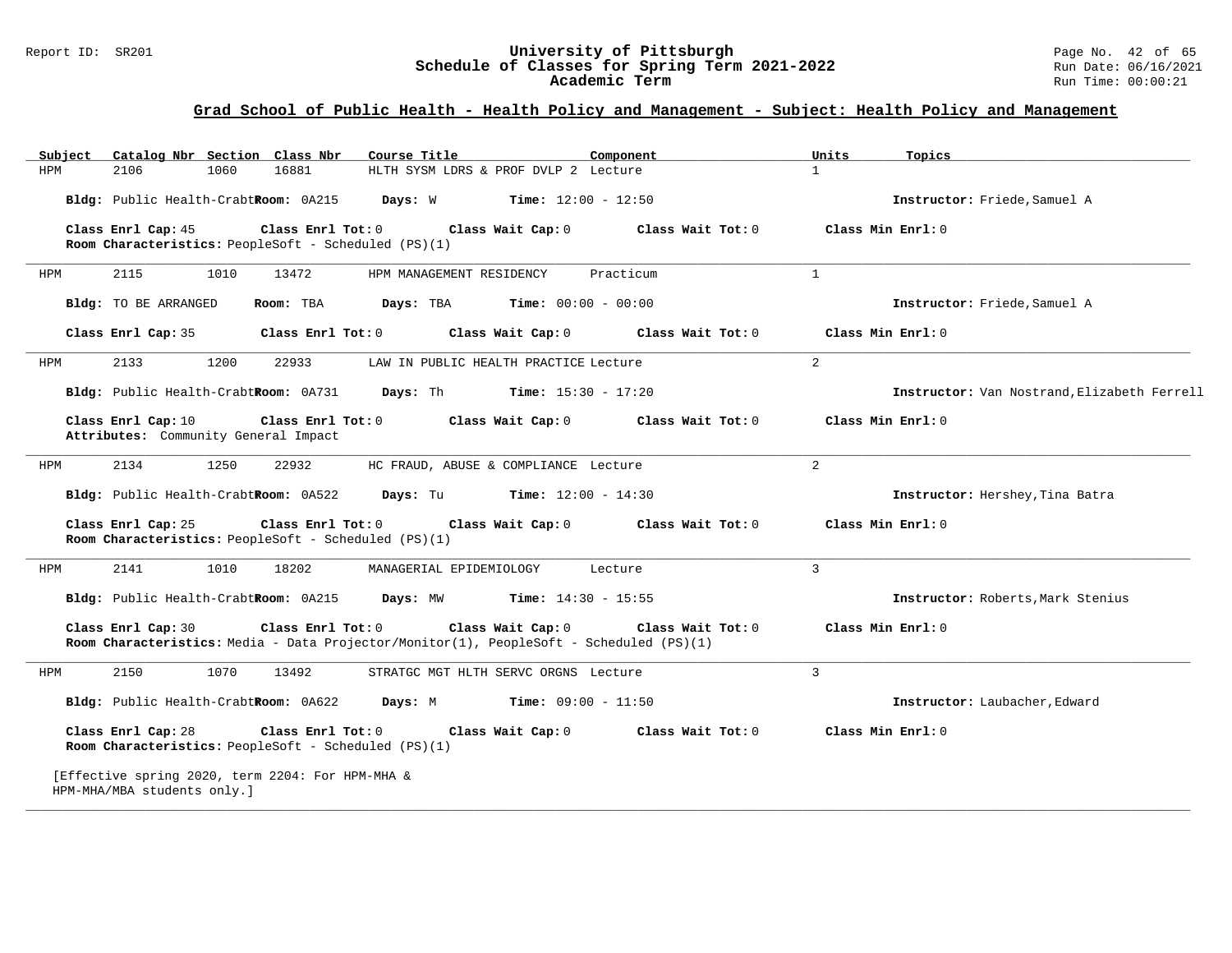#### Report ID: SR201 **University of Pittsburgh** Page No. 42 of 65 **Schedule of Classes for Spring Term 2021-2022** Run Date: 06/16/2021 **Academic Term** Run Time: 00:00:21

| Subject | Catalog Nbr Section Class Nbr                                                   | Course Title                                                                                                                      | Component         | Topics<br>Units                             |
|---------|---------------------------------------------------------------------------------|-----------------------------------------------------------------------------------------------------------------------------------|-------------------|---------------------------------------------|
| HPM     | 2106<br>1060                                                                    | 16881<br>HLTH SYSM LDRS & PROF DVLP 2 Lecture                                                                                     |                   | $\mathbf{1}$                                |
|         | Bldg: Public Health-CrabtRoom: 0A215                                            | Days: W<br><b>Time:</b> $12:00 - 12:50$                                                                                           |                   | Instructor: Friede, Samuel A                |
|         | Class Enrl Cap: 45<br>Room Characteristics: PeopleSoft - Scheduled (PS)(1)      | Class Enrl Tot: 0<br>Class Wait Cap: 0                                                                                            | Class Wait Tot: 0 | Class Min Enrl: 0                           |
| HPM     | 2115<br>1010                                                                    | 13472<br>HPM MANAGEMENT RESIDENCY                                                                                                 | Practicum         | $\mathbf{1}$                                |
|         | <b>Bldg:</b> TO BE ARRANGED                                                     | Room: TBA<br>Days: TBA<br><b>Time:</b> $00:00 - 00:00$                                                                            |                   | Instructor: Friede, Samuel A                |
|         | Class Enrl Cap: 35                                                              | Class Enrl Tot: 0<br>Class Wait Cap: 0                                                                                            | Class Wait Tot: 0 | Class Min Enrl: 0                           |
| HPM     | 2133<br>1200                                                                    | 22933<br>LAW IN PUBLIC HEALTH PRACTICE Lecture                                                                                    |                   | $\overline{a}$                              |
|         | Bldg: Public Health-CrabtRoom: 0A731                                            | Days: Th<br><b>Time:</b> $15:30 - 17:20$                                                                                          |                   | Instructor: Van Nostrand, Elizabeth Ferrell |
|         | Class Enrl Cap: 10<br>Attributes: Community General Impact                      | Class Enrl Tot: 0<br>Class Wait Cap: 0                                                                                            | Class Wait Tot: 0 | Class Min Enrl: 0                           |
| HPM     | 2134<br>1250                                                                    | 22932<br>HC FRAUD, ABUSE & COMPLIANCE Lecture                                                                                     |                   | $\overline{a}$                              |
|         | Bldg: Public Health-CrabtRoom: 0A522                                            | Days: Tu<br>$Time: 12:00 - 14:30$                                                                                                 |                   | Instructor: Hershey, Tina Batra             |
|         | Class Enrl Cap: 25<br>Room Characteristics: PeopleSoft - Scheduled (PS)(1)      | Class Enrl Tot: 0<br>Class Wait Cap: 0                                                                                            | Class Wait Tot: 0 | Class Min Enrl: 0                           |
| HPM     | 2141<br>1010                                                                    | 18202<br>MANAGERIAL EPIDEMIOLOGY                                                                                                  | Lecture           | $\overline{3}$                              |
|         | Bldg: Public Health-CrabtRoom: 0A215                                            | <b>Time:</b> $14:30 - 15:55$<br>Days: MW                                                                                          |                   | Instructor: Roberts, Mark Stenius           |
|         | Class Enrl Cap: 30                                                              | Class Enrl Tot: 0<br>Class Wait Cap: 0<br>Room Characteristics: Media - Data Projector/Monitor(1), PeopleSoft - Scheduled (PS)(1) | Class Wait Tot: 0 | Class Min Enrl: 0                           |
| HPM     | 2150<br>1070                                                                    | 13492<br>STRATGC MGT HLTH SERVC ORGNS Lecture                                                                                     |                   | $\mathbf{3}$                                |
|         | Bldg: Public Health-CrabtRoom: 0A622                                            | <b>Time:</b> $09:00 - 11:50$<br>Days: M                                                                                           |                   | Instructor: Laubacher, Edward               |
|         | Class Enrl Cap: 28<br>Room Characteristics: PeopleSoft - Scheduled (PS)(1)      | Class Enrl Tot: 0<br>Class Wait Cap: 0                                                                                            | Class Wait Tot: 0 | Class Min Enrl: 0                           |
|         | [Effective spring 2020, term 2204: For HPM-MHA &<br>HPM-MHA/MBA students only.] |                                                                                                                                   |                   |                                             |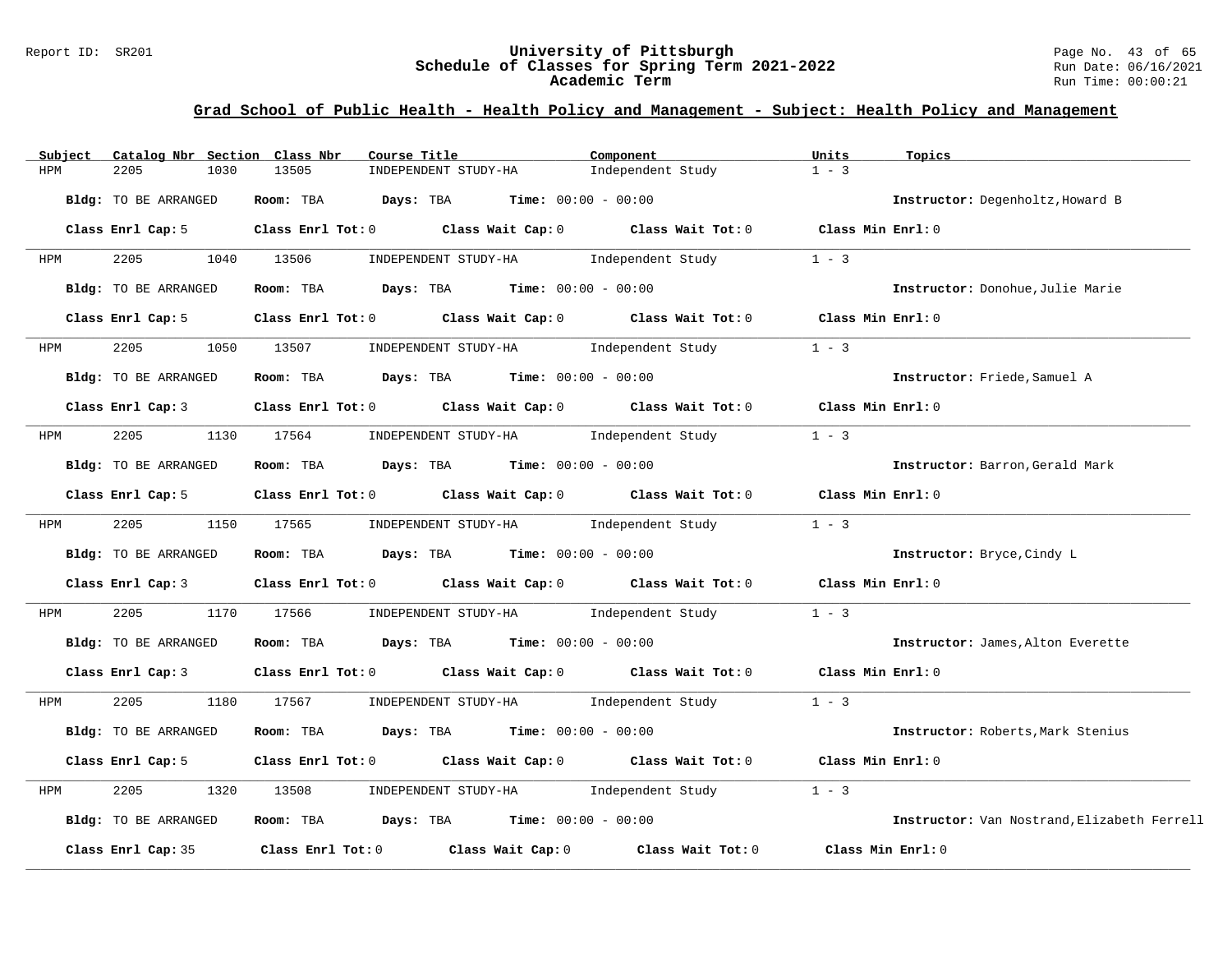#### Report ID: SR201 **University of Pittsburgh** Page No. 43 of 65 **Schedule of Classes for Spring Term 2021-2022** Run Date: 06/16/2021 **Academic Term** Run Time: 00:00:21

| Subject                     | Catalog Nbr Section Class Nbr | Course Title            |                                                      | Component                                                                       | Units             | Topics                                      |
|-----------------------------|-------------------------------|-------------------------|------------------------------------------------------|---------------------------------------------------------------------------------|-------------------|---------------------------------------------|
| 2205<br>HPM                 | 1030                          | 13505                   | INDEPENDENT STUDY-HA                                 | Independent Study                                                               | $1 - 3$           |                                             |
| Bldg: TO BE ARRANGED        |                               | Days: TBA<br>Room: TBA  | $Time: 00:00 - 00:00$                                |                                                                                 |                   | Instructor: Degenholtz, Howard B            |
| Class Enrl Cap: 5           |                               | $Class$ $Enr1$ $Tot: 0$ |                                                      | Class Wait Cap: 0 Class Wait Tot: 0 Class Min Enrl: 0                           |                   |                                             |
| 2205<br>HPM                 | 1040                          | 13506                   | INDEPENDENT STUDY-HA 1ndependent Study               |                                                                                 | $1 - 3$           |                                             |
| Bldg: TO BE ARRANGED        |                               | Room: TBA               | <b>Days:</b> TBA <b>Time:</b> $00:00 - 00:00$        |                                                                                 |                   | Instructor: Donohue, Julie Marie            |
| Class Enrl Cap: 5           |                               | $Class$ $Enr1$ $Tot: 0$ |                                                      | Class Wait Cap: 0 Class Wait Tot: 0                                             | Class Min Enrl: 0 |                                             |
| 2205<br>HPM                 | 1050                          | 13507                   | INDEPENDENT STUDY-HA Independent Study               |                                                                                 | $1 - 3$           |                                             |
| Bldg: TO BE ARRANGED        |                               | Room: TBA               | $\texttt{Davis:}$ TBA $\texttt{Time:}$ 00:00 - 00:00 |                                                                                 |                   | Instructor: Friede, Samuel A                |
| Class Enrl Cap: 3           |                               |                         |                                                      | Class Enrl Tot: 0 Class Wait Cap: 0 Class Wait Tot: 0                           | Class Min Enrl: 0 |                                             |
| 2205<br>HPM                 | 1130                          | 17564                   | INDEPENDENT STUDY-HA 1ndependent Study               |                                                                                 | $1 - 3$           |                                             |
| <b>Bldg:</b> TO BE ARRANGED |                               | Room: TBA               | <b>Days:</b> TBA <b>Time:</b> $00:00 - 00:00$        |                                                                                 |                   | Instructor: Barron, Gerald Mark             |
| Class Enrl Cap: 5           |                               |                         |                                                      | Class Enrl Tot: 0 Class Wait Cap: 0 Class Wait Tot: 0                           | Class Min Enrl: 0 |                                             |
| 2205<br>HPM                 | 1150 17565                    |                         | INDEPENDENT STUDY-HA 1ndependent Study               |                                                                                 | $1 - 3$           |                                             |
| Bldg: TO BE ARRANGED        |                               | Room: TBA               | $Days: TBA$ Time: $00:00 - 00:00$                    |                                                                                 |                   | Instructor: Bryce, Cindy L                  |
| Class Enrl Cap: 3           |                               |                         |                                                      | Class Enrl Tot: 0 Class Wait Cap: 0 Class Wait Tot: 0                           | Class Min Enrl: 0 |                                             |
| 2205<br>HPM                 | 1170                          | 17566                   | INDEPENDENT STUDY-HA 1ndependent Study               |                                                                                 | $1 - 3$           |                                             |
| <b>Bldg:</b> TO BE ARRANGED |                               | Room: TBA               | $\texttt{Days:}$ TBA $\texttt{Time:}$ 00:00 - 00:00  |                                                                                 |                   | Instructor: James, Alton Everette           |
| Class Enrl Cap: 3           |                               |                         |                                                      | Class Enrl Tot: $0$ Class Wait Cap: $0$ Class Wait Tot: $0$ Class Min Enrl: $0$ |                   |                                             |
| 2205<br>HPM                 | 1180                          | 17567                   | INDEPENDENT STUDY-HA 1ndependent Study               |                                                                                 | $1 - 3$           |                                             |
| <b>Bldg:</b> TO BE ARRANGED |                               | Room: TBA               | $Days: TBA$ $Time: 00:00 - 00:00$                    |                                                                                 |                   | Instructor: Roberts, Mark Stenius           |
| Class Enrl Cap: 5           |                               |                         |                                                      | Class Enrl Tot: 0 Class Wait Cap: 0 Class Wait Tot: 0                           | Class Min Enrl: 0 |                                             |
| 2205<br>HPM                 | 1320                          | 13508                   | INDEPENDENT STUDY-HA                                 | Independent Study                                                               | $1 - 3$           |                                             |
| Bldg: TO BE ARRANGED        |                               | Room: TBA               | <b>Days:</b> TBA <b>Time:</b> $00:00 - 00:00$        |                                                                                 |                   | Instructor: Van Nostrand, Elizabeth Ferrell |
| Class Enrl Cap: 35          |                               |                         | Class Enrl Tot: 0 Class Wait Cap: 0                  | Class Wait Tot: 0                                                               | Class Min Enrl: 0 |                                             |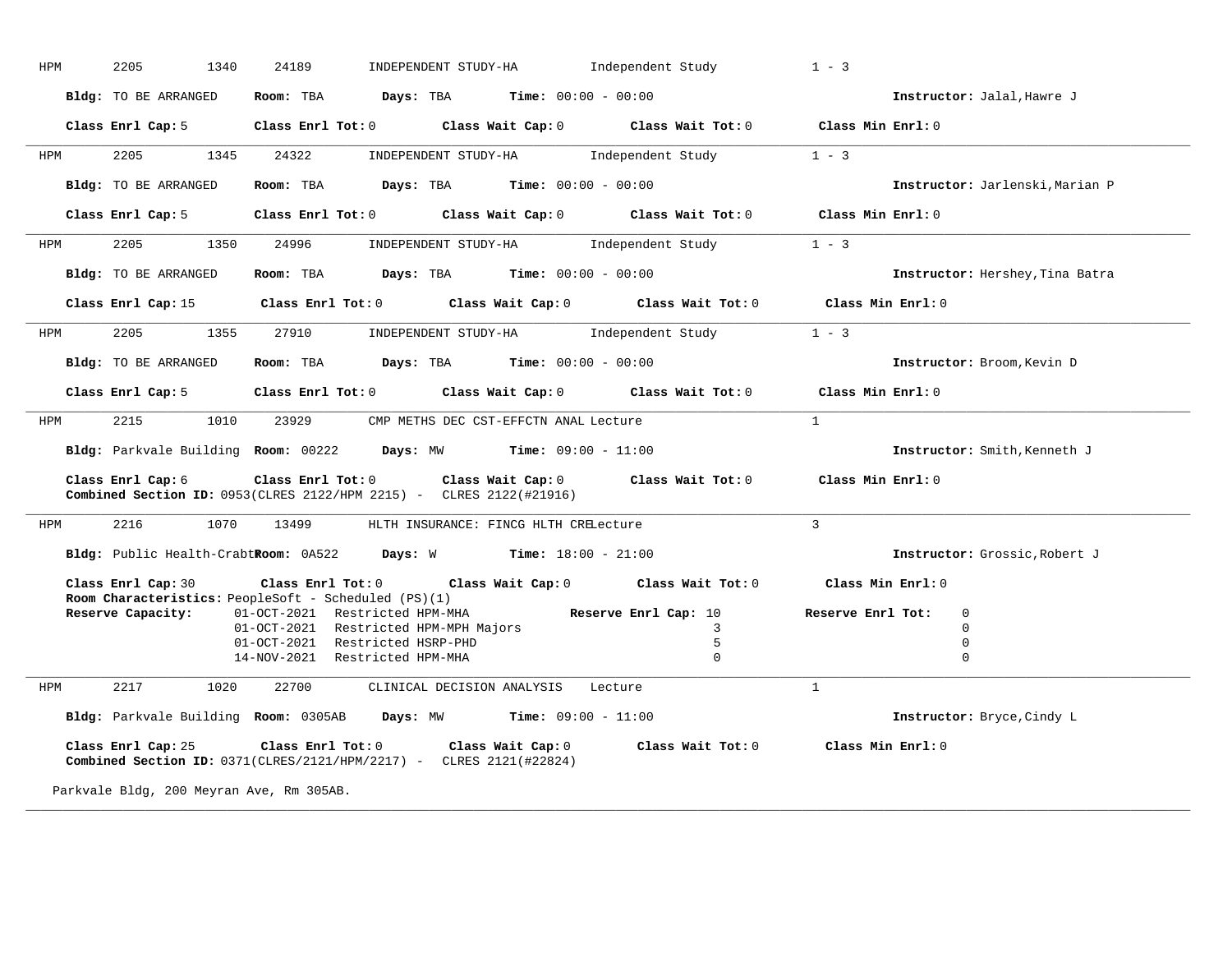| HPM        | 2205<br>1340                             | 24189<br>INDEPENDENT STUDY-HA                                                                                                                                     | Independent Study       | $1 - 3$                         |
|------------|------------------------------------------|-------------------------------------------------------------------------------------------------------------------------------------------------------------------|-------------------------|---------------------------------|
|            | Bldg: TO BE ARRANGED                     | Room: TBA $Days:$ TBA $Time: 00:00 - 00:00$                                                                                                                       |                         | Instructor: Jalal, Hawre J      |
|            |                                          | Class Enrl Cap: 5 Class Enrl Tot: 0 Class Wait Cap: 0 Class Wait Tot: 0 Class Min Enrl: 0                                                                         |                         |                                 |
| HPM        | 1345<br>2205                             | 24322<br>INDEPENDENT STUDY-HA                                                                                                                                     | Independent Study 1 - 3 |                                 |
|            | Bldg: TO BE ARRANGED                     | Room: TBA $Days:$ TBA $Time: 00:00 - 00:00$                                                                                                                       |                         | Instructor: Jarlenski, Marian P |
|            |                                          | Class Enrl Cap: 5 Class Enrl Tot: 0 Class Wait Cap: 0 Class Wait Tot: 0 Class Min Enrl: 0                                                                         |                         |                                 |
| HPM        | 2205<br>1350                             | 24996<br>INDEPENDENT STUDY-HA 1ndependent Study                                                                                                                   |                         | $1 - 3$                         |
|            | Bldg: TO BE ARRANGED                     | Room: TBA $\rule{1em}{0.15mm}$ Days: TBA $\rule{1.15mm}]{0.15mm}$ Time: $0.000 - 0.0000$                                                                          |                         | Instructor: Hershey, Tina Batra |
|            |                                          | Class Enrl Cap: 15 Class Enrl Tot: 0 Class Wait Cap: 0 Class Wait Tot: 0 Class Min Enrl: 0                                                                        |                         |                                 |
| <b>HPM</b> | 2205                                     | 1355 27910<br>INDEPENDENT STUDY-HA    Independent Study                                                                                                           |                         | $1 - 3$                         |
|            | Bldg: TO BE ARRANGED                     | <b>Room:</b> TBA $Days:$ TBA $Time: 00:00 - 00:00$                                                                                                                |                         | Instructor: Broom, Kevin D      |
|            |                                          | Class Enrl Cap: 5 Class Enrl Tot: 0 Class Wait Cap: 0 Class Wait Tot: 0 Class Min Enrl: 0                                                                         |                         |                                 |
| HPM        | 2215                                     | 1010 23929 CMP METHS DEC CST-EFFCTN ANAL Lecture                                                                                                                  |                         | $\mathbf{1}$                    |
|            |                                          | Bldg: Parkvale Building Room: 00222 Days: MW Time: 09:00 - 11:00                                                                                                  |                         | Instructor: Smith, Kenneth J    |
|            | Class Enrl Cap: 6                        | Class Enrl Tot: 0 Class Wait Cap: 0 Class Wait Tot: 0 Class Min Enrl: 0<br>Combined Section ID: 0953(CLRES 2122/HPM 2215) - CLRES 2122(#21916)                    |                         |                                 |
| HPM        | 1070<br>2216                             | 13499<br>HLTH INSURANCE: FINCG HLTH CRELecture                                                                                                                    |                         | $\overline{3}$                  |
|            |                                          | Bldg: Public Health-CrabtRoom: 0A522 Days: W Time: 18:00 - 21:00                                                                                                  |                         | Instructor: Grossic, Robert J   |
|            | Class Enrl Cap: 30                       | Class Enrl Tot: 0 Class Wait Cap: 0 Class Wait Tot: 0<br><b>Room Characteristics:</b> PeopleSoft - Scheduled (PS)(1)                                              |                         | Class Min $Enr1:0$              |
|            | Reserve Capacity:                        | 01-OCT-2021 Restricted HPM-MHA                                                                                                                                    | Reserve Enrl Cap: 10    | Reserve Enrl Tot:<br>0          |
|            |                                          | 01-OCT-2021 Restricted HPM-MPH Majors                                                                                                                             | 3                       | $\Omega$                        |
|            |                                          | 01-OCT-2021 Restricted HSRP-PHD                                                                                                                                   | 5                       | $\mathbf 0$                     |
|            |                                          | 14-NOV-2021 Restricted HPM-MHA                                                                                                                                    | $\Omega$                | $\Omega$                        |
| HPM        | 2217<br>1020                             | 22700<br>CLINICAL DECISION ANALYSIS Lecture                                                                                                                       |                         | $\mathbf{1}$                    |
|            |                                          | Bldg: Parkvale Building Room: 0305AB Days: MW Time: 09:00 - 11:00                                                                                                 |                         | Instructor: Bryce, Cindy L      |
|            |                                          | Class Enrl Cap: 25 Class Enrl Tot: 0 Class Wait Cap: 0 Class Wait Tot: 0 Class Min Enrl: 0<br>Combined Section ID: 0371(CLRES/2121/HPM/2217) - CLRES 2121(#22824) |                         |                                 |
|            | Parkvale Bldg, 200 Meyran Ave, Rm 305AB. |                                                                                                                                                                   |                         |                                 |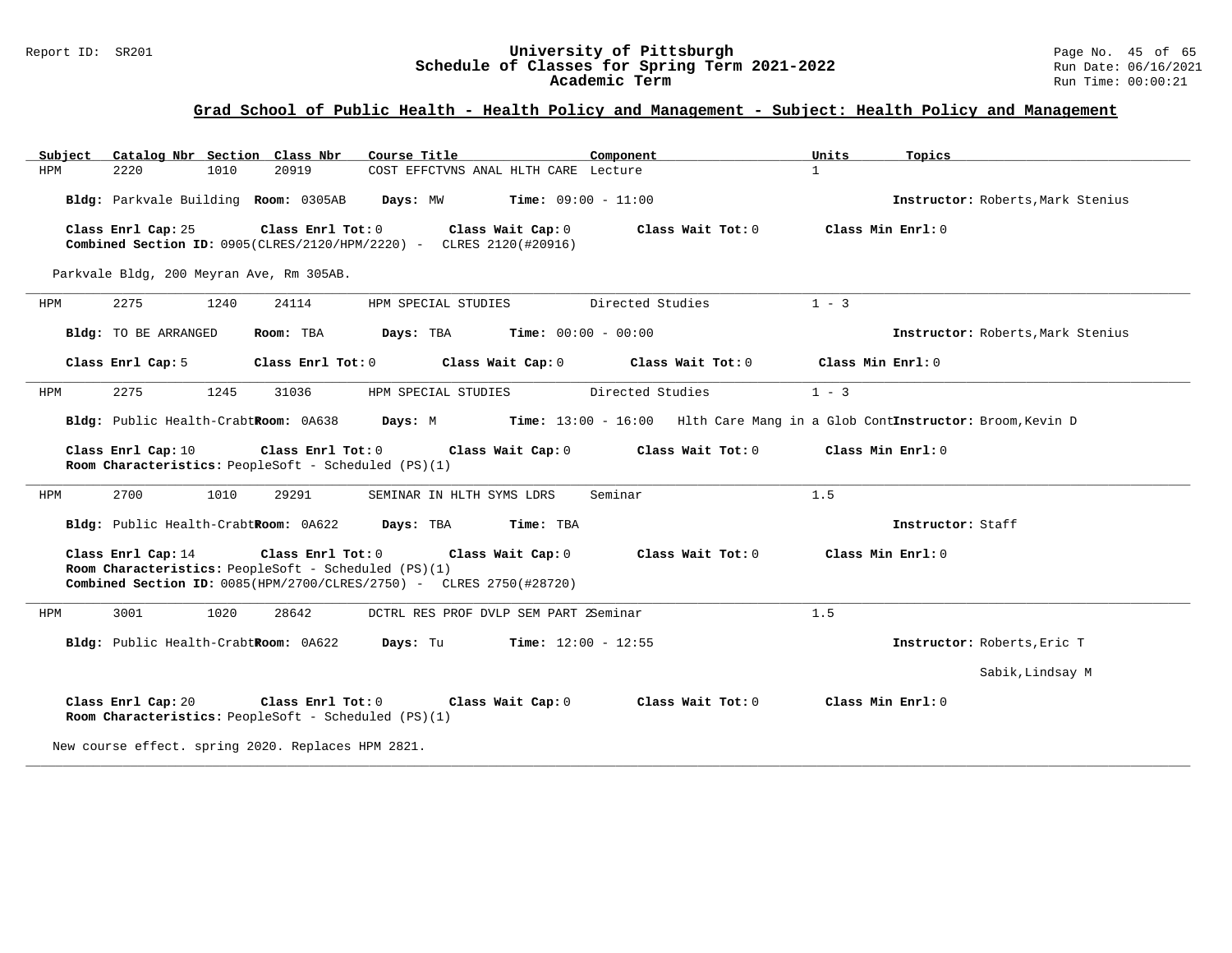#### Report ID: SR201 **University of Pittsburgh** Page No. 45 of 65 **Schedule of Classes for Spring Term 2021-2022** Run Date: 06/16/2021 **Academic Term** Run Time: 00:00:21

# **Grad School of Public Health - Health Policy and Management - Subject: Health Policy and Management**

| Subject | Catalog Nbr Section Class Nbr                                              |                   | Course Title                                                                             | Component                           | Units<br>Topics                                                             |  |
|---------|----------------------------------------------------------------------------|-------------------|------------------------------------------------------------------------------------------|-------------------------------------|-----------------------------------------------------------------------------|--|
| HPM     | 2220<br>1010                                                               | 20919             | COST EFFCTVNS ANAL HLTH CARE Lecture                                                     |                                     | $\mathbf{1}$                                                                |  |
|         | Bldg: Parkvale Building Room: 0305AB                                       |                   | Days: MW<br><b>Time:</b> $09:00 - 11:00$                                                 |                                     | Instructor: Roberts, Mark Stenius                                           |  |
|         | Class Enrl Cap: 25                                                         | Class Enrl Tot: 0 | Class Wait Cap: 0<br>Combined Section ID: 0905(CLRES/2120/HPM/2220) - CLRES 2120(#20916) | Class Wait Tot: 0                   | Class Min Enrl: 0                                                           |  |
|         | Parkvale Bldg, 200 Meyran Ave, Rm 305AB.                                   |                   |                                                                                          |                                     |                                                                             |  |
| HPM     | 2275<br>1240                                                               | 24114             | HPM SPECIAL STUDIES                                                                      | Directed Studies                    | $1 - 3$                                                                     |  |
|         | Bldg: TO BE ARRANGED                                                       | Room: TBA         | Days: TBA<br>Time: $00:00 - 00:00$                                                       |                                     | Instructor: Roberts, Mark Stenius                                           |  |
|         | Class Enrl Cap: 5                                                          | Class Enrl Tot: 0 | Class Wait Cap: 0                                                                        | Class Wait Tot: 0                   | Class Min Enrl: 0                                                           |  |
| HPM     | 2275<br>1245                                                               | 31036             | HPM SPECIAL STUDIES                                                                      | Directed Studies                    | $1 - 3$                                                                     |  |
|         | Bldg: Public Health-CrabtRoom: 0A638                                       |                   | Days: M                                                                                  |                                     | Time: 13:00 - 16:00 Hlth Care Mang in a Glob ContInstructor: Broom, Kevin D |  |
|         | Class Enrl Cap: 10                                                         | Class Enrl Tot: 0 | Class Wait Cap: 0                                                                        | Class Wait Tot: 0                   | Class Min Enrl: 0                                                           |  |
|         | Room Characteristics: PeopleSoft - Scheduled (PS)(1)                       |                   |                                                                                          |                                     |                                                                             |  |
| HPM     | 2700<br>1010                                                               | 29291             | SEMINAR IN HLTH SYMS LDRS                                                                | Seminar                             | 1.5                                                                         |  |
|         | Bldg: Public Health-CrabtRoom: 0A622 Days: TBA                             |                   | Time: TBA                                                                                |                                     | Instructor: Staff                                                           |  |
|         | Class Enrl Cap: 14                                                         | Class Enrl Tot: 0 |                                                                                          | Class Wait Cap: 0 Class Wait Tot: 0 | Class Min Enrl: 0                                                           |  |
|         | Room Characteristics: PeopleSoft - Scheduled (PS)(1)                       |                   | Combined Section ID: 0085(HPM/2700/CLRES/2750) - CLRES 2750(#28720)                      |                                     |                                                                             |  |
| HPM     | 3001<br>1020                                                               | 28642             | DCTRL RES PROF DVLP SEM PART 2Seminar                                                    |                                     | 1.5                                                                         |  |
|         | Bldg: Public Health-CrabtRoom: 0A622                                       |                   | Days: Tu<br><b>Time:</b> $12:00 - 12:55$                                                 |                                     | Instructor: Roberts, Eric T                                                 |  |
|         |                                                                            |                   |                                                                                          |                                     | Sabik, Lindsay M                                                            |  |
|         | Class Enrl Cap: 20<br>Room Characteristics: PeopleSoft - Scheduled (PS)(1) | Class Enrl Tot: 0 | Class Wait Cap: 0                                                                        | Class Wait Tot: 0                   | Class Min Enrl: 0                                                           |  |
|         | New course effect. spring 2020. Replaces HPM 2821.                         |                   |                                                                                          |                                     |                                                                             |  |

**\_\_\_\_\_\_\_\_\_\_\_\_\_\_\_\_\_\_\_\_\_\_\_\_\_\_\_\_\_\_\_\_\_\_\_\_\_\_\_\_\_\_\_\_\_\_\_\_\_\_\_\_\_\_\_\_\_\_\_\_\_\_\_\_\_\_\_\_\_\_\_\_\_\_\_\_\_\_\_\_\_\_\_\_\_\_\_\_\_\_\_\_\_\_\_\_\_\_\_\_\_\_\_\_\_\_\_\_\_\_\_\_\_\_\_\_\_\_\_\_\_\_\_\_\_\_\_\_\_\_\_\_\_\_\_\_\_\_\_\_\_\_\_\_\_\_\_\_\_\_\_\_\_\_\_\_**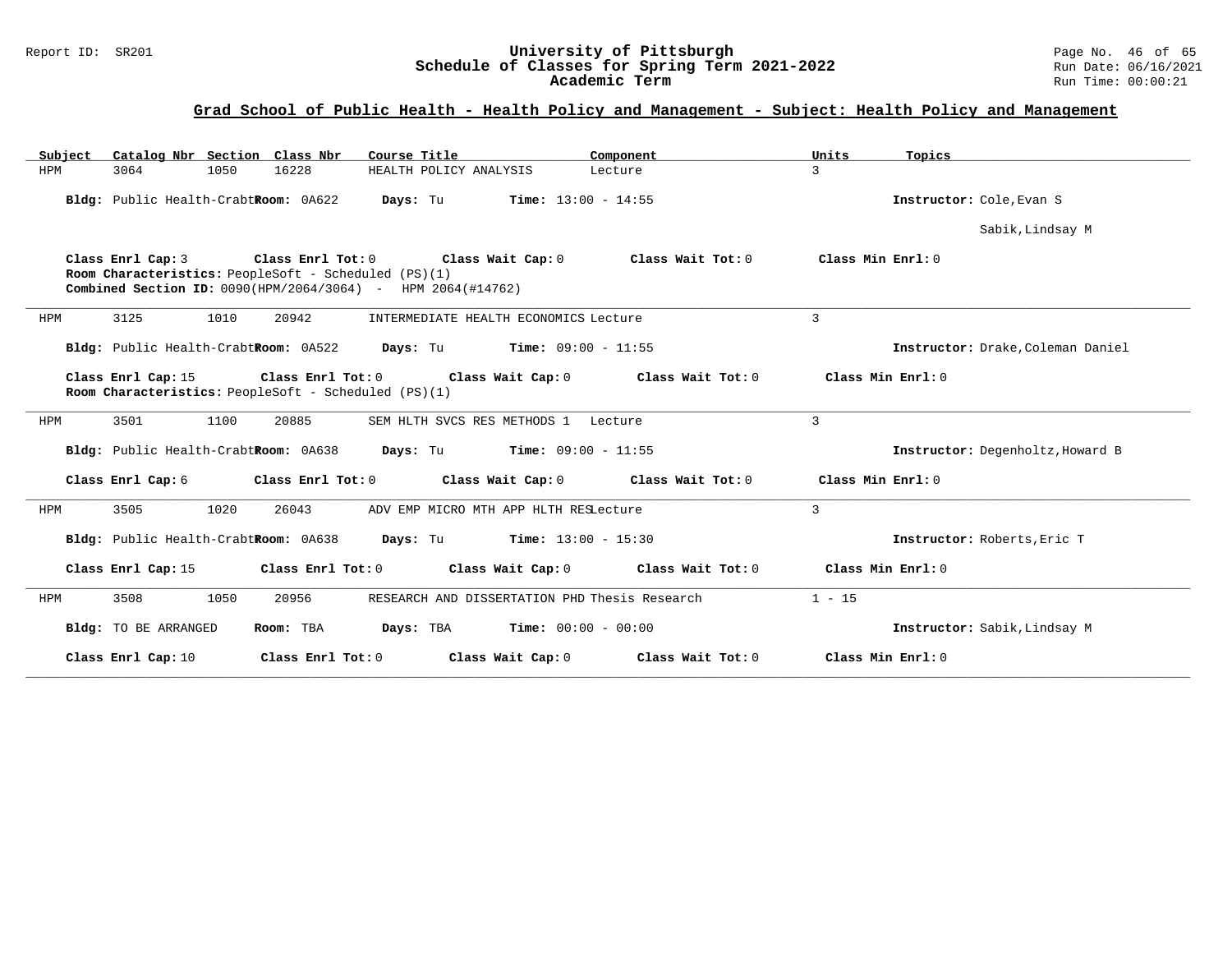#### Report ID: SR201 **University of Pittsburgh** Page No. 46 of 65 **Schedule of Classes for Spring Term 2021-2022** Run Date: 06/16/2021 **Academic Term** Run Time: 00:00:21

| Subject Catalog Nbr Section Class Nbr                                                                                                                                                                                      | Course Title                                  | Component         | Units<br>Topics                   |                  |  |  |  |  |  |  |
|----------------------------------------------------------------------------------------------------------------------------------------------------------------------------------------------------------------------------|-----------------------------------------------|-------------------|-----------------------------------|------------------|--|--|--|--|--|--|
| 16228<br>HPM<br>3064<br>1050                                                                                                                                                                                               | HEALTH POLICY ANALYSIS                        | Lecture           | $\mathcal{L}$                     |                  |  |  |  |  |  |  |
| Bldg: Public Health-CrabtRoom: 0A622                                                                                                                                                                                       | Days: Tu<br><b>Time:</b> $13:00 - 14:55$      |                   | Instructor: Cole, Evan S          |                  |  |  |  |  |  |  |
|                                                                                                                                                                                                                            |                                               |                   |                                   | Sabik, Lindsay M |  |  |  |  |  |  |
| Class Enrl Tot: 0 Class Wait Cap: 0<br>Class Min $Enr1:0$<br>Class Enrl Cap: 3<br>Class Wait Tot: 0<br>Room Characteristics: PeopleSoft - Scheduled (PS)(1)<br>Combined Section ID: 0090(HPM/2064/3064) - HPM 2064(#14762) |                                               |                   |                                   |                  |  |  |  |  |  |  |
| 3125<br>1010<br>20942<br>HPM                                                                                                                                                                                               | INTERMEDIATE HEALTH ECONOMICS Lecture         |                   | $\mathbf{3}$                      |                  |  |  |  |  |  |  |
| Bldg: Public Health-CrabtRoom: 0A522 Days: Tu Time: 09:00 - 11:55                                                                                                                                                          |                                               |                   | Instructor: Drake, Coleman Daniel |                  |  |  |  |  |  |  |
| Class Min Enrl: 0<br>Class Enrl Cap: 15<br>Class Enrl Tot: $0$ Class Wait Cap: $0$ Class Wait Tot: $0$<br>Room Characteristics: PeopleSoft - Scheduled (PS)(1)                                                             |                                               |                   |                                   |                  |  |  |  |  |  |  |
| 3501<br>1100<br>20885<br>HPM                                                                                                                                                                                               | SEM HLTH SVCS RES METHODS 1 Lecture           |                   | 3                                 |                  |  |  |  |  |  |  |
| Bldg: Public Health-CrabtRoom: 0A638                                                                                                                                                                                       | <b>Days:</b> Tu <b>Time:</b> $09:00 - 11:55$  |                   | Instructor: Degenholtz, Howard B  |                  |  |  |  |  |  |  |
| Class Enrl Cap: 6<br>Class Enrl Tot: 0                                                                                                                                                                                     | Class Wait Cap: 0                             | Class Wait Tot: 0 | Class Min Enrl: 0                 |                  |  |  |  |  |  |  |
| 3505<br>1020<br>26043<br>HPM                                                                                                                                                                                               | ADV EMP MICRO MTH APP HLTH RESLecture         |                   | $\mathbf{3}$                      |                  |  |  |  |  |  |  |
| Bldg: Public Health-CrabtRoom: 0A638                                                                                                                                                                                       | <b>Days:</b> Tu <b>Time:</b> $13:00 - 15:30$  |                   | Instructor: Roberts, Eric T       |                  |  |  |  |  |  |  |
| Class Enrl Cap: 15<br>Class Enrl Tot: 0                                                                                                                                                                                    | Class Wait Cap: 0 Class Wait Tot: 0           |                   | Class Min Enrl: 0                 |                  |  |  |  |  |  |  |
| 3508<br>20956<br>1050<br>HPM                                                                                                                                                                                               | RESEARCH AND DISSERTATION PHD Thesis Research |                   | $1 - 15$                          |                  |  |  |  |  |  |  |
| Bldg: TO BE ARRANGED<br>Room: TBA                                                                                                                                                                                          | <b>Days:</b> TBA <b>Time:</b> $00:00 - 00:00$ |                   | Instructor: Sabik, Lindsay M      |                  |  |  |  |  |  |  |
| Class Enrl Cap: 10<br>Class Enrl Tot: 0                                                                                                                                                                                    | Class Wait Cap: $0$ Class Wait Tot: $0$       |                   | Class Min Enrl: 0                 |                  |  |  |  |  |  |  |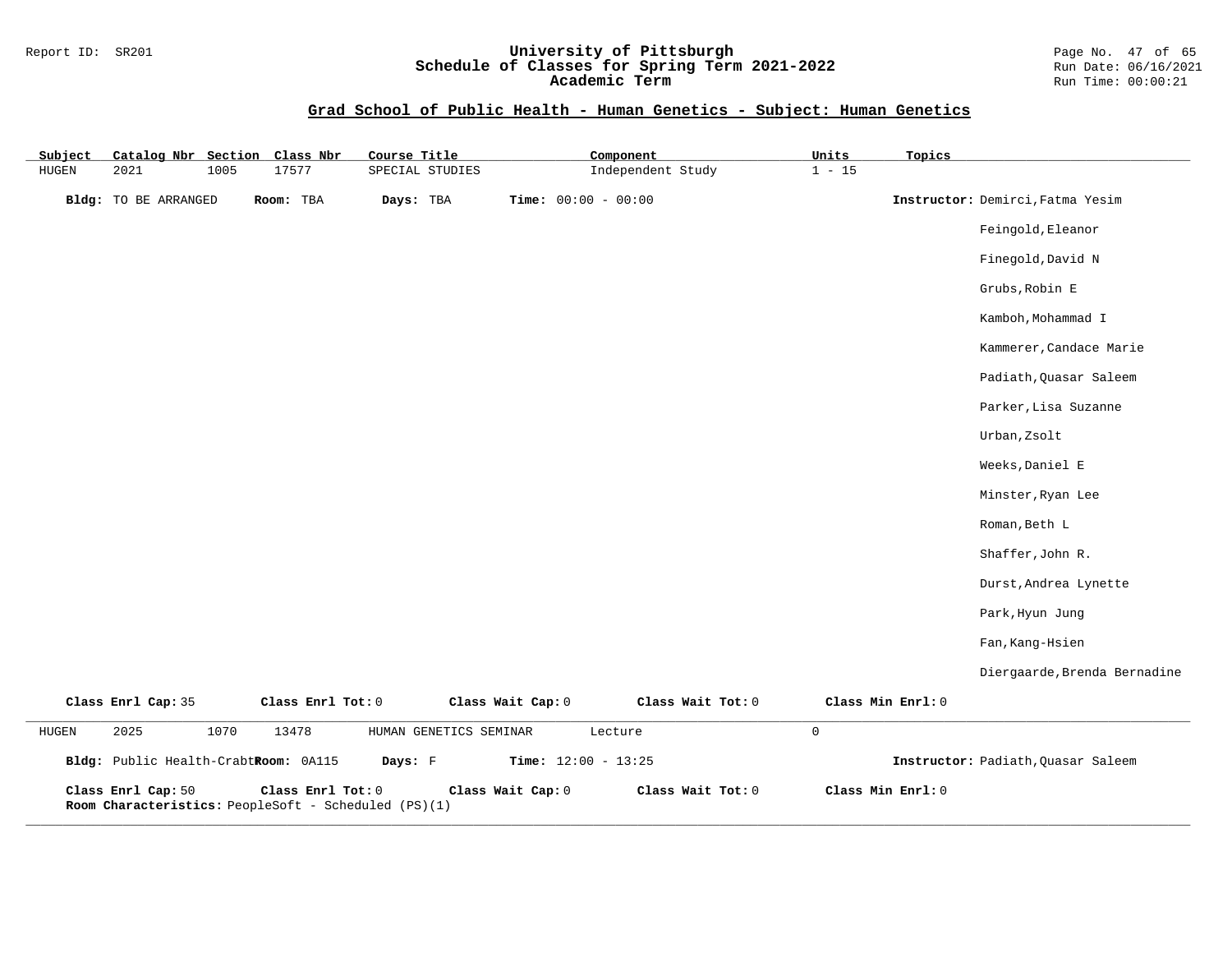#### Report ID: SR201 **University of Pittsburgh** Page No. 47 of 65 **Schedule of Classes for Spring Term 2021-2022** Run Date: 06/16/2021 **Academic Term** Run Time: 00:00:21

# **Grad School of Public Health - Human Genetics - Subject: Human Genetics**

| Subject | Catalog Nbr Section                  |      | Class Nbr                                                                 | Course Title |                        |                       | Component         |                     | Units    | Topics            |                                    |
|---------|--------------------------------------|------|---------------------------------------------------------------------------|--------------|------------------------|-----------------------|-------------------|---------------------|----------|-------------------|------------------------------------|
| HUGEN   | 2021                                 | 1005 | 17577                                                                     |              | SPECIAL STUDIES        |                       | Independent Study |                     | $1 - 15$ |                   |                                    |
|         | Bldg: TO BE ARRANGED                 |      | Room: TBA                                                                 | Days: TBA    |                        | Time: $00:00 - 00:00$ |                   |                     |          |                   | Instructor: Demirci, Fatma Yesim   |
|         |                                      |      |                                                                           |              |                        |                       |                   |                     |          |                   | Feingold, Eleanor                  |
|         |                                      |      |                                                                           |              |                        |                       |                   |                     |          |                   | Finegold, David N                  |
|         |                                      |      |                                                                           |              |                        |                       |                   |                     |          |                   | Grubs, Robin E                     |
|         |                                      |      |                                                                           |              |                        |                       |                   |                     |          |                   | Kamboh, Mohammad I                 |
|         |                                      |      |                                                                           |              |                        |                       |                   |                     |          |                   | Kammerer, Candace Marie            |
|         |                                      |      |                                                                           |              |                        |                       |                   |                     |          |                   | Padiath, Quasar Saleem             |
|         |                                      |      |                                                                           |              |                        |                       |                   |                     |          |                   | Parker, Lisa Suzanne               |
|         |                                      |      |                                                                           |              |                        |                       |                   |                     |          |                   | Urban, Zsolt                       |
|         |                                      |      |                                                                           |              |                        |                       |                   |                     |          |                   | Weeks, Daniel E                    |
|         |                                      |      |                                                                           |              |                        |                       |                   |                     |          |                   | Minster, Ryan Lee                  |
|         |                                      |      |                                                                           |              |                        |                       |                   |                     |          |                   | Roman, Beth L                      |
|         |                                      |      |                                                                           |              |                        |                       |                   |                     |          |                   | Shaffer, John R.                   |
|         |                                      |      |                                                                           |              |                        |                       |                   |                     |          |                   | Durst, Andrea Lynette              |
|         |                                      |      |                                                                           |              |                        |                       |                   |                     |          |                   | Park, Hyun Jung                    |
|         |                                      |      |                                                                           |              |                        |                       |                   |                     |          |                   | Fan, Kang-Hsien                    |
|         |                                      |      |                                                                           |              |                        |                       |                   |                     |          |                   | Diergaarde, Brenda Bernadine       |
|         | Class Enrl Cap: 35                   |      | Class Enrl Tot: 0                                                         |              |                        | Class Wait Cap: 0     | Class Wait Tot: 0 |                     |          | Class Min Enrl: 0 |                                    |
| HUGEN   | 2025                                 | 1070 | 13478                                                                     |              | HUMAN GENETICS SEMINAR |                       | Lecture           | $\mathsf{O}\xspace$ |          |                   |                                    |
|         | Bldg: Public Health-CrabtRoom: 0A115 |      |                                                                           | Days: F      |                        | Time: $12:00 - 13:25$ |                   |                     |          |                   | Instructor: Padiath, Quasar Saleem |
|         | Class Enrl Cap: 50                   |      | Class Enrl Tot: 0<br>Room Characteristics: PeopleSoft - Scheduled (PS)(1) |              |                        | Class Wait Cap: 0     | Class Wait Tot: 0 |                     |          | Class Min Enrl: 0 |                                    |

**\_\_\_\_\_\_\_\_\_\_\_\_\_\_\_\_\_\_\_\_\_\_\_\_\_\_\_\_\_\_\_\_\_\_\_\_\_\_\_\_\_\_\_\_\_\_\_\_\_\_\_\_\_\_\_\_\_\_\_\_\_\_\_\_\_\_\_\_\_\_\_\_\_\_\_\_\_\_\_\_\_\_\_\_\_\_\_\_\_\_\_\_\_\_\_\_\_\_\_\_\_\_\_\_\_\_\_\_\_\_\_\_\_\_\_\_\_\_\_\_\_\_\_\_\_\_\_\_\_\_\_\_\_\_\_\_\_\_\_\_\_\_\_\_\_\_\_\_\_\_\_\_\_\_\_\_**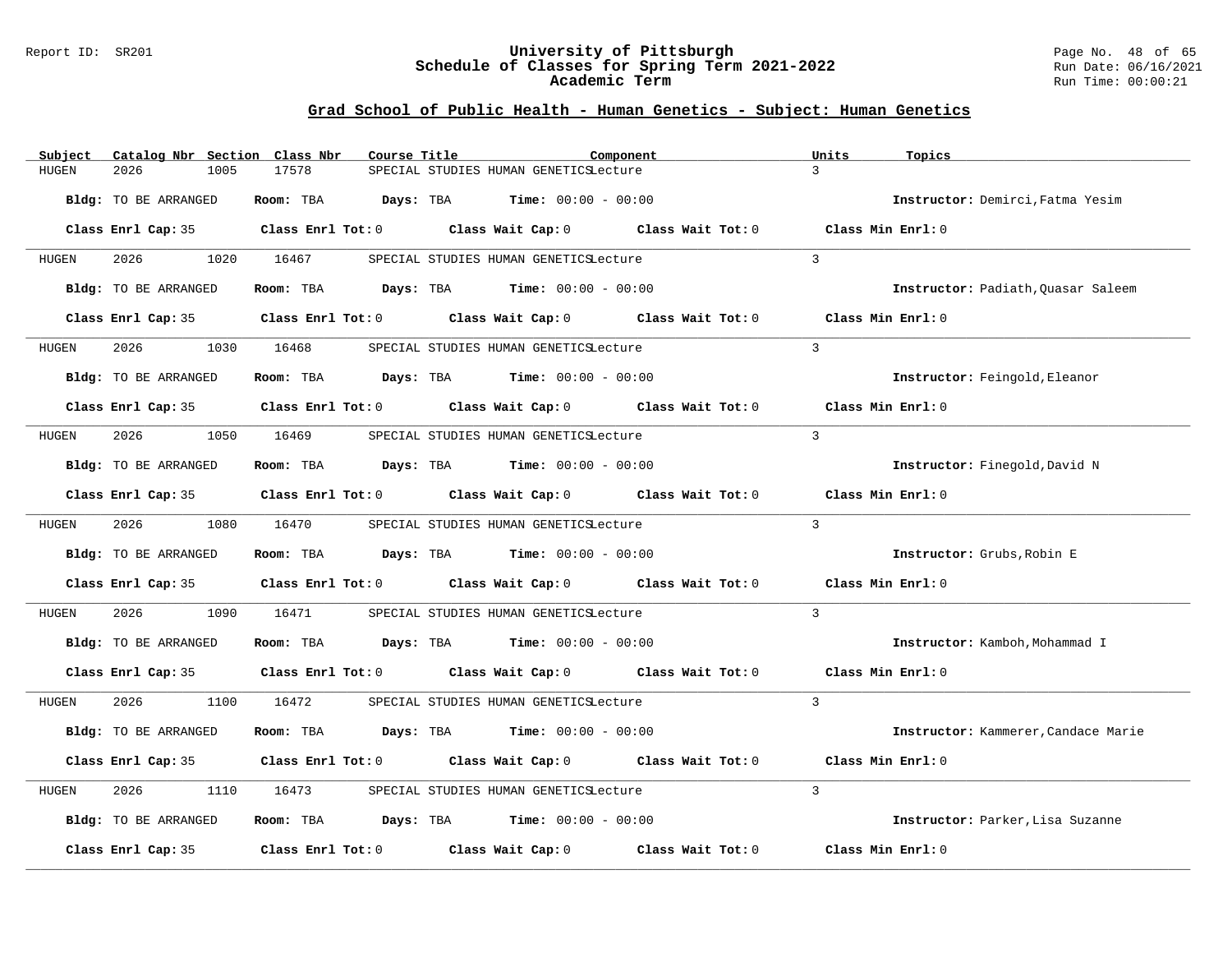#### Report ID: SR201 **University of Pittsburgh** Page No. 48 of 65 **Schedule of Classes for Spring Term 2021-2022** Run Date: 06/16/2021 **Academic Term** Run Time: 00:00:21

| Subject      | Catalog Nbr Section Class Nbr | Course Title | Component                                                                                                           |                   | Units<br>Topics                     |
|--------------|-------------------------------|--------------|---------------------------------------------------------------------------------------------------------------------|-------------------|-------------------------------------|
| HUGEN        | 2026<br>1005                  | 17578        | SPECIAL STUDIES HUMAN GENETICSLecture                                                                               |                   | $\mathcal{L}$                       |
|              | Bldg: TO BE ARRANGED          | Room: TBA    | <b>Days:</b> TBA <b>Time:</b> $00:00 - 00:00$                                                                       |                   | Instructor: Demirci, Fatma Yesim    |
|              |                               |              | Class Enrl Cap: 35 Class Enrl Tot: 0 Class Wait Cap: 0 Class Wait Tot: 0 Class Min Enrl: 0                          |                   |                                     |
| HUGEN        | 2026                          | 1020 16467   | SPECIAL STUDIES HUMAN GENETICSLecture                                                                               |                   | $\mathcal{L}$                       |
|              | Bldg: TO BE ARRANGED          |              | Room: TBA $Days:$ TBA $Time: 00:00 - 00:00$                                                                         |                   | Instructor: Padiath, Quasar Saleem  |
|              |                               |              | Class Enrl Cap: 35 Class Enrl Tot: 0 Class Wait Cap: 0 Class Wait Tot: 0                                            |                   | Class Min Enrl: 0                   |
| HUGEN        | 2026                          | 1030 16468   | SPECIAL STUDIES HUMAN GENETICSLecture                                                                               |                   | $\mathbf{3}$                        |
|              | Bldg: TO BE ARRANGED          |              | Room: TBA $Days:$ TBA $Time: 00:00 - 00:00$                                                                         |                   | Instructor: Feingold, Eleanor       |
|              |                               |              | Class Enrl Cap: 35 $\qquad$ Class Enrl Tot: 0 $\qquad$ Class Wait Cap: 0 $\qquad$ Class Wait Tot: 0                 |                   | Class Min Enrl: 0                   |
| HUGEN        | 2026                          | 1050 16469   | SPECIAL STUDIES HUMAN GENETICSLecture                                                                               |                   | $\mathbf{3}$                        |
|              | Bldg: TO BE ARRANGED          |              | Room: TBA $Days:$ TBA Time: $00:00 - 00:00$                                                                         |                   | Instructor: Finegold, David N       |
|              |                               |              | Class Enrl Cap: 35 $\,$ Class Enrl Tot: 0 $\,$ Class Wait Cap: 0 $\,$ Class Wait Tot: 0 $\,$ Class Wait Tot: 0 $\,$ |                   | Class Min Enrl: 0                   |
| HUGEN        | 2026 70                       | 1080 16470   | SPECIAL STUDIES HUMAN GENETICSLecture                                                                               |                   | $\mathcal{L}$                       |
|              | Bldg: TO BE ARRANGED          |              | Room: TBA $Days: TBA$ Time: $00:00 - 00:00$                                                                         |                   | Instructor: Grubs, Robin E          |
|              |                               |              | Class Enrl Cap: 35 Class Enrl Tot: 0 Class Wait Cap: 0 Class Wait Tot: 0                                            |                   | Class Min Enrl: 0                   |
| HUGEN        | 2026<br>1090                  | 16471        | SPECIAL STUDIES HUMAN GENETICSLecture                                                                               |                   | $\overline{3}$                      |
|              | Bldg: TO BE ARRANGED          |              | Room: TBA $Days:$ TBA $Time: 00:00 - 00:00$                                                                         |                   | Instructor: Kamboh, Mohammad I      |
|              |                               |              | Class Enrl Cap: 35 Class Enrl Tot: 0 Class Wait Cap: 0 Class Wait Tot: 0 Class Min Enrl: 0                          |                   |                                     |
| HUGEN        | 2026                          | 1100 16472   | SPECIAL STUDIES HUMAN GENETICSLecture                                                                               |                   | $\overline{3}$                      |
|              | Bldg: TO BE ARRANGED          |              | Room: TBA $Days:$ TBA $Time: 00:00 - 00:00$                                                                         |                   | Instructor: Kammerer, Candace Marie |
|              |                               |              | Class Enrl Cap: 35 Class Enrl Tot: 0 Class Wait Cap: 0 Class Wait Tot: 0                                            |                   | Class Min Enrl: 0                   |
| <b>HUGEN</b> | 2026<br>1110                  | 16473        | SPECIAL STUDIES HUMAN GENETICSLecture                                                                               |                   | 3                                   |
|              | Bldg: TO BE ARRANGED          |              | Room: TBA $Days:$ TBA $Time: 00:00 - 00:00$                                                                         |                   | Instructor: Parker, Lisa Suzanne    |
|              | Class Enrl Cap: 35            |              | Class Enrl Tot: $0$ Class Wait Cap: $0$                                                                             | Class Wait Tot: 0 | Class Min Enrl: 0                   |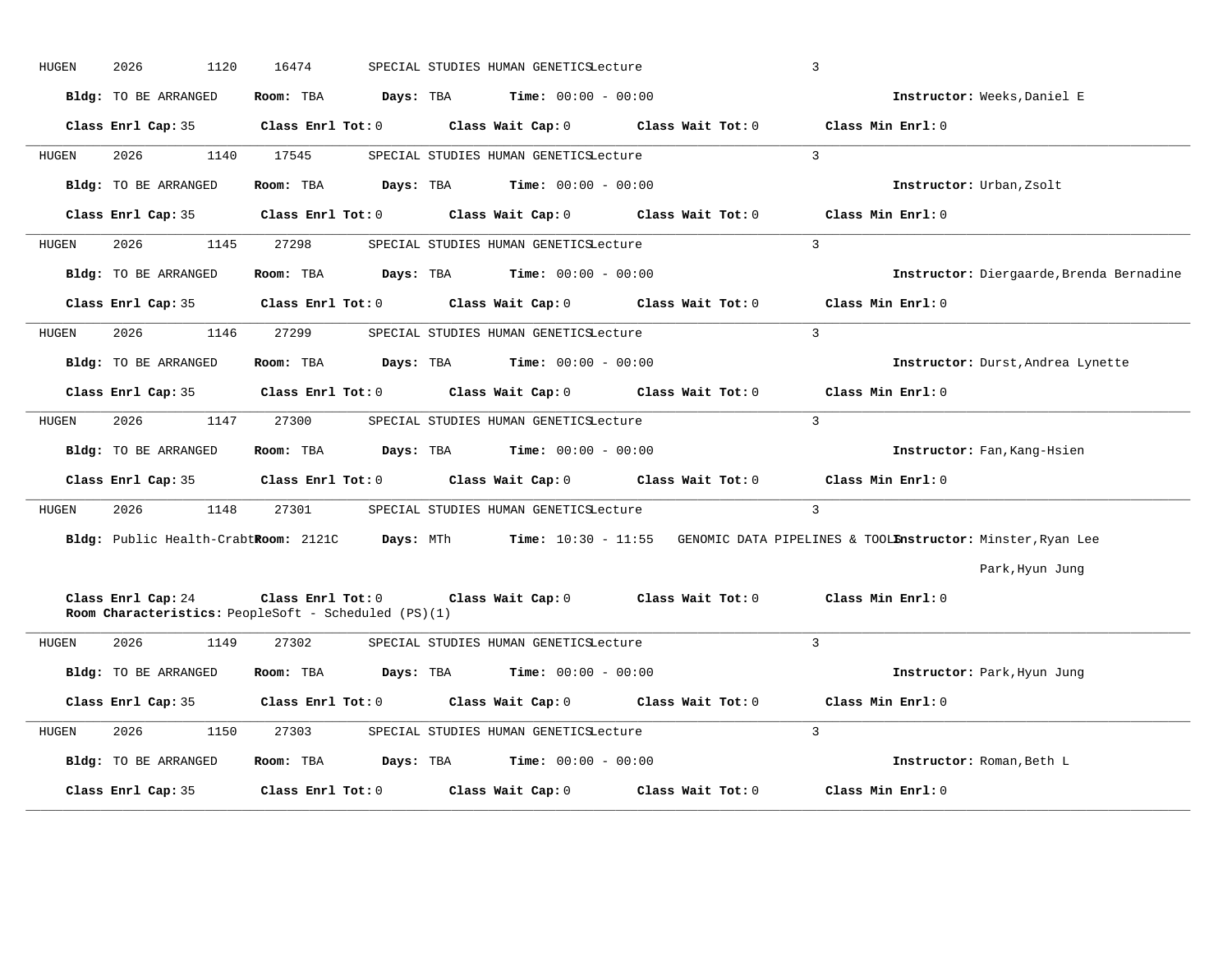| HUGEN | 2026<br>1120         | 16474                                                                     | SPECIAL STUDIES HUMAN GENETICSLecture                                           |                   | 3                                                                                                                             |
|-------|----------------------|---------------------------------------------------------------------------|---------------------------------------------------------------------------------|-------------------|-------------------------------------------------------------------------------------------------------------------------------|
|       | Bldg: TO BE ARRANGED | Room: TBA<br>Days: TBA                                                    | <b>Time:</b> $00:00 - 00:00$                                                    |                   | Instructor: Weeks, Daniel E                                                                                                   |
|       | Class Enrl Cap: 35   |                                                                           | Class Enrl Tot: $0$ Class Wait Cap: $0$ Class Wait Tot: $0$ Class Min Enrl: $0$ |                   |                                                                                                                               |
| HUGEN | 2026<br>1140         | 17545                                                                     | SPECIAL STUDIES HUMAN GENETICSLecture                                           |                   | $\mathbf{3}$                                                                                                                  |
|       | Bldg: TO BE ARRANGED | Room: TBA<br>Days: TBA                                                    | <b>Time:</b> $00:00 - 00:00$                                                    |                   | Instructor: Urban, Zsolt                                                                                                      |
|       | Class Enrl Cap: 35   |                                                                           | Class Enrl Tot: 0 Class Wait Cap: 0 Class Wait Tot: 0                           |                   | Class Min Enrl: 0                                                                                                             |
| HUGEN | 2026<br>1145         | 27298                                                                     | SPECIAL STUDIES HUMAN GENETICSLecture                                           |                   | $\overline{3}$                                                                                                                |
|       | Bldg: TO BE ARRANGED | Room: TBA                                                                 | <b>Days:</b> TBA <b>Time:</b> $00:00 - 00:00$                                   |                   | Instructor: Diergaarde, Brenda Bernadine                                                                                      |
|       | Class Enrl Cap: 35   | $Class$ $Enr1$ $Tot: 0$                                                   | Class Wait Cap: 0                                                               | Class Wait Tot: 0 | Class Min Enrl: 0                                                                                                             |
| HUGEN | 1146<br>2026         | 27299                                                                     | SPECIAL STUDIES HUMAN GENETICSLecture                                           |                   | $\overline{3}$                                                                                                                |
|       | Bldg: TO BE ARRANGED | Room: TBA                                                                 | <b>Days:</b> TBA <b>Time:</b> $00:00 - 00:00$                                   |                   | Instructor: Durst, Andrea Lynette                                                                                             |
|       |                      |                                                                           | Class Enrl Cap: 35 Class Enrl Tot: 0 Class Wait Cap: 0 Class Wait Tot: 0        |                   | Class Min Enrl: 0                                                                                                             |
| HUGEN | 2026<br>1147         | 27300                                                                     | SPECIAL STUDIES HUMAN GENETICSLecture                                           |                   | $\mathbf{3}$                                                                                                                  |
|       | Bldg: TO BE ARRANGED | Room: TBA                                                                 | <b>Days:</b> TBA <b>Time:</b> $00:00 - 00:00$                                   |                   | Instructor: Fan, Kang-Hsien                                                                                                   |
|       |                      | Class Enrl Cap: 35 Class Enrl Tot: 0                                      | Class Wait Cap: 0 Class Wait Tot: 0                                             |                   | Class Min Enrl: 0                                                                                                             |
| HUGEN | 2026<br>1148         | 27301                                                                     | SPECIAL STUDIES HUMAN GENETICSLecture                                           |                   | $\overline{3}$                                                                                                                |
|       |                      |                                                                           |                                                                                 |                   | Bldg: Public Health-CrabtRoom: 2121C Days: MTh Time: 10:30 - 11:55 GENOMIC DATA PIPELINES & TOOLEnstructor: Minster, Ryan Lee |
|       |                      |                                                                           |                                                                                 |                   | Park, Hyun Jung                                                                                                               |
|       | Class Enrl Cap: 24   | Class Enrl Tot: 0<br>Room Characteristics: PeopleSoft - Scheduled (PS)(1) | Class Wait Cap: $0$ Class Wait Tot: $0$                                         |                   | Class Min Enrl: 0                                                                                                             |
| HUGEN | 2026<br>1149         | 27302                                                                     | SPECIAL STUDIES HUMAN GENETICSLecture                                           |                   | $\mathcal{E}$                                                                                                                 |
|       | Bldg: TO BE ARRANGED | Room: TBA<br>Days: TBA                                                    | <b>Time:</b> $00:00 - 00:00$                                                    |                   | Instructor: Park, Hyun Jung                                                                                                   |
|       | Class Enrl Cap: 35   | Class Enrl Tot: 0                                                         | Class Wait Cap: 0 Class Wait Tot: 0                                             |                   | Class Min Enrl: 0                                                                                                             |
| HUGEN | 2026<br>1150         | 27303                                                                     | SPECIAL STUDIES HUMAN GENETICSLecture                                           |                   | 3                                                                                                                             |
|       | Bldg: TO BE ARRANGED | Room: TBA<br>Days: TBA                                                    | $Time: 00:00 - 00:00$                                                           |                   | Instructor: Roman, Beth L                                                                                                     |
|       | Class Enrl Cap: 35   | Class Enrl Tot: 0                                                         | Class Wait Cap: 0                                                               | Class Wait Tot: 0 | Class Min Enrl: 0                                                                                                             |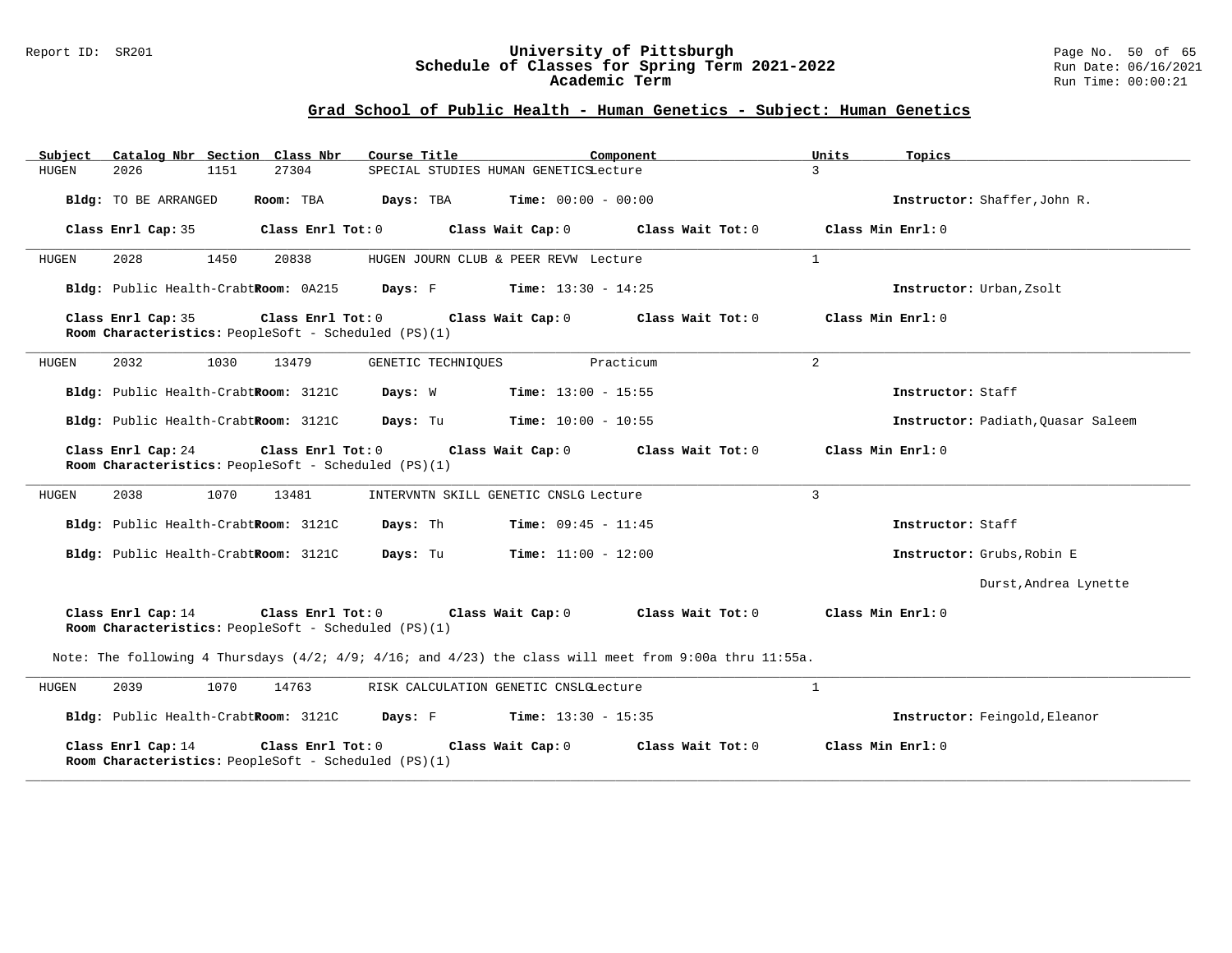#### Report ID: SR201 **University of Pittsburgh** Page No. 50 of 65 **Schedule of Classes for Spring Term 2021-2022** Run Date: 06/16/2021 **Academic Term** Run Time: 00:00:21

| Catalog Nbr Section Class Nbr<br>Subject<br>2026<br>27304                                                  | Course Title                                  | Component         | Units<br>Topics<br>3               |
|------------------------------------------------------------------------------------------------------------|-----------------------------------------------|-------------------|------------------------------------|
| HUGEN<br>1151                                                                                              | SPECIAL STUDIES HUMAN GENETICSLecture         |                   |                                    |
| Bldg: TO BE ARRANGED<br>Room: TBA                                                                          | <b>Days:</b> TBA <b>Time:</b> $00:00 - 00:00$ |                   | Instructor: Shaffer, John R.       |
| Class Enrl Cap: 35<br>Class Enrl Tot: 0                                                                    | Class Wait Cap: 0                             | Class Wait Tot: 0 | Class Min Enrl: 0                  |
| <b>HUGEN</b><br>2028<br>1450<br>20838                                                                      | HUGEN JOURN CLUB & PEER REVW Lecture          |                   | $\mathbf{1}$                       |
| Bldg: Public Health-CrabtRoom: 0A215                                                                       | Days: F<br><b>Time:</b> $13:30 - 14:25$       |                   | Instructor: Urban, Zsolt           |
| Class Enrl Cap: 35<br>Class Enrl Tot: 0<br>Room Characteristics: PeopleSoft - Scheduled (PS)(1)            | Class Wait Cap: 0                             | Class Wait Tot: 0 | Class Min Enrl: 0                  |
| 2032<br>HUGEN<br>1030<br>13479                                                                             | GENETIC TECHNIOUES                            | Practicum         | 2                                  |
| Bldg: Public Health-CrabtRoom: 3121C                                                                       | Days: W<br><b>Time:</b> $13:00 - 15:55$       |                   | Instructor: Staff                  |
| Bldg: Public Health-CrabtRoom: 3121C                                                                       | Days: Tu<br><b>Time:</b> $10:00 - 10:55$      |                   | Instructor: Padiath, Ouasar Saleem |
| Class Enrl Cap: 24<br>Class Enrl Tot: 0<br>Room Characteristics: PeopleSoft - Scheduled (PS)(1)            | Class Wait Cap: 0                             | Class Wait Tot: 0 | Class Min Enrl: 0                  |
| 2038<br>1070<br>HUGEN<br>13481                                                                             | INTERVNTN SKILL GENETIC CNSLG Lecture         |                   | $\overline{3}$                     |
| Bldg: Public Health-CrabtRoom: 3121C                                                                       | Days: Th<br><b>Time:</b> $09:45 - 11:45$      |                   | Instructor: Staff                  |
| Bldg: Public Health-CrabtRoom: 3121C                                                                       | Days: Tu<br>$Time: 11:00 - 12:00$             |                   | Instructor: Grubs, Robin E         |
|                                                                                                            |                                               |                   | Durst, Andrea Lynette              |
| Class Enrl Cap: 14<br>Class Enrl Tot:0<br>Room Characteristics: PeopleSoft - Scheduled (PS)(1)             | Class Wait Cap: 0                             | Class Wait Tot: 0 | Class Min Enrl: 0                  |
| Note: The following 4 Thursdays $(4/2; 4/9; 4/16;$ and $4/23)$ the class will meet from 9:00a thru 11:55a. |                                               |                   |                                    |
| 2039<br>1070<br>14763<br>HUGEN                                                                             | RISK CALCULATION GENETIC CNSLGLecture         |                   | $\mathbf{1}$                       |
| Bldg: Public Health-CrabtRoom: 3121C                                                                       | <b>Days:</b> F <b>Time:</b> $13:30 - 15:35$   |                   | Instructor: Feingold, Eleanor      |
| Class Enrl Cap: 14<br>Class Enrl Tot: 0<br>Room Characteristics: PeopleSoft - Scheduled (PS)(1)            | Class Wait Cap: 0                             | Class Wait Tot: 0 | Class Min Enrl: 0                  |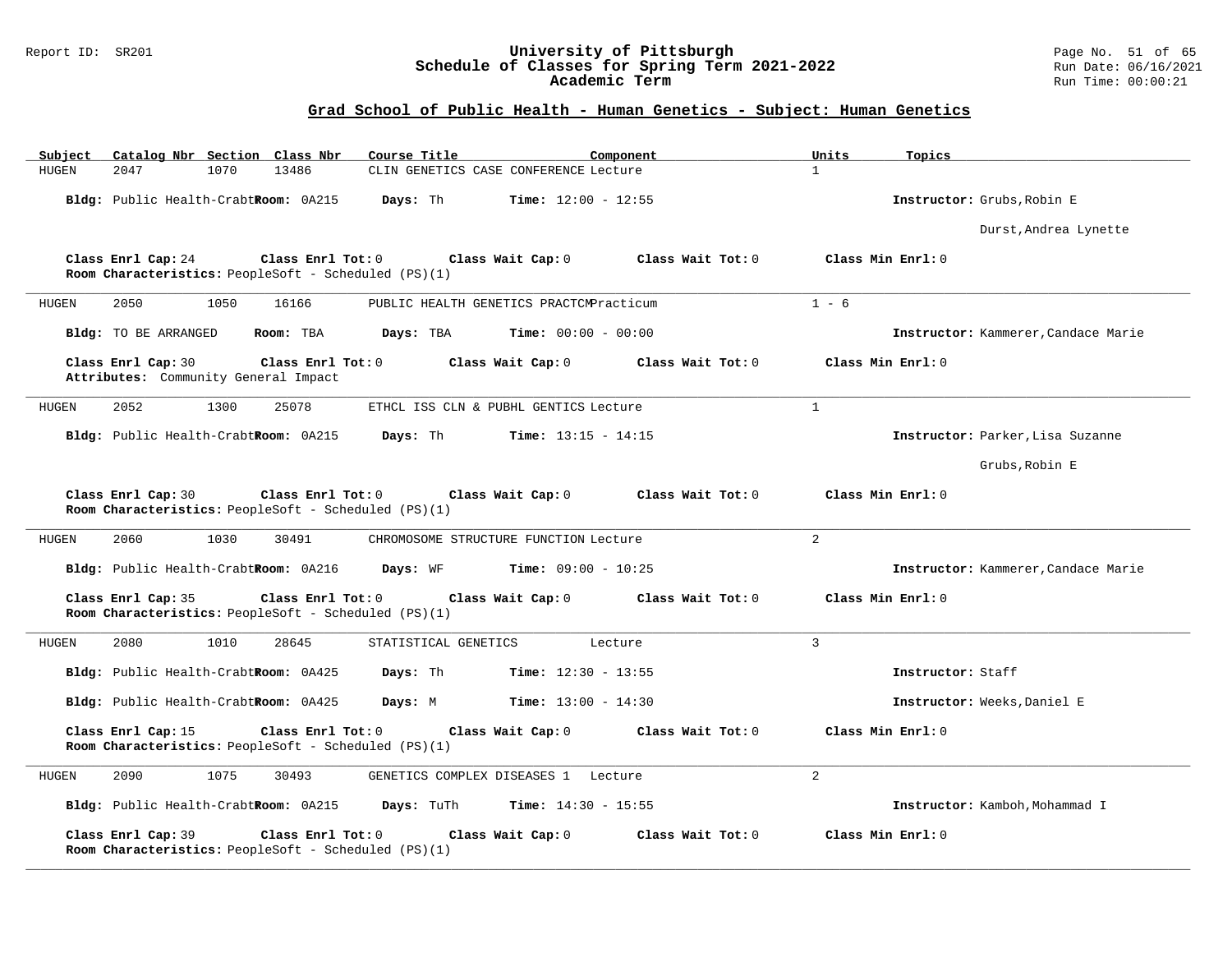#### Report ID: SR201 **University of Pittsburgh** Page No. 51 of 65 **Schedule of Classes for Spring Term 2021-2022** Run Date: 06/16/2021 **Academic Term** Run Time: 00:00:21

| Catalog Nbr Section Class Nbr<br>Subject                                                        | Course Title<br>Component                  | Units<br>Topics                     |
|-------------------------------------------------------------------------------------------------|--------------------------------------------|-------------------------------------|
| 13486<br><b>HUGEN</b><br>2047<br>1070                                                           | CLIN GENETICS CASE CONFERENCE Lecture      | $\mathbf{1}$                        |
| Bldg: Public Health-CrabtRoom: 0A215                                                            | Days: Th<br><b>Time:</b> $12:00 - 12:55$   | Instructor: Grubs, Robin E          |
|                                                                                                 |                                            | Durst, Andrea Lynette               |
| Class Enrl Cap: 24<br>Class Enrl Tot: 0<br>Room Characteristics: PeopleSoft - Scheduled (PS)(1) | Class Wait Cap: 0<br>Class Wait Tot: 0     | Class Min Enrl: 0                   |
| 1050<br>HUGEN<br>2050<br>16166                                                                  | PUBLIC HEALTH GENETICS PRACTCMPracticum    | $1 - 6$                             |
| Bldg: TO BE ARRANGED<br>Room: TBA                                                               | <b>Time:</b> $00:00 - 00:00$<br>Days: TBA  | Instructor: Kammerer, Candace Marie |
| Class Enrl Cap: 30<br>Class Enrl Tot: 0<br>Attributes: Community General Impact                 | Class Wait Cap: 0<br>Class Wait Tot: 0     | Class Min Enrl: 0                   |
| 2052<br>1300<br>25078<br>HUGEN                                                                  | ETHCL ISS CLN & PUBHL GENTICS Lecture      | $\mathbf{1}$                        |
| Bldg: Public Health-CrabtRoom: 0A215                                                            | Days: Th<br><b>Time:</b> $13:15 - 14:15$   | Instructor: Parker, Lisa Suzanne    |
|                                                                                                 |                                            | Grubs, Robin E                      |
| Class Enrl Cap: 30<br>Class Enrl Tot: 0<br>Room Characteristics: PeopleSoft - Scheduled (PS)(1) | Class Wait Cap: 0<br>Class Wait Tot: 0     | Class Min Enrl: 0                   |
| 2060<br>1030<br>30491<br>HUGEN                                                                  | CHROMOSOME STRUCTURE FUNCTION Lecture      | $\overline{a}$                      |
| Bldg: Public Health-CrabtRoom: 0A216                                                            | Days: WF<br><b>Time:</b> $09:00 - 10:25$   | Instructor: Kammerer, Candace Marie |
| Class Enrl Cap: 35<br>Class Enrl Tot: 0<br>Room Characteristics: PeopleSoft - Scheduled (PS)(1) | Class Wait Cap: 0<br>Class Wait Tot: 0     | Class Min Enrl: 0                   |
| 1010<br>HUGEN<br>2080<br>28645                                                                  | STATISTICAL GENETICS<br>Lecture            | $\overline{3}$                      |
| Bldg: Public Health-CrabtRoom: 0A425                                                            | Days: Th<br><b>Time:</b> $12:30 - 13:55$   | Instructor: Staff                   |
| Bldg: Public Health-CrabtRoom: 0A425                                                            | Days: M<br><b>Time:</b> $13:00 - 14:30$    | Instructor: Weeks. Daniel E         |
| Class Enrl Cap: 15<br>Class Enrl Tot: 0<br>Room Characteristics: PeopleSoft - Scheduled (PS)(1) | Class Wait Cap: 0<br>Class Wait Tot: 0     | Class Min Enrl: 0                   |
| <b>HUGEN</b><br>2090<br>1075<br>30493                                                           | GENETICS COMPLEX DISEASES 1 Lecture        | $\overline{2}$                      |
| Bldg: Public Health-CrabtRoom: 0A215                                                            | Days: TuTh<br><b>Time:</b> $14:30 - 15:55$ | Instructor: Kamboh, Mohammad I      |
| Class Enrl Cap: 39<br>Class Enrl Tot: 0<br>Room Characteristics: PeopleSoft - Scheduled (PS)(1) | Class Wait Cap: 0<br>Class Wait Tot: 0     | Class Min Enrl: 0                   |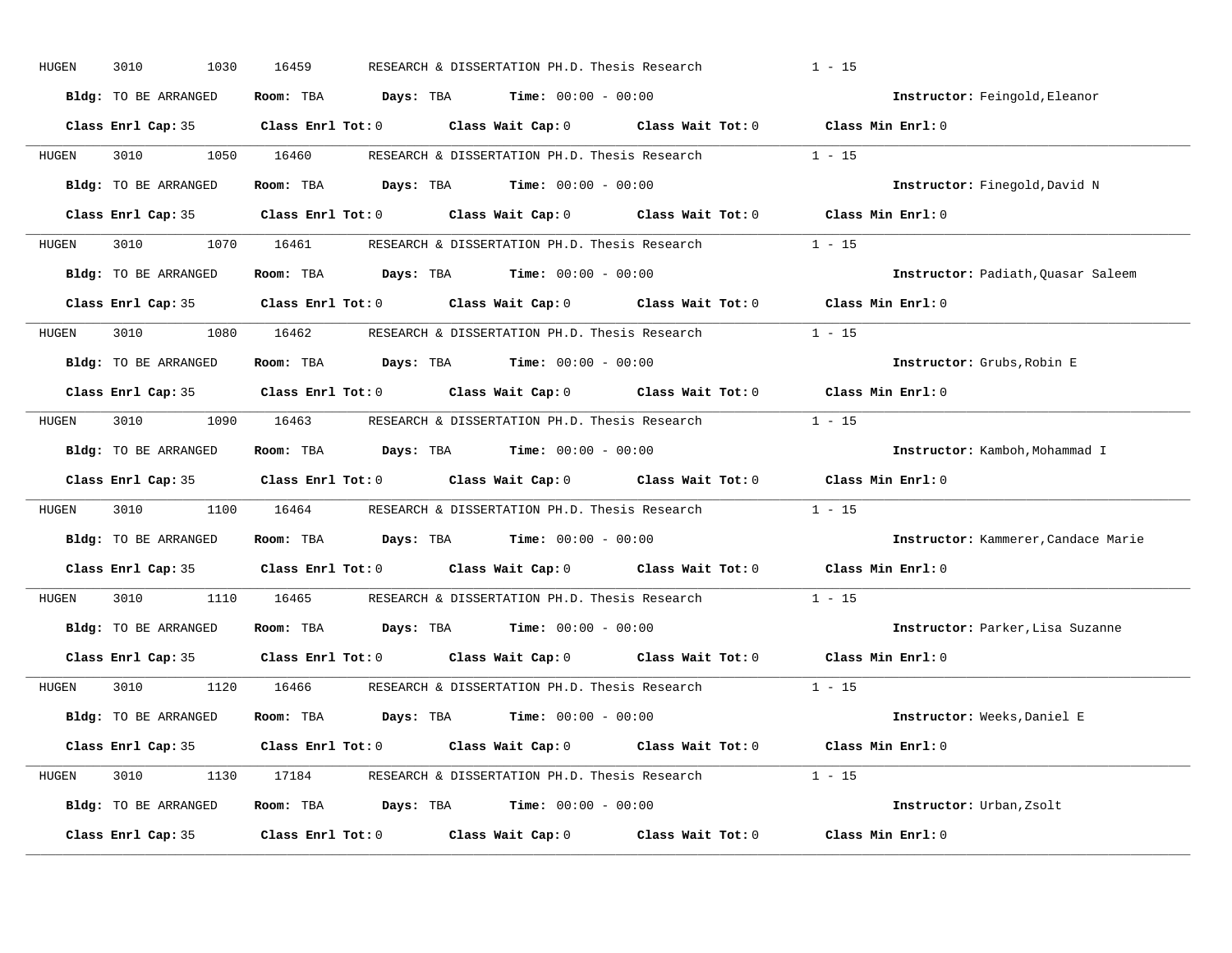| HUGEN | 3010<br>1030         | 16459                                                                                               | RESEARCH & DISSERTATION PH.D. Thesis Research | $1 - 15$                            |  |  |  |
|-------|----------------------|-----------------------------------------------------------------------------------------------------|-----------------------------------------------|-------------------------------------|--|--|--|
|       | Bldg: TO BE ARRANGED | Room: TBA $\rule{1em}{0.15mm}$ Days: TBA Time: $00:00 - 00:00$                                      |                                               | Instructor: Feingold, Eleanor       |  |  |  |
|       |                      | Class Enrl Cap: 35 Class Enrl Tot: 0 Class Wait Cap: 0 Class Wait Tot: 0 Class Min Enrl: 0          |                                               |                                     |  |  |  |
| HUGEN | 3010                 | 1050 16460                                                                                          | RESEARCH & DISSERTATION PH.D. Thesis Research | $1 - 15$                            |  |  |  |
|       | Bldg: TO BE ARRANGED | Room: TBA $Days:$ TBA $Time: 00:00 - 00:00$                                                         |                                               | Instructor: Finegold, David N       |  |  |  |
|       |                      | Class Enrl Cap: 35 Class Enrl Tot: 0 Class Wait Cap: 0 Class Wait Tot: 0 Class Min Enrl: 0          |                                               |                                     |  |  |  |
| HUGEN |                      | 3010 1070 16461 RESEARCH & DISSERTATION PH.D. Thesis Research 1 - 15                                |                                               |                                     |  |  |  |
|       | Bldg: TO BE ARRANGED | Room: TBA $Days:$ TBA Time: $00:00 - 00:00$                                                         |                                               | Instructor: Padiath, Quasar Saleem  |  |  |  |
|       |                      | Class Enrl Cap: 35 $\qquad$ Class Enrl Tot: 0 $\qquad$ Class Wait Cap: 0 $\qquad$ Class Wait Tot: 0 |                                               | Class Min Enrl: 0                   |  |  |  |
| HUGEN |                      | 3010 1080 16462 RESEARCH & DISSERTATION PH.D. Thesis Research                                       |                                               | $1 - 15$                            |  |  |  |
|       | Bldg: TO BE ARRANGED | Room: TBA $Days:$ TBA $Time: 00:00 - 00:00$                                                         |                                               | Instructor: Grubs, Robin E          |  |  |  |
|       |                      | Class Enrl Cap: 35 Class Enrl Tot: 0 Class Wait Cap: 0 Class Wait Tot: 0                            |                                               | Class Min Enrl: 0                   |  |  |  |
| HUGEN |                      | 3010 1090 16463 RESEARCH & DISSERTATION PH.D. Thesis Research 1 - 15                                |                                               |                                     |  |  |  |
|       | Bldg: TO BE ARRANGED | Room: TBA $Days:$ TBA $Time: 00:00 - 00:00$                                                         |                                               | Instructor: Kamboh, Mohammad I      |  |  |  |
|       |                      | Class Enrl Cap: 35 Class Enrl Tot: 0 Class Wait Cap: 0 Class Wait Tot: 0                            |                                               | Class Min Enrl: 0                   |  |  |  |
| HUGEN | 3010                 | 1100 16464 RESEARCH & DISSERTATION PH.D. Thesis Research                                            |                                               | $1 - 15$                            |  |  |  |
|       | Bldg: TO BE ARRANGED | Room: TBA $Days:$ TBA $Time: 00:00 - 00:00$                                                         |                                               | Instructor: Kammerer, Candace Marie |  |  |  |
|       |                      | Class Enrl Cap: 35 Class Enrl Tot: 0 Class Wait Cap: 0 Class Wait Tot: 0                            |                                               | Class Min Enrl: 0                   |  |  |  |
| HUGEN | 3010                 | 1110 16465                                                                                          | RESEARCH & DISSERTATION PH.D. Thesis Research | $1 - 15$                            |  |  |  |
|       | Bldg: TO BE ARRANGED | Room: TBA $Days:$ TBA $Time: 00:00 - 00:00$                                                         |                                               | Instructor: Parker, Lisa Suzanne    |  |  |  |
|       |                      | Class Enrl Cap: 35 Class Enrl Tot: 0 Class Wait Cap: 0 Class Wait Tot: 0                            |                                               | Class Min Enrl: 0                   |  |  |  |
| HUGEN | 3010                 | 1120 16466 RESEARCH & DISSERTATION PH.D. Thesis Research 1 - 15                                     |                                               |                                     |  |  |  |
|       | Bldg: TO BE ARRANGED | Room: TBA $Days:$ TBA $Time: 00:00 - 00:00$                                                         |                                               | Instructor: Weeks, Daniel E         |  |  |  |
|       |                      | Class Enrl Cap: 35 Class Enrl Tot: 0 Class Wait Cap: 0 Class Wait Tot: 0 Class Min Enrl: 0          |                                               |                                     |  |  |  |
| HUGEN |                      | 3010 1130 17184 RESEARCH & DISSERTATION PH.D. Thesis Research 1 - 15                                |                                               |                                     |  |  |  |
|       | Bldg: TO BE ARRANGED | Room: TBA $Days: TBA$ Time: $00:00 - 00:00$                                                         |                                               | Instructor: Urban, Zsolt            |  |  |  |
|       | Class Enrl Cap: 35   | Class Enrl Tot: $0$ Class Wait Cap: $0$ Class Wait Tot: $0$                                         |                                               | Class Min Enrl: 0                   |  |  |  |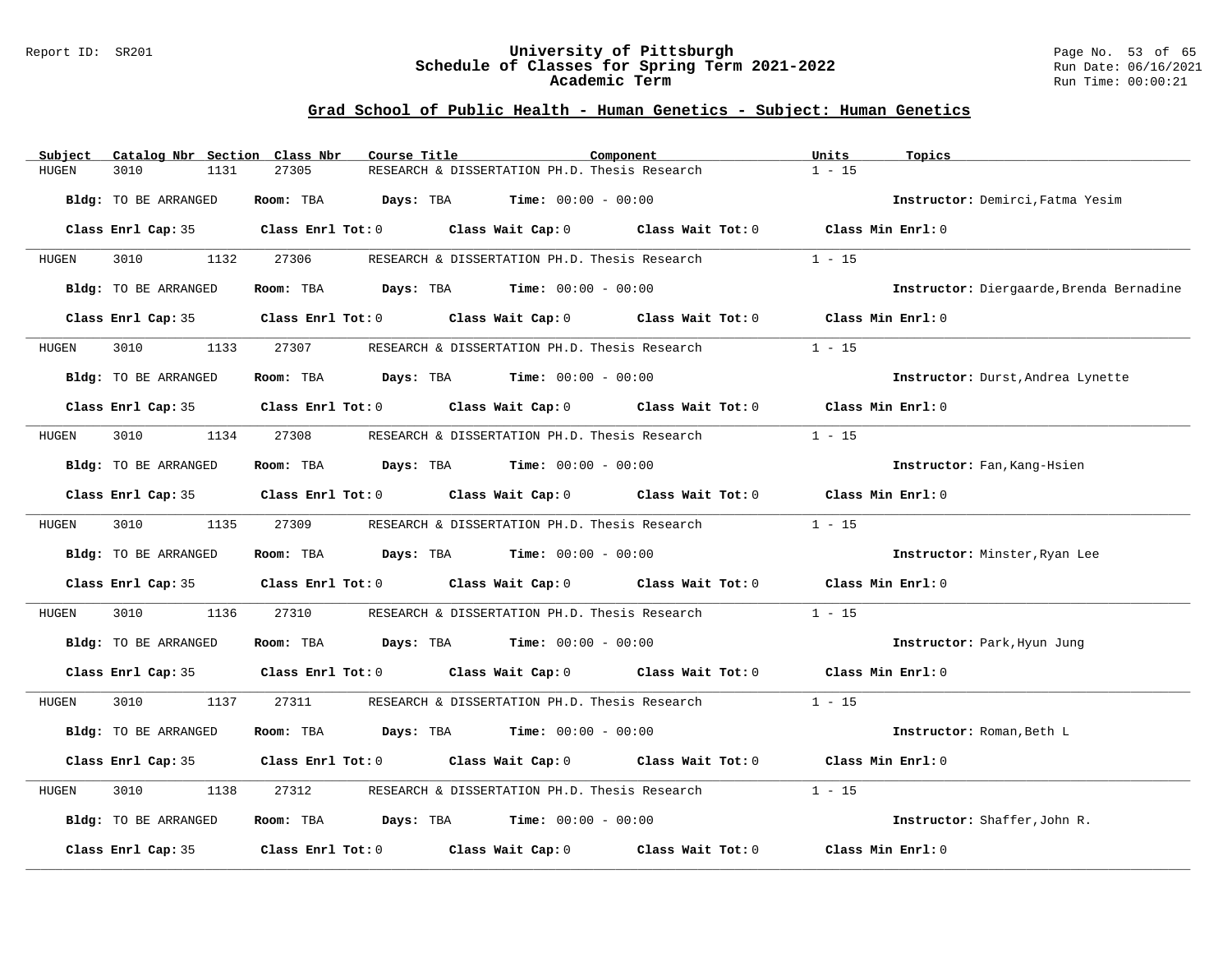#### Report ID: SR201 **University of Pittsburgh** Page No. 53 of 65 **Schedule of Classes for Spring Term 2021-2022** Run Date: 06/16/2021 **Academic Term** Run Time: 00:00:21

| Subject              | Catalog Nbr Section Class Nbr | Course Title           |                                               | Component                                                                                           | Units<br>Topics   |                                          |
|----------------------|-------------------------------|------------------------|-----------------------------------------------|-----------------------------------------------------------------------------------------------------|-------------------|------------------------------------------|
| 3010<br>HUGEN        | 1131                          | 27305                  | RESEARCH & DISSERTATION PH.D. Thesis Research |                                                                                                     | $1 - 15$          |                                          |
| Bldg: TO BE ARRANGED |                               | Room: TBA              | <b>Days:</b> TBA <b>Time:</b> $00:00 - 00:00$ |                                                                                                     |                   | Instructor: Demirci, Fatma Yesim         |
|                      |                               |                        |                                               | Class Enrl Cap: 35 Class Enrl Tot: 0 Class Wait Cap: 0 Class Wait Tot: 0 Class Min Enrl: 0          |                   |                                          |
| 3010<br>HUGEN        | 1132                          | 27306                  | RESEARCH & DISSERTATION PH.D. Thesis Research |                                                                                                     | $1 - 15$          |                                          |
| Bldg: TO BE ARRANGED |                               | Room: TBA              | <b>Days:</b> TBA <b>Time:</b> $00:00 - 00:00$ |                                                                                                     |                   | Instructor: Diergaarde, Brenda Bernadine |
| Class Enrl Cap: 35   |                               |                        |                                               | Class Enrl Tot: 0 Class Wait Cap: 0 Class Wait Tot: 0                                               | Class Min Enrl: 0 |                                          |
| 3010<br>HUGEN        | 1133                          | 27307                  | RESEARCH & DISSERTATION PH.D. Thesis Research |                                                                                                     | $1 - 15$          |                                          |
| Bldg: TO BE ARRANGED |                               |                        | Room: TBA $Days:$ TBA $Time: 00:00 - 00:00$   |                                                                                                     |                   | Instructor: Durst, Andrea Lynette        |
|                      |                               |                        |                                               | Class Enrl Cap: 35 $\qquad$ Class Enrl Tot: 0 $\qquad$ Class Wait Cap: 0 $\qquad$ Class Wait Tot: 0 | Class Min Enrl: 0 |                                          |
| 3010<br>HUGEN        | 1134                          | 27308                  | RESEARCH & DISSERTATION PH.D. Thesis Research |                                                                                                     | $1 - 15$          |                                          |
| Bldg: TO BE ARRANGED |                               |                        | Room: TBA $Days:$ TBA $Time: 00:00 - 00:00$   |                                                                                                     |                   | Instructor: Fan, Kang-Hsien              |
|                      |                               |                        |                                               | Class Enrl Cap: 35 Class Enrl Tot: 0 Class Wait Cap: 0 Class Wait Tot: 0                            | Class Min Enrl: 0 |                                          |
| 3010<br>HUGEN        | 1135 27309                    |                        |                                               | RESEARCH & DISSERTATION PH.D. Thesis Research                                                       | $1 - 15$          |                                          |
| Bldg: TO BE ARRANGED |                               | Room: TBA              | <b>Days:</b> TBA <b>Time:</b> $00:00 - 00:00$ |                                                                                                     |                   | Instructor: Minster, Ryan Lee            |
|                      |                               |                        |                                               | Class Enrl Cap: 35 $\qquad$ Class Enrl Tot: 0 $\qquad$ Class Wait Cap: 0 $\qquad$ Class Wait Tot: 0 | Class Min Enrl: 0 |                                          |
| HUGEN<br>3010        | 1136                          | 27310                  | RESEARCH & DISSERTATION PH.D. Thesis Research |                                                                                                     | $1 - 15$          |                                          |
| Bldg: TO BE ARRANGED |                               | Room: TBA              | <b>Days:</b> TBA <b>Time:</b> $00:00 - 00:00$ |                                                                                                     |                   | Instructor: Park, Hyun Jung              |
|                      |                               |                        |                                               | Class Enrl Cap: 35 $\qquad$ Class Enrl Tot: 0 $\qquad$ Class Wait Cap: 0 $\qquad$ Class Wait Tot: 0 | Class Min Enrl: 0 |                                          |
| 3010<br>HUGEN        | 1137                          | 27311                  |                                               | RESEARCH & DISSERTATION PH.D. Thesis Research                                                       | $1 - 15$          |                                          |
| Bldg: TO BE ARRANGED |                               | Room: TBA<br>Days: TBA | <b>Time:</b> $00:00 - 00:00$                  |                                                                                                     |                   | Instructor: Roman, Beth L                |
|                      |                               |                        |                                               | Class Enrl Cap: 35 Class Enrl Tot: 0 Class Wait Cap: 0 Class Wait Tot: 0                            | Class Min Enrl: 0 |                                          |
| HUGEN<br>3010        | 1138                          | 27312                  | RESEARCH & DISSERTATION PH.D. Thesis Research |                                                                                                     | $1 - 15$          |                                          |
| Bldg: TO BE ARRANGED |                               |                        | Room: TBA $Days:$ TBA $Time: 00:00 - 00:00$   |                                                                                                     |                   | Instructor: Shaffer, John R.             |
| Class Enrl Cap: 35   |                               |                        | Class Enrl Tot: 0 Class Wait Cap: 0           | Class Wait Tot: 0                                                                                   | Class Min Enrl: 0 |                                          |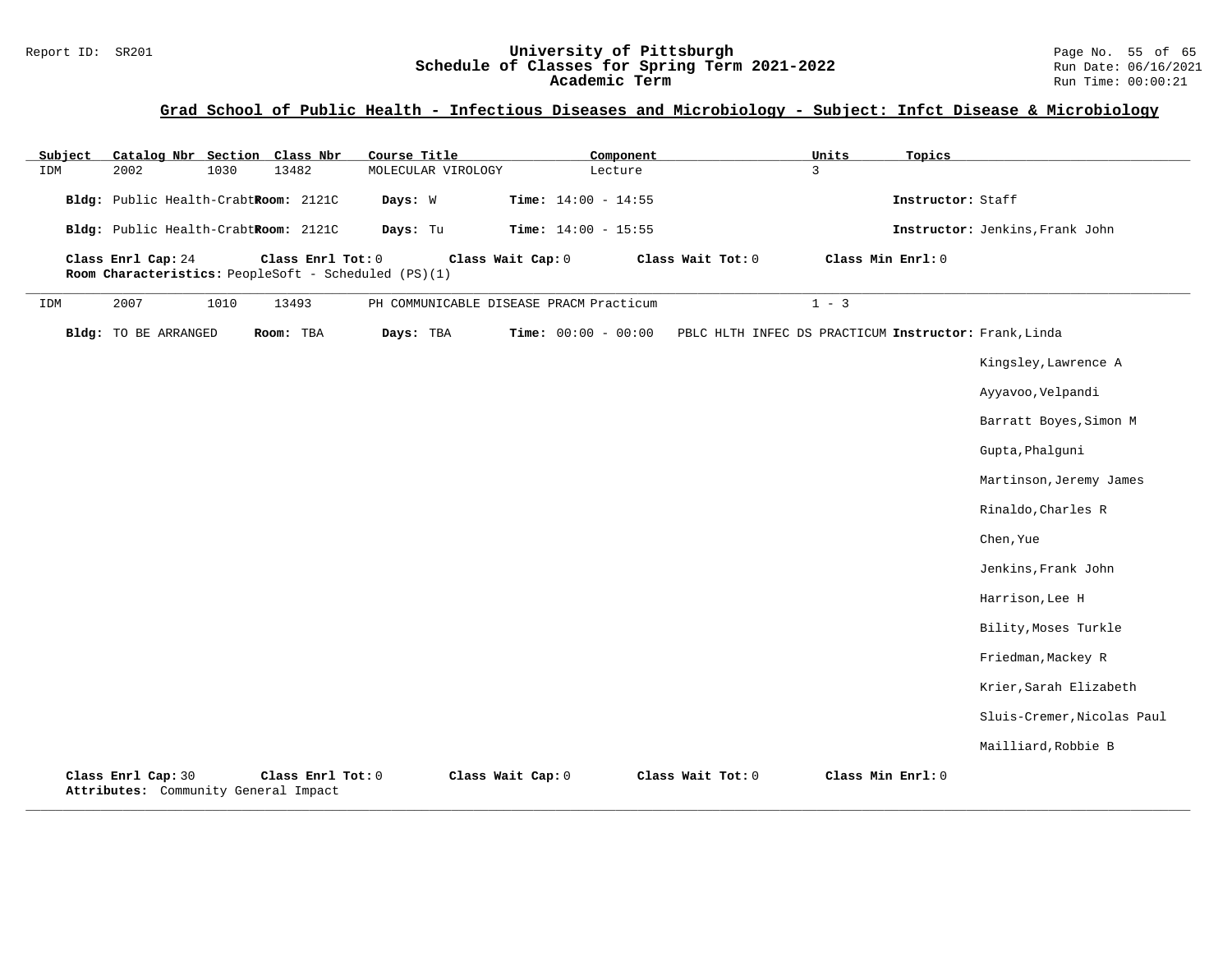#### Report ID: SR201 **University of Pittsburgh** Page No. 55 of 65 **Schedule of Classes for Spring Term 2021-2022** Run Date: 06/16/2021 **Academic Term** Run Time: 00:00:21

# **Grad School of Public Health - Infectious Diseases and Microbiology - Subject: Infct Disease & Microbiology**

| Subject | Catalog Nbr Section Class Nbr                              |      |           |                   | Course Title                                         |                   |                                         | Component |                                                       | Units             | Topics            |                                 |
|---------|------------------------------------------------------------|------|-----------|-------------------|------------------------------------------------------|-------------------|-----------------------------------------|-----------|-------------------------------------------------------|-------------------|-------------------|---------------------------------|
| IDM     | 2002                                                       | 1030 | 13482     |                   | MOLECULAR VIROLOGY                                   |                   |                                         | Lecture   |                                                       | 3                 |                   |                                 |
|         | Bldg: Public Health-CrabtRoom: 2121C                       |      |           |                   | Days: W                                              |                   | Time: $14:00 - 14:55$                   |           |                                                       |                   | Instructor: Staff |                                 |
|         | Bldg: Public Health-CrabtRoom: 2121C                       |      |           |                   | Days: Tu                                             |                   | Time: $14:00 - 15:55$                   |           |                                                       |                   |                   | Instructor: Jenkins, Frank John |
|         | Class Enrl Cap: 24                                         |      |           | Class Enrl Tot: 0 | Room Characteristics: PeopleSoft - Scheduled (PS)(1) | Class Wait Cap: 0 |                                         |           | Class Wait Tot: 0                                     | Class Min Enrl: 0 |                   |                                 |
| IDM     | 2007                                                       | 1010 | 13493     |                   |                                                      |                   | PH COMMUNICABLE DISEASE PRACM Practicum |           |                                                       | $1 - 3$           |                   |                                 |
|         | Bldg: TO BE ARRANGED                                       |      | Room: TBA |                   | Days: TBA                                            |                   | <b>Time:</b> $00:00 - 00:00$            |           | PBLC HLTH INFEC DS PRACTICUM Instructor: Frank, Linda |                   |                   |                                 |
|         |                                                            |      |           |                   |                                                      |                   |                                         |           |                                                       |                   |                   | Kingsley, Lawrence A            |
|         |                                                            |      |           |                   |                                                      |                   |                                         |           |                                                       |                   |                   | Ayyavoo, Velpandi               |
|         |                                                            |      |           |                   |                                                      |                   |                                         |           |                                                       |                   |                   | Barratt Boyes, Simon M          |
|         |                                                            |      |           |                   |                                                      |                   |                                         |           |                                                       |                   |                   | Gupta, Phalguni                 |
|         |                                                            |      |           |                   |                                                      |                   |                                         |           |                                                       |                   |                   | Martinson, Jeremy James         |
|         |                                                            |      |           |                   |                                                      |                   |                                         |           |                                                       |                   |                   | Rinaldo, Charles R              |
|         |                                                            |      |           |                   |                                                      |                   |                                         |           |                                                       |                   |                   | Chen, Yue                       |
|         |                                                            |      |           |                   |                                                      |                   |                                         |           |                                                       |                   |                   | Jenkins, Frank John             |
|         |                                                            |      |           |                   |                                                      |                   |                                         |           |                                                       |                   |                   | Harrison, Lee H                 |
|         |                                                            |      |           |                   |                                                      |                   |                                         |           |                                                       |                   |                   | Bility, Moses Turkle            |
|         |                                                            |      |           |                   |                                                      |                   |                                         |           |                                                       |                   |                   | Friedman, Mackey R              |
|         |                                                            |      |           |                   |                                                      |                   |                                         |           |                                                       |                   |                   | Krier, Sarah Elizabeth          |
|         |                                                            |      |           |                   |                                                      |                   |                                         |           |                                                       |                   |                   | Sluis-Cremer, Nicolas Paul      |
|         |                                                            |      |           |                   |                                                      |                   |                                         |           |                                                       |                   |                   | Mailliard, Robbie B             |
|         | Class Enrl Cap: 30<br>Attributes: Community General Impact |      |           | Class Enrl Tot: 0 |                                                      | Class Wait Cap: 0 |                                         |           | Class Wait Tot: 0                                     | Class Min Enrl: 0 |                   |                                 |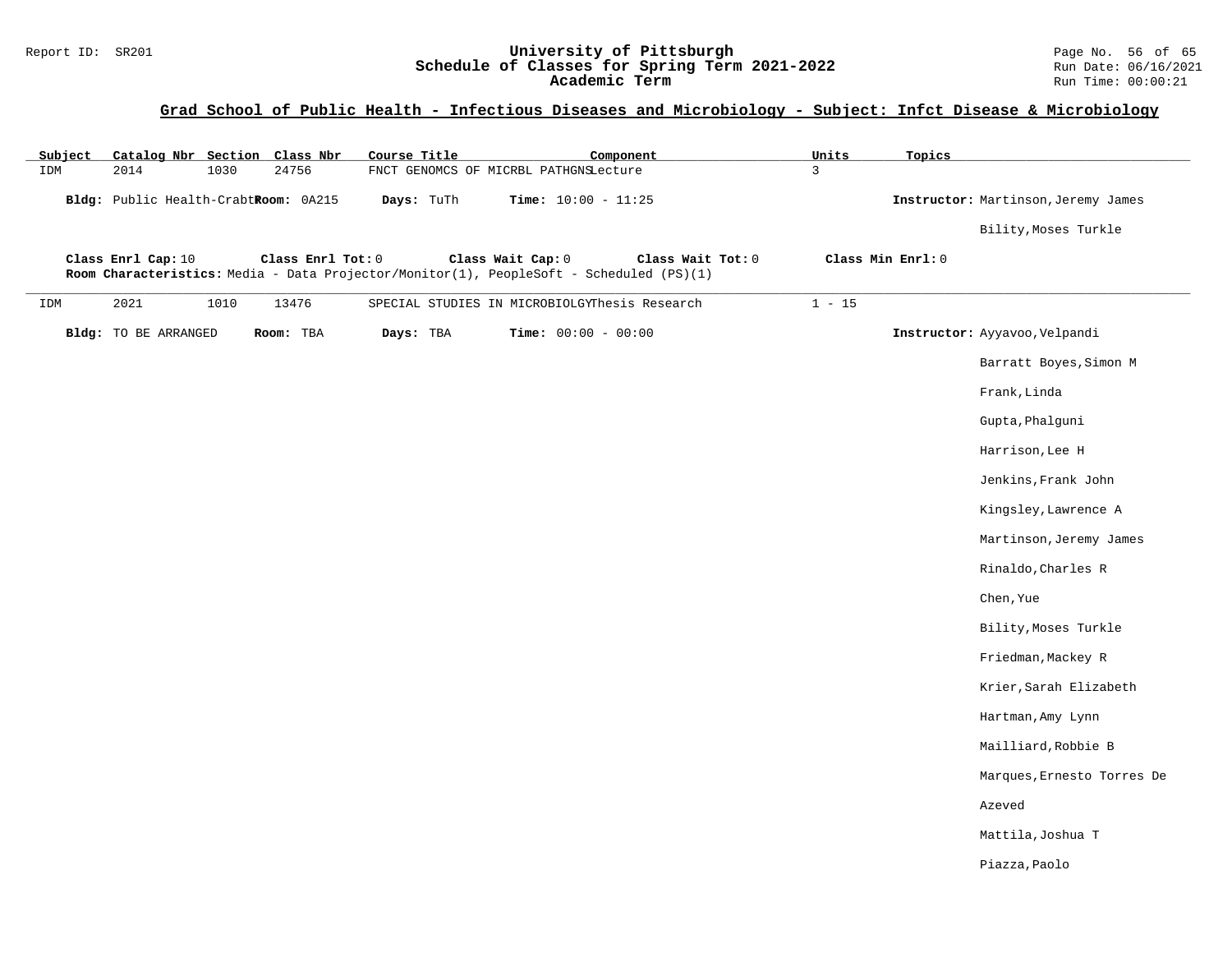#### Report ID: SR201 **University of Pittsburgh** Page No. 56 of 65 **Schedule of Classes for Spring Term 2021-2022** Run Date: 06/16/2021 **Academic Term** Run Time: 00:00:21

# **Grad School of Public Health - Infectious Diseases and Microbiology - Subject: Infct Disease & Microbiology**

| Subject | Catalog Nbr Section Class Nbr        |                   | Course Title                                                                            |                                               | Component         | Units          | Topics            |                                     |
|---------|--------------------------------------|-------------------|-----------------------------------------------------------------------------------------|-----------------------------------------------|-------------------|----------------|-------------------|-------------------------------------|
| IDM     | 2014<br>1030                         | 24756             |                                                                                         | FNCT GENOMCS OF MICRBL PATHGNSLecture         |                   | $\overline{3}$ |                   |                                     |
|         | Bldg: Public Health-CrabtRoom: 0A215 |                   | Days: TuTh                                                                              | Time: $10:00 - 11:25$                         |                   |                |                   | Instructor: Martinson, Jeremy James |
|         |                                      |                   |                                                                                         |                                               |                   |                |                   | Bility, Moses Turkle                |
|         | Class Enrl Cap: 10                   | Class Enrl Tot: 0 |                                                                                         | Class Wait Cap: 0                             | Class Wait Tot: 0 |                | Class Min Enrl: 0 |                                     |
|         |                                      |                   | Room Characteristics: Media - Data Projector/Monitor(1), PeopleSoft - Scheduled (PS)(1) |                                               |                   |                |                   |                                     |
| IDM     | 2021<br>1010                         | 13476             |                                                                                         | SPECIAL STUDIES IN MICROBIOLGYThesis Research |                   | $1 - 15$       |                   |                                     |
|         | Bldg: TO BE ARRANGED                 | Room: TBA         | Days: TBA                                                                               | <b>Time:</b> $00:00 - 00:00$                  |                   |                |                   | Instructor: Ayyavoo, Velpandi       |
|         |                                      |                   |                                                                                         |                                               |                   |                |                   | Barratt Boyes, Simon M              |
|         |                                      |                   |                                                                                         |                                               |                   |                |                   | Frank, Linda                        |
|         |                                      |                   |                                                                                         |                                               |                   |                |                   | Gupta, Phalguni                     |
|         |                                      |                   |                                                                                         |                                               |                   |                |                   | Harrison, Lee H                     |
|         |                                      |                   |                                                                                         |                                               |                   |                |                   | Jenkins, Frank John                 |
|         |                                      |                   |                                                                                         |                                               |                   |                |                   | Kingsley, Lawrence A                |
|         |                                      |                   |                                                                                         |                                               |                   |                |                   | Martinson, Jeremy James             |
|         |                                      |                   |                                                                                         |                                               |                   |                |                   | Rinaldo, Charles R                  |
|         |                                      |                   |                                                                                         |                                               |                   |                |                   | Chen, Yue                           |
|         |                                      |                   |                                                                                         |                                               |                   |                |                   | Bility, Moses Turkle                |
|         |                                      |                   |                                                                                         |                                               |                   |                |                   | Friedman, Mackey R                  |
|         |                                      |                   |                                                                                         |                                               |                   |                |                   | Krier, Sarah Elizabeth              |
|         |                                      |                   |                                                                                         |                                               |                   |                |                   | Hartman, Amy Lynn                   |
|         |                                      |                   |                                                                                         |                                               |                   |                |                   | Mailliard, Robbie B                 |
|         |                                      |                   |                                                                                         |                                               |                   |                |                   | Marques, Ernesto Torres De          |
|         |                                      |                   |                                                                                         |                                               |                   |                |                   | Azeved                              |
|         |                                      |                   |                                                                                         |                                               |                   |                |                   | Mattila, Joshua T                   |
|         |                                      |                   |                                                                                         |                                               |                   |                |                   | Piazza, Paolo                       |
|         |                                      |                   |                                                                                         |                                               |                   |                |                   |                                     |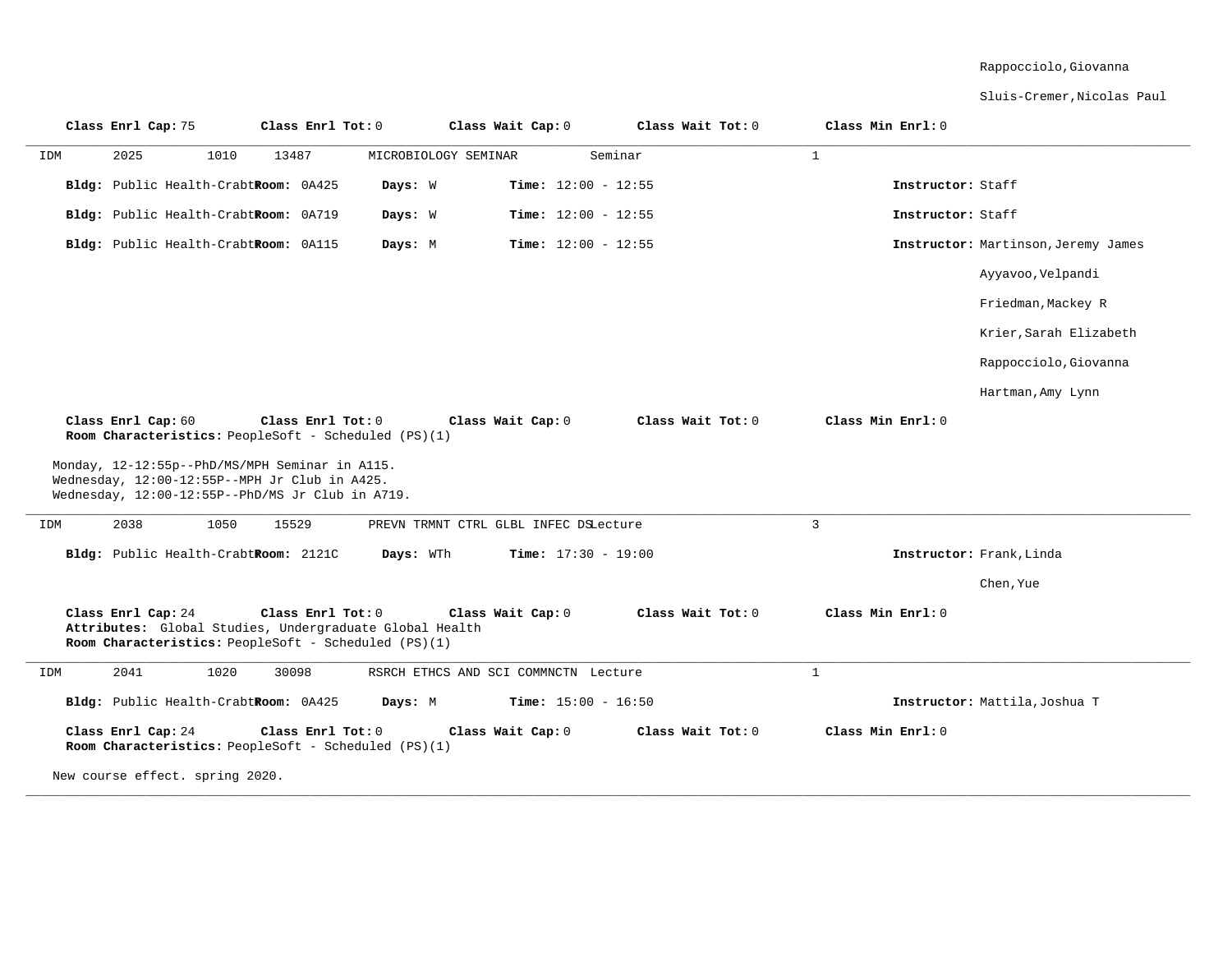#### Rappocciolo,Giovanna

Sluis-Cremer,Nicolas Paul

| Class Enrl Cap: 75                                                                                                                                                         | Class Enrl Tot: 0 | Class Wait Cap: 0                     | Class Wait Tot: 0 | Class Min Enrl: 0        |                                     |
|----------------------------------------------------------------------------------------------------------------------------------------------------------------------------|-------------------|---------------------------------------|-------------------|--------------------------|-------------------------------------|
| IDM<br>2025<br>1010                                                                                                                                                        | 13487             | MICROBIOLOGY SEMINAR                  | Seminar           | $\mathbf{1}$             |                                     |
| Bldg: Public Health-CrabtRoom: 0A425                                                                                                                                       | Days: W           | Time: $12:00 - 12:55$                 |                   | Instructor: Staff        |                                     |
| Bldg: Public Health-CrabtRoom: 0A719                                                                                                                                       | Days: W           | Time: $12:00 - 12:55$                 |                   | Instructor: Staff        |                                     |
| Bldg: Public Health-CrabtRoom: 0A115                                                                                                                                       | Days: M           | <b>Time:</b> $12:00 - 12:55$          |                   |                          | Instructor: Martinson, Jeremy James |
|                                                                                                                                                                            |                   |                                       |                   |                          | Ayyavoo, Velpandi                   |
|                                                                                                                                                                            |                   |                                       |                   |                          | Friedman, Mackey R                  |
|                                                                                                                                                                            |                   |                                       |                   |                          | Krier, Sarah Elizabeth              |
|                                                                                                                                                                            |                   |                                       |                   |                          | Rappocciolo, Giovanna               |
|                                                                                                                                                                            |                   |                                       |                   |                          | Hartman, Amy Lynn                   |
| Class Enrl Cap: 60<br>Room Characteristics: PeopleSoft - Scheduled (PS)(1)                                                                                                 | Class Enrl Tot: 0 | Class Wait Cap: 0                     | Class Wait Tot: 0 | Class Min Enrl: 0        |                                     |
| Monday, 12-12:55p--PhD/MS/MPH Seminar in A115.<br>Wednesday, 12:00-12:55P--MPH Jr Club in A425.<br>Wednesday, 12:00-12:55P--PhD/MS Jr Club in A719.<br>2038<br>1050<br>IDM | 15529             | PREVN TRMNT CTRL GLBL INFEC DSLecture |                   | 3                        |                                     |
| Bldg: Public Health-CrabtRoom: 2121C                                                                                                                                       | Days: WTh         | <b>Time:</b> $17:30 - 19:00$          |                   | Instructor: Frank, Linda |                                     |
|                                                                                                                                                                            |                   |                                       |                   |                          | Chen, Yue                           |
| Class Enrl Cap: 24<br>Attributes: Global Studies, Undergraduate Global Health<br>Room Characteristics: PeopleSoft - Scheduled (PS)(1)                                      | Class Enrl Tot: 0 | Class Wait Cap: 0                     | Class Wait Tot: 0 | Class Min Enrl: 0        |                                     |
| 2041<br>1020<br>IDM                                                                                                                                                        | 30098             | RSRCH ETHCS AND SCI COMMNCTN Lecture  |                   | $\mathbf{1}$             |                                     |
| Bldg: Public Health-CrabtRoom: 0A425                                                                                                                                       | Days: M           | <b>Time:</b> $15:00 - 16:50$          |                   |                          | Instructor: Mattila, Joshua T       |
| Class Enrl Cap: 24<br>Room Characteristics: PeopleSoft - Scheduled (PS)(1)                                                                                                 | Class Enrl Tot: 0 | Class Wait Cap: 0                     | Class Wait Tot: 0 | Class Min Enrl: 0        |                                     |
| New course effect. spring 2020.                                                                                                                                            |                   |                                       |                   |                          |                                     |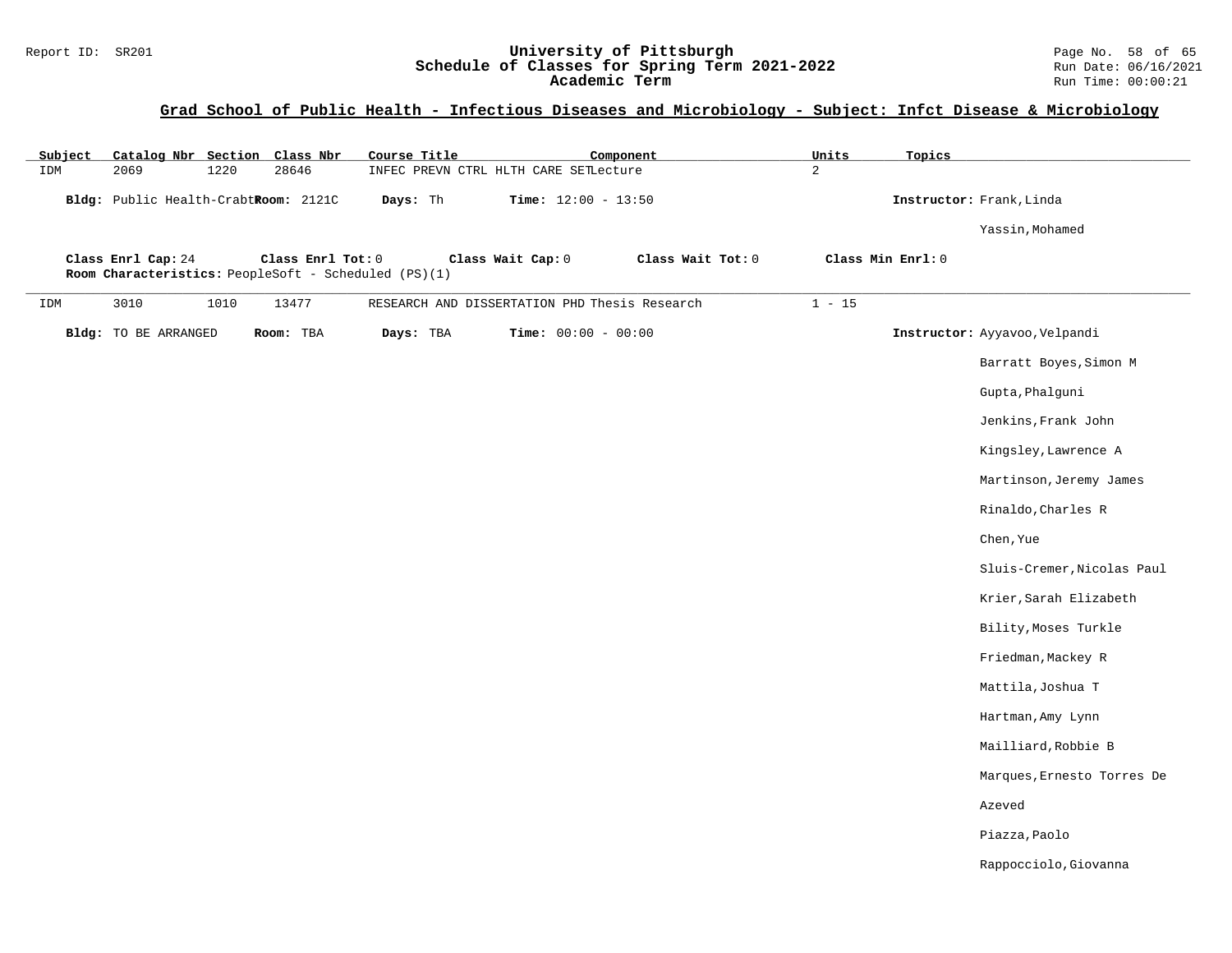#### Report ID: SR201 **University of Pittsburgh** Page No. 58 of 65 **Schedule of Classes for Spring Term 2021-2022** Run Date: 06/16/2021 **Academic Term** Run Time: 00:00:21

# **Grad School of Public Health - Infectious Diseases and Microbiology - Subject: Infct Disease & Microbiology**

| Subject<br>IDM | 2069                                 | 1220 | Catalog Nbr Section Class Nbr<br>28646                                    | Course Title | INFEC PREVN CTRL HLTH CARE SETLecture | Component                                     | <b>Units</b><br>2 | Topics            |                               |
|----------------|--------------------------------------|------|---------------------------------------------------------------------------|--------------|---------------------------------------|-----------------------------------------------|-------------------|-------------------|-------------------------------|
|                | Bldg: Public Health-CrabtRoom: 2121C |      |                                                                           | Days: Th     | <b>Time:</b> $12:00 - 13:50$          |                                               |                   |                   | Instructor: Frank, Linda      |
|                |                                      |      |                                                                           |              |                                       |                                               |                   |                   | Yassin, Mohamed               |
|                | Class Enrl Cap: 24                   |      | Class Enrl Tot: 0<br>Room Characteristics: PeopleSoft - Scheduled (PS)(1) |              | Class Wait Cap: 0                     | Class Wait Tot: 0                             |                   | Class Min Enrl: 0 |                               |
| IDM            | 3010                                 | 1010 | 13477                                                                     |              |                                       | RESEARCH AND DISSERTATION PHD Thesis Research | $1 - 15$          |                   |                               |
|                | Bldg: TO BE ARRANGED                 |      | Room: TBA                                                                 | Days: TBA    | <b>Time:</b> $00:00 - 00:00$          |                                               |                   |                   | Instructor: Ayyavoo, Velpandi |
|                |                                      |      |                                                                           |              |                                       |                                               |                   |                   | Barratt Boyes, Simon M        |
|                |                                      |      |                                                                           |              |                                       |                                               |                   |                   | Gupta, Phalguni               |
|                |                                      |      |                                                                           |              |                                       |                                               |                   |                   | Jenkins, Frank John           |
|                |                                      |      |                                                                           |              |                                       |                                               |                   |                   | Kingsley, Lawrence A          |
|                |                                      |      |                                                                           |              |                                       |                                               |                   |                   | Martinson, Jeremy James       |
|                |                                      |      |                                                                           |              |                                       |                                               |                   |                   | Rinaldo, Charles R            |
|                |                                      |      |                                                                           |              |                                       |                                               |                   |                   | Chen, Yue                     |
|                |                                      |      |                                                                           |              |                                       |                                               |                   |                   | Sluis-Cremer, Nicolas Paul    |
|                |                                      |      |                                                                           |              |                                       |                                               |                   |                   | Krier, Sarah Elizabeth        |
|                |                                      |      |                                                                           |              |                                       |                                               |                   |                   | Bility, Moses Turkle          |
|                |                                      |      |                                                                           |              |                                       |                                               |                   |                   | Friedman, Mackey R            |
|                |                                      |      |                                                                           |              |                                       |                                               |                   |                   | Mattila, Joshua T             |
|                |                                      |      |                                                                           |              |                                       |                                               |                   |                   | Hartman, Amy Lynn             |
|                |                                      |      |                                                                           |              |                                       |                                               |                   |                   | Mailliard, Robbie B           |
|                |                                      |      |                                                                           |              |                                       |                                               |                   |                   | Marques, Ernesto Torres De    |
|                |                                      |      |                                                                           |              |                                       |                                               |                   |                   | Azeved                        |
|                |                                      |      |                                                                           |              |                                       |                                               |                   |                   | Piazza, Paolo                 |
|                |                                      |      |                                                                           |              |                                       |                                               |                   |                   | Rappocciolo, Giovanna         |
|                |                                      |      |                                                                           |              |                                       |                                               |                   |                   |                               |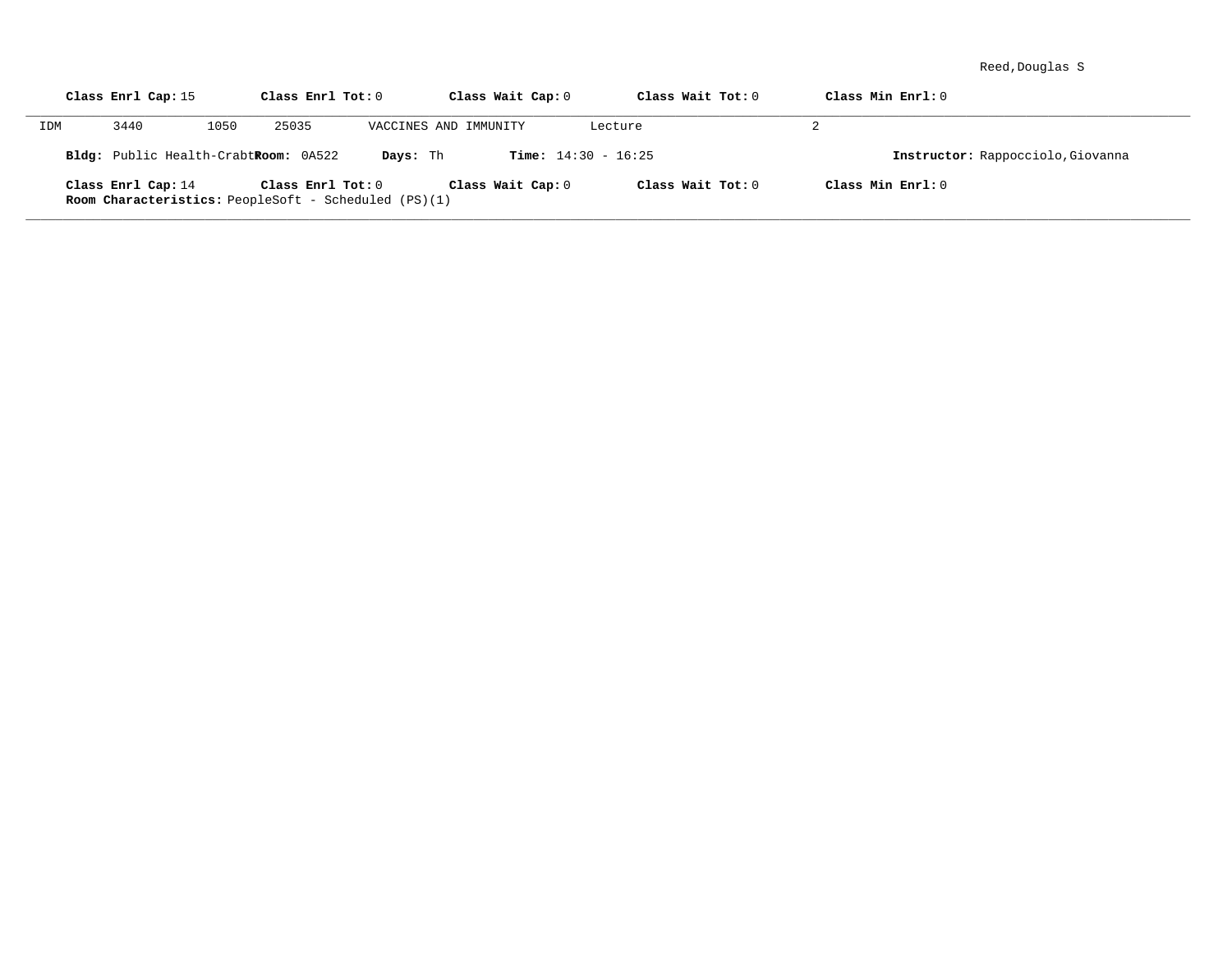Reed,Douglas S

|     | Class Enrl Cap: 15                                                                |      | Class Enrl Tot: 0 |                       | Class Wait Cap: 0            | Class Wait Tot: 0 | Class Min Enrl: 0                 |
|-----|-----------------------------------------------------------------------------------|------|-------------------|-----------------------|------------------------------|-------------------|-----------------------------------|
| IDM | 3440                                                                              | 1050 | 25035             | VACCINES AND IMMUNITY |                              | Lecture           | 2                                 |
|     | Bldg: Public Health-CrabtRoom: 0A522                                              |      |                   | Days: Th              | <b>Time:</b> $14:30 - 16:25$ |                   | Instructor: Rappocciolo, Giovanna |
|     | Class Enrl Cap: 14<br><b>Room Characteristics:</b> PeopleSoft - Scheduled (PS)(1) |      | Class Enrl Tot: 0 |                       | Class Wait Cap: 0            | Class Wait Tot: 0 | Class Min Enrl: 0                 |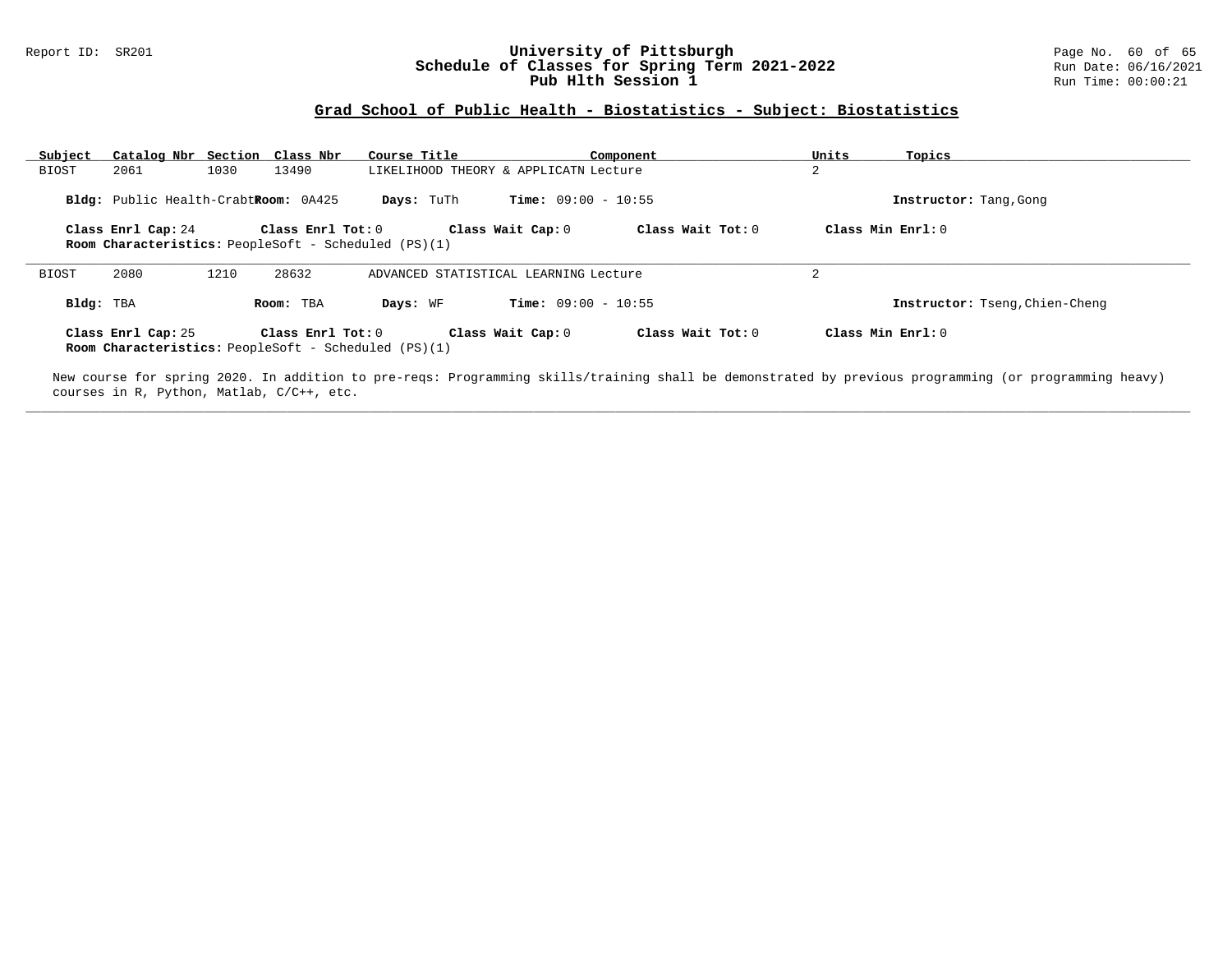#### Report ID: SR201 **University of Pittsburgh University of Pittsburgh** Page No. 60 of 65<br>**Schedule of Classes for Spring Term 2021-2022** Run Date: 06/16/2021 **Schedule of Classes for Spring Term 2021-2022** Run Date: 06/16/2021 **Pub Hlth Session 1 Run Time: 00:00:21**

### **Grad School of Public Health - Biostatistics - Subject: Biostatistics**

| Subject      | Catalog Nbr Section Class Nbr        |      |                   | Course Title                                                |                                       | Component         | Units               | Topics                         |
|--------------|--------------------------------------|------|-------------------|-------------------------------------------------------------|---------------------------------------|-------------------|---------------------|--------------------------------|
| <b>BIOST</b> | 2061                                 | 1030 | 13490             |                                                             | LIKELIHOOD THEORY & APPLICATN Lecture |                   | 2                   |                                |
|              | Bldg: Public Health-CrabtRoom: 0A425 |      |                   | Days: TuTh                                                  | <b>Time:</b> $09:00 - 10:55$          |                   |                     | Instructor: Tang, Gong         |
|              | Class Enrl Cap: 24                   |      | Class Enrl Tot: 0 | Room Characteristics: PeopleSoft - Scheduled (PS)(1)        | Class Wait Cap: 0                     | Class Wait Tot: 0 | Class Min $Enrl: 0$ |                                |
| BIOST        | 2080                                 | 1210 | 28632             |                                                             | ADVANCED STATISTICAL LEARNING Lecture |                   | ∠                   |                                |
| Bldg: TBA    |                                      |      | Room: TBA         | Days: WF                                                    | <b>Time:</b> $09:00 - 10:55$          |                   |                     | Instructor: Tseng, Chien-Cheng |
|              | Class Enrl Cap: 25                   |      | Class Enrl Tot: 0 | <b>Room Characteristics:</b> PeopleSoft - Scheduled (PS)(1) | Class Wait Cap: 0                     | Class Wait Tot: 0 | Class Min $Enrl: 0$ |                                |

New course for spring 2020. In addition to pre-reqs: Programming skills/training shall be demonstrated by previous programming (or programming heavy) courses in R, Python, Matlab, C/C++, etc. **\_\_\_\_\_\_\_\_\_\_\_\_\_\_\_\_\_\_\_\_\_\_\_\_\_\_\_\_\_\_\_\_\_\_\_\_\_\_\_\_\_\_\_\_\_\_\_\_\_\_\_\_\_\_\_\_\_\_\_\_\_\_\_\_\_\_\_\_\_\_\_\_\_\_\_\_\_\_\_\_\_\_\_\_\_\_\_\_\_\_\_\_\_\_\_\_\_\_\_\_\_\_\_\_\_\_\_\_\_\_\_\_\_\_\_\_\_\_\_\_\_\_\_\_\_\_\_\_\_\_\_\_\_\_\_\_\_\_\_\_\_\_\_\_\_\_\_\_\_\_\_\_\_\_\_\_**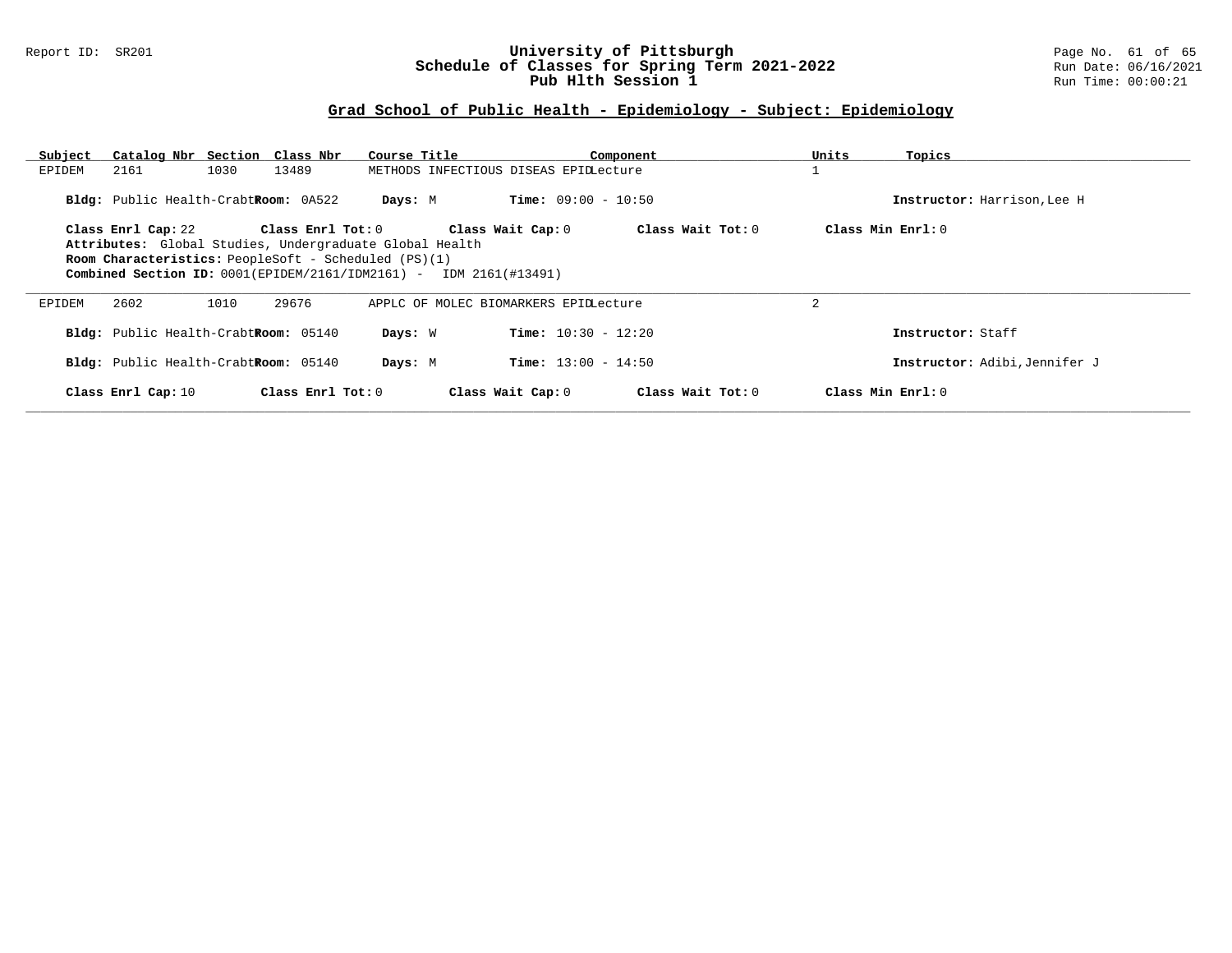#### Report ID: SR201 **University of Pittsburgh** Page No. 61 of 65 **Schedule of Classes for Spring Term 2021-2022** Run Date: 06/16/2021 **Pub Hlth Session 1 Run Time: 00:00:21**

| Subject | Catalog Nbr Section Class Nbr        |      |                   | Course Title                                                                |                                       | Component         | Units          | Topics                        |
|---------|--------------------------------------|------|-------------------|-----------------------------------------------------------------------------|---------------------------------------|-------------------|----------------|-------------------------------|
| EPIDEM  | 2161                                 | 1030 | 13489             |                                                                             | METHODS INFECTIOUS DISEAS EPIDLecture |                   |                |                               |
|         | Bldg: Public Health-CrabtRoom: 0A522 |      |                   | Days: M                                                                     | <b>Time:</b> $09:00 - 10:50$          |                   |                | Instructor: Harrison, Lee H   |
|         | Class Enrl Cap: 22                   |      | Class Enrl Tot: 0 |                                                                             | Class Wait Cap: 0                     | Class Wait Tot: 0 |                | Class Min Enrl: 0             |
|         |                                      |      |                   | Attributes: Global Studies, Undergraduate Global Health                     |                                       |                   |                |                               |
|         |                                      |      |                   | <b>Room Characteristics:</b> PeopleSoft - Scheduled (PS)(1)                 |                                       |                   |                |                               |
|         |                                      |      |                   | <b>Combined Section ID:</b> $0001$ (EPIDEM/2161/IDM2161) - IDM 2161(#13491) |                                       |                   |                |                               |
| EPIDEM  | 2602                                 | 1010 | 29676             |                                                                             | APPLC OF MOLEC BIOMARKERS EPIDLecture |                   | $\overline{2}$ |                               |
|         | Bldg: Public Health-CrabtRoom: 05140 |      |                   | Days: W                                                                     | <b>Time:</b> $10:30 - 12:20$          |                   |                | Instructor: Staff             |
|         | Bldg: Public Health-CrabtRoom: 05140 |      |                   | Days: M                                                                     | <b>Time:</b> $13:00 - 14:50$          |                   |                | Instructor: Adibi, Jennifer J |
|         | Class Enrl Cap: 10                   |      | Class Enrl Tot: 0 |                                                                             | Class Wait Cap: 0                     | Class Wait Tot: 0 |                | Class Min Enrl: 0             |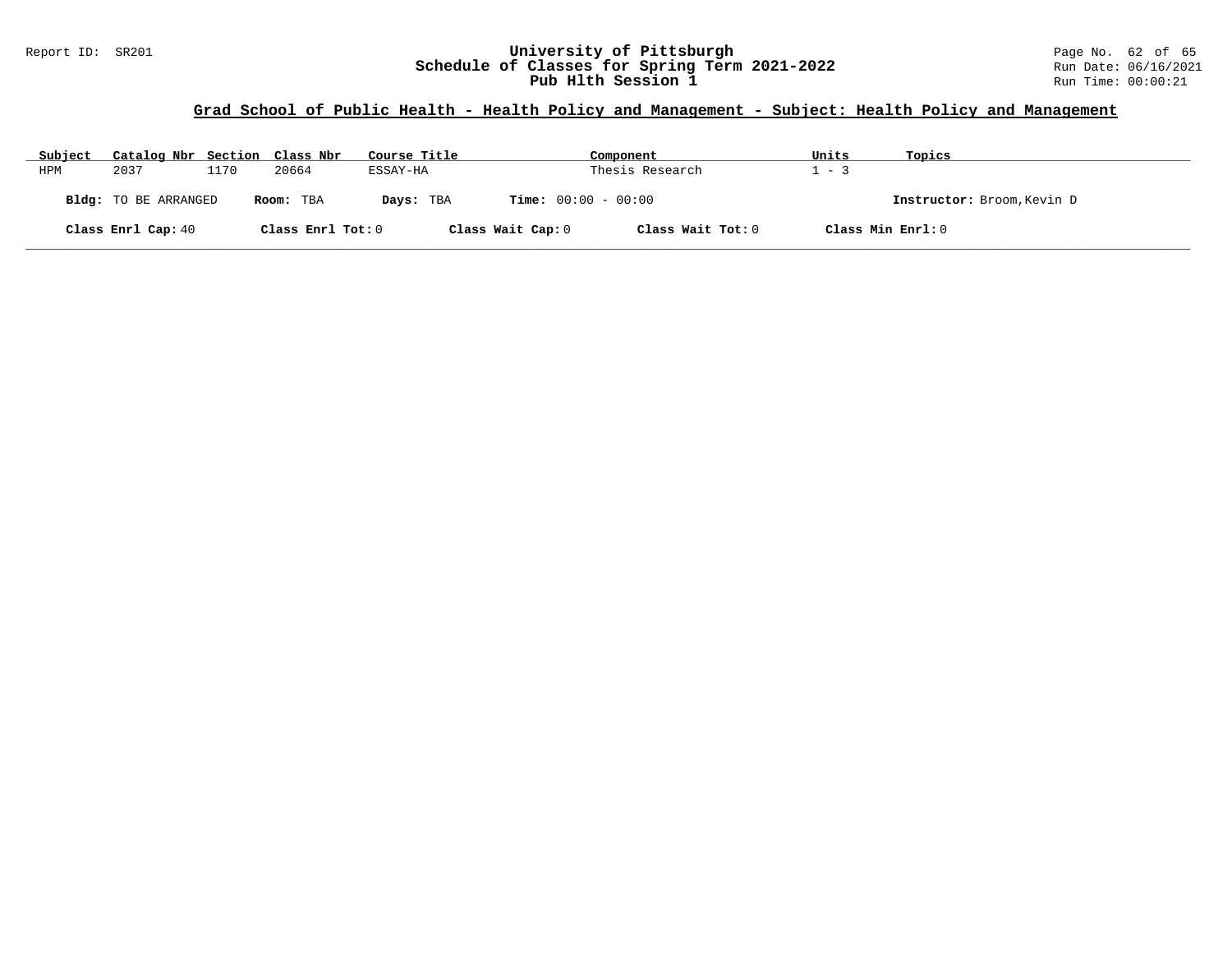#### Report ID: SR201 **University of Pittsburgh** Page No. 62 of 65 **Schedule of Classes for Spring Term 2021-2022** Run Date: 06/16/2021 **Pub Hlth Session 1 Run Time: 00:00:21**

| Subject | Catalog Nbr Section Class Nbr |      |                   | Course Title |                              | Component         | Units | Topics                     |
|---------|-------------------------------|------|-------------------|--------------|------------------------------|-------------------|-------|----------------------------|
| HPM     | 2037                          | 1170 | 20664             | ESSAY-HA     |                              | Thesis Research   | $-3$  |                            |
|         | Bldg: TO BE ARRANGED          |      | Room: TBA         | Days: TBA    | <b>Time:</b> $00:00 - 00:00$ |                   |       | Instructor: Broom, Kevin D |
|         | Class Enrl Cap: 40            |      | Class Enrl Tot: 0 |              | Class Wait Cap: 0            | Class Wait Tot: 0 |       | Class Min Enrl: 0          |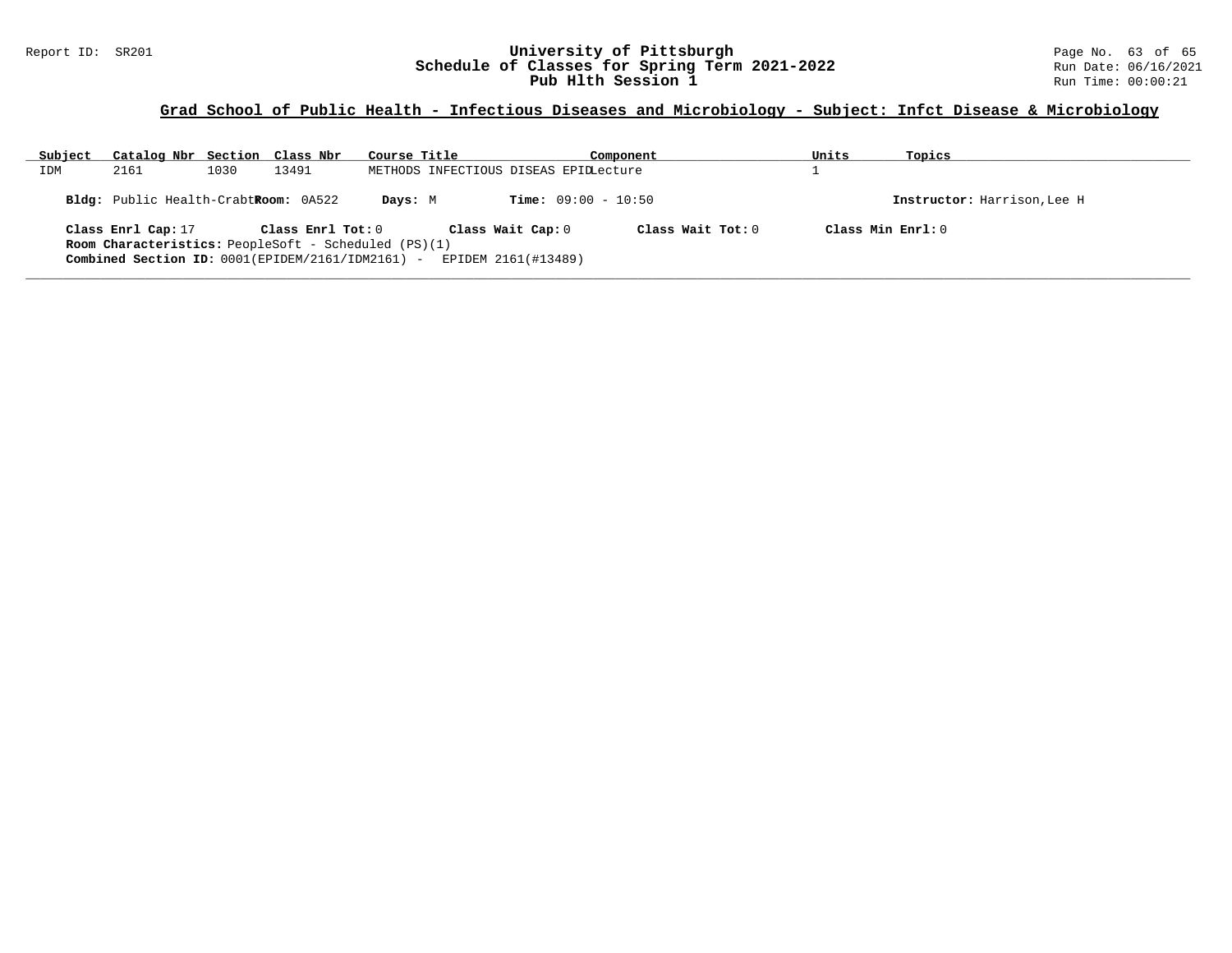#### Report ID: SR201 **University of Pittsburgh** Page No. 63 of 65 **Schedule of Classes for Spring Term 2021-2022** Run Date: 06/16/2021 **Pub Hlth Session 1 Run Time: 00:00:21**

# **Grad School of Public Health - Infectious Diseases and Microbiology - Subject: Infct Disease & Microbiology**

| Subject | Catalog Nbr Section Class Nbr                               |      |                   | Course Title |                                       | Component                    |                   | Units | Topics                      |
|---------|-------------------------------------------------------------|------|-------------------|--------------|---------------------------------------|------------------------------|-------------------|-------|-----------------------------|
| IDM     | 2161                                                        | 1030 | 13491             |              | METHODS INFECTIOUS DISEAS EPIDLecture |                              |                   |       |                             |
|         | Bldg: Public Health-CrabtRoom: 0A522                        |      |                   | Days: M      |                                       | <b>Time:</b> $09:00 - 10:50$ |                   |       | Instructor: Harrison, Lee H |
|         | Class Enrl Cap: 17                                          |      | Class Enrl Tot: 0 |              | Class Wait Cap: 0                     |                              | Class Wait Tot: 0 |       | Class Min $Enrl: 0$         |
|         | <b>Room Characteristics:</b> PeopleSoft - Scheduled (PS)(1) |      |                   |              |                                       |                              |                   |       |                             |
|         | Combined Section ID: 0001(EPIDEM/2161/IDM2161) -            |      |                   |              | EPIDEM 2161(#13489)                   |                              |                   |       |                             |
|         |                                                             |      |                   |              |                                       |                              |                   |       |                             |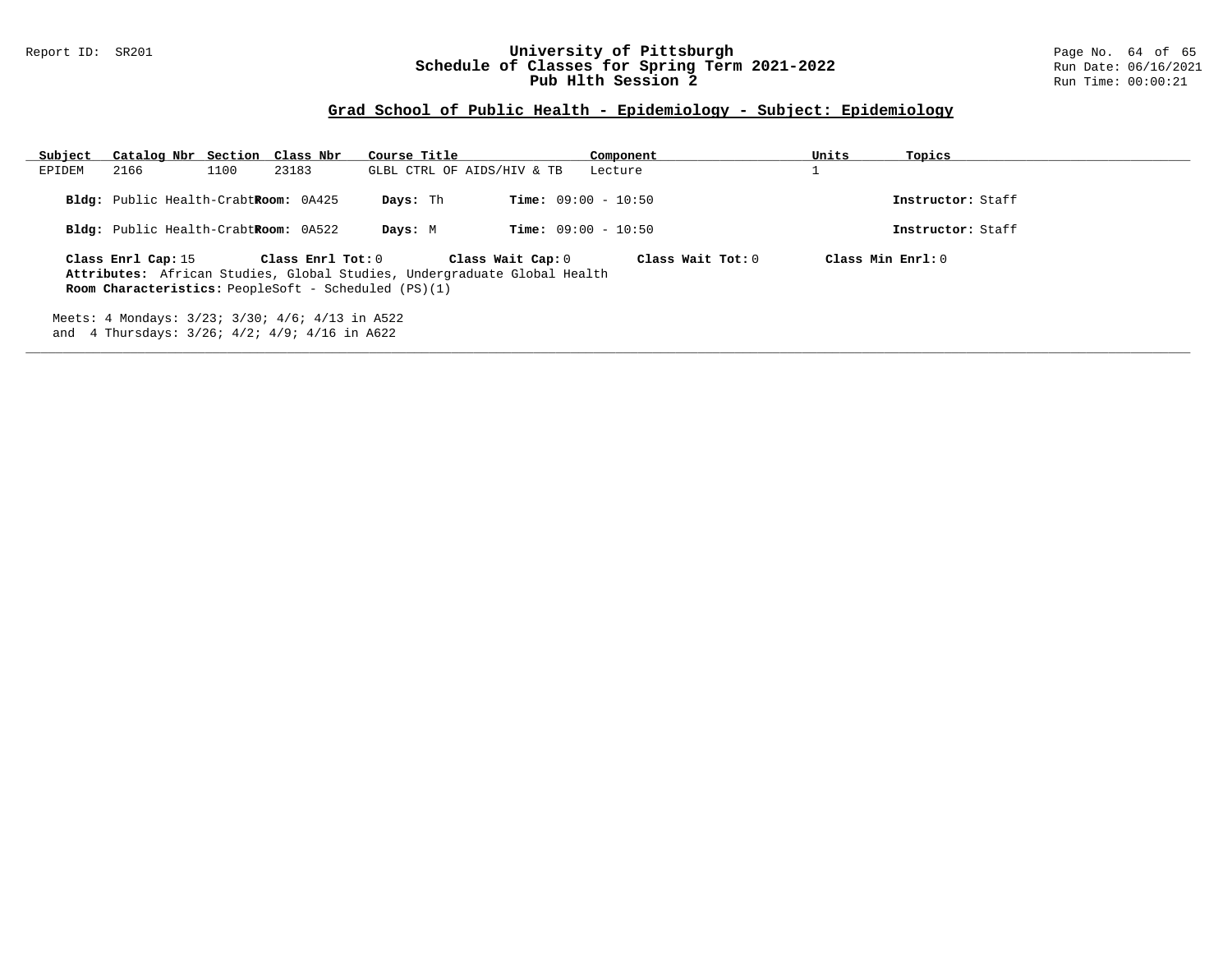#### Report ID: SR201 **University of Pittsburgh** Page No. 64 of 65 **Schedule of Classes for Spring Term 2021-2022** Run Date: 06/16/2021 **Pub Hlth Session 2 Run** Time: 00:00:21

| Subject | Catalog Nbr Section Class Nbr                                                                               |                   | Course Title                                                                                  | Component                    | Units<br>Topics      |  |
|---------|-------------------------------------------------------------------------------------------------------------|-------------------|-----------------------------------------------------------------------------------------------|------------------------------|----------------------|--|
| EPIDEM  | 2166<br>1100                                                                                                | 23183             | GLBL CTRL OF AIDS/HIV & TB                                                                    | Lecture                      |                      |  |
|         | Bldg: Public Health-CrabtRoom: 0A425                                                                        |                   | Days: Th                                                                                      | <b>Time:</b> $09:00 - 10:50$ | Instructor: Staff    |  |
|         | Bldg: Public Health-CrabtRoom: 0A522                                                                        |                   | Days: M                                                                                       | <b>Time:</b> $09:00 - 10:50$ | Instructor: Staff    |  |
|         | Class Enrl Cap: 15<br><b>Room Characteristics:</b> PeopleSoft - Scheduled $(PS)(1)$                         | Class Enrl Tot: 0 | Class Wait Cap: 0<br>Attributes: African Studies, Global Studies, Undergraduate Global Health | Class Wait Tot: 0            | $Class Min Ernst: 0$ |  |
|         | Meets: 4 Mondays: 3/23; 3/30; 4/6; 4/13 in A522<br>and 4 Thursdays: $3/26$ ; $4/2$ ; $4/9$ ; $4/16$ in A622 |                   |                                                                                               |                              |                      |  |